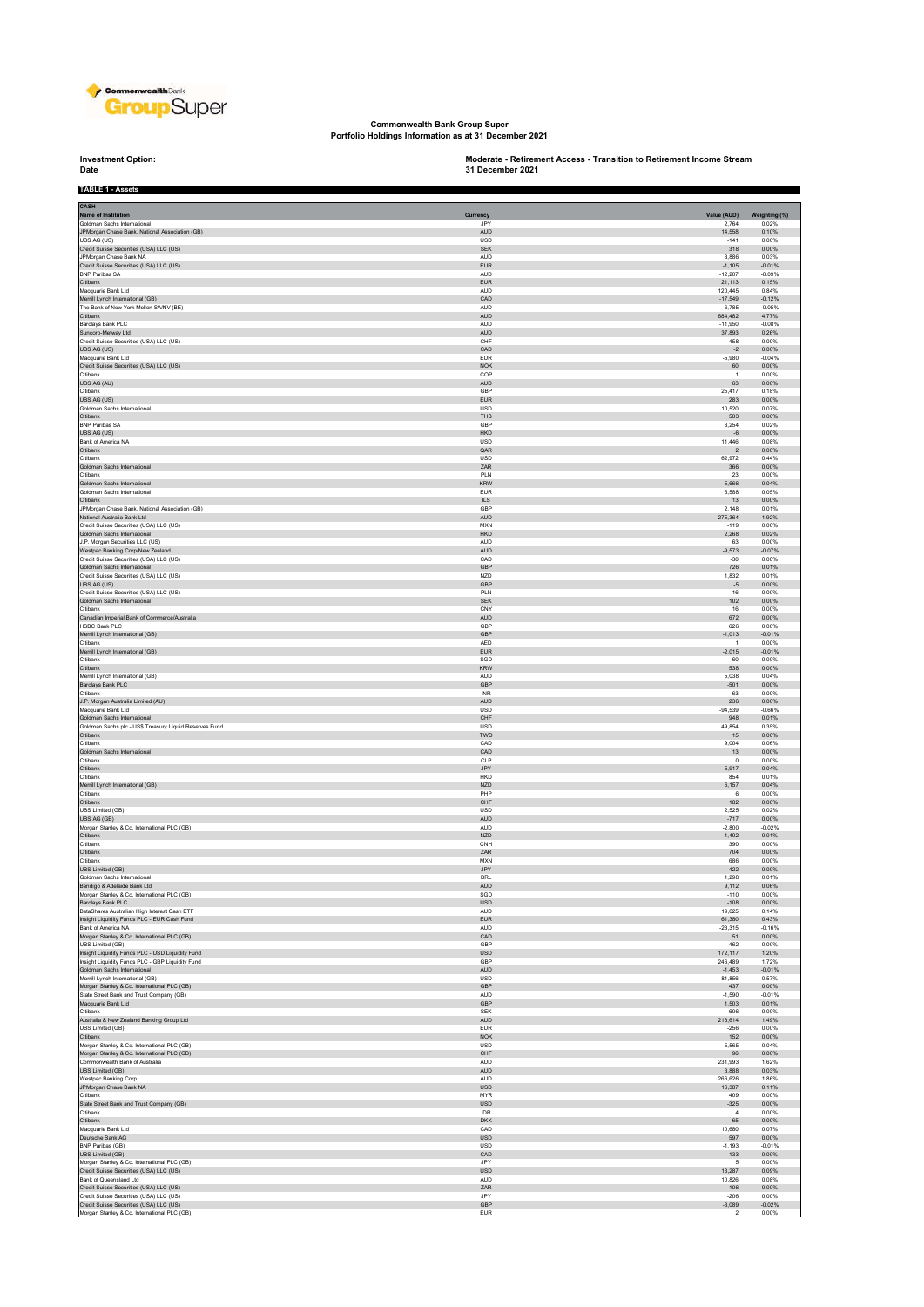

**Commonwealth Bank Group Super Portfolio Holdings Information as at 31 December 2021**

**Investment Option:**<br>Date **TABLE 1 - Assets**

**Investment Option: Moderate - Retirement Access - Transition to Retirement Income Stream 31 December 2021**

i

| CASH                                                                                                 |                               |                                     |                        |
|------------------------------------------------------------------------------------------------------|-------------------------------|-------------------------------------|------------------------|
| Name of Institution<br>Goldman Sachs International                                                   | Currency<br>JPY               | Value (AUD)<br>2.764                | Weighting (%)<br>0.02% |
| JPMorgan Chase Bank, National Association (GB)                                                       | <b>AUD</b>                    | 14,558                              | 0.10%                  |
| UBS AG (US)                                                                                          | <b>USD</b>                    | $-141$                              | 0.00%                  |
| Credit Suisse Securities (USA) LLC (US)<br>JPMorgan Chase Bank NA                                    | <b>SEK</b><br><b>AUD</b>      | 318<br>3,886                        | 0.00%<br>0.03%         |
| Credit Suisse Securities (USA) LLC (US)                                                              | <b>EUR</b>                    | $-1,105$                            | $-0.01%$               |
| <b>BNP Paribas SA</b><br>Citibank                                                                    | <b>AUD</b><br><b>EUR</b>      | $-12,207$<br>21,113                 | $-0.09%$<br>0.15%      |
| Macquarie Bank Ltd                                                                                   | <b>ALID</b>                   | 120.445                             | 0.84%                  |
| Merrill Lynch International (GB)                                                                     | CAD                           | $-17,549$                           | $-0.12%$               |
| The Bank of New York Mellon SA/NV (BE)<br>Citibank                                                   | <b>AUD</b><br>AUD             | $-6,785$<br>684.482                 | $-0.05%$<br>4.77%      |
| Barclays Bank PLC                                                                                    | <b>AUD</b>                    | $-11,950$                           | $-0.08%$               |
| Suncorp-Metway Ltd                                                                                   | <b>AUD</b>                    | 37,893                              | 0.26%                  |
| Credit Suisse Securities (USA) LLC (US)<br>UBS AG (US)                                               | CHF<br>CAD                    | 458<br>$-2$                         | 0.00%<br>0.00%         |
| Macquarie Bank Ltd                                                                                   | <b>EUR</b>                    | $-5.980$                            | $-0.04%$               |
| Credit Suisse Securities (USA) LLC (US)                                                              | NOK                           | 60<br>$\overline{1}$                | 0.00%                  |
| Citibank<br>UBS AG (AU)                                                                              | COP<br><b>AUD</b>             | 63                                  | 0.00%<br>0.00%         |
| Citibank                                                                                             | GBP                           | 25,417                              | 0.18%                  |
| UBS AG (US)<br>Goldman Sachs International                                                           | <b>EUR</b><br><b>USD</b>      | 283<br>10,520                       | 0.00%<br>0.07%         |
| Citibank                                                                                             | THB                           | 503                                 | 0.00%                  |
| <b>BNP Paribas SA</b>                                                                                | GBP                           | 3,254                               | 0.02%                  |
| UBS AG (US)<br>Bank of America NA                                                                    | <b>HKD</b><br><b>USD</b>      | $-6$<br>11,446                      | 0.00%<br>0.08%         |
| Citibank                                                                                             | QAR                           | $\overline{2}$                      | 0.00%                  |
| Citibank                                                                                             | <b>USD</b>                    | 62,972                              | 0.44%                  |
| Goldman Sachs International<br>Citibank                                                              | ZAR<br>PLN                    | 366<br>23                           | 0.00%<br>0.00%         |
| Goldman Sachs International                                                                          | <b>KRW</b>                    | 5.666                               | 0.04%                  |
| Goldman Sachs International                                                                          | <b>EUR</b>                    | 6,588                               | 0.05%                  |
| Citibank<br>JPMorgan Chase Bank, National Association (GB)                                           | $\mathbb{L}\mathbb{S}$<br>GBP | 13<br>2,148                         | 0.00%<br>0.01%         |
| National Australia Bank Ltd                                                                          | <b>AUD</b>                    | 275,364                             | 1.92%                  |
| Credit Suisse Securities (USA) LLC (US)<br>Goldman Sachs International                               | <b>MXN</b><br>HKD             | $-119$<br>2,268                     | 0.00%<br>0.02%         |
| J.P. Morgan Securities LLC (US)                                                                      | <b>AUD</b>                    | 63                                  | 0.00%                  |
| Westpac Banking Corp/New Zealand                                                                     | <b>AUD</b>                    | $-9,573$                            | $-0.07%$               |
| Credit Suisse Securities (USA) LLC (US)<br>Goldman Sachs International                               | CAD<br><b>GBP</b>             | $-30$<br>726                        | 0.00%<br>0.01%         |
| Credit Suisse Securities (USA) LLC (US)                                                              | NZD                           | 1,832                               | 0.01%                  |
| UBS AG (US)                                                                                          | <b>GBP</b>                    | $-5$                                | 0.00%                  |
| Credit Suisse Securities (USA) LLC (US)<br>Goldman Sachs International                               | PLN<br><b>SEK</b>             | $16\,$<br>102                       | 0.00%<br>0.00%         |
| Citibank                                                                                             | CNY                           | 16                                  | 0.00%                  |
| Canadian Imperial Bank of Commerce/Australia                                                         | AUD                           | 672                                 | 0.00%                  |
| <b>HSBC Bank PLC</b><br>Merrill Lynch International (GB)                                             | GBP<br>GBP                    | 626<br>$-1,013$                     | 0.00%<br>$-0.01%$      |
| Citibank                                                                                             | AED                           | $\overline{1}$                      | 0.00%                  |
| Merrill Lynch International (GB)                                                                     | <b>EUR</b>                    | $-2.015$                            | $-0.01%$               |
| Citibank<br>Citibank                                                                                 | SGD<br><b>KRW</b>             | 60<br>538                           | 0.00%<br>0.00%         |
| Merrill Lynch International (GB)                                                                     | <b>AUD</b>                    | 5,038                               | 0.04%                  |
| Barclays Bank PLC                                                                                    | GBP                           | $-501$                              | 0.00%                  |
| Citibank<br>J.P. Morgan Australia Limited (AU)                                                       | <b>INR</b><br><b>AUD</b>      | 63<br>236                           | 0.00%<br>0.00%         |
| Macquarie Bank Ltd                                                                                   | <b>USD</b>                    | $-94,539$                           | $-0.66%$               |
| Goldman Sachs International                                                                          | ${\sf CHF}$                   | 948                                 | 0.01%                  |
| Goldman Sachs plc - US\$ Treasury Liquid Reserves Fund<br>Citibank                                   | <b>USD</b><br>TWD             | 49,854<br>15                        | 0.35%<br>0.00%         |
| Citibank                                                                                             | CAD                           | 9,004                               | 0.06%                  |
| Goldman Sachs International<br>Citibank                                                              | CAD                           | 13                                  | 0.00%                  |
| Citibank                                                                                             | CLP<br>JPY                    | $\,0\,$<br>5,917                    | 0.00%<br>0.04%         |
| Citibank                                                                                             | <b>HKD</b>                    | 854                                 | 0.01%                  |
| Merrill Lynch International (GB)<br>Citibank                                                         | <b>NZD</b><br>PHP             | 6,157<br>6                          | 0.04%<br>0.00%         |
| Citibank                                                                                             | ${\sf CHF}$                   | 182                                 | 0.00%                  |
| <b>UBS Limited (GB)</b>                                                                              | USD                           | 2,525                               | 0.02%                  |
| UBS AG (GB)<br>Morgan Stanley & Co. International PLC (GB)                                           | <b>AUD</b><br><b>AUD</b>      | $-717$<br>$-2,800$                  | 0.00%<br>$-0.02%$      |
| Citibank                                                                                             | <b>NZD</b>                    | 1,402                               | 0.01%                  |
| Citibank                                                                                             | CNH                           | 390                                 | 0.00%                  |
| Citibank<br>Citibank                                                                                 | ZAR<br><b>MXN</b>             | 704<br>686                          | 0.00%<br>0.00%         |
| UBS Limited (GB)                                                                                     | JPY                           | 422                                 | 0.00%                  |
| Goldman Sachs International                                                                          | <b>BRI</b>                    | 1.298                               | 0.01%                  |
| Bendigo & Adelaide Bank Ltd<br>Morgan Stanley & Co. International PLC (GB)                           | <b>AUD</b><br>SGD             | 9,112<br>$-110$                     | 0.06%<br>0.00%         |
| Barclays Bank PLC                                                                                    | <b>USD</b>                    | $-108$                              | 0.00%                  |
| BetaShares Australian High Interest Cash ETF                                                         | <b>AUD</b>                    | 19,625                              | 0.14%                  |
| Insight Liquidity Funds PLC - EUR Cash Fund<br>Bank of America NA                                    | <b>EUR</b><br><b>AUD</b>      | 61,380<br>$-23,315$                 | 0.43%<br>$-0.16%$      |
| Morgan Stanley & Co. International PLC (GB)                                                          | CAD                           | 51                                  | 0.00%                  |
| UBS Limited (GB)                                                                                     | GBP                           | 462                                 | 0.00%                  |
| Insight Liquidity Funds PLC - USD Liquidity Fund<br>Insight Liquidity Funds PLC - GBP Liquidity Fund | USD<br>GBP                    | 172,117<br>246,489                  | 1.20%<br>1.72%         |
| Goldman Sachs International                                                                          | AUD                           | $-1,453$                            | $-0.01%$               |
| Merrill Lynch International (GB)<br>Morgan Stanley & Co. International PLC (GB)                      | <b>USD</b><br>GBP             | 81,856<br>437                       | 0.57%<br>0.00%         |
| State Street Bank and Trust Company (GB)                                                             | <b>AUD</b>                    | $-1,590$                            | $-0.01%$               |
| Macquarie Bank Ltd                                                                                   | GBP                           | 1,503                               | 0.01%                  |
| Citibank<br>Australia & New Zealand Banking Group Ltd                                                | <b>SEK</b><br><b>AUD</b>      | 606<br>213,614                      | 0.00%<br>1.49%         |
| UBS Limited (GB)                                                                                     | <b>EUR</b>                    | $-256$                              | 0.00%                  |
| Citibank                                                                                             | <b>NOK</b>                    | 152                                 | 0.00%                  |
| Morgan Stanley & Co. International PLC (GB)<br>Morgan Stanley & Co. International PLC (GB)           | <b>USD</b><br>CHF             | 5,565<br>96                         | 0.04%<br>0.00%         |
| Commonwealth Bank of Australia                                                                       | <b>AUD</b>                    | 231,993                             | 1.62%                  |
| <b>UBS Limited (GB)</b>                                                                              | <b>AUD</b>                    | 3,888                               | 0.03%                  |
| Westpac Banking Corp<br>JPMorgan Chase Bank NA                                                       | <b>AUD</b><br><b>USD</b>      | 266,626<br>16,387                   | 1.86%<br>0.11%         |
| Citibank                                                                                             | <b>MYR</b>                    | 409                                 | 0.00%                  |
| State Street Bank and Trust Company (GB)                                                             | <b>USD</b>                    | $-325$                              | 0.00%                  |
| Citibank<br>Citibank                                                                                 | <b>IDR</b><br><b>DKK</b>      | $\overline{4}$<br>65                | 0.00%<br>0.00%         |
| Macquarie Bank Ltd                                                                                   | CAD                           | 10,680                              | 0.07%                  |
| Deutsche Bank AG                                                                                     | <b>USD</b>                    | 597                                 | 0.00%                  |
| BNP Paribas (GB)<br>UBS Limited (GB)                                                                 | USD<br>CAD                    | $-1,193$<br>133                     | $-0.01%$<br>0.00%      |
| Morgan Stanley & Co. International PLC (GB)                                                          | JPY                           | 5                                   | 0.00%                  |
| Credit Suisse Securities (USA) LLC (US)                                                              | <b>USD</b><br><b>AUD</b>      | 13,287                              | 0.09%<br>0.08%         |
| Bank of Queensland Ltd<br>Credit Suisse Securities (USA) LLC (US)                                    | ZAR                           | 10.826<br>$-106$                    | 0.00%                  |
| Credit Suisse Securities (USA) LLC (US)                                                              | <b>JPY</b>                    | $-206$                              | 0.00%                  |
| Credit Suisse Securities (USA) LLC (US)<br>Morgan Stanley & Co. International PLC (GB)               | GBP<br><b>EUR</b>             | $-3,089$<br>$\overline{\mathbf{2}}$ | $-0.02%$<br>0.00%      |
|                                                                                                      |                               |                                     |                        |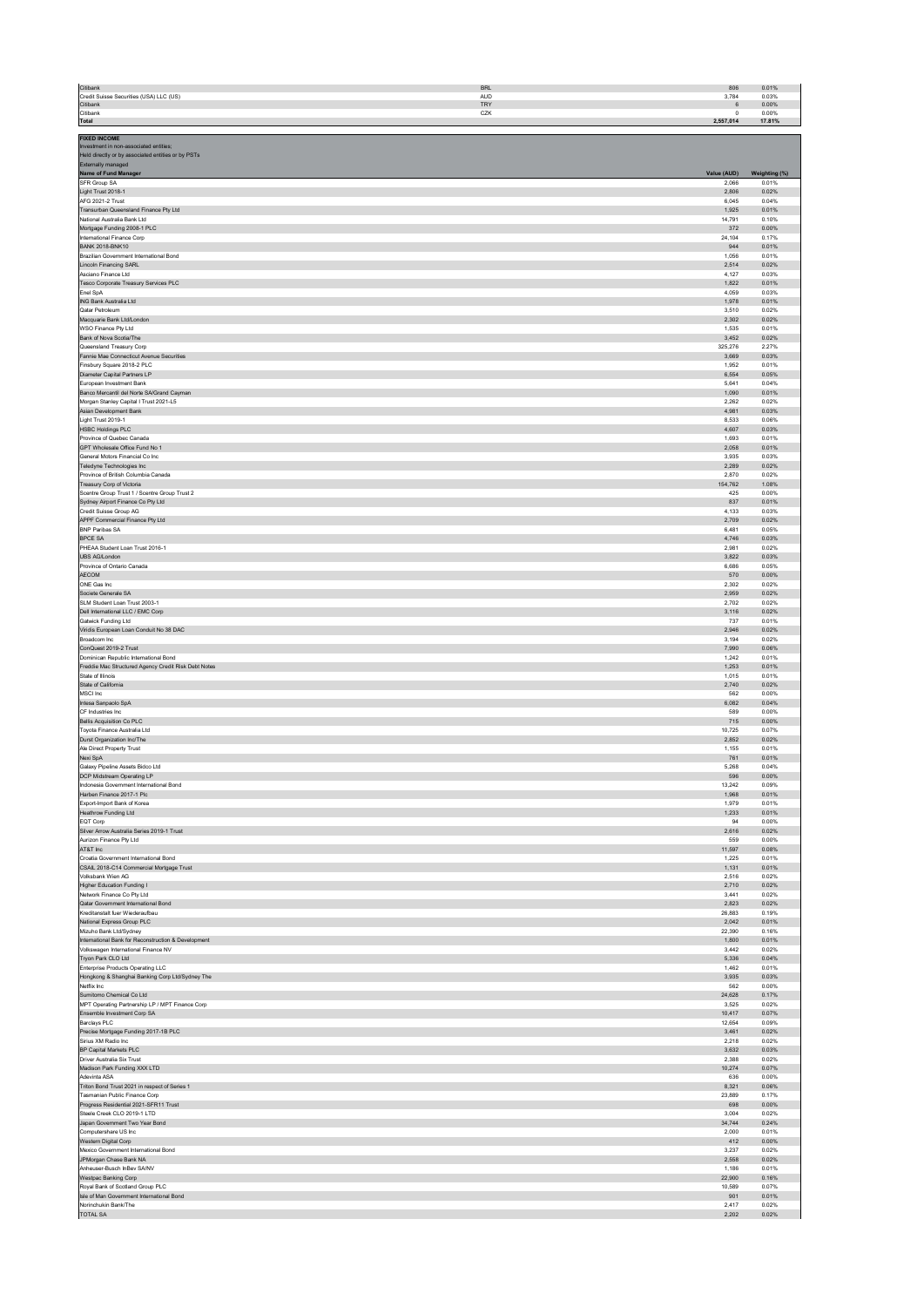| Citibank                                                                                     | <b>BRL</b> | 806            | 0.01%          |
|----------------------------------------------------------------------------------------------|------------|----------------|----------------|
| Credit Suisse Securities (USA) LLC (US)                                                      | <b>AUD</b> | 3,784          | 0.03%          |
| Citibank                                                                                     | TRY        | $\,6\,$        | 0.00%          |
| Citibank                                                                                     | CZK        | $^{\circ}$     | 0.00%          |
| Total                                                                                        |            | 2,557,014      | 17.81%         |
| <b>FIXED INCOME</b>                                                                          |            |                |                |
| Investment in non-associated entities;<br>Held directly or by associated entities or by PSTs |            |                |                |
| Externally managed                                                                           |            |                |                |
| Name of Fund Manager                                                                         |            | Value (AUD)    | Weighting (%)  |
| <b>SFR Group SA</b>                                                                          |            | 2.066          | 0.01%          |
| Light Trust 2018-1                                                                           |            | 2.806          | 0.02%          |
| AFG 2021-2 Trust                                                                             |            | 6,045          | 0.04%          |
| Transurban Queensland Finance Pty Ltd                                                        |            | 1,925          | 0.01%          |
| National Australia Bank Ltd                                                                  |            | 14,791         | 0.10%          |
| Mortgage Funding 2008-1 PLC                                                                  |            | 372            | 0.00%          |
| International Finance Corp                                                                   |            | 24,104         | 0.17%          |
| <b>BANK 2018-BNK10</b>                                                                       |            | 944            | 0.01%          |
| Brazilian Government International Bond                                                      |            | 1,056          | 0.01%          |
| Lincoln Financing SARL                                                                       |            | 2,514          | 0.02%          |
| Asciano Finance Ltd                                                                          |            | 4,127          | 0.03%          |
| Tesco Corporate Treasury Services PLC                                                        |            | 1.822          | 0.01%          |
| Enel SpA                                                                                     |            | 4,059          | 0.03%          |
| ING Bank Australia Ltd                                                                       |            | 1.978          | 0.01%          |
| Qatar Petroleum                                                                              |            | 3,510          | 0.02%          |
| Macquarie Bank Ltd/London                                                                    |            | 2,302          | 0.02%          |
| WSO Finance Pty Ltd                                                                          |            | 1,535          | 0.01%          |
| Bank of Nova Scotia/The                                                                      |            | 3,452          | 0.02%          |
| Queensland Treasury Corp                                                                     |            | 325,276        | 2.27%          |
| Fannie Mae Connecticut Avenue Securities                                                     |            | 3,669          | 0.03%          |
| Finsbury Square 2018-2 PLC                                                                   |            | 1,952          | 0.01%          |
| Diameter Capital Partners LP                                                                 |            | 6.554          | 0.05%          |
| European Investment Bank                                                                     |            | 5.641          | 0.04%          |
| Banco Mercantil del Norte SA/Grand Cayman                                                    |            | 1,090          | 0.01%          |
| Morgan Stanley Capital I Trust 2021-L5                                                       |            | 2.262          | 0.02%          |
| Asian Development Bank                                                                       |            | 4.981          | 0.03%          |
| Light Trust 2019-1                                                                           |            | 8.533          | 0.06%          |
| <b>HSBC Holdings PLC</b>                                                                     |            | 4,607          | 0.03%          |
| Province of Quebec Canada                                                                    |            | 1,693          | 0.01%          |
| GPT Wholesale Office Fund No 1                                                               |            | 2,058          | 0.01%          |
| General Motors Financial Co Inc                                                              |            | 3,935          | 0.03%          |
| Teledyne Technologies Inc                                                                    |            | 2,289          | 0.02%          |
| Province of British Columbia Canada                                                          |            | 2,870          | 0.02%          |
| Treasury Corp of Victoria                                                                    |            | 154,762<br>425 | 1.08%<br>0.00% |
| Scentre Group Trust 1 / Scentre Group Trust 2<br>Sydney Airport Finance Co Pty Ltd           |            | 837            | 0.01%          |
| Credit Suisse Group AG                                                                       |            | 4,133          | 0.03%          |
| APPF Commercial Finance Pty Ltd                                                              |            | 2,709          | 0.02%          |
| <b>BNP Paribas SA</b>                                                                        |            | 6.481          | 0.05%          |
| <b>BPCE SA</b>                                                                               |            | 4.746          | 0.03%          |
| PHEAA Student Loan Trust 2016-1                                                              |            | 2,981          | 0.02%          |
| UBS AG/London                                                                                |            | 3,822          | 0.03%          |
| Province of Ontario Canada                                                                   |            | 6,686          | 0.05%          |
| AECOM                                                                                        |            | 570            | 0.00%          |
| ONE Gas Inc                                                                                  |            | 2,302          | 0.02%          |
| Societe Generale SA                                                                          |            | 2,959          | 0.02%          |
| SLM Student Loan Trust 2003-1                                                                |            | 2,702          | 0.02%          |
| Dell International LLC / EMC Corp                                                            |            | 3,116          | 0.02%          |
| Gatwick Funding Ltd                                                                          |            | 737            | 0.01%          |
| Viridis European Loan Conduit No 38 DAC                                                      |            | 2.946          | 0.02%          |
| Broadcom Inc.                                                                                |            | 3.194          | 0.02%          |
| ConQuest 2019-2 Trust                                                                        |            | 7.990          | 0.06%          |
| Dominican Republic International Bond                                                        |            | 1.242          | 0.01%          |
| Freddie Mac Structured Agency Credit Risk Debt Notes                                         |            | 1,253          | 0.01%          |
| State of Illinois                                                                            |            | 1,015          | 0.01%          |
| State of California                                                                          |            | 2,740          | 0.02%          |
| MSCI Inc                                                                                     |            | 562            | 0.00%          |
| Intesa Sanpaolo SpA                                                                          |            | 6,082          | 0.04%          |
| CF Industries Inc                                                                            |            | 589            | 0.00%          |
| <b>Bellis Acquisition Co PLC</b>                                                             |            | 715            | 0.00%          |
| Toyota Finance Australia Ltd                                                                 |            | 10,725         | 0.07%          |
| Durst Organization Inc/The                                                                   |            | 2,852          | 0.02%          |
| Ale Direct Property Trust                                                                    |            | 1.155          | 0.01%          |
| Nexi SpA                                                                                     |            | 761            | 0.01%          |
| Galaxy Pipeline Assets Bidco Ltd                                                             |            | 5,268          | 0.04%          |
| DCP Midstream Operating LP                                                                   |            | 596            | 0.00%          |
| Indonesia Government International Bond                                                      |            | 13,242         | 0.09%          |
| Harben Finance 2017-1 Plc                                                                    |            | 1,968          | 0.01%          |
| Export-Import Bank of Korea                                                                  |            | 1,979          | 0.01%          |
| Heathrow Funding Ltd                                                                         |            | 1,233          | 0.01%          |
| EQT Corp                                                                                     |            | 94             | 0.00%          |
| Silver Arrow Australia Series 2019-1 Trust                                                   |            | 2,616<br>559   | 0.02%<br>0.00% |
| Aurizon Finance Pty Ltd<br>AT&T Inc                                                          |            | 11,597         | 0.08%          |
| Croatia Government International Bond                                                        |            | 1.225          | 0.01%          |
| CSAIL 2018-C14 Commercial Mortgage Trust                                                     |            | 1,131          | 0.01%          |
| Volksbank Wien AG                                                                            |            | 2.516          | 0.02%          |
| Higher Education Funding I                                                                   |            | 2.710          | 0.02%          |
| Network Finance Co Pty Ltd                                                                   |            | 3,441          | 0.02%          |
| Qatar Government International Bond                                                          |            | 2,823          | 0.02%          |
| Kreditanstalt fuer Wiederaufbau                                                              |            | 26,883         | 0.19%          |
| National Express Group PLC                                                                   |            | 2,042          | 0.01%          |
| Mizuho Bank Ltd/Sydney                                                                       |            | 22,390         | 0.16%          |
| International Bank for Reconstruction & Development                                          |            | 1,800          | 0.01%          |
| Volkswagen International Finance NV                                                          |            | 3,442          | 0.02%          |
| Tryon Park CLO Ltd                                                                           |            | 5,336          | 0.04%          |
| Enterprise Products Operating LLC                                                            |            | 1,462          | 0.01%          |
| Hongkong & Shanghai Banking Corp Ltd/Sydney The<br>Netflix Inc.                              |            | 3,935          | 0.03%          |
| Sumitomo Chemical Co Ltd                                                                     |            | 562<br>24.628  | 0.00%<br>0.17% |
| MPT Operating Partnership LP / MPT Finance Corp                                              |            | 3.525          | 0.02%          |
| Ensemble Investment Corp SA                                                                  |            | 10,417         | 0.07%          |
| Barclays PLC                                                                                 |            | 12,654         | 0.09%          |
| Precise Mortgage Funding 2017-1B PLC                                                         |            | 3,461          | 0.02%          |
| Sirius XM Radio Inc                                                                          |            | 2,218          | 0.02%          |
| BP Capital Markets PLC                                                                       |            | 3,632          | 0.03%          |
| Driver Australia Six Trust                                                                   |            | 2,388          | 0.02%          |
| Madison Park Funding XXX LTD                                                                 |            | 10,274         | 0.07%          |
| Adevinta ASA                                                                                 |            | 636<br>8,321   | 0.00%<br>0.06% |
| Triton Bond Trust 2021 in respect of Series 1<br>Tasmanian Public Finance Corp               |            | 23,889         | 0.17%          |
| Progress Residential 2021-SFR11 Trust                                                        |            | 698            | 0.00%          |
| Steele Creek CLO 2019-1 LTD                                                                  |            | 3.004          | 0.02%          |
| Japan Government Two Year Bond                                                               |            | 34.744         | 0.24%          |
| Computershare US Inc                                                                         |            | 2,000          | 0.01%          |
| Western Digital Corp                                                                         |            | 412            | 0.00%          |
| Mexico Government International Bond                                                         |            | 3,237          | 0.02%          |
| JPMorgan Chase Bank NA                                                                       |            | 2,558          | 0.02%          |
| Anheuser-Busch InBev SA/NV                                                                   |            | 1,186          | 0.01%          |
| Westpac Banking Corp                                                                         |            | 22,900         | 0.16%          |
| Royal Bank of Scotland Group PLC                                                             |            | 10,589         | 0.07%          |
| Isle of Man Government International Bond                                                    |            | 901            | 0.01%          |
| Norinchukin Bank/The                                                                         |            | 2,417          | 0.02%          |

TOTAL SA 2,202 0.02% Produced a construction of the construction of the construction of the construction of the construction of the construction of the construction of the construction of the construction of the constructi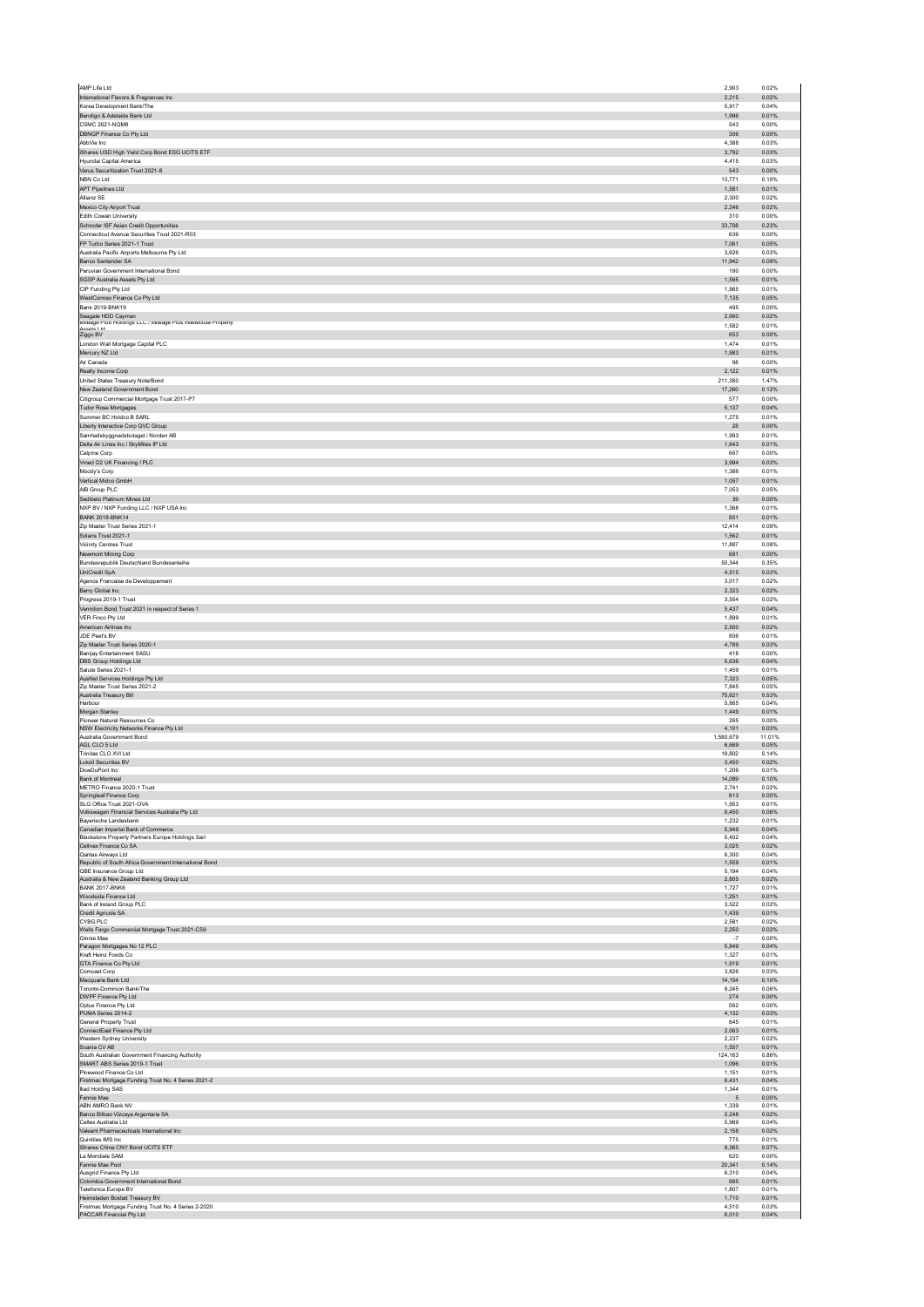| International Flavors & Fragrances Inc<br>Korea Development Bank/The<br>Bendigo & Adelaide Bank Ltd<br><b>CSMC 2021-NQM8</b> | 2,903                   | 0.02%                   |
|------------------------------------------------------------------------------------------------------------------------------|-------------------------|-------------------------|
|                                                                                                                              | 2,215                   | 0.02%                   |
|                                                                                                                              | 5,917<br>1.996          | 0.04%<br>0.01%          |
|                                                                                                                              | 543                     | 0.00%                   |
| DBNGP Finance Co Pty Ltd                                                                                                     | 306                     | 0.00%                   |
| AbbVie Inc.                                                                                                                  | 4,388                   | 0.03%                   |
| iShares USD High Yield Corp Bond ESG UCITS ETF                                                                               | 3,792                   | 0.03%                   |
| Hyundai Capital America                                                                                                      | 4,415                   | 0.03%                   |
| Verus Securitization Trust 2021-8                                                                                            | 543                     | 0.00%                   |
| NBN Co Ltd<br>APT Pipelines Ltd                                                                                              | 13,771<br>1,581         | 0.10%<br>0.01%          |
| Allianz SE                                                                                                                   | 2,300                   | 0.02%                   |
| Mexico City Airport Trust                                                                                                    | 2,246                   | 0.02%                   |
| Edith Cowan University                                                                                                       | 310                     | 0.00%                   |
| Schroder ISF Asian Credit Opportunities                                                                                      | 33,708                  | 0.23%                   |
| Connecticut Avenue Securities Trust 2021-R03                                                                                 | 636                     | 0.00%                   |
| FP Turbo Series 2021-1 Trust                                                                                                 | 7.061                   | 0.05%                   |
| Australia Pacific Airports Melbourne Pty Ltd                                                                                 | 3.626                   | 0.03%                   |
| Banco Santander SA                                                                                                           | 11,942                  | 0.08%                   |
| Peruvian Government International Bond<br>SGSP Australia Assets Pty Ltd                                                      | 190<br>1,595            | 0.00%<br>0.01%          |
| CIP Funding Pty Ltd                                                                                                          | 1,965                   | 0.01%                   |
| WestConnex Finance Co Pty Ltd                                                                                                | 7,135                   | 0.05%                   |
| Bank 2019-BNK19                                                                                                              | 495                     | 0.00%                   |
| Seagate HDD Cayman<br>Mileage Plus Holdings LLC / Mileage Plus Intellectual Property                                         | 2,660                   | 0.02%                   |
|                                                                                                                              | 1.582                   | 0.01%                   |
| Accate I tri<br>Ziggo BV                                                                                                     | 653                     | 0.00%                   |
| London Wall Mortgage Capital PLC                                                                                             | 1.474                   | 0.01%                   |
| Mercury NZ Ltd                                                                                                               | 1.983                   | 0.01%                   |
| Air Canada                                                                                                                   | 98<br>2.122             | 0.00%<br>0.01%          |
| Realty Income Corp<br>United States Treasury Note/Bond                                                                       | 211.380                 | 1.47%                   |
| New Zealand Government Bond                                                                                                  | 17,260                  | 0.12%                   |
| Citigroup Commercial Mortgage Trust 2017-P7                                                                                  | 577                     | 0.00%                   |
| <b>Tudor Rose Mortgages</b>                                                                                                  | 5,137                   | 0.04%                   |
| Summer BC Holdco B SARL                                                                                                      | 1,275                   | 0.01%                   |
| Liberty Interactive Corp QVC Group                                                                                           | 28                      | 0.00%                   |
| Samhallsbyggnadsbolaget i Norden AB                                                                                          | 1,993                   | 0.01%                   |
| Delta Air Lines Inc / SkyMiles IP Ltd                                                                                        | 1,643                   | 0.01%                   |
| Calpine Corp                                                                                                                 | 667                     | 0.00%                   |
| Vmed O2 UK Financing I PLC<br>Moody's Corp                                                                                   | 3,994<br>1.386          | 0.03%<br>0.01%          |
| Vertical Midco GmbH                                                                                                          | 1.057                   | 0.01%                   |
| AIB Group PLC                                                                                                                | 7,053                   | 0.05%                   |
| Sedibelo Platinum Mines Ltd                                                                                                  | $39\,$                  | 0.00%                   |
| NXP BV / NXP Funding LLC / NXP USA Inc                                                                                       | 1,368                   | 0.01%                   |
| <b>BANK 2018-BNK14</b>                                                                                                       | 851                     | 0.01%                   |
| Zip Master Trust Series 2021-1                                                                                               | 12,414                  | 0.09%                   |
| Solaris Trust 2021-1                                                                                                         | 1,562                   | 0.01%                   |
| Vicinity Centres Trust                                                                                                       | 11,887                  | 0.08%                   |
| Newmont Mining Corp                                                                                                          | 681                     | 0.00%                   |
| Bundesrepublik Deutschland Bundesanleihe<br>UniCredit SpA                                                                    | 50,344<br>4,515         | 0.35%<br>0.03%          |
| Agence Francaise de Developpement                                                                                            | 3.017                   | 0.02%                   |
| Berry Global Inc                                                                                                             | 2.323                   | 0.02%                   |
| Progress 2019-1 Trust                                                                                                        | 3.554                   | 0.02%                   |
| Vermilion Bond Trust 2021 in respect of Series 1                                                                             | 5.437                   | 0.04%                   |
| VER Finco Pty Ltd                                                                                                            | 1,899                   | 0.01%                   |
| American Airlines Inc                                                                                                        | 2,500                   | 0.02%                   |
| JDE Peet's BV                                                                                                                | 806                     | 0.01%                   |
| Zip Master Trust Series 2020-1<br>Banijav Entertainment SASU                                                                 | 4,789<br>418            | 0.03%<br>0.00%          |
| DBS Group Holdings Ltd                                                                                                       | 5,636                   | 0.04%                   |
| Salute Series 2021-1                                                                                                         | 1.459                   | 0.01%                   |
| AusNet Services Holdings Pty Ltd                                                                                             | 7,323                   | 0.05%                   |
| Zip Master Trust Series 2021-2                                                                                               | 7,845                   | 0.05%                   |
| Australia Treasury Bill<br>Harbour                                                                                           | 75.621<br>5,865         | 0.53%<br>0.04%          |
| Morgan Stanley                                                                                                               | 1,449                   | 0.01%                   |
| Pioneer Natural Resources Co                                                                                                 | 265                     | 0.00%                   |
| NSW Electricity Networks Finance Pty Ltd                                                                                     | 4,101                   | 0.03%                   |
| Australia Government Bond                                                                                                    | 1.580.679               | 11.01%                  |
| AGL CLO 5 Ltd<br>Trinitas CLO XVI Ltd                                                                                        | 6,669<br>19.802         | 0.05%<br>0.14%          |
| <b>Lukoil Securities BV</b>                                                                                                  | 3.450                   | 0.02%                   |
| DowDuPont Inc                                                                                                                | 1,206                   | 0.01%                   |
| <b>Bank of Montreal</b>                                                                                                      | 14.089                  | 0.10%                   |
| METRO Finance 2020-1 Trust                                                                                                   | 2,741                   | 0.02%                   |
| Springleaf Finance Corp<br>SLG Office Trust 2021-OVA                                                                         | 613<br>1.953            | 0.00%<br>0.01%          |
|                                                                                                                              | 8,450                   | 0.06%                   |
|                                                                                                                              | 1.232                   |                         |
| Volkswagen Financial Services Australia Pty Ltd<br>Baverische Landesbank                                                     |                         | 0.01%                   |
| Canadian Imperial Bank of Commerce                                                                                           | 5,949                   | 0.04%                   |
| Blackstone Property Partners Europe Holdings Sarl                                                                            | 5,402                   | 0.04%                   |
| Cellnex Finance Co SA                                                                                                        | 3.025                   | 0.02%                   |
| Qantas Airways Ltd<br>Republic of South Africa Government International Bond                                                 | 6,300<br>1,559          | 0.04%<br>0.01%          |
| QBE Insurance Group Ltd                                                                                                      | 5,194                   | 0.04%                   |
| Australia & New Zealand Banking Group Ltd                                                                                    | 2,805                   | 0.02%                   |
| <b>BANK 2017-BNK6</b>                                                                                                        | 1.727                   | 0.01%                   |
| Woodside Finance Ltd<br>Bank of Ireland Group PLC                                                                            | 1,251<br>3.522          | 0.01%<br>0.02%          |
| Credit Agricole SA                                                                                                           | 1,439                   | 0.01%                   |
| CYBG PLC                                                                                                                     | 2.581                   | 0.02%                   |
| Wells Fargo Commercial Mortgage Trust 2021-C59                                                                               | 2,250                   | 0.02%                   |
| Ginnie Mae                                                                                                                   | $^{\circ}7$             | 0.00%                   |
| Paragon Mortgages No 12 PLC                                                                                                  | 5.849                   | 0.04%                   |
| Kraft Heinz Foods Co<br>GTA Finance Co Pty Ltd                                                                               | 1,327<br>1,919          | 0.01%<br>0.01%          |
| Comcast Corp                                                                                                                 | 3.826                   | 0.03%                   |
| Macquarie Bank Ltd                                                                                                           | 14,154                  | 0.10%                   |
| Toronto-Dominion Bank/The                                                                                                    | 9.245                   | 0.06%                   |
| DWPF Finance Pty Ltd<br>Optus Finance Pty Ltd                                                                                | 274<br>562              | 0.00%<br>0.00%          |
| PUMA Series 2014-2                                                                                                           | 4.132                   | 0.03%                   |
| General Property Trust                                                                                                       | 845                     | 0.01%                   |
| ConnectEast Finance Pty Ltd                                                                                                  | 2,063                   | 0.01%                   |
| Western Sydney University                                                                                                    | 2,237                   | 0.02%<br>0.01%          |
| Scania CV AB<br>South Australian Government Financing Authority                                                              | 1,557<br>124.163        | 0.86%                   |
| SMART ABS Series 2019-1 Trust                                                                                                | 1,096                   | 0.01%                   |
| Pinewood Finance Co Ltd                                                                                                      | 1,151                   | 0.01%                   |
| Firstmac Mortgage Funding Trust No. 4 Series 2021-2                                                                          | 6,431                   | 0.04%                   |
| <b>Iliad Holding SAS</b>                                                                                                     | 1,344<br>5              | 0.01%<br>0.00%          |
| Fannie Mae<br>ABN AMRO Bank NV                                                                                               | 1,339                   | 0.01%                   |
| Banco Bilbao Vizcaya Argentaria SA                                                                                           | 2,248                   | 0.02%                   |
| Caltex Australia Ltd                                                                                                         | 5,969                   | 0.04%                   |
| Valeant Pharmaceuticals International Inc                                                                                    | 2,158                   | 0.02%                   |
| Quintiles IMS Inc.                                                                                                           | 775                     | 0.01%                   |
| iShares China CNY Bond UCITS ETF<br>La Mondiale SAM                                                                          | 9,365<br>620            | 0.07%<br>0.00%          |
| Fannie Mae Pool                                                                                                              | 20,341                  | 0.14%                   |
| Ausgrid Finance Pty Ltd                                                                                                      | 6,310                   | 0.04%                   |
| Colombia Government International Bond                                                                                       | 985                     | 0.01%                   |
| Telefonica Europe BV                                                                                                         | 1,807                   | 0.01%                   |
| Heimstaden Bostad Treasury BV<br>Firstmac Mortgage Funding Trust No. 4 Series 2-2020<br>PACCAR Financial Pty Ltd             | 1,710<br>4,510<br>6,010 | 0.01%<br>0.03%<br>0.04% |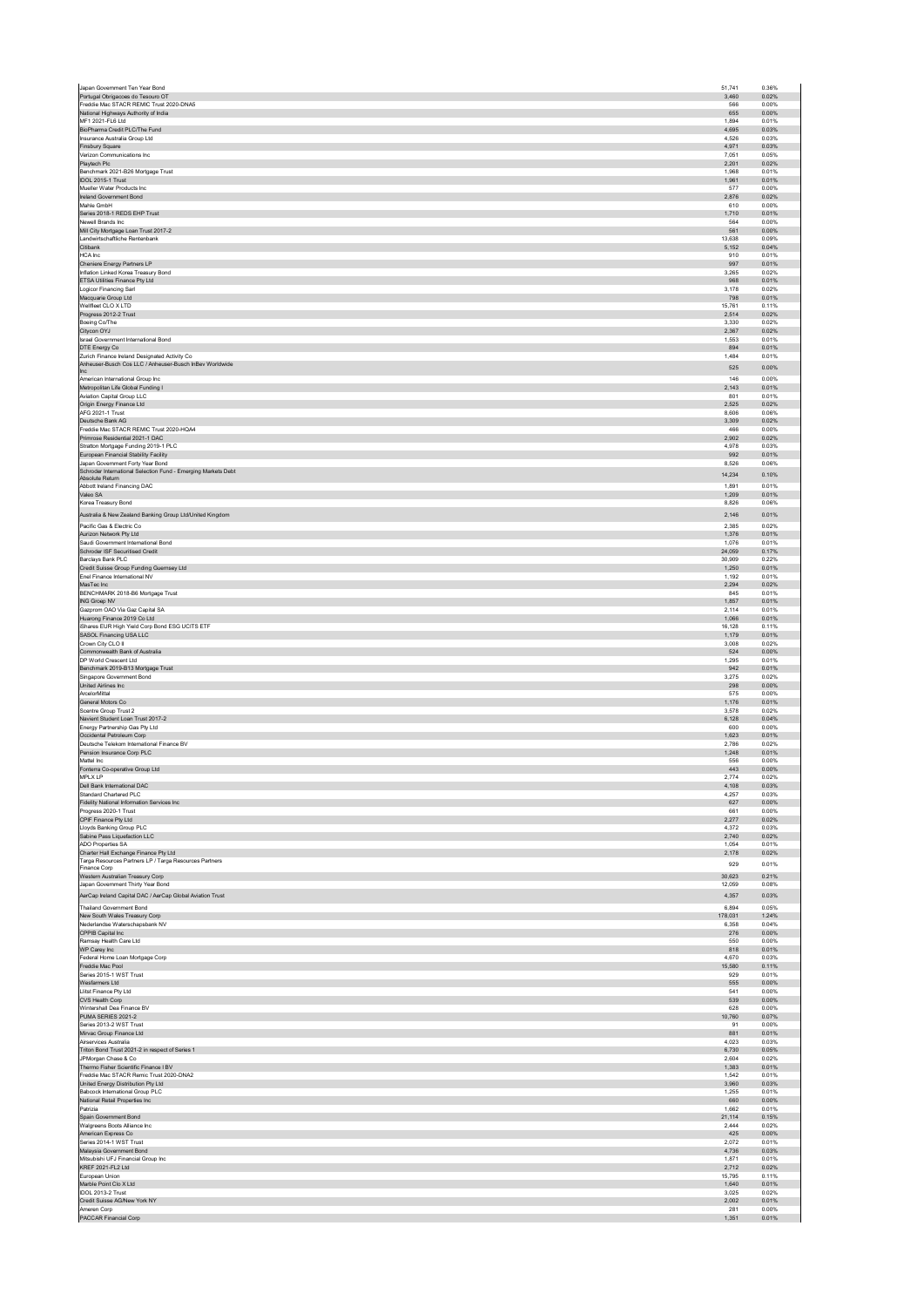| Portugal Obrigacoes do Tesouro OT                                                                        | 3.460            | 0.36%<br>0.02% |
|----------------------------------------------------------------------------------------------------------|------------------|----------------|
| Freddie Mac STACR REMIC Trust 2020-DNA5                                                                  | 566              | 0.00%          |
| National Highways Authority of India<br>MF1 2021-FL6 Ltd                                                 | 655<br>1.894     | 0.00%<br>0.01% |
| BioPharma Credit PLC/The Fund                                                                            | 4,695            | 0.03%          |
| Insurance Australia Group Ltd<br>Finsbury Square                                                         | 4.526<br>4,971   | 0.03%<br>0.03% |
| Verizon Communications Inc.                                                                              | 7,051            | 0.05%          |
| Playtech Plc<br>Benchmark 2021-B26 Mortgage Trust                                                        | 2.201<br>1,968   | 0.02%<br>0.01% |
| IDOL 2015-1 Trust<br>Mueller Water Products Inc                                                          | 1,961            | 0.01%          |
| Ireland Government Bond                                                                                  | 577<br>2,876     | 0.00%<br>0.02% |
| Mahle GmbH                                                                                               | 610              | 0.00%          |
| Series 2018-1 REDS EHP Trust<br>Newell Brands Inc.                                                       | 1,710<br>564     | 0.01%<br>0.00% |
| Mill City Mortgage Loan Trust 2017-2                                                                     | 561              | 0.00%          |
| Landwirtschaftliche Rentenbank<br>Citibank                                                               | 13,638<br>5.152  | 0.09%<br>0.04% |
| HCA Inc                                                                                                  | 910              | 0.01%          |
| Cheniere Energy Partners LP<br>Inflation Linked Korea Treasury Bond                                      | 997<br>3,265     | 0.01%<br>0.02% |
| ETSA Utilities Finance Pty Ltd                                                                           | 968              | 0.01%          |
| Logicor Financing Sarl<br>Macquarie Group Ltd                                                            | 3,178<br>798     | 0.02%<br>0.01% |
| Wellfleet CLO X LTD                                                                                      | 15,761           | 0.11%          |
| Progress 2012-2 Trust<br>Boeing Co/The                                                                   | 2,514<br>3,330   | 0.02%<br>0.02% |
| Citycon OYJ                                                                                              | 2.367            | 0.02%          |
| Israel Government International Bond<br>DTE Energy Co                                                    | 1,553<br>894     | 0.01%<br>0.01% |
| Zurich Finance Ireland Designated Activity Co<br>Anheuser-Busch Cos LLC / Anheuser-Busch InBev Worldwide | 1,484            | 0.01%          |
| <b>Inc</b>                                                                                               | 525              | 0.00%          |
| American International Group Inc.<br>Metropolitan Life Global Funding I                                  | 146<br>2,143     | 0.00%<br>0.01% |
| Aviation Capital Group LLC                                                                               | 801              | 0.01%          |
| Origin Energy Finance Ltd<br>AFG 2021-1 Trust                                                            | 2,525<br>8,606   | 0.02%<br>0.06% |
| Deutsche Bank AG                                                                                         | 3,309            | 0.02%          |
| Freddie Mac STACR REMIC Trust 2020-HQA4<br>Primrose Residential 2021-1 DAC                               | 466<br>2,902     | 0.00%<br>0.02% |
| Stratton Mortgage Funding 2019-1 PLC                                                                     | 4,978            | 0.03%          |
| European Financial Stability Facility<br>Japan Government Forty Year Bond                                | 992<br>8,526     | 0.01%<br>0.06% |
| Schroder International Selection Fund - Emerging Markets Debt                                            | 14,234           | 0.10%          |
| Absolute Return<br>Abbott Ireland Financing DAC                                                          | 1,891            | 0.01%          |
| Valeo SA                                                                                                 | 1,209            | 0.01%          |
| Korea Treasury Bond<br>Australia & New Zealand Banking Group Ltd/United Kingdom                          | 8,826<br>2,146   | 0.06%<br>0.01% |
| Pacific Gas & Electric Co                                                                                | 2,385            | 0.02%          |
| Aurizon Network Pty Ltd                                                                                  | 1,376            | 0.01%          |
| Saudi Government International Bond<br>Schroder ISF Securitised Credit                                   | 1.076<br>24,059  | 0.01%<br>0.17% |
| Barclays Bank PLC                                                                                        | 30.909           | 0.22%          |
| Credit Suisse Group Funding Guernsey Ltd<br>Enel Finance International NV                                | 1,250<br>1,192   | 0.01%<br>0.01% |
| MasTec Inc                                                                                               | 2,294            | 0.02%          |
| BENCHMARK 2018-B6 Mortgage Trust<br>ING Groep NV                                                         | 845<br>1,857     | 0.01%<br>0.01% |
| Gazprom OAO Via Gaz Capital SA                                                                           | 2,114            | 0.01%          |
| Huarong Finance 2019 Co Ltd<br>iShares EUR High Yield Corp Bond ESG UCITS ETF                            | 1,066<br>16.128  | 0.01%<br>0.11% |
| SASOL Financing USA LLC                                                                                  | 1,179            | 0.01%          |
| Crown City CLO II<br>Commonwealth Bank of Australia                                                      | 3,008<br>524     | 0.02%<br>0.00% |
|                                                                                                          | 1.295            | 0.01%          |
| DP World Crescent Ltd                                                                                    |                  |                |
| Benchmark 2019-B13 Mortgage Trust                                                                        | 942              | 0.01%          |
| Singapore Government Bond<br>United Airlines Inc                                                         | 3,275<br>298     | 0.02%<br>0.00% |
| ArcelorMittal                                                                                            | 575              | 0.00%          |
| General Motors Co<br>Scentre Group Trust 2                                                               | 1,176<br>3,578   | 0.01%<br>0.02% |
| Navient Student Loan Trust 2017-2                                                                        | 6,128            | 0.04%          |
| Energy Partnership Gas Pty Ltd<br>Occidental Petroleum Corp                                              | 600<br>1,623     | 0.00%<br>0.01% |
| Deutsche Telekom International Finance BV                                                                | 2,786            | 0.02%<br>0.01% |
| Pension Insurance Corp PLC<br>Mattel Inc.                                                                | 1,248<br>556     | 0.00%          |
| Fonterra Co-operative Group Ltd                                                                          | 443              | 0.00%          |
| MPLX LP<br>Dell Bank International DAC                                                                   | 2,774<br>4,108   | 0.02%<br>0.03% |
| Standard Chartered PLC                                                                                   | 4.257            | 0.03%          |
| Fidelity National Information Services Inc<br>Progress 2020-1 Trust                                      | 627<br>661       | 0.00%<br>0.00% |
| CPIF Finance Pty Ltd                                                                                     | 2,277            | 0.02%          |
| Lloyds Banking Group PLC<br>Sabine Pass Liquefaction LLC                                                 | 4,372<br>2.740   | 0.03%<br>0.02% |
| ADO Properties SA                                                                                        | 1,054            | 0.01%          |
| Charter Hall Exchange Finance Pty Ltd<br>Targa Resources Partners LP / Targa Resources Partners          | 2,178<br>929     | 0.02%<br>0.01% |
| Finance Corp<br>Western Australian Treasury Corp                                                         | 30,623           | 0.21%          |
| Japan Government Thirty Year Bond                                                                        | 12,059           | 0.08%          |
| AerCap Ireland Capital DAC / AerCap Global Aviation Trust                                                | 4,357            | 0.03%          |
| <b>Thailand Government Bond</b>                                                                          | 6,894<br>178,031 | 0.05%          |
| New South Wales Treasury Corp<br>Nederlandse Waterschapsbank NV                                          | 6,358            | 1.24%<br>0.04% |
| CPPIB Capital Inc<br>Ramsay Health Care Ltd                                                              | 276<br>550       | 0.00%<br>0.00% |
| WP Carey Inc                                                                                             | 818              | 0.01%          |
| Federal Home Loan Mortgage Corp<br>Freddie Mac Pool                                                      | 4.670<br>15,580  | 0.03%<br>0.11% |
| Series 2015-1 WST Trust                                                                                  | 929              | 0.01%          |
| Wesfarmers Ltd<br>Llitst Finance Pty Ltd                                                                 | 555<br>541       | 0.00%<br>0.00% |
| CVS Health Corp                                                                                          | 539              | 0.00%          |
| Wintershall Dea Finance BV<br>PUMA SERIES 2021-2                                                         | 628<br>10,760    | 0.00%<br>0.07% |
| Series 2013-2 WST Trust                                                                                  | 91               | 0.00%          |
| Mirvac Group Finance Ltd<br>Airservices Australia                                                        | 881<br>4.023     | 0.01%<br>0.03% |
| Triton Bond Trust 2021-2 in respect of Series 1                                                          | 6,730            | 0.05%          |
| JPMorgan Chase & Co<br>Thermo Fisher Scientific Finance I BV                                             | 2,604<br>1.383   | 0.02%<br>0.01% |
| Freddie Mac STACR Remic Trust 2020-DNA2                                                                  | 1,542            | 0.01%          |
| United Energy Distribution Pty Ltd<br>Babcock International Group PLC                                    | 3,960<br>1,255   | 0.03%<br>0.01% |
| National Retail Properties Inc<br>Patrizia                                                               | 660<br>1.662     | 0.00%<br>0.01% |
| Spain Government Bond                                                                                    | 21,114           | 0.15%          |
| Walgreens Boots Alliance Inc.                                                                            | 2,444<br>425     | 0.02%<br>0.00% |
| American Express Co<br>Series 2014-1 WST Trust                                                           | 2,072            | 0.01%          |
| Malaysia Government Bond                                                                                 | 4.736            | 0.03%          |
| Mitsubishi UFJ Financial Group Inc<br>KREF 2021-FL2 Ltd                                                  | 1,871<br>2,712   | 0.01%<br>0.02% |
| European Union                                                                                           | 15.795           | 0.11%          |
| Marble Point Clo X Ltd<br>IDOL 2013-2 Trust                                                              | 1,640<br>3.025   | 0.01%<br>0.02% |
| Credit Suisse AG/New York NY<br>Ameren Corp                                                              | 2,002<br>281     | 0.01%<br>0.00% |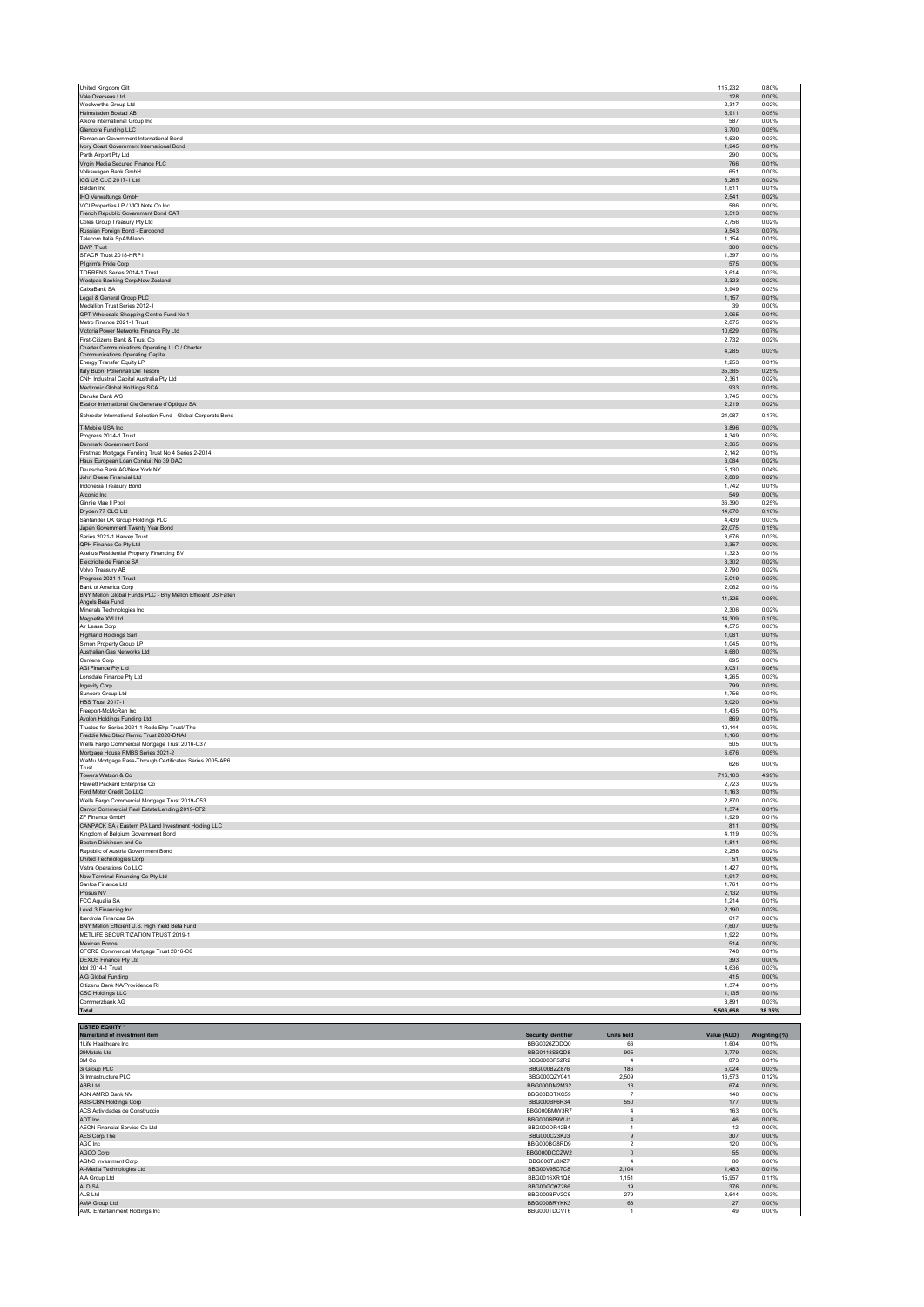| United Kingdom Gilt                                                                          |                                              |                           | 115,232           | 0.80%                   |
|----------------------------------------------------------------------------------------------|----------------------------------------------|---------------------------|-------------------|-------------------------|
| Vale Overseas Ltd                                                                            |                                              |                           | 128               | 0.00%                   |
| Woolworths Group Ltd<br>Heimstaden Bostad AB                                                 |                                              |                           | 2.317<br>6,911    | 0.02%<br>0.05%          |
| Atkore International Group Inc.                                                              |                                              |                           | 587               | 0.00%                   |
| Glencore Funding LLC                                                                         |                                              |                           | 6,700             | 0.05%                   |
| Romanian Government International Bond                                                       |                                              |                           | 4,639             | 0.03%                   |
| Ivory Coast Government International Bond<br>Perth Airport Pty Ltd                           |                                              |                           | 1,945<br>290      | 0.01%<br>0.00%          |
| Virgin Media Secured Finance PLC                                                             |                                              |                           | 766               | 0.01%                   |
| Volkswagen Bank GmbH                                                                         |                                              |                           | 651               | 0.00%                   |
| ICG US CLO 2017-1 Ltd                                                                        |                                              |                           | 3,265             | 0.02%                   |
| Belden Inc.<br>IHO Verwaltungs GmbH                                                          |                                              |                           | 1,611<br>2,541    | 0.01%<br>0.02%          |
| VICI Properties LP / VICI Note Co Inc                                                        |                                              |                           | 586               | 0.00%                   |
| French Republic Government Bond OAT                                                          |                                              |                           | 6,513             | 0.05%                   |
| Coles Group Treasury Pty Ltd<br>Russian Foreign Bond - Eurobond                              |                                              |                           | 2,756<br>9.543    | 0.02%<br>0.07%          |
| Telecom Italia SpA/Milano                                                                    |                                              |                           | 1,154             | 0.01%                   |
| <b>BWP Trust</b>                                                                             |                                              |                           | 300               | 0.00%                   |
| STACR Trust 2018-HRP1                                                                        |                                              |                           | 1.397             | 0.01%                   |
| Pilgrim's Pride Corp<br>TORRENS Series 2014-1 Trust                                          |                                              |                           | 575<br>3,614      | 0.00%<br>0.03%          |
| Westpac Banking Corp/New Zealand                                                             |                                              |                           | 2,323             | 0.02%                   |
| CaixaBank SA                                                                                 |                                              |                           | 3,949             | 0.03%                   |
| Legal & General Group PLC<br>Medallion Trust Series 2012-1                                   |                                              |                           | 1,157<br>39       | 0.01%<br>0.00%          |
| GPT Wholesale Shopping Centre Fund No 1                                                      |                                              |                           | 2,065             | 0.01%                   |
| Metro Finance 2021-1 Trust                                                                   |                                              |                           | 2,875             | 0.02%                   |
| Victoria Power Networks Finance Pty Ltd<br>First-Citizens Bank & Trust Co.                   |                                              |                           | 10,629<br>2.732   | 0.07%<br>0.02%          |
| Charter Communications Operating LLC / Charter                                               |                                              |                           | 4,285             | 0.03%                   |
| Communications Operating Capital                                                             |                                              |                           |                   |                         |
| <b>Energy Transfer Equity LP</b><br>Italy Buoni Poliennali Del Tesoro                        |                                              |                           | 1,253<br>35,385   | 0.01%<br>0.25%          |
| CNH Industrial Capital Australia Pty Ltd                                                     |                                              |                           | 2.361             | 0.02%                   |
| Medtronic Global Holdings SCA                                                                |                                              |                           | 933               | 0.01%                   |
| Danske Bank A/S<br>Essilor International Cie Generale d'Optique SA                           |                                              |                           | 3,745<br>2,219    | 0.03%<br>0.02%          |
|                                                                                              |                                              |                           |                   |                         |
| Schroder International Selection Fund - Global Corporate Bond                                |                                              |                           | 24.087            | 0.17%                   |
| T-Mobile USA Inc<br>Progress 2014-1 Trust                                                    |                                              |                           | 3,896<br>4,349    | 0.03%<br>0.03%          |
| Denmark Government Bond                                                                      |                                              |                           | 2.365             | 0.02%                   |
| Firstmac Mortgage Funding Trust No 4 Series 2-2014                                           |                                              |                           | 2,142             | 0.01%                   |
| Haus European Loan Conduit No 39 DAC<br>Deutsche Bank AG/New York NY                         |                                              |                           | 3,084<br>5.130    | 0.02%<br>0.04%          |
| John Deere Financial Ltd                                                                     |                                              |                           | 2,889             | 0.02%                   |
| <b>Indonesia Treasury Bond</b>                                                               |                                              |                           | 1.742             | 0.01%                   |
| Arconic Inc<br>Ginnie Mae II Pool                                                            |                                              |                           | 549<br>36,390     | 0.00%<br>0.25%          |
| Dryden 77 CLO Ltd                                                                            |                                              |                           | 14.670            | 0.10%                   |
| Santander UK Group Holdings PLC                                                              |                                              |                           | 4,439             | 0.03%                   |
| Japan Government Twenty Year Bond                                                            |                                              |                           | 22.075            | 0.15%                   |
| Series 2021-1 Harvey Trust<br>QPH Finance Co Pty Ltd                                         |                                              |                           | 3,676<br>2,357    | 0.03%<br>0.02%          |
| Akelius Residential Property Financing BV                                                    |                                              |                           | 1.323             | 0.01%                   |
| Electricite de France SA                                                                     |                                              |                           | 3,302             | 0.02%                   |
| Volvo Treasury AB<br>Progress 2021-1 Trust                                                   |                                              |                           | 2.790<br>5,019    | 0.02%<br>0.03%          |
| Bank of America Corp                                                                         |                                              |                           | 2,062             | 0.01%                   |
| BNY Mellon Global Funds PLC - Bny Mellon Efficient US Fallen                                 |                                              |                           | 11,325            | 0.08%                   |
| Angels Beta Fund<br>Minerals Technologies Inc.                                               |                                              |                           | 2.306             | 0.02%                   |
| Magnetite XVI Ltd                                                                            |                                              |                           | 14,309            | 0.10%                   |
| Air Lease Corp                                                                               |                                              |                           | 4,575             | 0.03%                   |
| <b>Highland Holdings Sarl</b><br>Simon Property Group LP                                     |                                              |                           | 1.081             | 0.01%                   |
|                                                                                              |                                              |                           |                   |                         |
| Australian Gas Networks Ltd                                                                  |                                              |                           | 1,045<br>4,680    | 0.01%<br>0.03%          |
| Centene Corp                                                                                 |                                              |                           | 695               | 0.00%                   |
| AGI Finance Pty Ltd                                                                          |                                              |                           | 9,031             | 0.06%                   |
| Lonsdale Finance Pty Ltd                                                                     |                                              |                           | 4.265             | 0.03%                   |
| Ingevity Corp<br>Suncorp Group Ltd                                                           |                                              |                           | 799<br>1.756      | 0.01%<br>0.01%          |
| HBS Trust 2017-1                                                                             |                                              |                           | 6,020             | 0.04%                   |
| Freeport-McMoRan Inc                                                                         |                                              |                           | 1,435             | 0.01%                   |
| Avolon Holdings Funding Ltd<br>Trustee for Series 2021-1 Reds Ehp Trust/ The                 |                                              |                           | 869<br>10,144     | 0.01%<br>0.07%          |
| Freddie Mac Stacr Remic Trust 2020-DNA1                                                      |                                              |                           | 1,166             | 0.01%                   |
| Wells Fargo Commercial Mortgage Trust 2016-C37                                               |                                              |                           | 505               | 0.00%                   |
| Mortgage House RMBS Series 2021-2<br>WaMu Mortgage Pass-Through Certificates Series 2005-AR6 |                                              |                           | 6,676             | 0.05%                   |
| Trust                                                                                        |                                              |                           | 626               | 0.00%                   |
| Towers Watson & Co<br>Hewlett Packard Enterprise Co.                                         |                                              |                           | 716,103           | 4.99%                   |
| Ford Motor Credit Co LLC                                                                     |                                              |                           | 2,723<br>1,163    | 0.02%<br>0.01%          |
| Wells Fargo Commercial Mortgage Trust 2019-C53                                               |                                              |                           | 2,870             | 0.02%                   |
| Cantor Commercial Real Estate Lending 2019-CF2                                               |                                              |                           | 1,374             | 0.01%                   |
| ZF Finance GmbH<br>CANPACK SA / Eastern PA Land Investment Holding LLC                       |                                              |                           | 1,929<br>811      | 0.01%<br>0.01%          |
| Kingdom of Belgium Government Bond                                                           |                                              |                           | 4,119             | 0.03%                   |
| Becton Dickinson and Co                                                                      |                                              |                           | 1,811             | 0.01%                   |
| Republic of Austria Government Bond<br>United Technologies Corp                              |                                              |                           | 2,258<br>51       | 0.02%<br>0.00%          |
| Vistra Operations Co LLC                                                                     |                                              |                           | 1.427             | 0.01%                   |
| New Terminal Financing Co Pty Ltd                                                            |                                              |                           | 1,917             | 0.01%<br>0.01%          |
| Santos Finance Ltd<br>Prosus NV                                                              |                                              |                           | 1,761<br>2,132    | 0.01%                   |
| FCC Aqualia SA                                                                               |                                              |                           | 1,214             | 0.01%                   |
| Level 3 Financing Inc.                                                                       |                                              |                           | 2,190             | 0.02%                   |
| Iberdrola Finanzas SA<br>BNY Mellon Efficient U.S. High Yield Beta Fund                      |                                              |                           | 617<br>7,607      | 0.00%<br>0.05%          |
| METLIFE SECURITIZATION TRUST 2019-1                                                          |                                              |                           | 1,922             | 0.01%                   |
| Mexican Bonos                                                                                |                                              |                           | 514               | 0.00%                   |
| CFCRE Commercial Mortgage Trust 2016-C6<br>DEXUS Finance Pty Ltd                             |                                              |                           | 748<br>393        | 0.01%<br>0.00%          |
| Idol 2014-1 Trust                                                                            |                                              |                           | 4,636             | 0.03%                   |
| AIG Global Funding                                                                           |                                              |                           | 415               | 0.00%                   |
| Citizens Bank NA/Providence RI<br><b>CSC Holdings LLC</b>                                    |                                              |                           | 1,374<br>1,135    | 0.01%<br>0.01%          |
| Commerzbank AG                                                                               |                                              |                           | 3,891             | 0.03%                   |
| <b>Total</b>                                                                                 |                                              |                           | 5,506,658         | 38.35%                  |
| <b>LISTED EQUITY *</b>                                                                       |                                              |                           |                   |                         |
| Name/kind of investment item                                                                 | <b>Security Identifier</b>                   | <b>Units held</b>         | Value (AUD)       | Weighting (%)           |
| 1Life Healthcare Inc<br>29Metals Ltd                                                         | BBG0026ZDDQ0<br>BBG0118S6QD8                 | 66                        | 1,604             | 0.01%                   |
| 3M Co                                                                                        | BBG000BP52R2                                 | 905<br>$\overline{4}$     | 2,779<br>873      | 0.02%<br>0.01%          |
| 3i Group PLC                                                                                 | BBG000BZZ876                                 | 186                       | 5,024             | 0.03%                   |
| 3i Infrastructure PLC                                                                        | BBG000QZY041                                 | 2.509                     | 16.573            | 0.12%                   |
| ABB Ltd<br>ABN AMRO Bank NV                                                                  | BBG000DM2M32<br>BBG00BDTXC59                 | 13<br>$\overline{7}$      | 674<br>140        | 0.00%<br>0.00%          |
| ABS-CBN Holdings Corp                                                                        | BBG000BF6R34                                 | 550                       | 177               | 0.00%                   |
| ACS Actividades de Construccio                                                               | BBG000BMW3R7                                 | $\overline{4}$            | 163               | 0.00%                   |
| ADT Inc                                                                                      | BBG000BP9WJ1                                 | $\overline{4}$            | 46                | 0.00%                   |
| AEON Financial Service Co Ltd<br>AES Corp/The                                                | BBG000DR42B4<br>BBG000C23KJ3                 | $\,$ 1 $\,$<br>$9$        | 12<br>307         | 0.00%<br>0.00%          |
| AGC Inc                                                                                      | BBG000BG8RD9                                 | $\sqrt{2}$                | 120               | 0.00%                   |
| AGCO Corp<br><b>AGNC Investment Corp</b>                                                     | BBG000DCCZW2<br>BBG000TJ8XZ7                 | $\mathbf 0$<br>4          | 55<br>80          | 0.00%<br>0.00%          |
| Al-Media Technologies Ltd                                                                    | BBG00V95C7C8                                 | 2,104                     | 1,483             | 0.01%                   |
| AIA Group Ltd                                                                                | BBG0016XR1Q8                                 | 1,151                     | 15,957            | 0.11%                   |
| ALD SA                                                                                       | BBG00GQ97286                                 | 19                        | 376               | 0.00%                   |
| ALS Ltd<br>AMA Group Ltd<br>AMC Entertainment Holdings Inc.                                  | BBG000BRV2C5<br>BBG000BRYKK3<br>BBG000TDCVT6 | 279<br>63<br>$\mathbf{1}$ | 3,644<br>27<br>49 | 0.03%<br>0.00%<br>0.00% |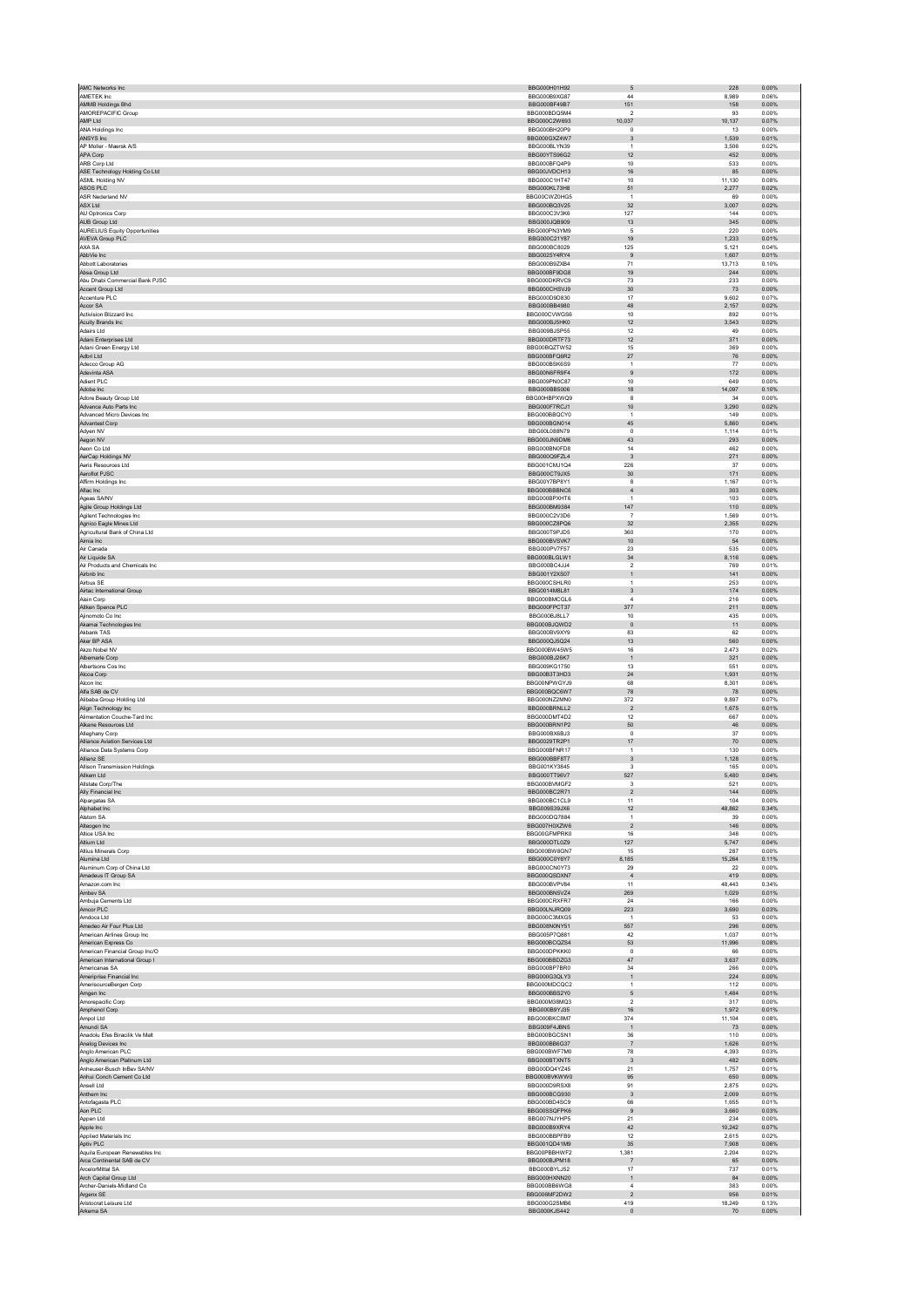| AMC Networks Inc                                 | BBG000H01H92                                 | 5                              | 228                     | 0.00%                   |
|--------------------------------------------------|----------------------------------------------|--------------------------------|-------------------------|-------------------------|
| AMETEK Inc                                       | BBG000B9XG87                                 | 44                             | 8,989                   | 0.06%                   |
| AMMB Holdings Bhd                                | BBG000BF49B7                                 | 151                            | 158                     | 0.00%                   |
| AMOREPACIFIC Group                               | BBG000BDQ5M4                                 | $\overline{\mathbf{2}}$        | 93                      | 0.00%                   |
| AMP Ltd                                          | BBG000C2W693                                 | 10,037                         | 10,137                  | 0.07%                   |
| ANA Holdings Inc                                 | BBG000BH20P9                                 | $^{\circ}$                     | 13                      | 0.00%                   |
| ANSYS Inc                                        | BBG000GXZ4W7                                 | $\ensuremath{\mathsf{3}}$      | 1,539                   | 0.01%                   |
| AP Moller - Maersk A/S<br>APA Corp               | BBG000BLYN39<br>BBG00YTS96G2                 | $\overline{1}$<br>12           | 3.506<br>452            | 0.02%<br>0.00%          |
| ARB Corp Ltd                                     | BBG000BFQ4P9                                 | $10$                           | 533                     | 0.00%                   |
| ASE Technology Holding Co Ltd                    | BBG00JVDCH13                                 | 16                             | 85                      | 0.00%                   |
| ASML Holding NV                                  | BBG000C1HT47                                 | $10$                           | 11,130                  | 0.08%                   |
| ASOS PLC                                         | BBG000KL73H8                                 | 51                             | 2,277                   | 0.02%                   |
| ASR Nederland NV                                 | BBG00CWZ0HG5                                 | $\overline{1}$                 | 69                      | 0.00%                   |
| ASX Ltd                                          | BBG000BQ3V25                                 | 32                             | 3,007                   | 0.02%                   |
| AU Optronics Corp                                | BBG000C3V3K6                                 | 127                            | 144                     | 0.00%                   |
| AUB Group Ltd                                    | BBG000JQB909                                 | 13                             | 345                     | 0.00%                   |
| <b>AURELIUS Equity Opportunities</b>             | BBG000PN3YM9                                 | 5                              | 220                     | 0.00%                   |
| AVEVA Group PLC                                  | BBG000C21Y87                                 | 19                             | 1,233                   | 0.01%                   |
| AXA SA                                           | BBG000BC8029                                 | 125                            | 5,121                   | 0.04%                   |
| AbbVie Inc                                       | BBG0025Y4RY4                                 | 9                              | 1.607                   | 0.01%                   |
| Abbott Laboratories                              | BBG000B9ZXB4                                 | 71                             | 13,713                  | 0.10%                   |
| Absa Group Ltd                                   | BBG000BF9DG8                                 | 19                             | 244                     | 0.00%                   |
| Abu Dhabi Commercial Bank PJSC                   | BBG000DKRVC9                                 | 73                             | 233                     | 0.00%                   |
| Accent Group Ltd<br>Accenture PLC                | BBG000CHSVJ9<br>BBG000D9D830                 | 30<br>17                       | $73\,$<br>9.602         | 0.00%<br>0.07%          |
|                                                  | BBG000BB4980                                 |                                |                         |                         |
| Accor SA<br>Activision Blizzard Inc              | BBG000CVWGS6                                 | 48<br>10                       | 2,157<br>892            | 0.02%<br>0.01%          |
| Acuity Brands Inc                                | BBG000BJ5HK0                                 | 12                             | 3,543                   | 0.02%                   |
| Adairs Ltd                                       | BBG009BJSP55                                 | 12                             | 49                      | 0.00%                   |
| Adani Enterprises Ltd                            | BBG000DRTF73                                 | 12                             | 371                     | 0.00%                   |
| Adani Green Energy Ltd                           | BBG00BQZTW52                                 | 15                             | 369                     | 0.00%                   |
| Adbri Ltd                                        | BBG000BFQ6R2                                 | 27                             | 76                      | 0.00%                   |
| Adecco Group AG                                  | BBG000BSK6S9                                 | $\overline{1}$                 | $77\,$                  | 0.00%                   |
| Adevinta ASA                                     | BBG00N6FR9F4                                 | $\overline{9}$                 | 172                     | 0.00%                   |
| Adient PLC                                       | BBG009PN0C87                                 | 10                             | 649                     | 0.00%                   |
| Adobe Inc                                        | BBG000BB5006                                 | 18                             | 14,097                  | 0.10%                   |
| Adore Beauty Group Ltd                           | BBG00HBPXWQ9                                 | 8                              | 34                      | 0.00%                   |
| Advance Auto Parts Inc                           | BBG000F7RCJ1                                 | 10 <sub>1</sub>                | 3,290                   | 0.02%                   |
| Advanced Micro Devices Inc                       | BBG000BBQCY0                                 | 1                              | 149                     | 0.00%                   |
| Advantest Corp                                   | BBG000BGN014                                 | 45                             | 5.860                   | 0.04%                   |
| Adyen NV                                         | BBG00L088N79                                 | $\circ$                        | 1,114                   | 0.01%                   |
| Aegon NV                                         | BBG000JN9DM6<br>BBG000BN0FD8                 | 43                             | 293                     | 0.00%                   |
| Aeon Co Ltd                                      |                                              | 14                             | 462                     | 0.00%                   |
| AerCap Holdings NV<br>Aeris Resources Ltd        | BBG000Q9FZL4<br>BBG001CMJ1Q4                 | $\sqrt{3}$<br>226              | 271<br>37               | 0.00%<br>0.00%          |
| Aeroflot PJSC                                    | BBG000CT9JX5                                 | $30\,$                         | 171                     | 0.00%                   |
| Affirm Holdings Inc.                             | BBG00Y7BP8Y1                                 | $\mathbf{a}$                   | 1,167                   | 0.01%                   |
| Aflac Inc                                        | BBG000BBBNC6                                 | $\sqrt{4}$                     | 303                     | 0.00%                   |
| Ageas SA/NV                                      | BBG000BPXHT6                                 | $\overline{1}$                 | 103                     | 0.00%                   |
| Agile Group Holdings Ltd                         | BBG000BM9384                                 | 147                            | 110                     | 0.00%                   |
| Agilent Technologies Inc                         | BBG000C2V3D6                                 | $\overline{7}$                 | 1,569                   | 0.01%                   |
| Agnico Eagle Mines Ltd                           | BBG000CZ8PQ6                                 | 32                             | 2,355                   | 0.02%                   |
| Agricultural Bank of China Ltd                   | BBG000T9PJD5                                 | 360                            | 170                     | 0.00%                   |
| Aimia Inc                                        | BBG000BVSVK7                                 | 10                             | ${\small 54}$           | 0.00%                   |
| Air Canada                                       | BBG000PV7F57                                 | 23                             | 535                     | 0.00%                   |
| Air Liquide SA                                   | BBG000BLGLW1                                 | 34                             | 8,116                   | 0.06%                   |
| Air Products and Chemicals Inc.                  | BBG000BC4JJ4                                 | $\overline{2}$                 | 769                     | 0.01%                   |
| Airbnb Inc.                                      | BBG001Y2XS07                                 | $\mathbf{1}$                   | 141                     | 0.00%                   |
| Airbus SE<br>Airtac International Group          | BBG000CSHLR0<br>BBG0014M8L81                 | $\mathbf{1}$                   | 253<br>174              | 0.00%<br>0.00%          |
|                                                  |                                              | 3<br>$\overline{4}$            |                         |                         |
| Aisin Corp                                       | BBG000BMCGL6<br>BBG000FPCT37                 | 377                            | 216<br>211              | 0.00%<br>0.00%          |
| Aitken Spence PLC<br>Alinomoto Co Inc.           | BBG000BJ8LL7                                 | 10                             | 435                     | 0.00%                   |
| Akamai Technologies Inc                          | BBG000BJQWD2                                 | $\mathbf 0$                    | $11\,$                  | 0.00%                   |
| Akbank TAS                                       | BBG000BV9XY9                                 | 83                             | 62                      | 0.00%                   |
| Aker BP ASA                                      | BBG000QJ5Q24                                 | $13$                           | 560                     | 0.00%                   |
| Akzo Nobel NV                                    | BBG000BW45W5                                 | 16                             | 2.473                   | 0.02%                   |
| Albemarle Corp                                   | BBG000BJ26K7                                 | $\overline{1}$                 | 321                     | 0.00%                   |
| Albertsons Cos Inc                               | BBG009KG1750                                 | 13                             | 551                     | 0.00%                   |
| Alcoa Corp                                       | BBG00B3T3HD3                                 | 24                             | 1.931                   | 0.01%                   |
| Alcon Inc                                        | BBG00NPWGYJ9                                 | 68                             | 8,301                   | 0.06%                   |
| Alfa SAB de CV                                   | BBG000BQC6W7                                 | 78                             | 78                      | 0.00%                   |
| Alibaba Group Holding Ltd                        | BBG000NZ2MN0                                 | 372                            | 9.897                   | 0.07%                   |
| Align Technology Inc                             | BBG000BRNLL2                                 | $\overline{2}$                 | 1,675                   | 0.01%                   |
| Alimentation Couche-Tard Inc.                    | BBG000DMT4D2                                 | 12                             | 667                     | 0.00%                   |
| Alkane Resources Ltd                             | BBG000BRN1P2                                 | 50                             | $\bf 46$                | 0.00%                   |
| Alleghany Corp<br>Alliance Aviation Services Ltd | BBG000BX6BJ3<br>BBG0029TR2P1                 | $\Omega$                       | 37                      | 0.00%                   |
|                                                  |                                              | 17                             | $70\,$                  | 0.00%                   |
| Alliance Data Systems Corp<br>Allianz SE         | BBG000BFNR17<br>BBG000BBF8T7                 | $\mathbf{1}$<br>3              | 130<br>1.128            | 0.00%<br>0.01%          |
| Allison Transmission Holdings                    | BBG001KY3845                                 | 3                              | 165                     | 0.00%                   |
| Allkem Ltd                                       | BBG000TT96V7                                 | 527                            | 5.480                   | 0.04%                   |
| Allstate Corp/The                                | BBG000BVMGF2                                 | $\mathsf 3$                    | 521                     | 0.00%                   |
| Ally Financial Inc                               | BBG000BC2R71                                 | $\overline{2}$                 | 144                     | 0.00%                   |
| Alpargatas SA                                    | BBG000BC1CL9                                 | 11                             | 104                     | 0.00%                   |
| Alphabet Inc                                     | BBG009S39JX6                                 | 12                             | 48,862                  | 0.34%                   |
| Alstom SA                                        | BBG000DQ7884                                 | $\overline{1}$                 | 39                      | 0.00%                   |
| Alteogen Inc                                     | BBG007H0XZW6                                 | $\overline{2}$                 | 146                     | 0.00%                   |
| Altice USA Inc                                   | BBG00GFMPRK0                                 | 16                             | 348                     | 0.00%                   |
| Altium I td                                      | BBG000DTL0Z9                                 | 127                            | 5,747                   | 0.04%                   |
| Altius Minerals Corp                             | BBG000BW8GN7                                 | 15                             | 287                     | 0.00%                   |
| Alumina Ltd                                      | BBG000C0Y6Y7                                 | 8,185                          | 15,264                  | 0.11%                   |
| Aluminum Corp of China Ltd                       | BBG000CN0Y73<br>BBG000QSDXN7                 | 29                             | 22                      | 0.00%                   |
| Amadeus IT Group SA<br>Amazon.com Inc.           | BBG000BVPV84                                 | $\overline{4}$<br>11           | 419<br>48.443           | 0.00%<br>0.34%          |
| Ambev SA                                         | BBG000BN5VZ4                                 | 269                            | 1,029                   | 0.01%                   |
| Ambuia Cements Ltd                               | BBG000CRXER7                                 | 24                             | 166                     | 0.00%                   |
| Amcor PLC                                        | BBG00LNJRQ09                                 | 223                            | 3.690                   | 0.03%                   |
| Amdocs Ltd                                       | BBG000C3MXG5                                 | $\overline{1}$                 | 53                      | 0.00%                   |
| Amedeo Air Four Plus Ltd                         | BBG008N0NY51                                 | 557                            | 296                     | 0.00%                   |
| American Airlines Group Inc                      | BBG005P7Q881                                 | 42                             | 1,037                   | 0.01%                   |
| American Express Co                              | BBG000BCQZS4                                 | 53                             | 11,996                  | 0.08%                   |
| American Financial Group Inc/O                   | <b>BBG000DPKKK0</b>                          | $\mathbf{0}$                   | 66                      | 0.00%                   |
| American International Group I                   | BBG000BBDZG3                                 | $47\,$                         | 3,637                   | 0.03%                   |
| Americanas SA                                    | BBG000BP7BR0                                 | 34                             | 266                     | 0.00%                   |
| Ameriprise Financial Inc                         | BBG000G3QLY3                                 | $\mathbf 1$                    | 224                     | 0.00%                   |
| AmerisourceBergen Corp                           | BBG000MDCQC2                                 | $\mathbf{1}$                   | 112                     | 0.00%                   |
| Amgen Inc                                        | BBG000BBS2Y0                                 | 5                              | 1.484                   | 0.01%                   |
| Amorepacific Corp                                | BBG000M38MQ3                                 | $\sqrt{2}$                     | 317                     | 0.00%                   |
| Amphenol Corp<br>Ampol Ltd                       | BBG000B9YJ35<br>BBG000BKC8M7                 | 16<br>374                      | 1,972<br>11,104         | 0.01%<br>0.08%          |
| Amundi SA                                        | BBG009F4JBN5                                 | $\overline{1}$                 | 73                      | 0.00%                   |
| Anadolu Efes Biracilik Ve Malt                   | BBG000BGCSN1                                 | 36                             | 110                     | 0.00%                   |
| Analog Devices Inc                               | BBG000BB6G37                                 | $\overline{7}$                 | 1,626                   | 0.01%                   |
| Anglo American PLC                               | BBG000BWF7M0                                 | 78                             | 4,393                   | 0.03%                   |
| Anglo American Platinum Ltd                      | BBG000BTXNT5                                 | $_{\rm 3}$                     | 482                     | 0.00%                   |
| Anheuser-Busch InBev SA/NV                       | BBG00DQ4YZ45                                 | 21                             | 1,757                   | 0.01%                   |
| Anhui Conch Cement Co Ltd                        |                                              | 95                             | 650                     | 0.00%                   |
| Ansell Ltd                                       | BBG000BVKWW0                                 |                                | 2,875                   | 0.02%                   |
|                                                  | BBG000D9RSX8                                 | 91                             |                         |                         |
| Anthem Inc.                                      | BBG000BCG930                                 | $\overline{\mathbf{3}}$        | 2,009                   | 0.01%                   |
| Antofagasta PLC                                  | BBG000BD4SC9                                 | 66                             | 1,655                   | 0.01%                   |
| Aon PLC                                          | BBG00SSQFPK6                                 | 9                              | 3,660                   | 0.03%                   |
| Appen Ltd                                        | BBG007NJYHP5                                 | 21                             | 234                     | 0.00%                   |
| Apple Inc                                        | BBG000B9XRY4                                 | 42                             | 10,242                  | 0.07%                   |
| Applied Materials Inc.                           | BBG000BBPFB9                                 | 12                             | 2.615                   | 0.02%                   |
| Aptiv PLC                                        | BBG001QD41M9                                 | 35                             | 7,908                   | 0.06%                   |
| Aquila European Renewables Inc                   | BBG00PBBHWF2                                 | 1,381                          | 2,204                   | 0.02%                   |
| Arca Continental SAB de CV                       | BBG000BJPM18                                 | $\overline{7}$                 | 65                      | 0.00%                   |
| ArcelorMittal SA                                 | BBG000BYLJ52                                 | 17                             | 737                     | 0.01%                   |
| Arch Capital Group Ltd                           | BBG000HXNN20                                 | $\mathbf{1}$<br>$\overline{4}$ | 84                      | 0.00%                   |
| Archer-Daniels-Midland Co                        | BBG000BB6WG8                                 |                                | 383                     | 0.00%                   |
| Argenx SE<br>Aristocrat Leisure Ltd<br>Arkema SA | BBG006MF2DW2<br>BBG000G2SMB6<br>BBG000KJS442 | $\boldsymbol{2}$<br>419        | 956<br>18.249<br>$70\,$ | 0.01%<br>0.13%<br>0.00% |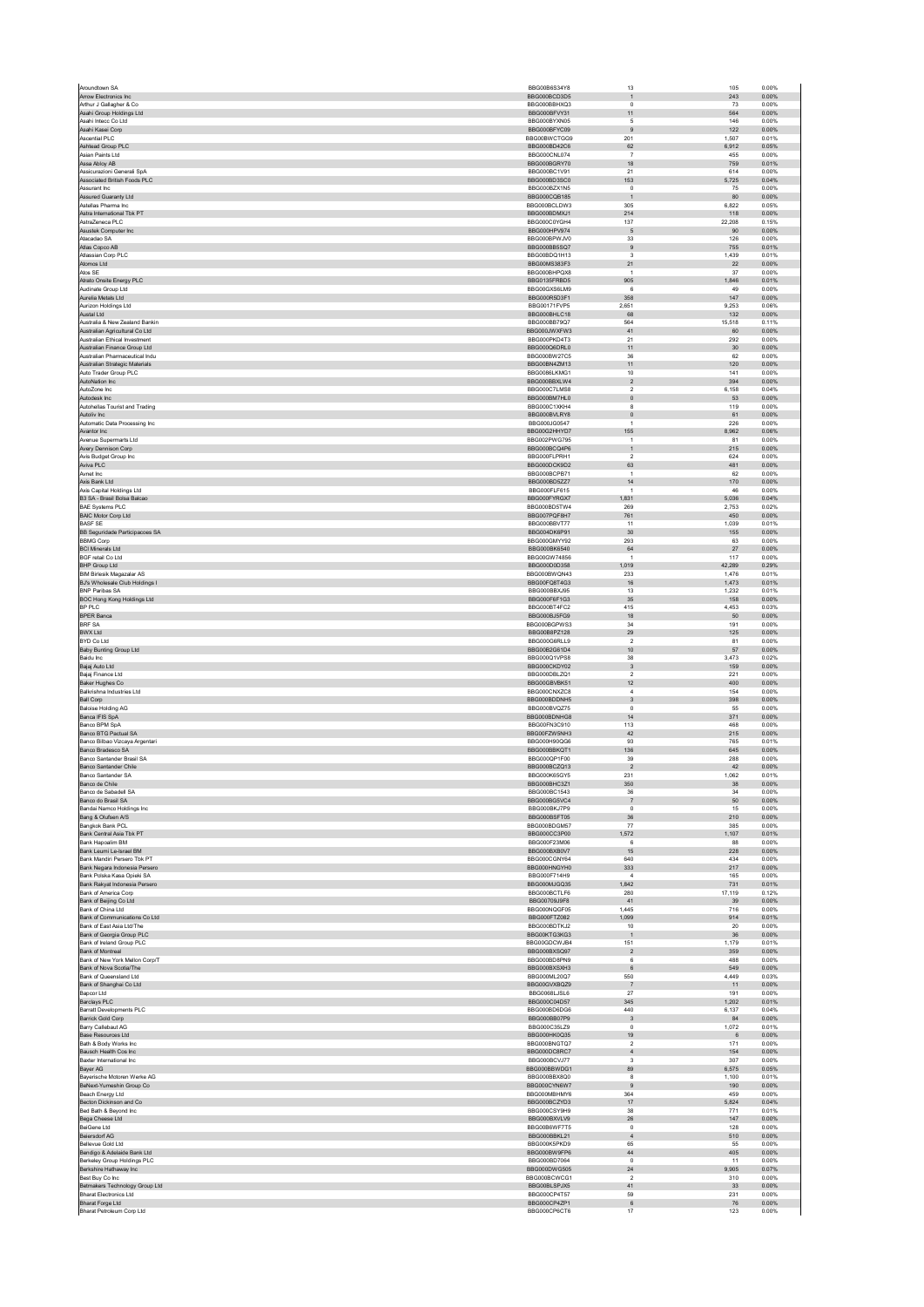| Aroundtown SA                                                    | BBG00B6S34Y8                 | 13                        | 105<br>0.00%                             |
|------------------------------------------------------------------|------------------------------|---------------------------|------------------------------------------|
| Arrow Electronics Inc.<br>Arthur J Gallagher & Co.               | BBG000BCD3D5<br>BBG000BBHXQ3 | $\mathbf{1}$<br>$\circ$   | 243<br>0.00%<br>73<br>0.00%              |
| Asahi Group Holdings Ltd                                         | BBG000BFVY31                 | 11                        | 564<br>0.00%                             |
| Asahi Intecc Co Ltd                                              | BBG000BYXN05                 | 5                         | 146<br>0.00%                             |
| Asahi Kasei Corp                                                 | BBG000BFYC09                 | $\boldsymbol{9}$          | 122<br>0.00%                             |
| Ascential PLC<br>Ashtead Group PLC                               | BBG00BWCTGG9<br>BBG000BD42C6 | 201<br>62                 | 1.507<br>0.01%<br>0.05%<br>6.912         |
| Asian Paints Ltd                                                 | BBG000CNL074                 | $\overline{7}$            | 455<br>0.00%                             |
| Assa Abloy AB                                                    | BBG000BGRY70                 | 18                        | 759<br>0.01%                             |
| Assicurazioni Generali SpA<br>Associated British Foods PLC       | BBG000BC1V91<br>BBG000BD3SC0 | 21<br>153                 | 614<br>0.00%<br>5,725<br>0.04%           |
| Assurant Inc.                                                    | BBG000BZX1N5                 | $^{\circ}$                | 75<br>0.00%                              |
| Assured Guaranty Ltd                                             | BBG000CQB185                 |                           | $80\,$<br>0.00%                          |
| Astellas Pharma Inc                                              | BBG000BCLDW3                 | 305                       | 6,822<br>0.05%                           |
| Astra International Tbk PT<br>AstraZeneca PLC                    | BBG000BDMXJ1<br>BBG000C0YGH4 | 214<br>137                | 118<br>0.00%<br>22,208<br>0.15%          |
| Asustek Computer Inc.                                            | BBG000HPV974                 | 5                         | 0.00%<br>90                              |
| Atacadao SA                                                      | BBG000BPWJV0                 | 33                        | 126<br>0.00%                             |
| Atlas Copco AB                                                   | BBG000BB5SQ7                 | $9$                       | 755<br>0.01%                             |
| Atlassian Corp PLC<br>Atomos Ltd                                 | BBG00BDQ1H13<br>BBG00MS383F3 | 3<br>21                   | 1,439<br>0.01%<br>22<br>0.00%            |
| Atos SE                                                          | BBG000BHPQX8                 | $\overline{1}$            | 37<br>0.00%                              |
| Atrato Onsite Energy PLC                                         | BBG0135FRBD5                 | 905                       | 1,846<br>0.01%                           |
| Audinate Group Ltd<br>Aurelia Metals Ltd                         | BBG00GXS6LM9<br>BBG000R5D3F1 | 6<br>358                  | 49<br>0.00%<br>147<br>0.00%              |
| Aurizon Holdings Ltd                                             | BBG00171FVP5                 | 2,651                     | 9,253<br>0.06%                           |
| Austal Ltd                                                       | BBG000BHLC18                 | 68                        | 0.00%<br>132                             |
| Australia & New Zealand Bankin<br>Australian Agricultural Co Ltd | BBG000BB79Q7<br>BBG000JWXFW3 | 564<br>41                 | 15,518<br>0.11%<br>60<br>0.00%           |
| Australian Ethical Investment                                    | BBG000PKD4T3                 | 21                        | 292<br>0.00%                             |
| Australian Finance Group Ltd                                     | BBG000Q6DRL0                 | 11                        | 30<br>0.00%                              |
| Australian Pharmaceutical Indu<br>Australian Strategic Materials | BBG000BW27C5<br>BBG00BN4ZM13 | 36<br>11                  | 62<br>0.00%<br>120<br>0.00%              |
| Auto Trader Group PLC                                            | BBG0086LKMG1                 | 10                        | 141<br>0.00%                             |
| AutoNation Inc                                                   | BBG000BBXLW4                 | $\sqrt{2}$                | 394<br>0.00%                             |
| AutoZone Inc                                                     | BBG000C7LMS8                 | $\boldsymbol{2}$          | 6,158<br>0.04%                           |
| Autodesk Inc<br>Autohellas Tourist and Trading                   | BBG000BM7HL0<br>BBG000C1XKH4 | $\mathbf{0}$<br>8         | 53<br>0.00%<br>119<br>0.00%              |
| Autoliv Inc.                                                     | BBG000BVLRY8                 | $\mathbf 0$               | 61<br>0.00%                              |
| Automatic Data Processing Inc.                                   | BBG000JG0547                 | 1                         | 226<br>0.00%                             |
| Avantor Inc<br>Avenue Supermarts Ltd.                            | BBG00G2HHYD7<br>BBG002PWG795 | 155<br>$\overline{1}$     | 8,962<br>0.06%<br>0.00%<br>81            |
| Avery Dennison Corp                                              | BBG000BCQ4P6                 | $\mathbf{1}$              | 215<br>0.00%                             |
| Avis Budget Group Inc                                            | BBG000FLPRH1                 | $\mathcal{P}$             | 624<br>0.00%                             |
| Aviva PLC<br>Avnet Inc                                           | BBG000DCK9D2<br>BBG000BCPB71 | 63<br>$\overline{1}$      | 481<br>0.00%<br>62<br>0.00%              |
| Axis Bank Ltd                                                    | BBG000BD5ZZ7                 | 14                        | 0.00%<br>170                             |
| Axis Capital Holdings Ltd                                        | BBG000FLF615                 | $\mathbf{1}$              | 46<br>0.00%                              |
| B3 SA - Brasil Bolsa Balcao                                      | BBG000FYRGX7                 | 1,831                     | 5,036<br>0.04%                           |
| <b>BAE Systems PLC</b><br><b>BAIC Motor Corp Ltd</b>             | BBG000BD5TW4<br>BBG007PQF8H7 | 269<br>761                | 2,753<br>0.02%<br>450<br>0.00%           |
| <b>BASF SE</b>                                                   | BBG000BBVT77                 | 11                        | 1.039<br>0.01%                           |
| BB Seguridade Participacoes SA                                   | BBG004DK6P91                 | $30\,$                    | 155<br>0.00%                             |
| <b>RRMG Corp</b><br><b>BCI Minerals Ltd</b>                      | BBG000GMYY92<br>BBG000BK6540 | 293<br>64                 | 63<br>0.00%<br>$27\,$<br>0.00%           |
| BGF retail Co Ltd                                                | BBG00GW74856                 | $\overline{1}$            | 117<br>0.00%                             |
| <b>BHP Group Ltd</b>                                             | BBG000D0D358                 | 1.019                     | 42.289<br>0.29%                          |
| <b>BIM Birlesik Magazalar AS</b>                                 | BBG000BWQN43<br>BBG00FQ8T4G3 | 233<br>16                 | 1,476<br>0.01%<br>1,473<br>0.01%         |
| BJ's Wholesale Club Holdings I<br><b>BNP Paribas SA</b>          | BBG000BBXJ95                 | 13                        | 1,232<br>0.01%                           |
| <b>BOC Hong Kong Holdings Ltd</b>                                | BBG000F6F1G3                 | $35\,$                    | 158<br>0.00%                             |
| BP PLC                                                           | BBG000BT4FC2                 | 415                       | 4.453<br>0.03%                           |
| <b>BPER Banca</b><br><b>BRF SA</b>                               | BBG000BJ5FG9<br>BBG000BGPWS3 | 18<br>34                  | 50<br>0.00%<br>191<br>0.00%              |
| <b>BWX Ltd</b>                                                   | BBG00B8PZ128                 | $29\,$                    | 125<br>0.00%                             |
| BYD Co Ltd                                                       | BBG000G6RLL9                 | $\overline{2}$            | 81<br>0.00%                              |
| Baby Bunting Group Ltd<br>Baidu Inc                              | BBG00B2G61D4<br>BBG000Q1VPS8 | 10<br>38                  | 57<br>0.00%<br>3,473<br>0.02%            |
| Bajaj Auto Ltd                                                   | BBG000CKDY02                 | $\ensuremath{\mathsf{3}}$ | 159<br>0.00%                             |
| Bajaj Finance Ltd                                                | BBG000DBLZQ1                 | $\sqrt{2}$                | 221<br>0.00%                             |
| Baker Hughes Co<br>Balkrishna Industries Ltd                     | BBG00GBVBK51<br>BBG000CNXZC8 | 12<br>$\overline{4}$      | 400<br>0.00%<br>0.00%<br>154             |
| <b>Ball Corp</b>                                                 | BBG000BDDNH5                 | $\sqrt{3}$                | 398<br>0.00%                             |
| <b>Baloise Holding AG</b>                                        | BBG000BVQZ75                 | $^{\circ}$                | 55<br>0.00%                              |
| Banca IFIS SpA                                                   | BBG000BDNHG8                 | 14                        | 371<br>0.00%                             |
| Banco BPM SpA<br><b>Banco BTG Pactual SA</b>                     | BBG00FN3C910<br>BBG00FZW5NH3 | 113<br>42                 | 468<br>0.00%<br>0.00%<br>215             |
| Banco Bilbao Vizcaya Argentari                                   | BBG000H90QG6                 | 93                        | 765<br>0.01%                             |
| Banco Bradesco SA                                                | BBG000BBKQT1                 | 136                       | 645<br>0.00%                             |
| Banco Santander Brasil SA<br>Banco Santander Chile               | BBG000QP1F00<br>BBG000BCZQ13 | 39<br>$\sqrt{2}$          | 288<br>0.00%<br>42<br>0.00%              |
| <b>Banco Santander SA</b>                                        | BBG000K65GY5                 | 231                       | 1.062<br>0.01%                           |
| Banco de Chile                                                   | BBG000BHC3Z1                 | 350                       | 38<br>0.00%                              |
| Banco de Sabadell SA<br>Banco do Brasil SA                       | BBG000BC1543<br>BBG000BG5VC4 | 36<br>$\scriptstyle{7}$   | 34<br>0.00%<br>$50\,$<br>0.00%           |
| Bandai Namco Holdings Inc                                        | BBG000BKJ7P9                 | $\pmb{0}$                 | 15<br>0.00%                              |
| Bang & Olufsen A/S                                               | BBG000BSFT05                 | 36                        | 0.00%<br>210                             |
| Bangkok Bank PCL<br>Bank Central Asia Tbk PT                     | BBG000BDGM57<br>BBG000CC3P00 | $77\,$<br>1,572           | 385<br>0.00%<br>1,107<br>0.01%           |
| Bank Hapoalim BM                                                 | BBG000F23M06                 | 6                         | 88<br>0.00%                              |
| Bank Leumi Le-Israel BM                                          | BBG000BXB0V7                 | 15                        | 228<br>0.00%                             |
| Bank Mandiri Persero Tbk PT<br>Bank Negara Indonesia Persero     | BBG000CGNY64<br>BBG000HNGYH0 | 640<br>333                | 434<br>0.00%<br>217<br>0.00%             |
| Bank Polska Kasa Opieki SA                                       | BBG000F714H9                 | $\overline{4}$            | 165<br>0.00%                             |
| Bank Rakyat Indonesia Persero                                    | BBG000MJGQ35                 | 1,842                     | 0.01%<br>731                             |
| Bank of America Corp<br>Bank of Beijing Co Ltd                   | BBG000BCTLF6<br>BBG00709J9F8 | 280<br>41                 | 17,119<br>0.12%<br>0.00%<br>39           |
| Bank of China Ltd                                                | BBG000NQGF05                 | 1,445                     | 716<br>0.00%                             |
| Bank of Communications Co Ltd                                    | BBG000FTZ082                 | 1,099                     | 914<br>0.01%                             |
| Bank of East Asia Ltd/The<br>Bank of Georgia Group PLC           | BBG000BDTKJ2<br>BBG00KTG3KG3 | 10<br>$\mathbf{1}$        | 20<br>0.00%<br>$36\,$<br>0.00%           |
| Bank of Ireland Group PLC                                        | BBG00GDCWJB4                 | 151                       | 1.179<br>0.01%                           |
| Bank of Montreal                                                 | BBG000BXSQ97                 | $\sqrt{2}$                | 359<br>0.00%                             |
| Bank of New York Mellon Corp/T<br>Bank of Nova Scotia/The        | BBG000BD8PN9                 | 6<br>6                    | 488<br>0.00%<br>549<br>0.00%             |
| Bank of Queensland Ltd                                           | BBG000BXSXH3                 |                           | 4,449<br>0.03%                           |
| Bank of Shanghai Co Ltd                                          | BBG000ML20Q7                 | 550                       | 0.00%<br>11                              |
| Bapcor Ltd<br>Barclays PLC                                       | BBG00GVXBQZ9                 | $\overline{7}$            |                                          |
|                                                                  | BBG0068LJSL6                 | 27                        | 191<br>0.00%                             |
| <b>Barratt Developments PLC</b>                                  | BBG000C04D57<br>BBG000BD6DG6 | 345<br>440                | 1,202<br>0.01%<br>6.137<br>0.04%         |
| Barrick Gold Corp                                                | BBG000BB07P9                 | $\ensuremath{\mathsf{3}}$ | 84<br>0.00%                              |
| Barry Callebaut AG                                               | BBG000C35LZ9                 | $^{\circ}$                | 1.072<br>0.01%                           |
| Base Resources Ltd<br>Bath & Body Works Inc.                     | BBG000HK0Q35<br>BBG000BNGTQ7 | 19<br>$\overline{2}$      | 0.00%<br>$6\phantom{1}6$<br>171<br>0.00% |
| Bausch Health Cos Inc.                                           | BBG000DC8RC7                 | $\overline{4}$            | 0.00%<br>154                             |
| Baxter International Inc                                         | BBG000BCVJ77                 | 3                         | 307<br>0.00%                             |
| Bayer AG                                                         | BBG000BBWDG1                 | 89                        | 0.05%<br>6.575                           |
| Bayerische Motoren Werke AG<br>BeNext-Yumeshin Group Co          | BBG000BBX8Q0<br>BBG000CYN6W7 | 8<br>9                    | 1,100<br>0.01%<br>190<br>0.00%           |
| Beach Energy Ltd                                                 | BBG000MBHMY6                 | 364                       | 459<br>0.00%                             |
| Becton Dickinson and Co<br>Bed Bath & Bevond Inc.                | BBG000BCZYD3<br>BBG000CSY9H9 | $17\,$<br>38              | 5,824<br>0.04%<br>771<br>0.01%           |
| Bega Cheese Ltd                                                  | BBG000BXVLV9                 | ${\bf 26}$                | 147<br>0.00%                             |
| BeiGene Ltd                                                      | BBG00B6WF7T5                 | $\mathbf 0$               | 128<br>0.00%                             |
| <b>Beiersdorf AG</b>                                             | BBG000BBKL21                 | $\overline{4}$            | 0.00%<br>510                             |
| Bellevue Gold Ltd<br>Bendigo & Adelaide Bank Ltd                 | BBG000K5PKD9<br>BBG000BW9FP6 | 65<br>44                  | 55<br>0.00%<br>405<br>0.00%              |
| Berkeley Group Holdings PLC                                      | BBG000BD7064                 | $\pmb{0}$                 | 11<br>0.00%                              |
| Berkshire Hathaway Inc<br>Best Buy Co Inc.                       | BBG000DWG505                 | 24<br>$\overline{2}$      | 9,905<br>0.07%<br>310<br>0.00%           |
| Betmakers Technology Group Ltd                                   | BBG000BCWCG1<br>BBG00BLSPJX5 | 41                        | 33<br>0.00%                              |
| <b>Bharat Electronics Ltd</b>                                    | BBG000CP4T57                 | 59                        | 231<br>0.00%                             |
| Bharat Forge Ltd<br>Bharat Petroleum Corp Ltd                    | BBG000CP4ZP1<br>BBG000CP6CT6 | $\,6\,$<br>17             | 76<br>0.00%<br>123<br>0.00%              |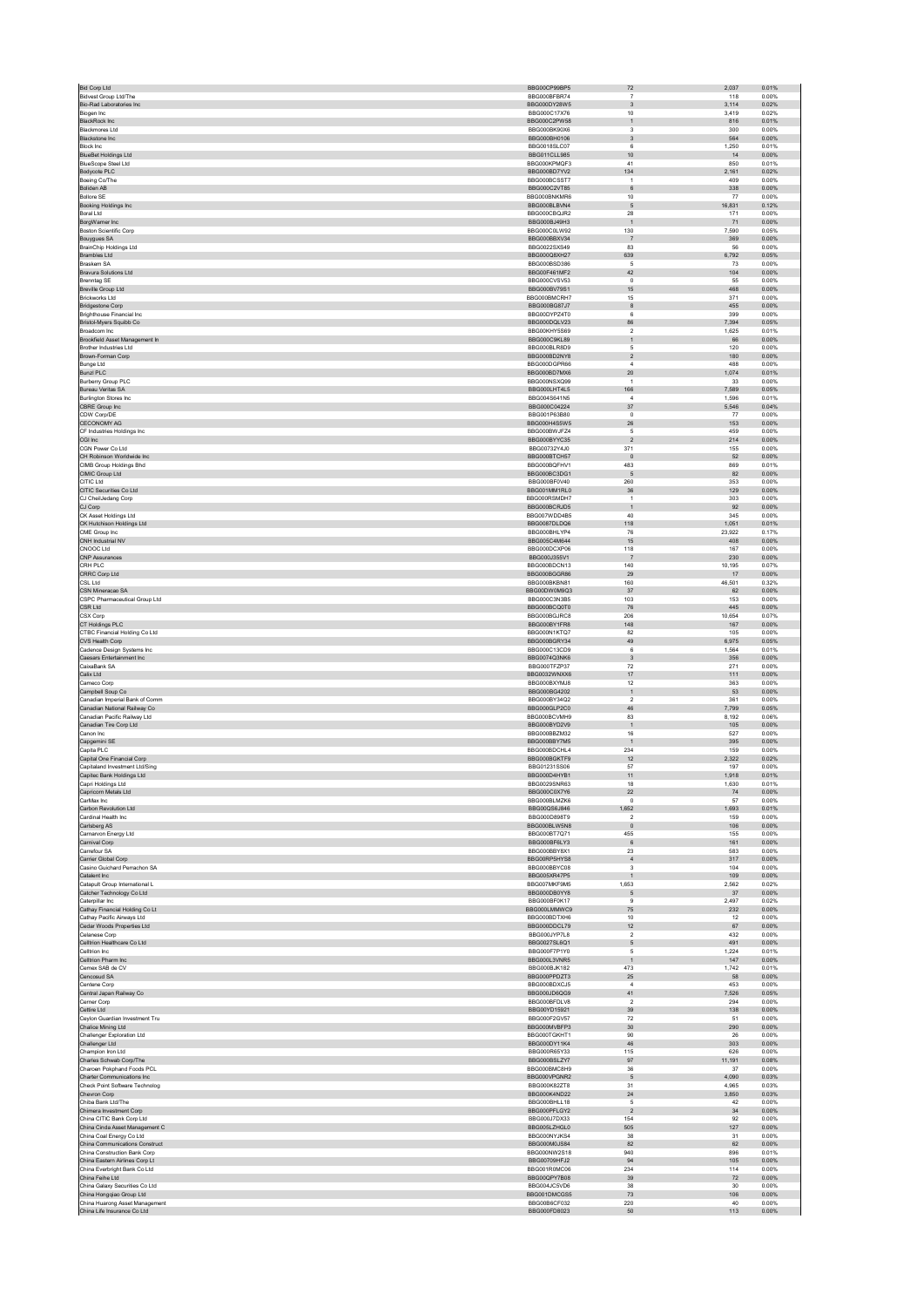| <b>Bid Corp Ltd</b>                                            | BBG00CP99BP5                 | 72                                | 2.037          | 0.01%          |
|----------------------------------------------------------------|------------------------------|-----------------------------------|----------------|----------------|
| <b>Bidvest Group Ltd/The</b>                                   | BBG000BFBR74                 | $\scriptstyle{7}$                 | 118            | 0.00%          |
| Bio-Rad Laboratories Inc.<br>Biogen Inc                        | BBG000DY28W5<br>BBG000C17X76 | $\ensuremath{\mathsf{3}}$<br>$10$ | 3,114<br>3,419 | 0.02%<br>0.02% |
| BlackRock Inc                                                  | BBG000C2PW58                 | $\mathbf{1}$                      | 816            | 0.01%          |
| Blackmores Ltd                                                 | BBG000BK90X6                 | 3                                 | 300            | 0.00%          |
| Blackstone Inc                                                 | BBG000BH0106                 | $\ensuremath{\mathsf{3}}$         | 564            | 0.00%          |
| <b>Block Inc.</b><br><b>BlueBet Holdings Ltd</b>               | BBG0018SLC07<br>BBG011CLL985 | $6\overline{6}$<br>$10$           | 1,250<br>14    | 0.01%<br>0.00% |
| <b>BlueScope Steel Ltd</b>                                     | BBG000KPMQF3                 | 41                                | 850            | 0.01%          |
| Bodycote PLC                                                   | BBG000BD7YV2                 | 134                               | 2,161          | 0.02%          |
| Boeing Co/The                                                  | BBG000BCSST7                 | $\overline{1}$                    | 409            | 0.00%          |
| Boliden AB<br><b>Bollore SE</b>                                | BBG000C2VT85<br>BBG000BNKMR6 | $\,6$<br>$10$                     | 338<br>77      | 0.00%<br>0.00% |
| Booking Holdings Inc                                           | BBG000BLBVN4                 | 5                                 | 16,831         | 0.12%          |
| Boral Ltd                                                      | BBG000CBQJR2                 | 28                                | 171            | 0.00%          |
| BorgWarner Inc                                                 | BBG000BJ49H3                 | $\mathbf 1$                       | 71             | 0.00%          |
| <b>Boston Scientific Corp</b><br>Bouygues SA                   | BBG000C0LW92<br>BBG000BBXV34 | 130<br>$\overline{7}$             | 7.590<br>369   | 0.05%<br>0.00% |
| BrainChip Holdings Ltd                                         | BBG0022SXS49                 | 83                                | 56             | 0.00%          |
| <b>Brambles Ltd</b>                                            | BBG000Q8XH27                 | 639                               | 6,792          | 0.05%          |
| Braskem SA                                                     | BBG000BSD386                 | $\sqrt{5}$<br>42                  | 73             | 0.00%          |
| Bravura Solutions Ltd<br><b>Brenntag SE</b>                    | BBG00F461MF2<br>BBG000CVSV53 | $\,0\,$                           | 104<br>55      | 0.00%<br>0.00% |
| <b>Breville Group Ltd</b>                                      | BBG000BV79S1                 | 15                                | 468            | 0.00%          |
| <b>Brickworks Ltd</b>                                          | BBG000BMCRH7                 | 15                                | 371            | 0.00%          |
| <b>Bridgestone Corp</b><br><b>Brighthouse Financial Inc.</b>   | BBG000BG87J7<br>BBG00DYPZ4T0 | $^{\rm 8}$<br>$6\overline{6}$     | 455<br>399     | 0.00%<br>0.00% |
| Bristol-Myers Squibb Co                                        | BBG000DQLV23                 | 86                                | 7,394          | 0.05%          |
| Broadcom Inc                                                   | BBG00KHY5S69                 | $\overline{2}$                    | 1,625          | 0.01%          |
| Brookfield Asset Management In                                 | BBG000C9KL89                 | $\mathbf{1}$                      | 66             | 0.00%          |
| Brother Industries Ltd<br>Brown-Forman Corp                    | BBG000BLR8D9<br>BBG000BD2NY8 | $\,$ 5 $\,$<br>$\overline{2}$     | 120<br>180     | 0.00%<br>0.00% |
| <b>Bunge Ltd</b>                                               | BBG000DGPR66                 | $\overline{4}$                    | 488            | 0.00%          |
| <b>Bunzl PLC</b>                                               | BBG000BD7MX6                 | $20\,$                            | 1,074          | 0.01%          |
| <b>Burberry Group PLC</b>                                      | BBG000NSXQ99                 | $\overline{1}$                    | 33             | 0.00%          |
| Bureau Veritas SA<br><b>Burlington Stores Inc.</b>             | BBG000LHT4L5<br>BBG004S641N5 | 166<br>$\boldsymbol{A}$           | 7,589<br>1.596 | 0.05%<br>0.01% |
| CBRE Group Inc                                                 | BBG000C04224                 | $37\,$                            | 5,546          | 0.04%          |
| CDW Corp/DE                                                    | BBG001P63B80                 | $\,0\,$                           | 77             | 0.00%          |
| CECONOMY AG                                                    | BBG000H4S5W5                 | 26                                | 153            | 0.00%          |
| CF Industries Holdings Inc.<br>CGI Inc                         | BBG000BWJFZ4<br>BBG000BYYC35 | $\,$ 5 $\,$<br>$\overline{2}$     | 459<br>214     | 0.00%<br>0.00% |
| CGN Power Co Ltd                                               | BBG00732Y4J0                 | 371                               | 155            | 0.00%          |
| CH Robinson Worldwide Inc                                      | BBG000BTCH57                 | $\circ$                           | 52             | 0.00%          |
| CIMB Group Holdings Bhd<br>CIMIC Group Ltd                     | BBG000BQFHV1<br>BBG000BC3DG1 | 483<br>$\sqrt{5}$                 | 869<br>82      | 0.01%<br>0.00% |
| CITIC Ltd                                                      | BBG000BF0V40                 | 260                               | 353            | 0.00%          |
| CITIC Securities Co Ltd                                        | BBG001MM1RL0                 | $36\,$                            | 129            | 0.00%          |
| CJ CheilJedang Corp                                            | BBG000RSMDH7                 | $\overline{1}$                    | 303            | 0.00%          |
| CJ Corp<br>CK Asset Holdings Ltd                               | BBG000BCRJD5<br>BBG007WDD4B5 | $\overline{1}$<br>40              | 92<br>345      | 0.00%<br>0.00% |
| CK Hutchison Holdings Ltd                                      | BBG0087DLDQ6                 | 118                               | 1,051          | 0.01%          |
| CME Group Inc                                                  | BBG000BHLYP4                 | 76                                | 23,922         | 0.17%          |
| CNH Industrial NV                                              | BBG005C4M644                 | 15                                | 408            | 0.00%          |
| CNOOC Ltd<br><b>CNP Assurances</b>                             | BBG000DCXP06<br>BBG000J355V1 | 118<br>$\overline{7}$             | 167<br>230     | 0.00%<br>0.00% |
| CRH PLC                                                        | BBG000BDCN13                 | 140                               | 10,195         | 0.07%          |
| CRRC Corp Ltd                                                  | BBG000BGGR86                 | 29                                | 17             | 0.00%          |
| CSL Ltd                                                        | BBG000BKBN81                 | 160                               | 46,501         | 0.32%          |
| CSN Mineracao SA<br>CSPC Pharmaceutical Group Ltd              | BBG00DW0M9Q3<br>BBG000C3N3B5 | 37<br>103                         | 62<br>153      | 0.00%<br>0.00% |
| <b>CSR Ltd</b>                                                 | BBG000BCQ0T0                 | 76                                | 445            | 0.00%          |
| CSX Corp                                                       | BBG000BGJRC8                 | 206                               | 10.654         | 0.07%          |
| CT Holdings PLC                                                | BBG000BY1FR8                 | 148                               | 167            | 0.00%          |
| CTBC Financial Holding Co Ltd                                  | BBG000N1KTQ7                 | 82                                | 105<br>6,975   | 0.00%          |
|                                                                |                              |                                   |                |                |
| CVS Health Corp                                                | BBG000BGRY34<br>BBG000C13CD9 | 49<br>6                           | 1,564          | 0.05%<br>0.01% |
| Cadence Design Systems Inc<br>Caesars Entertainment Inc.       | BBG0074Q3NK6                 | $\overline{3}$                    | 356            | 0.00%          |
| CaixaBank SA                                                   | BBG000TFZP37                 | $72\,$                            | 271            | 0.00%          |
| Calix Ltd                                                      | BBG0032WNXX6                 | 17                                | 111            | 0.00%          |
| Cameco Corp                                                    | BBG000BXYMJ8<br>BBG000BG4202 | 12                                | 363            | 0.00%<br>0.00% |
| Campbell Soup Co<br>Canadian Imperial Bank of Comm             | BBG000BY34Q2                 | $\mathbf{1}$<br>$\overline{2}$    | 53<br>361      | 0.00%          |
| Canadian National Railway Co                                   | BBG000GLP2C0                 | 46                                | 7,799          | 0.05%          |
| Canadian Pacific Railway Ltd                                   | BBG000BCVMH9                 | 83                                | 8.192          | 0.06%          |
| Canadian Tire Corp Ltd<br>Canon Inc.                           | BBG000BYD2V9<br>BBG000BBZM32 | $\mathbf 1$<br>16                 | 105<br>527     | 0.00%<br>0.00% |
| Capgemini SE                                                   | BBG000BBY7M5                 | $\overline{1}$                    | 395            | 0.00%          |
| Capita PLC                                                     | BBG000BDCHL4                 | 234                               | 159            | 0.00%          |
| Capital One Financial Corp.                                    | BBG000BGKTF9                 | 12                                | 2.322          | 0.02%          |
| Capitaland Investment Ltd/Sing<br>Capitec Bank Holdings Ltd    | BBG01231SS06<br>BBG000D4HYB1 | 57<br>11                          | 197<br>1.918   | 0.00%<br>0.01% |
| Capri Holdings Ltd                                             | BBG0029SNR63                 | 18                                | 1,630          | 0.01%          |
| Capricorn Metals Ltd                                           | BBG000C0X7Y6                 | $22\,$                            | 74             | 0.00%          |
| CarMax Inc.<br>Carbon Revolution Ltd                           | BBG000BLMZK6<br>BBG00QS6J846 | $\mathbf{0}$<br>1,652             | 57<br>1,693    | 0.00%<br>0.01% |
| Cardinal Health Inc.                                           | BBG000D898T9                 | $\overline{2}$                    | 159            | 0.00%          |
| Carlsberg AS                                                   | BBG000BLW5N8                 | $\mathbf{0}$                      | 106            | 0.00%          |
| Carnarvon Energy Ltd                                           | BBG000BT7Q71                 | 455                               | 155            | 0.00%          |
| Carnival Corp<br>Carrefour SA                                  | BBG000BF6LY3<br>BBG000BBY8X1 | $6\phantom{1}6$<br>23             | 161<br>583     | 0.00%<br>0.00% |
| Carrier Global Corp                                            | BBG00RP5HYS8                 | $\overline{4}$                    | 317            | 0.00%          |
| Casino Guichard Perrachon SA                                   | BBG000BBYC08                 | 3                                 | 104            | 0.00%          |
| Catalent Inc                                                   | BBG005XR47P5<br>BBG007MKF9M5 | $\mathbf{1}$<br>1,653             | 109<br>2,562   | 0.00%<br>0.02% |
| Catapult Group International L<br>Catcher Technology Co Ltd    | BBG000DB0YY8                 | $\sqrt{5}$                        | 37             | 0.00%          |
| Caterpillar Inc                                                | BBG000BF0K17                 | $\mathbf{Q}$                      | 2,497          | 0.02%          |
| Cathay Financial Holding Co Lt                                 | BBG000LMMWC9                 | 75<br>10                          | 232<br>12      | 0.00%          |
| Cathay Pacific Airways Ltd<br>Cedar Woods Properties Ltd       | BBG000BDTXH6<br>BBG000DDCL79 | 12                                | 67             | 0.00%<br>0.00% |
| Celanese Corp                                                  | BBG000JYP7L8                 | $\sqrt{2}$                        | 432            | 0.00%          |
| Celltrion Healthcare Co Ltd                                    | BBG0027SL6Q1                 | 5                                 | 491            | 0.00%          |
| Celltrion Inc.<br>Celltrion Pharm Inc                          | BBG000F7P1Y0<br>BBG000L3VNR5 | 5<br>$\mathbf{1}$                 | 1.224<br>147   | 0.01%<br>0.00% |
| Cemex SAB de CV                                                | <b>BBG000BJK182</b>          | 473                               | 1,742          | 0.01%          |
| Cencosud SA                                                    | BBG000PPDZT3                 | $25\,$                            | 58             | 0.00%          |
| Centene Corp                                                   | BBG000BDXCJ5<br>BBG000JD6QG9 | $\boldsymbol{A}$<br>41            | 453<br>7.526   | 0.00%          |
| Central Japan Railway Co<br>Cerner Corp                        | BBG000BFDLV8                 | $\overline{2}$                    | 294            | 0.05%<br>0.00% |
| Cettire Ltd                                                    | BBG00YD15921                 | 39                                | 138            | 0.00%          |
| Ceylon Guardian Investment Tru                                 | BBG000F2GV57                 | $72\,$                            | 51             | 0.00%          |
| Chalice Mining Ltd<br>Challenger Exploration Ltd               | BBG000MVBFP3<br>BBG000TGKHT1 | 30<br>90                          | 290<br>26      | 0.00%<br>0.00% |
| Challenger Ltd                                                 | BBG000DY11K4                 | $46\,$                            | 303            | 0.00%          |
| Champion Iron Ltd                                              | BBG000R65Y33                 | 115                               | 626            | 0.00%          |
| Charles Schwab Corp/The<br>Charoen Pokphand Foods PCL          | BBG000BSLZY7<br>BBG000BMC8H9 | 97<br>36                          | 11,191<br>37   | 0.08%<br>0.00% |
| Charter Communications Inc                                     | BBG000VPGNR2                 | 5                                 | 4.090          | 0.03%          |
| Check Point Software Technolog                                 | BBG000K82ZT8                 | 31                                | 4,965          | 0.03%          |
| Chevron Corp                                                   | BBG000K4ND22                 | 24                                | 3,850          | 0.03%          |
| Chiba Bank Ltd/The                                             | BBG000BHLL18<br>BBG000PFLGY2 | $\sqrt{5}$<br>$\overline{2}$      | 42<br>34       | 0.00%<br>0.00% |
| Chimera Investment Corp<br>China CITIC Bank Corp Ltd           | BBG000J7DX33                 | 154                               | 92             | 0.00%          |
| China Cinda Asset Management C                                 | BBG005LZHGL0                 | 505                               | 127            | 0.00%          |
| China Coal Energy Co Ltd                                       | BBG000NYJKS4                 | 38                                | 31             | 0.00%          |
| China Communications Construct<br>China Construction Bank Corp | BBG000M0JS84<br>BBG000NW2S18 | 82<br>940                         | 62<br>896      | 0.00%<br>0.01% |
| China Eastern Airlines Corp Lt                                 | BBG00709HFJ2                 | 94                                | 105            | 0.00%          |
| China Everbright Bank Co Ltd                                   | BBG001R0MC06                 | 234                               | 114            | 0.00%          |
| China Feihe Ltd                                                | BBG00QPY7B08                 | 39                                | 72             | 0.00%          |
| China Galaxy Securities Co Ltd<br>China Hongqiao Group Ltd     | BBG004JC5VD6<br>BBG001DMCGS5 | 38<br>$73\,$                      | 30<br>106      | 0.00%<br>0.00% |
| China Huarong Asset Management<br>China Life Insurance Co Ltd  | BBG00B6CF032<br>BBG000FD8023 | 220<br>$50\,$                     | 40<br>113      | 0.00%<br>0.00% |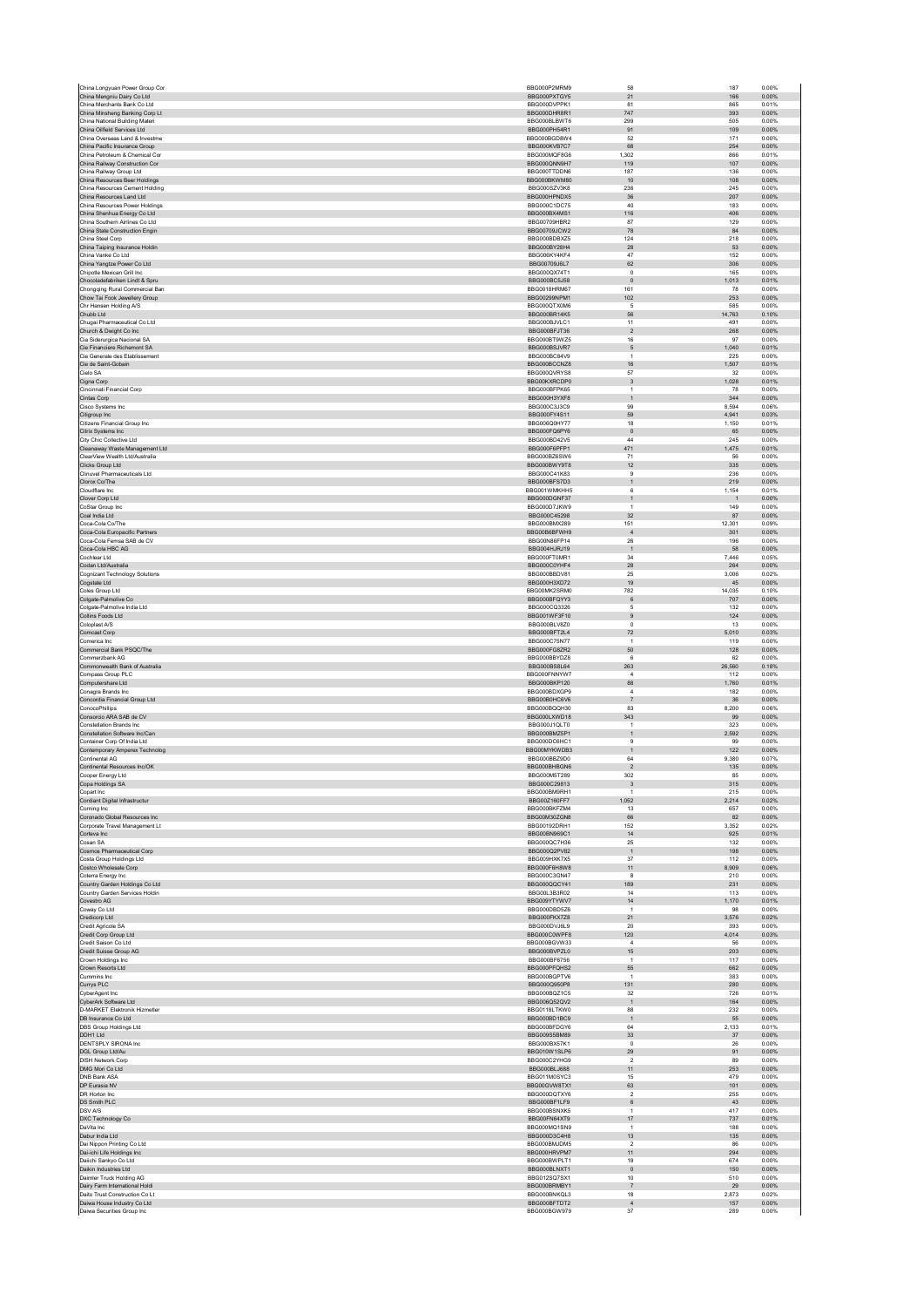| China Longyuan Power Group Cor                                  | BBG000P2MRM9                 | 58                            | 187            | 0.00%          |
|-----------------------------------------------------------------|------------------------------|-------------------------------|----------------|----------------|
| China Mengniu Dairy Co Ltd<br>China Merchants Bank Co Ltd       | BBG000PXTGY5<br>BBG000DVPPK1 | 21<br>81                      | 166<br>865     | 0.00%<br>0.01% |
| China Minsheng Banking Corp Lt                                  | BBG000DHR8R1                 | 747                           | 393            | 0.00%          |
| China National Building Materi                                  | BBG000BLBWT6                 | 299                           | 505            | 0.00%          |
| China Oilfield Services Ltd                                     | BBG000PH54R1                 | 91                            | 109            | 0.00%          |
| China Overseas Land & Investme<br>China Pacific Insurance Group | BBG000BGD8W4<br>BBG000KVB7C7 | 52<br>68                      | 171<br>254     | 0.00%<br>0.00% |
| China Petroleum & Chemical Cor                                  | BBG000MQF8G6                 | 1,302                         | 866            | 0.01%          |
| China Railway Construction Cor                                  | BBG000QNN9H7                 | 119                           | 107            | 0.00%          |
| China Railway Group Ltd                                         | BBG000TTDDN6                 | 187                           | 136            | 0.00%          |
| China Resources Beer Holdings<br>China Resources Cement Holding | BBG000BKWM80<br>BBG000SZV3K8 | 10<br>236                     | 108<br>245     | 0.00%<br>0.00% |
| China Resources Land Ltd                                        | BBG000HPNDX5                 | $36\,$                        | 207            | 0.00%          |
| China Resources Power Holdings                                  | BBG000C1DC75                 | 40                            | 183            | 0.00%          |
| China Shenhua Energy Co Ltd                                     | BBG000BX4MS1                 | 116                           | 406            | 0.00%          |
| China Southern Airlines Co Ltd                                  | BBG00709HBR2                 | 87                            | 129            | 0.00%          |
| China State Construction Engin<br>China Steel Corp              | BBG00709JCW2<br>BBG000BDBXZ5 | 78<br>124                     | 84<br>218      | 0.00%<br>0.00% |
| China Taiping Insurance Holdin                                  | BBG000BY28H4                 | ${\bf 28}$                    | 53             | 0.00%          |
| China Vanke Co Ltd                                              | BBG006KY4KF4                 | 47                            | 152            | 0.00%          |
| China Yangtze Power Co Ltd                                      | BBG00709J6L7                 | $62\,$                        | 306            | 0.00%          |
| Chipotle Mexican Grill Inc.<br>Chocoladefabriken Lindt & Spru   | BBG000QX74T1<br>BBG000BC5J58 | $^{\circ}$<br>$\,$ 0          | 165<br>1,013   | 0.00%<br>0.01% |
| Chongqing Rural Commercial Ban                                  | BBG0018HRM67                 | 161                           | 78             | 0.00%          |
| Chow Tai Fook Jewellery Group                                   | BBG00299NPM1                 | 102                           | 253            | 0.00%          |
| Chr Hansen Holding A/S                                          | BBG000QTX0M6                 | 5                             | 585            | 0.00%          |
| Chubb Ltd                                                       | BBG000BR14K5                 | 56                            | 14,763         | 0.10%          |
| Chugai Pharmaceutical Co Ltd<br>Church & Dwight Co Inc          | BBG000BJVLC1<br>BBG000BFJT36 | 11<br>$\sqrt{2}$              | 491<br>268     | 0.00%<br>0.00% |
| Cia Siderurgica Nacional SA                                     | BBG000BT9WZ5                 | 16                            | 97             | 0.00%          |
| Cie Financiere Richemont SA                                     | BBG000BSJVR7                 | $\mathbf 5$                   | 1,040          | 0.01%          |
| Cie Generale des Etablissement                                  | BBG000BC84V9                 | $\overline{1}$                | 225            | 0.00%          |
| Cie de Saint-Gobain                                             | BBG000BCCNZ8                 | 16                            | 1,507          | 0.01%          |
| Cielo SA<br>Cigna Corp                                          | BBG000QVRYS8<br>BBG00KXRCDP0 | 57<br>$\overline{3}$          | 32<br>1.028    | 0.00%<br>0.01% |
| Cincinnati Financial Corp                                       | BBG000BFPK65                 | $\overline{1}$                | 78             | 0.00%          |
| Cintas Corp                                                     | BBG000H3YXF8                 | $\mathbf{1}$                  | 344            | 0.00%          |
| Cisco Systems Inc                                               | BBG000C3J3C9                 | 99                            | 8,594          | 0.06%          |
| Citigroup Inc<br>Citizens Financial Group Inc.                  | BBG000FY4S11<br>BBG006Q0HY77 | 59<br>18                      | 4,941<br>1.150 | 0.03%<br>0.01% |
| Citrix Systems Inc                                              | BBG000FQ6PY6                 | $\,$ 0                        | 65             | 0.00%          |
| City Chic Collective Ltd                                        | BBG000BD42V5                 | 44                            | 245            | 0.00%          |
| Cleanaway Waste Management Ltd                                  | BBG000F6PFP1                 | 471                           | 1,475          | 0.01%          |
| ClearView Wealth Ltd/Australia                                  | BBG000BZ6SW6                 | 71                            | 56             | 0.00%          |
| Clicks Group Ltd<br>Clinuvel Pharmaceuticals Ltd                | BBG000BWY9T8<br>BBG000C41K83 | 12<br>$\overline{9}$          | 335<br>236     | 0.00%<br>0.00% |
| Clorox Co/The                                                   | BBG000BFS7D3                 | $\mathbf{1}$                  | 219            | 0.00%          |
| Cloudflare Inc                                                  | BBG001WMKHH5                 | 6                             | 1,154          | 0.01%          |
| Clover Corp Ltd                                                 | BBG000DGNF37                 | $\mathbf{1}$                  | $\mathbf 1$    | 0.00%          |
| CoStar Group Inc.                                               | BBG000D7JKW9                 | $\overline{1}$                | 149            | 0.00%          |
| Coal India Ltd<br>Coca-Cola Co/The                              | BBG000C45298<br>BBG000BMX289 | $32\,$<br>151                 | 87<br>12,301   | 0.00%<br>0.09% |
| Coca-Cola Europacific Partners                                  | BBG00B6BFWH9                 | $\sqrt{4}$                    | 301            | 0.00%          |
| Coca-Cola Femsa SAB de CV                                       | BBG00N86FP14                 | ${\bf 26}$                    | 196            | 0.00%          |
| Coca-Cola HBC AG                                                | BBG004HJRJ19                 | $\overline{1}$                | 58             | 0.00%          |
| Cochlear Ltd                                                    | BBG000FT0MR1                 | 34                            | 7,446          | 0.05%          |
| Codan Ltd/Australia<br>Cognizant Technology Solutions           | BBG000C0YHF4<br>BBG000BBDV81 | 28<br>25                      | 264<br>3.006   | 0.00%<br>0.02% |
| Cogstate Ltd                                                    | BBG000H3XD72                 | 19                            | 45             | 0.00%          |
| Coles Group Ltd                                                 | BBG00MK2SRM0                 | 782                           | 14.035         | 0.10%          |
| Colgate-Palmolive Co                                            | BBG000BFQYY3                 | $\,6\,$                       | 707            | 0.00%          |
| Colgate-Palmolive India Ltd                                     | BBG000CQ3326                 | 5                             | 132            | 0.00%          |
| Collins Foods Ltd<br>Coloplast A/S                              | BBG001WF3F10<br>BBG000BLV8Z0 | $\overline{9}$<br>$\mathsf 0$ | 124<br>13      | 0.00%<br>0.00% |
| <b>Comcast Corp</b>                                             | BBG000BFT2L4                 | 72                            | 5.010          | 0.03%          |
| Comerica Inc                                                    | BBG000C75N77                 | $\overline{1}$                | 119            | 0.00%          |
| Commercial Bank PSQC/The                                        | BBG000FG8ZR2                 | 50                            | 128            | 0.00%          |
| Commerzbank AG                                                  | BBG000BBYDZ8                 | 6                             | 62             | 0.00%          |
| Commonwealth Bank of Australia<br>Compass Group PLC             | BBG000BS8L64<br>BBG000FNNYW7 | 263<br>$\overline{4}$         | 26,560<br>112  | 0.18%<br>0.00% |
| Computershare Ltd                                               | BBG000BKP120                 | 88                            | 1,760          | 0.01%          |
| Conagra Brands Inc                                              | BBG000BDXGP9                 | $\overline{4}$                | 182            | 0.00%          |
| Concordia Financial Group Ltd                                   | BBG00B0HC6V6                 | $\overline{7}$                | 36             | 0.00%          |
| ConocoPhillips                                                  | BBG000BQQH30                 | 83                            | 8,200          | 0.06%          |
| Consorcio ARA SAB de CV                                         | BBG000LXWD18                 | 343<br>$\overline{1}$         | 99             | 0.00%          |
| Constellation Brands Inc<br>Constellation Software Inc/Can      | BBG000J1QLT0<br>BBG000BMZ5P1 | $\mathbf{1}$                  | 323<br>2,592   | 0.00%<br>0.02% |
| Container Corp Of India Ltd                                     | BBG000DC6HC1                 | 9                             | 99             | 0.00%          |
| Contemporary Amperex Technolog                                  | BBG00MYKWDB3                 | $\mathbf{1}$                  | 122            | 0.00%          |
| Continental AG                                                  | BBG000BBZ9D0                 | 64                            | 9.380          | 0.07%          |
| Continental Resources Inc/OK                                    | BBG000BHBGN6<br>BBG000M5T289 | $\overline{2}$                | 135            | 0.00%          |
| Cooper Energy Ltd<br>Copa Holdings SA                           | BBG000C29813                 | 302<br>-3                     | 85<br>315      | 0.00%<br>0.00% |
| Copart Inc                                                      | BBG000BM9RH1                 | $\overline{1}$                | 215            | 0.00%          |
| Cordiant Digital Infrastructur                                  | BBG00Z160FF7                 | 1.052                         | 2.214          | 0.02%          |
| Corning Inc                                                     | BBG000BKFZM4                 | 13                            | 657            | 0.00%          |
| Coronado Global Resources Inc<br>Corporate Travel Management Lt | BBG00M30ZGN8<br>BBG00192DRH1 | 66<br>152                     | 82<br>3.352    | 0.00%<br>0.02% |
| Corteva Inc                                                     | BBG00BN969C1                 | $14$                          | 925            | 0.01%          |
| Cosan SA                                                        | BBG000QC7H36                 | 25                            | 132            | 0.00%          |
| Cosmos Pharmaceutical Corp                                      | BBG000Q2PV82                 | $\mathbf 1$                   | 198            | 0.00%          |
| Costa Group Holdings Ltd                                        | BBG009HXK7X5                 | 37                            | 112            | 0.00%          |
| Costco Wholesale Corp<br>Coterra Energy Inc                     | BBG000F6H8W8<br>BBG000C3GN47 | 11<br>8                       | 8,909<br>210   | 0.06%<br>0.00% |
| Country Garden Holdings Co Ltd                                  | BBG000QQCY41                 | 189                           | 231            | 0.00%          |
| Country Garden Services Holdin                                  | BBG00L3B3R02                 | 14                            | 113            | 0.00%          |
| Covestro AG                                                     | BBG009YTYWV7                 | 14                            | 1,170          | 0.01%          |
| Coway Co Ltd<br>Credicorp Ltd                                   | BBG000DBD5Z6<br>BBG000FKX7Z8 | $\overline{1}$<br>21          | 98<br>3,576    | 0.00%<br>0.02% |
| Credit Agricole SA                                              | BBG000DVJ6L9                 | 20                            | 393            | 0.00%          |
| Credit Corp Group Ltd                                           | BBG000C0WPF8                 | 120                           | 4,014          | 0.03%          |
| Credit Saison Co Ltd                                            | BBG000BGVW33                 | $\overline{4}$                | 56             | 0.00%          |
| Credit Suisse Group AG<br>Crown Holdings Inc                    | BBG000BVPZL0<br>BBG000BF6756 | 15<br>$\overline{1}$          | 203<br>117     | 0.00%<br>0.00% |
| Crown Resorts Ltd                                               | BBG000PFQHS2                 | 55                            | 662            | 0.00%          |
| Cummins Inc                                                     | BBG000BGPTV6                 | $\overline{1}$                | 383            | 0.00%          |
| Currys PLC                                                      | BBG000Q950P8                 | 131                           | 280            | 0.00%          |
| <b>CyberAgent</b> Inc.                                          | BBG000BQZ1C5                 | 32                            | 726            | 0.01%          |
| CyberArk Software Ltd<br>D-MARKET Elektronik Hizmetler          | BBG006Q52QV2                 | $\mathbf 1$<br>88             | 164<br>232     | 0.00%<br>0.00% |
| DB Insurance Co Ltd                                             | BBG0118LTKW0                 |                               | 55             | 0.00%          |
| DBS Group Holdings Ltd                                          | BBG000BD1BC9                 | $\overline{1}$                |                | 0.01%          |
| DDH1 Ltd                                                        | BBG000BFDGY6                 | 64                            | 2,133          |                |
| DENTSPLY SIRONA Inc                                             | BBG009S5BM89                 | 33                            | 37             | 0.00%          |
|                                                                 | BBG000BX57K1                 | $\mathsf 0$                   | ${\bf 26}$     | 0.00%          |
| DGL Group Ltd/Au                                                | BBG010W1SLP6                 | 29<br>$\overline{2}$          | 91             | 0.00%          |
| <b>DISH Network Corp</b><br>DMG Mori Co Ltd                     | BBG000C2YHG9<br>BBG000BLJ688 | 11                            | 89<br>253      | 0.00%<br>0.00% |
| DNB Bank ASA                                                    | BBG011M0SYC3                 | 15                            | 479            | 0.00%          |
| DP Eurasia NV                                                   | BBG00GVW8TX1                 | 63                            | 101            | 0.00%          |
| DR Horton Inc.                                                  | BBG000DQTXY6                 | $\overline{2}$                | 255            | 0.00%          |
| DS Smith PLC<br>DSV A/S                                         | BBG000BF1LF9<br>BBG000BSNXK5 | $\,6\,$<br>$\overline{1}$     | 43<br>417      | 0.00%<br>0.00% |
| DXC Technology Co                                               | BBG00FN64XT9                 | 17                            | 737            | 0.01%          |
| DaVita Inc                                                      | BBG000MQ1SN9                 | $\mathbf{1}$                  | 188            | 0.00%          |
| Dabur India Ltd                                                 | BBG000D3C4H8                 | 13                            | 135            | 0.00%          |
| Dai Nippon Printing Co Ltd                                      | BBG000BMJDM5                 | $\overline{2}$<br>11          | 86             | 0.00%          |
| Dai-ichi Life Holdings Inc<br>Daiichi Sankvo Co Ltd             | BBG000HRVPM7<br>BBG000BWPLT1 | 19                            | 294<br>674     | 0.00%<br>0.00% |
| Daikin Industries Ltd                                           | BBG000BLNXT1                 | $\mathbf 0$                   | 150            | 0.00%          |
| Daimler Truck Holding AG                                        | BBG012SQ7SX1                 | 10                            | 510            | 0.00%          |
| Dairy Farm International Holdi                                  | BBG000BRMBY1                 | $\overline{7}$                | 29             | 0.00%          |
| Daito Trust Construction Co Lt<br>Daiwa House Industry Co Ltd   | BBG000BNKQL3<br>BBG000BFTDT2 | 18<br>$\overline{4}$          | 2,873<br>157   | 0.02%<br>0.00% |
| Daiwa Securities Group Inc                                      | BBG000BGW979                 | 37                            | 289            | 0.00%          |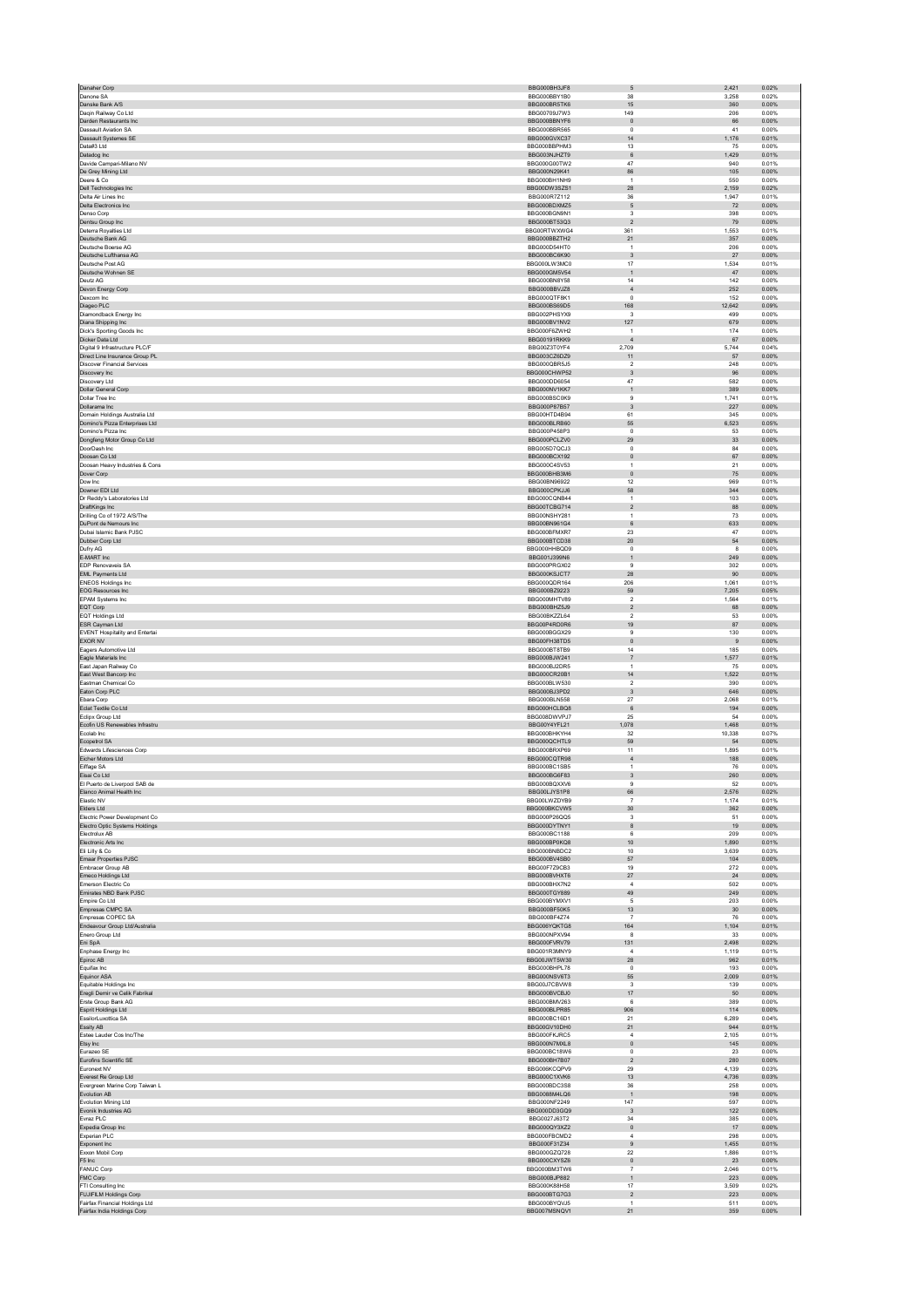| Danaher Corp                                              | BBG000BH3JF8                 | 5                             | 2,421               | 0.02%          |
|-----------------------------------------------------------|------------------------------|-------------------------------|---------------------|----------------|
| Danone SA                                                 | BBG000BBY1B0                 | 38                            | 3.258               | 0.02%          |
| Danske Bank A/S                                           | BBG000BR5TK6                 | 15                            | 360                 | 0.00%          |
| Daqin Railway Co Ltd                                      | BBG00709J7W3                 | 149                           | 206                 | 0.00%          |
| Darden Restaurants Inc.                                   | BBG000BBNYF6                 | $\,$ 0                        | 66                  | 0.00%          |
| Dassault Aviation SA                                      | BBG000BBR565<br>BBG000GVXC37 | $\pmb{0}$<br>14               | 41                  | 0.00%<br>0.01% |
| Dassault Systemes SE<br>Data#3 Ltd                        | BBG000BBPHM3                 | 13                            | 1,176<br>75         | 0.00%          |
| Datadog Inc                                               | BBG003NJHZT9                 | $\,6$                         | 1,429               | 0.01%          |
| Davide Campari-Milano NV                                  | BBG000G00TW2                 | 47                            | 940                 | 0.01%          |
| De Grey Mining Ltd                                        | BBG000N29K41                 | 86                            | 105                 | 0.00%          |
| Deere & Co.                                               | BBG000BH1NH9                 | $\overline{1}$                | 550                 | 0.00%          |
| <b>Dell Technologies Inc.</b>                             | BBG00DW3SZS1                 | 28                            | 2,159               | 0.02%          |
| Delta Air Lines Inc                                       | BBG000R7Z112                 | $36\,$                        | 1,947               | 0.01%          |
| Delta Electronics Inc.                                    | BBG000BDXMZ5                 | $\mathbf 5$                   | 72                  | 0.00%          |
| Denso Corp                                                | BBG000BGN9N1                 | 3                             | 398                 | 0.00%          |
| Dentsu Group Inc<br>Deterra Rovalties Ltd                 | BBG000BT53Q3<br>BBG00RTWXWG4 | $\overline{2}$<br>361         | 79<br>1.553         | 0.00%<br>0.01% |
| Deutsche Bank AG                                          | BBG000BBZTH2                 | 21                            | 357                 | 0.00%          |
| Deutsche Boerse AG                                        | BBG000D54HT0                 | $\mathbf{1}$                  | 206                 | 0.00%          |
| Deutsche Lufthansa AG                                     | BBG000BC6K90                 | $\ensuremath{\mathsf{3}}$     | $27\,$              | 0.00%          |
| Deutsche Post AG                                          | BBG000LW3MC0                 | 17                            | 1,534               | 0.01%          |
| Deutsche Wohnen SE                                        | BBG000GM5V54                 | $\mathbf{1}$                  | 47                  | 0.00%          |
| Deutz AG                                                  | BBG000BN8Y58                 | 14                            | 142                 | 0.00%          |
| Devon Energy Corp                                         | BBG000BBVJZ8                 | $\sqrt{4}$                    | 252                 | 0.00%          |
| Dexcom Inc                                                | BBG000QTF8K1                 | $\pmb{0}$                     | 152                 | 0.00%          |
| Diageo PLC<br>Diamondback Energy Inc                      | BBG000BS69D5<br>BBG002PHSYX9 | 168<br>3                      | 12,642<br>499       | 0.09%<br>0.00% |
| Diana Shipping Inc                                        | BBG000BV1NV2                 | 127                           | 679                 | 0.00%          |
| Dick's Sporting Goods Inc                                 | BBG000F67WH2                 | $\overline{1}$                | 174                 | 0.00%          |
| Dicker Data Ltd                                           | BBG00191RKK9                 | $\overline{4}$                | 67                  | 0.00%          |
| Digital 9 Infrastructure PLC/F                            | BBG00Z3T0YF4                 | 2,709                         | 5,744               | 0.04%          |
| Direct Line Insurance Group PL                            | BBG003CZ6DZ9                 | 11                            | 57                  | 0.00%          |
| <b>Discover Financial Services</b>                        | BBG000QBR5J5                 | $\sqrt{2}$                    | 248                 | 0.00%          |
| Discovery Inc<br>Discovery Ltd                            | BBG000CHWP52<br>BBG000DD6054 | 3<br>47                       | 96<br>582           | 0.00%<br>0.00% |
| Dollar General Corp                                       | BBG000NV1KK7                 | $\mathbf{1}$                  | 389                 | 0.00%          |
| Dollar Tree Inc.                                          | BBG000BSC0K9                 | 9                             | 1.741               | 0.01%          |
| Dollarama Inc                                             | BBG000P87B57                 | $\sqrt{3}$                    | 227                 | 0.00%          |
| Domain Holdings Australia Ltd                             | BBG00HTD4B94                 | 61                            | 345                 | 0.00%          |
| Domino's Pizza Enterprises Ltd                            | BBG000BLRB60                 | 55                            | 6,523               | 0.05%          |
| Domino's Pizza Inc                                        | BBG000P458P3                 | $\circ$                       | 53                  | 0.00%          |
| Dongfeng Motor Group Co Ltd                               | BBG000PCLZV0<br>BBG005D7QCJ3 | 29                            | 33                  | 0.00%          |
| DoorDash Inc<br>Doosan Co Ltd                             | BBG000BCX192                 | $\pmb{0}$<br>$\mathbf 0$      | 84<br>67            | 0.00%<br>0.00% |
| Doosan Heavy Industries & Cons                            | BBG000C4SV53                 | 1                             | 21                  | 0.00%          |
| Dover Corp                                                | BBG000BHB3M6                 | $\mathsf{O}\xspace$           | $75\,$              | 0.00%          |
| Dow Inc.                                                  | BBG00BN96922                 | 12                            | 969                 | 0.01%          |
| Downer EDI Ltd                                            | BBG000CPKJJ6                 | 58                            | 344                 | 0.00%          |
| Dr Reddy's Laboratories Ltd                               | BBG000CONB44                 | $\mathbf{1}$                  | 103                 | 0.00%          |
| DraftKings Inc                                            | BBG00TCBG714                 | $\boldsymbol{2}$              | 88                  | 0.00%          |
| Drilling Co of 1972 A/S/The                               | BBG00NSHY281                 | $\,$ 1 $\,$                   | $73\,$              | 0.00%          |
| DuPont de Nemours Inc.<br>Dubai Islamic Bank PJSC         | BBG00BN961G4                 | 6                             | 633                 | 0.00%          |
| Dubber Corp Ltd                                           | BBG000BFMXR7<br>BBG000BTCD38 | $23\,$<br>20                  | 47<br>${\small 54}$ | 0.00%<br>0.00% |
| Dufry AG                                                  | BBG000HHBQD9                 | 0                             | 8                   | 0.00%          |
| E-MART Inc                                                | BBG001J399N6                 | $\mathbf{1}$                  | 249                 | 0.00%          |
| <b>EDP Renovaveis SA</b>                                  | BBG000PRGX02                 | 9                             | 302                 | 0.00%          |
| EML Payments Ltd                                          | BBG000KSJCT7                 | 28                            | 90                  | 0.00%          |
| <b>ENEOS Holdings Inc.</b>                                | BBG000QDR164                 | 206                           | 1.061               | 0.01%          |
| EOG Resources Inc                                         | BBG000BZ9223                 | 59                            | 7,205               | 0.05%          |
| EPAM Systems Inc                                          | BBG000MHTV89                 | $\boldsymbol{2}$              | 1,564               | 0.01%          |
| EQT Corp                                                  | BBG000BHZ5J9                 | $\overline{2}$                | 68                  | 0.00%          |
| EQT Holdings Ltd<br>ESR Cayman Ltd                        | BBG00BKZZL64<br>BBG00P4RD0R6 | $\boldsymbol{2}$<br>19        | 53<br>87            | 0.00%<br>0.00% |
|                                                           |                              |                               |                     |                |
|                                                           |                              |                               |                     |                |
| <b>EVENT Hospitality and Entertai</b>                     | BBG000BGGX29                 | 9                             | 130                 | 0.00%          |
| EXOR NV<br>Eagers Automotive Ltd                          | BBG00FH38TD5<br>BBG000BT8TB9 | $\mathsf{O}\xspace$<br>14     | $9\,$<br>185        | 0.00%<br>0.00% |
| Eagle Materials Inc                                       | BBG000BJW241                 | $\overline{7}$                | 1,577               | 0.01%          |
| East Japan Railway Co                                     | BBG000BJ2DR5                 | $\mathbf{1}$                  | 75                  | 0.00%          |
| East West Bancorp Inc                                     | BBG000CR20B1                 | 14                            | 1,522               | 0.01%          |
| Eastman Chemical Co                                       | BBG000BLW530                 | $\overline{2}$                | 390                 | 0.00%          |
| Eaton Corp PLC                                            | BBG000BJ3PD2                 | 3                             | 646                 | 0.00%          |
| Ebara Corp                                                | BBG000BLN558                 | $27\,$                        | 2,068               | 0.01%          |
| Eclat Textile Co Ltd                                      | BBG000HCLBQ8                 | $\,6$                         | 194                 | 0.00%<br>0.00% |
| Eclipx Group Ltd                                          | BBG008DWVPJ7                 | 25                            | 54                  |                |
| Ecofin US Renewables Infrastru<br>Foolab Inc.             | BBG00Y4YFL21<br>BBG000BHKYH4 | 1,078<br>32                   | 1,468<br>10.338     | 0.01%<br>0.07% |
| Ecopetrol SA                                              | BBG000QCHTL9                 | 59                            | 54                  | 0.00%          |
| Edwards Lifesciences Corp                                 | BBG000BRXP69                 | 11                            | 1.895               | 0.01%          |
| Eicher Motors Ltd                                         | BBG000CQTR98                 | $\sqrt{4}$                    | 188                 | 0.00%          |
| Eiffage SA                                                | BBG000BC1SB5                 | 1                             | ${\bf 76}$          | 0.00%          |
| Eisai Co Ltd                                              | BBG000BG6F83                 | 3                             | 260                 | 0.00%          |
| El Puerto de Liverpool SAB de<br>Elanco Animal Health Inc | BBG000BQXXV6<br>BBG00LJYS1P8 | 9<br>66                       | 52<br>2,576         | 0.00%<br>0.02% |
| Elastic NV                                                | BBG00LWZDYB9                 | $\overline{7}$                | 1,174               | 0.01%          |
| Elders Ltd                                                | BBG000BKCVW5                 | 30                            | 362                 | 0.00%          |
| Flectric Power Development Co.                            | BBG000P26QQ5                 | 3                             | 51                  | 0.00%          |
| Electro Optic Systems Holdings                            | BBG000DYTNY1                 | 8                             | 19                  | 0.00%          |
| Electrolux AB                                             | BBG000BC1188                 | 6                             | 209                 | 0.00%          |
| Electronic Arts Inc.                                      | BBG000BP0KQ8                 | 10                            | 1.890               | 0.01%          |
| Eli Lilly & Co<br>Emaar Properties PJSC                   | BBG000BNBDC2<br>BBG000BV4SB0 | 10<br>57                      | 3,639<br>104        | 0.03%<br>0.00% |
| Embracer Group AB                                         | BBG00F7Z9CB3                 | 19                            | 272                 | 0.00%          |
| Emeco Holdings Ltd                                        | BBG000BVHXT6                 | 27                            | 24                  | 0.00%          |
| Emerson Electric Co                                       | BBG000BHX7N2                 | 4                             | 502                 | 0.00%          |
| Emirates NBD Bank PJSC                                    | BBG000TGY889                 | 49                            | 249                 | 0.00%          |
| Empire Co Ltd                                             | BBG000BYMXV1                 | 5                             | 203                 | 0.00%          |
| Empresas CMPC SA                                          | BBG000BF50K5<br>BBG000BF4Z74 | 13<br>$\overline{7}$          | 30<br>76            | 0.00%<br>0.00% |
| Empresas COPEC SA<br>Endeavour Group Ltd/Australia        | BBG006YQKTG8                 | 164                           | 1,104               | 0.01%          |
| Enero Group Ltd                                           | BBG000NPXV94                 | 8                             | 33                  | 0.00%          |
| Eni SpA                                                   | BBG000FVRV79                 | 131                           | 2,498               | 0.02%          |
| Enphase Energy Inc.                                       | BBG001R3MNY9                 | $\bf{4}$                      | 1,119               | 0.01%          |
| Epiroc AB                                                 | BBG00JWT5W30                 | 28                            | 962                 | 0.01%          |
| Equifax Inc                                               | BBG000BHPL78                 | $^{\circ}$                    | 193                 | 0.00%          |
| Equinor ASA                                               | BBG000NSV6T3                 | 55                            | 2,009               | 0.01%          |
| Equitable Holdings Inc.                                   | BBG00J7CBVW8                 | 3                             | 139                 | 0.00%          |
| Eregli Demir ve Celik Fabrikal<br>Erste Group Bank AG     | BBG000BVCBJ0<br>BBG000BMV263 | $17\,$<br>6                   | 50<br>389           | 0.00%<br>0.00% |
| Esprit Holdings Ltd                                       | BBG000BLPR85                 | 906                           | 114                 | 0.00%          |
| EssilorLuxottica SA                                       | BBG000BC16D1                 | 21                            | 6,289               | 0.04%          |
| Essity AB                                                 | BBG00GV10DH0                 | 21                            | 944                 | 0.01%          |
| Estee Lauder Cos Inc/The                                  | BBG000FKJRC5                 | $\sqrt{4}$                    | 2,105               | 0.01%          |
| Etsy Inc                                                  | BBG000N7MXL8                 | $\mathbf{0}$                  | 145                 | 0.00%          |
| Eurazeo SE                                                | BBG000BC18W6                 | $^{\circ}$                    | 23                  | 0.00%          |
| Eurofins Scientific SE<br>Euronext NV                     | BBG000BH7B07<br>BBG006KCQPV9 | $\boldsymbol{2}$<br>29        | 280<br>4.139        | 0.00%<br>0.03% |
|                                                           |                              |                               |                     |                |
| Everest Re Group Ltd<br>Evergreen Marine Corp Taiwan L    | BBG000C1XVK6<br>BBG000BDC3S8 | 13<br>36                      | 4,736<br>258        | 0.03%<br>0.00% |
| Evolution AB                                              | BBG0088M4LQ6                 | $\overline{1}$                | 198                 | 0.00%          |
| Evolution Mining Ltd                                      | BBG000NF2249                 | 147                           | 597                 | 0.00%          |
| Evonik Industries AG                                      | BBG000DD3GQ9                 | $\overline{\mathbf{3}}$       | 122                 | 0.00%          |
| Evraz PLC                                                 | BBG0027J63T2                 | $34\,$                        | 385                 | 0.00%          |
| Expedia Group Inc                                         | BBG000QY3XZ2                 | $\mathbf 0$                   | 17                  | 0.00%          |
| Experian PLC                                              | BBG000FBCMD2                 | 4                             | 298                 | 0.00%          |
| Exponent Inc<br>Exxon Mobil Corp                          | BBG000F31Z34<br>BBG000GZQ728 | $\boldsymbol{9}$<br>22        | 1,455<br>1,886      | 0.01%<br>0.01% |
| F5 Inc                                                    | BBG000CXYSZ6                 | $\mathbf 0$                   | 23                  | 0.00%          |
| <b>FANUC Corp</b>                                         | BBG000BM3TW6                 | $\overline{7}$                | 2,046               | 0.01%          |
| FMC Corp                                                  | BBG000BJP882                 | $\mathbf{1}$                  | 223                 | 0.00%          |
| FTI Consulting Inc                                        | BBG000K88H58                 | 17                            | 3,509               | 0.02%          |
| FUJIFILM Holdings Corp<br>Fairfax Financial Holdings Ltd  | BBG000BTG7G3<br>BBG000BYQVJ5 | $\overline{2}$<br>$\,$ 1 $\,$ | 223<br>511          | 0.00%<br>0.00% |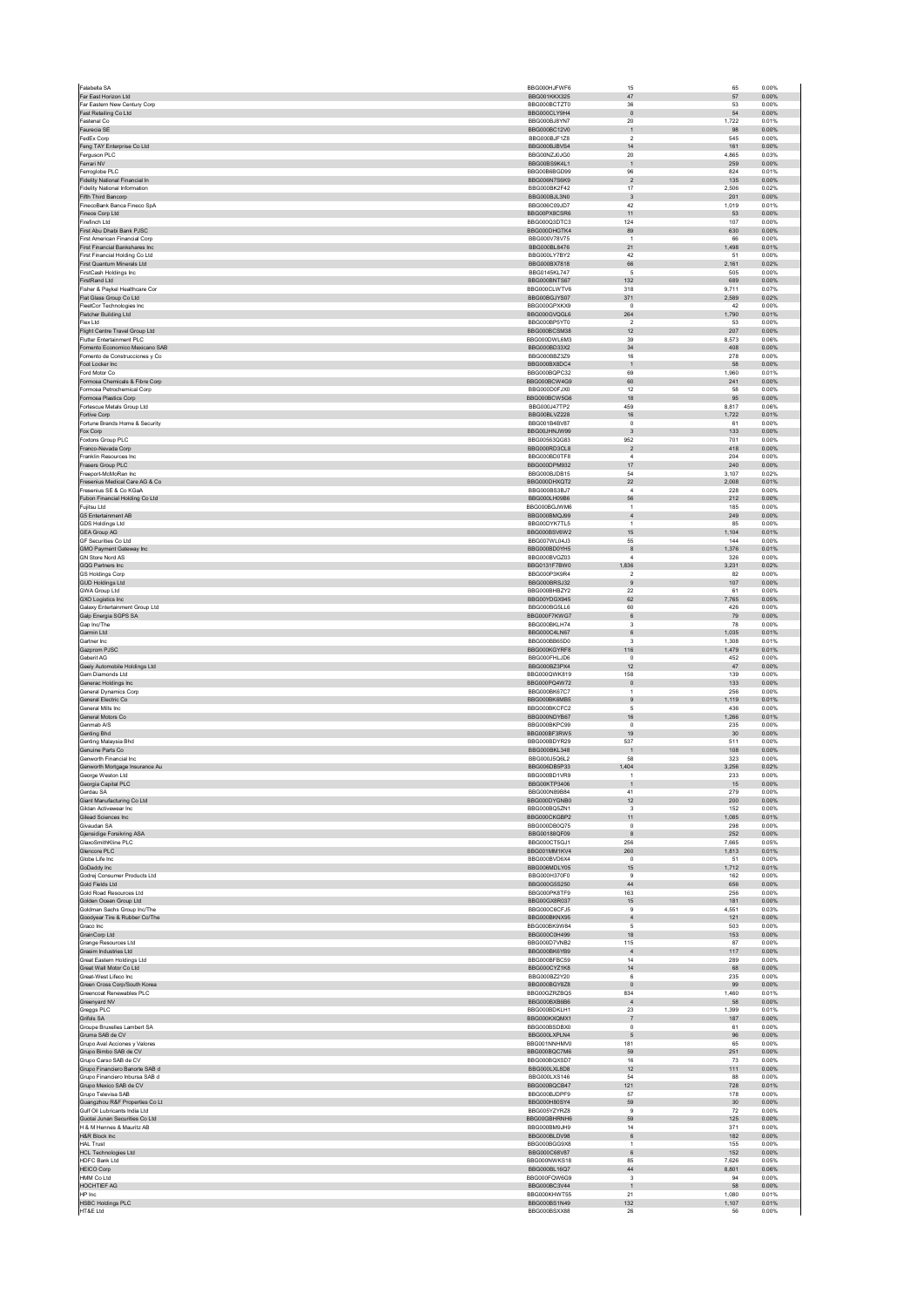|                                                                    | BBG000HJFWF6                 |                                            | 65                    | 0.00%          |
|--------------------------------------------------------------------|------------------------------|--------------------------------------------|-----------------------|----------------|
| Far East Horizon Ltd<br>Far Eastern New Century Corp               | BBG001KKX325<br>BBG000BCTZT0 | $47\,$<br>36                               | 57<br>53              | 0.00%<br>0.00% |
| Fast Retailing Co Ltd                                              | BBG000CLY9H4                 | $\mathbf{0}$                               | 54                    | 0.00%          |
| Fastenal Co<br>Faurecia SE                                         | BBG000BJ8YN7<br>BBG000BC12V0 | $20\,$<br>$\mathbf{1}$                     | 1,722<br>98           | 0.01%<br>0.00% |
| FedEx Corp                                                         | BBG000BJF1Z8                 | $\boldsymbol{2}$                           | 545                   | 0.00%          |
| Feng TAY Enterprise Co Ltd<br>Ferauson PLC                         | BBG000BJBVS4<br>BBG00NZJ0JG0 | 14<br>20                                   | 161<br>4.865          | 0.00%<br>0.03% |
| Ferrari NV                                                         | BBG00BS9K4L1                 | $\mathbf{1}$                               | 259                   | 0.00%          |
| Ferroglobe PLC<br>Fidelity National Financial In                   | BBG00B6BGD99<br>BBG006N7S6K9 | 96<br>$\sqrt{2}$                           | 824<br>135            | 0.01%<br>0.00% |
| <b>Fidelity National Information</b>                               | BBG000BK2F42                 | 17                                         | 2,506                 | 0.02%          |
| Fifth Third Bancorp                                                | BBG000BJL3N0                 | 3                                          | 201                   | 0.00%          |
| FinecoBank Banca Fineco SpA<br>Fineos Corp Ltd                     | BBG006C09JD7<br>BBG00PX8CSR6 | 42<br>11                                   | 1,019<br>53           | 0.01%<br>0.00% |
| Firefinch Ltd                                                      | BBG000Q3DTC3                 | 124                                        | 107                   | 0.00%          |
| First Abu Dhabi Bank PJSC<br><b>First American Financial Corp.</b> | BBG000DHGTK4<br>BBG000V78V75 | 89<br>$\overline{1}$                       | 630<br>66             | 0.00%<br>0.00% |
| First Financial Bankshares Inc                                     | BBG000BL8476                 | 21                                         | 1,498                 | 0.01%          |
| First Financial Holding Co Ltd<br>First Quantum Minerals Ltd       | BBG000LY7BY2<br>BBG000BX7818 | 42<br>66                                   | 51<br>2,161           | 0.00%<br>0.02% |
| FirstCash Holdings Inc.                                            | BBG0145KL747                 | 5                                          | 505                   | 0.00%          |
| FirstRand Ltd<br>Fisher & Paykel Healthcare Cor                    | BBG000BNTS67<br>BBG000CLWTV6 | 132<br>318                                 | 689<br>9,711          | 0.00%<br>0.07% |
| Flat Glass Group Co Ltd                                            | BBG00BGJYS07                 | 371                                        | 2,589                 | 0.02%          |
| FleetCor Technologies Inc.<br>Fletcher Building Ltd                | BBG000GPXKX9<br>BBG000GVQGL6 | $^{\circ}$<br>264                          | 42<br>1,790           | 0.00%<br>0.01% |
| Flex Ltd                                                           | BBG000BP5YT0                 | $\overline{2}$                             | 53                    | 0.00%          |
| Flight Centre Travel Group Ltd<br>Flutter Entertainment PLC        | BBG000BCSM38<br>BBG000DWL6M3 | 12<br>39                                   | 207<br>8,573          | 0.00%<br>0.06% |
| Fomento Economico Mexicano SAB                                     | BBG000BD33X2                 | 34                                         | 408                   | 0.00%          |
| Fomento de Construcciones y Co<br>Foot Locker Inc                  | BBG000BBZ3Z9<br>BBG000BX8DC4 | 16<br>$\mathbf{1}$                         | 278<br>58             | 0.00%<br>0.00% |
| Ford Motor Co                                                      | BBG000BQPC32                 | 69                                         | 1,960                 | 0.01%          |
| Formosa Chemicals & Fibre Corp<br>Formosa Petrochemical Corp.      | BBG000BCW4G9<br>BBG000D0FJX0 | 60<br>12                                   | 241<br>58             | 0.00%<br>0.00% |
| Formosa Plastics Corp                                              | BBG000BCW5G6                 | 18                                         | 95                    | 0.00%          |
| Fortescue Metals Group Ltd                                         | BBG000J47TP2                 | 459                                        | 8.817                 | 0.06%          |
| Fortive Corp<br>Fortune Brands Home & Security                     | BBG00BLVZ228<br>BBG001B4BV87 | 16<br>$^{\circ}$                           | 1,722<br>61           | 0.01%<br>0.00% |
| Fox Corp                                                           | BBG00JHNJW99                 | $\overline{3}$                             | 133                   | 0.00%          |
| Foxtons Group PLC<br>Franco-Nevada Corp                            | BBG00563QG83<br>BBG000RD3CL8 | 952<br>$\overline{2}$                      | 701<br>418            | 0.00%<br>0.00% |
| Franklin Resources Inc                                             | BBG000BD0TF8                 | $\sqrt{4}$                                 | 204                   | 0.00%          |
| Frasers Group PLC<br>Freeport-McMoRan Inc                          | BBG000DPM932<br>BBG000BJDB15 | 17<br>54                                   | 240<br>3,107          | 0.00%<br>0.02% |
| Fresenius Medical Care AG & Co                                     | BBG000DHXQT2                 | $22\,$                                     | 2,008                 | 0.01%          |
| Fresenius SE & Co KGaA<br>Fubon Financial Holding Co Ltd           | BBG000BS3BJ7<br>BBG000LH09B6 | $\overline{4}$<br>56                       | 228<br>212            | 0.00%<br>0.00% |
| Fujitsu Ltd.                                                       | BBG000BGJWM6                 | $\overline{1}$                             | 185                   | 0.00%          |
| G5 Entertainment AB<br><b>GDS Holdings Ltd</b>                     | BBG000BMQJ99<br>BBG00DYK7TL5 | $\overline{4}$<br>$\ddot{\phantom{1}}$     | 249<br>85             | 0.00%<br>0.00% |
| <b>GEA Group AG</b>                                                | BBG000BSV6W2                 | 15                                         | 1.104                 | 0.01%          |
| GF Securities Co Ltd                                               | BBG007WL04J3                 | 55                                         | 144                   | 0.00%          |
| GMO Payment Gateway Inc<br><b>GN Store Nord AS</b>                 | BBG000BD0YH5<br>BBG000BVGZ03 | 8<br>4                                     | 1,376<br>326          | 0.01%<br>0.00% |
| GQG Partners Inc                                                   | BBG0131F7BW0                 | 836                                        | 3,231                 | 0.02%          |
| GS Holdings Corp<br><b>GUD Holdings Ltd</b>                        | BBG000P3K9R4<br>BBG000BRSJ32 | $\overline{\phantom{a}}$<br>$\overline{9}$ | 82<br>107             | 0.00%<br>0.00% |
| GWA Group Ltd                                                      | BBG000BHBZY2                 | 22                                         | 61                    | 0.00%          |
| <b>GXO Logistics Inc</b><br>Galaxy Entertainment Group Ltd         | BBG00YDGX945<br>BBG000BG5LL6 | 62<br>60                                   | 7,765<br>426          | 0.05%<br>0.00% |
| Galp Energia SGPS SA                                               | BBG000F7KWG7                 | $\,6\,$                                    | 79                    | 0.00%          |
| Gap Inc/The<br>Garmin Ltd                                          | BBG000BKLH74<br>BBG000C4LN67 | $\mathsf 3$<br>$\,6\,$                     | 78<br>1,035           | 0.00%<br>0.01% |
| Gartner Inc.                                                       | BBG000BB65D0                 | 3                                          | 1.308                 | 0.01%          |
| Gazprom PJSC<br>Geberit AG                                         | BBG000KGYRF8<br>BBG000FHLJD6 | 116<br>$\Omega$                            | 1,479<br>452          | 0.01%<br>0.00% |
| Geely Automobile Holdings Ltd                                      | BBG000BZ3PX4                 | 12                                         | 47                    | 0.00%          |
| Gem Diamonds Ltd<br>Generac Holdings Inc.                          | BBG000QWK819<br>BBG000PQ4W72 | 158<br>$\circ$                             | 139<br>133            | 0.00%<br>0.00% |
| General Dynamics Corp                                              | BBG000BK67C7                 | $\mathbf{1}$                               | 256                   | 0.00%          |
| General Electric Co.<br>General Mills Inc                          | BBG000BK6MB5<br>BBG000BKCFC2 | $\overline{9}$<br>$\,$ 5 $\,$              | 1,119<br>436          | 0.01%<br>0.00% |
| General Motors Co                                                  | BBG000NDYB67                 | 16                                         | 1,266                 | 0.01%          |
| Genmab A/S<br>Genting Bhd                                          | BBG000BKPC99<br>BBG000BF3RW5 | $^{\circ}$<br>19                           | 235<br>30             | 0.00%<br>0.00% |
| Genting Malaysia Bhd                                               | BBG000BDYR29                 | 537                                        | 511                   | 0.00%          |
| Genuine Parts Co<br>Genworth Financial Inc.                        | BBG000BKL348                 | $\overline{1}$                             | 108                   | 0.00%          |
|                                                                    |                              | 58<br>1,404                                | 323                   | 0.00%          |
| Genworth Mortgage Insurance Au                                     | BBG000J5Q6L2<br>BBG006DB5P33 |                                            | 3,256                 | 0.02%          |
| George Weston Ltd                                                  | BBG000BD1VR9                 | 1                                          | 233                   | 0.00%          |
| Georgia Capital PLC                                                | BBG00KTP3406                 |                                            | 15                    | 0.00%          |
| Gerdau SA<br>Giant Manufacturing Co Ltd                            | BBG000N89B84<br>BBG000DYGNB0 | 41<br>12                                   | 279<br>200            | 0.00%<br>0.00% |
| Gildan Activewear Inc.                                             | BBG000BQ5ZN1<br>BBG000CKGBP2 | 3                                          | 152                   | 0.00%          |
| Gilead Sciences Inc<br>Givaudan SA                                 | BBG000DB0Q75                 | 11<br>$\Omega$                             | ,085<br>298           | 0.01%<br>0.00% |
| Gjensidige Forsikring ASA                                          | BBG00188QF09                 | 8                                          | 252                   | 0.00%          |
| GlaxoSmithKline PLC<br>Glencore PLC                                | BBG000CT5GJ1<br>BBG001MM1KV4 | 256<br>260                                 | 7,665<br>1,813        | 0.05%<br>0.01% |
| Globe Life Inc                                                     | BBG000BVD6X4                 | $\mathsf 0$                                | 51                    | 0.00%          |
| GoDaddy Inc<br>Godrej Consumer Products Ltd                        | BBG006MDLY05<br>BBG000H370F0 | 15<br>$\boldsymbol{9}$                     | 1,712<br>162          | 0.01%<br>0.00% |
| Gold Fields Ltd<br>Gold Road Resources Ltd                         | BBG000G5S250<br>BBG000PK8TF9 | 44<br>163                                  | 656<br>256            | 0.00%<br>0.00% |
| Golden Ocean Group Ltd                                             | BBG00GX8R037                 | 15                                         | 181                   | 0.00%          |
| Goldman Sachs Group Inc/The                                        | BBG000C6CE.I5                | $\mathbf{Q}$                               | 4.551                 | 0.03%          |
| Goodyear Tire & Rubber Co/The<br>Graco Inc                         | BBG000BKNX95<br>BBG000BK9W84 | $\sqrt{4}$<br>$\,$ 5 $\,$                  | 121<br>503            | 0.00%<br>0.00% |
| GrainCorp Ltd                                                      | BBG000C0H499                 | 18                                         | 153                   | 0.00%          |
| Grange Resources Ltd<br>Grasim Industries Ltd                      | BBG000D7VNB2<br>BBG000BK6YB9 | 115<br>$\sqrt{4}$                          | 87<br>117             | 0.00%<br>0.00% |
| Great Eastern Holdings Ltd                                         | BBG000BFBC59                 | 14                                         | 289                   | 0.00%          |
| Great Wall Motor Co Ltd<br>Great-West Lifeco Inc.                  | BBG000CYZ1K8<br>BBG000BZ2Y20 | 14<br>6                                    | 68<br>235             | 0.00%<br>0.00% |
| Green Cross Corp/South Korea                                       | BBG000BGY8Z8                 | $\mathbf 0$                                | 99                    | 0.00%          |
| Greencoat Renewables PLC<br>Greenyard NV                           | BBG00GZRZBQ5<br>BBG000BXB6B6 | 834<br>$\overline{4}$                      | 1,460<br>58           | 0.01%<br>0.00% |
| Greggs PLC                                                         | BBG000BDKLH1                 | 23                                         | 1,399                 | 0.01%          |
| Grifols SA<br>Groupe Bruxelles Lambert SA                          | BBG000KXQMX1<br>BBG000BSDBX0 | $\overline{7}$<br>$\pmb{0}$                | 187<br>61             | 0.00%<br>0.00% |
| Gruma SAB de CV                                                    | BBG000LXPLN4                 | 5                                          | 96                    | 0.00%          |
| Grupo Aval Acciones y Valores                                      | BBG001NNHMV0                 | 181                                        | 65                    | 0.00%          |
| Grupo Bimbo SAB de CV<br>Grupo Carso SAB de CV                     | BBG000BQC7M6<br>BBG000BQXSD7 | 59<br>16                                   | 251<br>73             | 0.00%<br>0.00% |
| Grupo Financiero Banorte SAB d                                     | BBG000LXL8D8                 | 12<br>54                                   | 111<br>88             | 0.00%          |
| Grupo Financiero Inbursa SAB d<br>Grupo Mexico SAB de CV           | BBG000LXS146<br>BBG000BQCB47 | 121                                        | 728                   | 0.00%<br>0.01% |
| Grupo Televisa SAB                                                 | BBG000BJDPF9                 | 57                                         | 178                   | 0.00%          |
| Guangzhou R&F Properties Co Lt<br>Gulf Oil Lubricants India Ltd    | BBG000H80SY4<br>BBG005YZYRZ8 | 59<br>$\boldsymbol{9}$                     | 30 <sup>°</sup><br>72 | 0.00%<br>0.00% |
| Guotai Junan Securities Co Ltd                                     | BBG00GBHRNH6                 | 59                                         | 125                   | 0.00%          |
| H & M Hennes & Mauritz AB<br>H&R Block Inc                         | BBG000BM9JH9<br>BBG000BLDV98 | 14<br>6                                    | 371<br>182            | 0.00%<br>0.00% |
| <b>HAL Trust</b>                                                   | BBG000BGG9X8                 | $\overline{1}$                             | 155                   | 0.00%          |
| <b>HCL Technologies Ltd</b><br>HDFC Bank Ltd                       | BBG000C68V87<br>BBG000NWKS18 | $\,6\,$<br>85                              | 152<br>7.626          | 0.00%<br>0.05% |
| <b>HEICO Corp</b>                                                  | BBG000BL16Q7                 | 44                                         | 8,801                 | 0.06%          |
| HMM Co Ltd<br>HOCHTIEF AG                                          | BBG000FQW6G9<br>BBG000BC3V44 | $\overline{3}$<br>$\overline{1}$           | 94<br>58              | 0.00%<br>0.00% |
| HP Inc                                                             | BBG000KHWT55                 | 21                                         | 1,080                 | 0.01%          |
| <b>HSBC Holdings PLC</b><br>HT&E Ltd                               | BBG000BS1N49<br>BBG000BSXX88 | 132<br>26                                  | 1,107<br>56           | 0.01%<br>0.00% |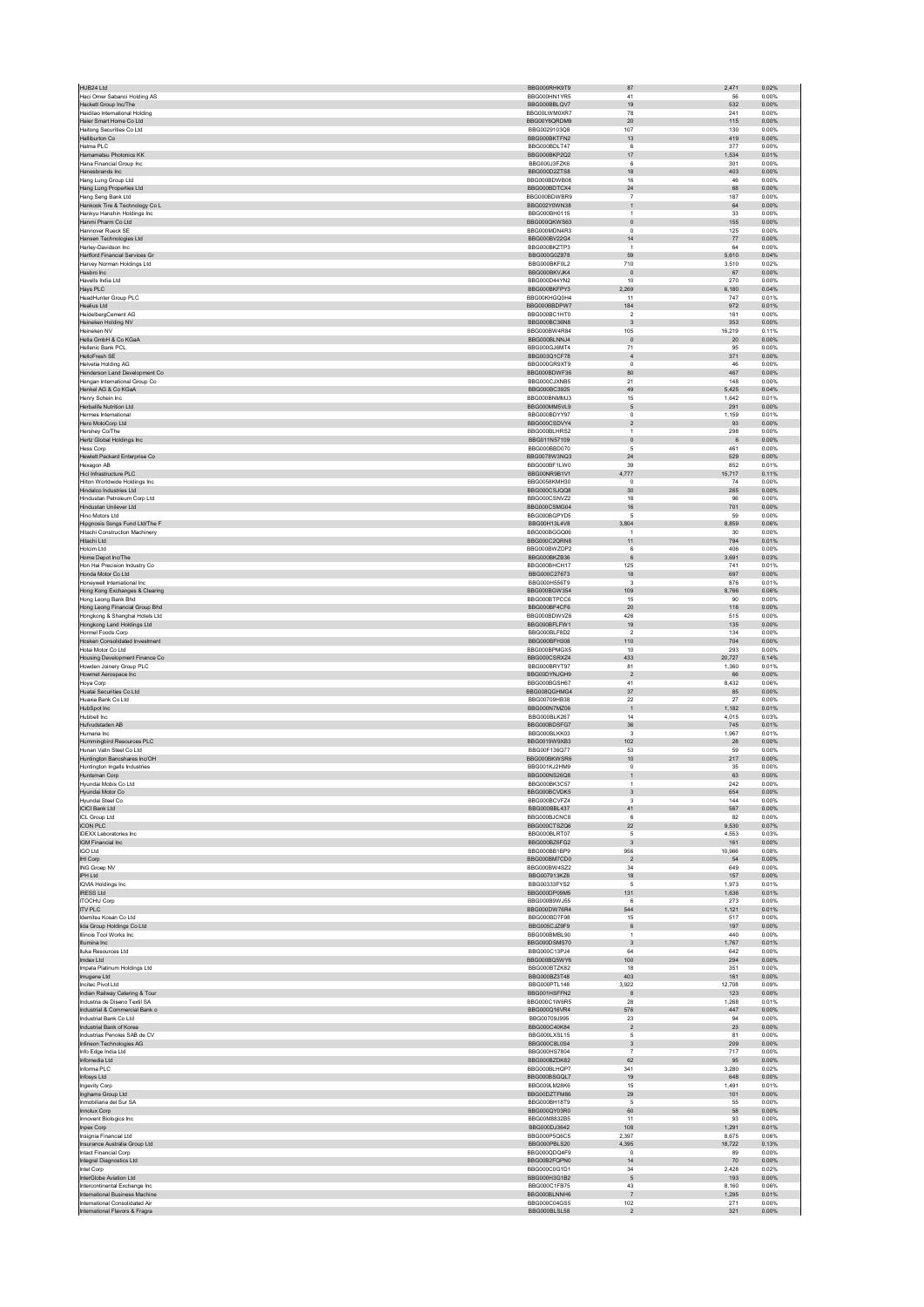| Haci Omer Sabanci Holding AS                                     | BBG000RHK9T9                 |                                |                 |                |
|------------------------------------------------------------------|------------------------------|--------------------------------|-----------------|----------------|
|                                                                  | BBG000HN1YR5                 | 41                             | 56              | 0.00%          |
| Hackett Group Inc/The<br>Haidilao International Holding          | BBG000BBLQV7<br>BBG00LWM0XR7 | 19<br>78                       | 532<br>241      | 0.00%<br>0.00% |
| Haier Smart Home Co Ltd                                          | BBG00Y6QRDM9                 | $20\,$                         | 115             | 0.00%          |
| Haitong Securities Co Ltd                                        | BBG0029103Q8                 | 107                            | 130             | 0.00%          |
| Halliburton Co                                                   | BBG000BKTFN2                 | 13<br>6                        | 419             | 0.00%          |
| Halma PLC<br>Hamamatsu Photonics KK                              | BBG000BDLT47<br>BBG000BKP2Q2 | 17                             | 377<br>1.534    | 0.00%<br>0.01% |
| Hana Financial Group Inc                                         | BBG000J3FZK6                 | 6                              | 301             | 0.00%          |
| Hanesbrands Inc                                                  | BBG000D2ZTS8                 | 18                             | 403             | 0.00%          |
| Hang Lung Group Ltd<br>Hang Lung Properties Ltd                  | BBG000BDWB08<br>BBG000BDTCX4 | 16<br>$\sqrt{24}$              | 46<br>68        | 0.00%<br>0.00% |
| Hang Seng Bank Ltd                                               | BBG000BDWBR9                 | $\overline{7}$                 | 187             | 0.00%          |
| Hankook Tire & Technology Co L                                   | BBG002Y0WN38                 | $\mathbf{1}$                   | 64              | 0.00%          |
| Hankyu Hanshin Holdings Inc                                      | BBG000BH0115                 | $\overline{1}$                 | 33              | 0.00%          |
| Hanmi Pharm Co Ltd                                               | BBG000QKWS63                 | $\circ$                        | 155             | 0.00%          |
| Hannover Rueck SE<br>Hansen Technologies Ltd                     | BBG000MDN4R3<br>BBG000BV22G4 | $\circ$<br>14                  | 125<br>77       | 0.00%<br>0.00% |
| Harley-Davidson Inc                                              | BBG000BKZTP3                 | $\overline{1}$                 | 64              | 0.00%          |
| <b>Hartford Financial Services Gr</b>                            | BBG000G0Z878                 | 59                             | 5,610           | 0.04%          |
| Harvey Norman Holdings Ltd                                       | BBG000BKF0L2                 | 710                            | 3,510           | 0.02%          |
| Hasbro Inc                                                       | BBG000BKVJK4                 | $\circ$                        | 67              | 0.00%          |
| Havells India Ltd<br>Hays PLC                                    | BBG000D44YN2<br>BBG000BKFPY3 | 10<br>2,269                    | 270<br>6,180    | 0.00%<br>0.04% |
| HeadHunter Group PLC                                             | BBG00KHGQ0H4                 | 11                             | 747             | 0.01%          |
| Healius Ltd                                                      | BBG000BBDPW7                 | 184                            | 972             | 0.01%          |
| HeidelbergCement AG                                              | BBG000BC1HT0                 | $\overline{2}$                 | 181             | 0.00%          |
| Heineken Holding NV<br>Heineken NV                               | BBG000BC36N8<br>BBG000BW4R84 | $\overline{\mathbf{3}}$<br>105 | 353<br>16,219   | 0.00%<br>0.11% |
| Hella GmbH & Co KGaA                                             | BBG000BLNNJ4                 | $\overline{0}$                 | 20              | 0.00%          |
| <b>Hellenic Bank PCL</b>                                         | BBG000GJ6MT4                 | 71                             | 95              | 0.00%          |
| HelloFresh SE                                                    | BBG003Q1CF78                 | $\sqrt{4}$                     | 371             | 0.00%          |
| Helvetia Holding AG<br>Henderson Land Development Co             | BBG000GR9XT9<br>BBG000BDWF36 | $\circ$<br>80                  | 46<br>467       | 0.00%<br>0.00% |
| Hengan International Group Co                                    | BBG000CJXNB5                 | 21                             | 148             | 0.00%          |
| Henkel AG & Co KGaA                                              | BBG000BC3925                 | 49                             | 5,425           | 0.04%          |
| Henry Schein Inc                                                 | BBG000BNMMJ3                 | 15                             | 1,642           | 0.01%          |
| <b>Herbalife Nutrition Ltd</b>                                   | BBG000MM5VL9                 | 5                              | 291             | 0.00%          |
| Hermes International<br>Hero MotoCorp Ltd                        | BBG000BDYY97<br>BBG000CSDVY4 | $\,0\,$<br>$\overline{2}$      | 1,159<br>93     | 0.01%<br>0.00% |
| Hershey Co/The                                                   | BBG000BLHRS2                 | $\overline{1}$                 | 298             | 0.00%          |
| Hertz Global Holdings Inc                                        | BBG011N57109                 | $\mathbf 0$                    | 6               | 0.00%          |
| <b>Hess Corp</b>                                                 | BBG000BBD070                 | 5                              | 461             | 0.00%          |
| Hewlett Packard Enterprise Co<br>Hexagon AB                      | BBG0078W3NQ3<br>BBG000BF1LW0 | 24<br>39                       | 529<br>852      | 0.00%<br>0.01% |
| Hicl Infrastructure PLC                                          | BBG00NR9B1V1                 | 4.777                          | 15,717          | 0.11%          |
| Hilton Worldwide Holdings Inc                                    | BBG0058KMH30                 | $\,0\,$                        | $74\,$          | 0.00%          |
| Hindalco Industries Ltd                                          | BBG000CSJQQ8                 | 30                             | 265             | 0.00%          |
| Hindustan Petroleum Corp Ltd                                     | BBG000CSNVZ2                 | 18                             | 96              | 0.00%          |
| Hindustan Unilever Ltd<br>Hinn Motors I td.                      | BBG000CSMG04<br>BBG000BGPYD5 | $16\,$<br>5                    | 701<br>59       | 0.00%<br>0.00% |
| Hipgnosis Songs Fund Ltd/The F                                   | BBG00H13L4V8                 | 3,804                          | 8,859           | 0.06%          |
| Hitachi Construction Machinerv                                   | BBG000BGGQ06                 | $\overline{1}$                 | 30              | 0.00%          |
| Hitachi Ltd                                                      | BBG000C2QRN8                 | 11                             | 794             | 0.01%          |
| Holcim I td                                                      | BBG000BWZDP2                 | 6                              | 406             | 0.00%          |
| Home Depot Inc/The<br>Hon Hai Precision Industry Co              | BBG000BKZB36<br>BBG000BHCH17 | 6<br>125                       | 3.691<br>741    | 0.03%<br>0.01% |
| Honda Motor Co Ltd                                               | BBG000C27673                 | 18                             | 697             | 0.00%          |
| Honeywell International Inc                                      | BBG000H556T9                 | $\overline{\mathbf{3}}$        | 876             | 0.01%          |
| Hong Kong Exchanges & Clearing                                   | BBG000BGW354                 | 109                            | 8,766           | 0.06%          |
| Hong Leong Bank Bhd                                              | BBG000BTPCC6<br>BBG000BF4CF6 | 15<br>$20\,$                   | 90<br>116       | 0.00%<br>0.00% |
| Hong Leong Financial Group Bhd<br>Hongkong & Shanghai Hotels Ltd | BBG000BDWVZ6                 | 426                            | 515             | 0.00%          |
| Hongkong Land Holdings Ltd                                       | BBG000BFLFW1                 | 19                             | 135             | 0.00%          |
| Hormel Foods Corp                                                | BBG000BLF8D2                 | $\overline{2}$                 | 134             | 0.00%          |
| Hosken Consolidated Investment                                   | BBG000BFH308                 | 110                            | 704             | 0.00%          |
| Hotai Motor Co Ltd<br>Housing Development Finance Co             | BBG000BPMGX5<br>BBG000CSRXZ4 | $10$<br>433                    | 293<br>20,727   | 0.00%<br>0.14% |
| Howden Joinery Group PLC                                         | BBG000BRYT97                 | 81                             | 1,360           | 0.01%          |
| Howmet Aerospace Inc                                             | BBG00DYNJGH9                 | $\overline{2}$                 | 66              | 0.00%          |
| Hoya Corp                                                        | BBG000BGSH67                 | 41                             | 8.432           | 0.06%          |
|                                                                  |                              |                                | 85              | 0.00%          |
| Huatai Securities Co Ltd                                         | BBG008QGHMG4                 | 37                             |                 |                |
| Huaxia Bank Co Ltd                                               | BBG00709HB38                 | 22                             | 27              | 0.00%          |
| HubSpot Inc<br>Hubbell Inc.                                      | BBG000N7MZ06<br>BBG000BLK267 | $\overline{1}$<br>14           | 1,182<br>4,015  | 0.01%<br>0.03% |
| Hufvudstaden AB                                                  | BBG000BDSEG7                 | 36                             | 745             | 0.01%          |
| Humana Inc                                                       | BBG000BLKK03                 | $\overline{\mathbf{3}}$        | 1,967           | 0.01%          |
| Hummingbird Resources PLC                                        | BBG0019W9XB3                 | 102                            | 28              | 0.00%          |
| Hunan Valin Steel Co Ltd                                         | BBG00F136Q77<br>BBG000BKWSR6 | 53                             | 59<br>217       | 0.00%<br>0.00% |
| Huntington Bancshares Inc/OH<br>Huntington Ingalls Industries    | BBG001KJ2HM9                 | $10$<br>$\circ$                | 35              | 0.00%          |
| Huntsman Corp                                                    | BBG000NS26Q8                 |                                | 63              | 0.00%          |
| Hyundai Mobis Co Ltd                                             | BBG000BK3C57                 |                                | 242             | 0.00%          |
| Hyundai Motor Co                                                 | BBG000BCVDK5<br>BBG000BCVE74 | $_{\rm 3}$<br>$\mathbf{3}$     | 654<br>144      | 0.00%<br>0.00% |
| Hyundai Steel Co<br><b>ICICI Bank Ltd</b>                        | BBG000BBL437                 | 41                             | 567             | 0.00%          |
| ICL Group Ltd                                                    | BBG000BJCNC8                 | 6                              | 82              | 0.00%          |
| <b>ICON PLC</b>                                                  | BBG000CTSZQ6                 | 22                             | 9,530           | 0.07%          |
| <b>IDEXX Laboratories Inc</b>                                    | BBG000BLRT07                 | $\sqrt{5}$                     | 4,553           | 0.03%          |
| <b>IGM Financial Inc</b><br><b>IGO Ltd</b>                       | BBG000BZ6FG2<br>BBG000BB1BP9 | $_{3}$<br>956                  | 161<br>10.966   | 0.00%<br>0.08% |
| IHI Corp                                                         | BBG000BM7CD0                 | $\overline{2}$                 | 54              | 0.00%          |
| ING Groep NV                                                     | BBG000BW4SZ2                 | 34                             | 649             | 0.00%          |
| IPH Ltd<br><b>IQVIA Holdings Inc</b>                             | BBG007913KZ6<br>BBG00333FYS2 | $18$<br>$\sqrt{5}$             | 157<br>1,973    | 0.00%<br>0.01% |
| <b>IRESS Ltd</b>                                                 | BBG000DP09M5                 | 131                            | 1.636           | 0.01%          |
| <b>ITOCHU Corp</b>                                               | BBG000B9WJ55                 | 6                              | 273             | 0.00%          |
| <b>ITV PLC</b>                                                   | BBG000DW76R4                 | 544                            | 1,121           | 0.01%          |
| Idemitsu Kosan Co Ltd<br>lida Group Holdings Co Ltd              | BBG000BD7F98<br>BBG005CJZ9F9 | 15<br>$\,6\,$                  | 517<br>197      | 0.00%<br>0.00% |
| Illinois Tool Works Inc.                                         | BBG000BMBL90                 | $\overline{1}$                 | 440             | 0.00%          |
| Illumina Inc                                                     | BBG000DSMS70                 | $\overline{\mathbf{3}}$        | 1,767           | 0.01%          |
| Iluka Resources Ltd                                              | BBG000C13PJ4                 | 64                             | 642             | 0.00%          |
| Imdex Ltd<br>Impala Platinum Holdings Ltd                        | BBG000BQ5WY6<br>BBG000BTZK82 | 100<br>18                      | 294<br>351      | 0.00%<br>0.00% |
| Imugene Ltd                                                      | BBG000BZ3T48                 | 403                            | 161             | 0.00%          |
| Incitec Pivot Ltd                                                | BBG000PTL148                 | 3,922                          | 12,708          | 0.09%          |
| Indian Railway Catering & Tour                                   | BBG001HSFFN2                 | $\boldsymbol{8}$               | 123             | 0.00%          |
| Industria de Diseno Textil SA<br>Industrial & Commercial Bank o  | BBG000C1W6R5<br>BBG000Q16VR4 | 28<br>576                      | 1,268<br>447    | 0.01%<br>0.00% |
| Industrial Bank Co Ltd                                           | BBG00709J995                 | 23                             | 94              | 0.00%          |
| Industrial Bank of Korea                                         | BBG000C40K84                 | $\overline{2}$                 | $23\,$          | 0.00%          |
| Industrias Penoles SAB de CV                                     | BBG000LXSL15                 | 5                              | 81              | 0.00%          |
| Infineon Technologies AG                                         | BBG000C8L0S4                 | $_{\rm 3}$<br>$\overline{7}$   | 209             | 0.00%          |
| Info Edge India Ltd<br>Infomedia Ltd                             | BBG000HS7804<br>BBG000BZDK82 | 62                             | 717<br>95       | 0.00%<br>0.00% |
| Informa PLC                                                      | BBG000BLHQP7                 | 341                            | 3,280           | 0.02%          |
| Infosys Ltd                                                      | BBG000BSGQL7                 | 19                             | 648             | 0.00%          |
| Ingevity Corp                                                    | BBG009LM28K6                 | 15                             | 1,491           | 0.01%          |
| Inghams Group Ltd<br>Inmobiliaria del Sur SA                     | BBG00DZTFM86<br>BBG000BH18T9 | $29\,$<br>5                    | 101<br>55       | 0.00%<br>0.00% |
| Innolux Corp                                                     | BBG000QY03R0                 | 60                             | 58              | 0.00%          |
| Innovent Biologics Inc.                                          | BBG00M8832B5                 | 11                             | 93              | 0.00%          |
| Inpex Corp                                                       | BBG000DJ3642                 | 108                            | 1,291           | 0.01%          |
| Insignia Financial Ltd<br>Insurance Australia Group Ltd          | BBG000P5Q6C5<br>BBG000PBLS20 | 2,397<br>4.395                 | 8,675<br>18,722 | 0.06%<br>0.13% |
| <b>Intact Financial Corp</b>                                     | BBG000QDQ4F9                 | $\circ$                        | 89              | 0.00%          |
| Integral Diagnostics Ltd                                         | BBG00B2FQPN0                 | 14                             | 70              | 0.00%          |
| Intel Corp                                                       | BBG000C0G1D1                 | 34                             | 2,428           | 0.02%          |
| InterGlobe Aviation Ltd<br>Intercontinental Exchange Inc.        | BBG000H3G1B2<br>BBG000C1FB75 | $\sqrt{5}$<br>43               | 193<br>8.160    | 0.00%<br>0.06% |
| International Business Machine                                   | BBG000BLNNH6                 | $\overline{7}$                 | 1,295           | 0.01%          |
| International Consolidated Air<br>International Flavors & Fragra | BBG000C04GS5<br>BBG000BLSL58 | 102<br>$\overline{2}$          | 271<br>321      | 0.00%<br>0.00% |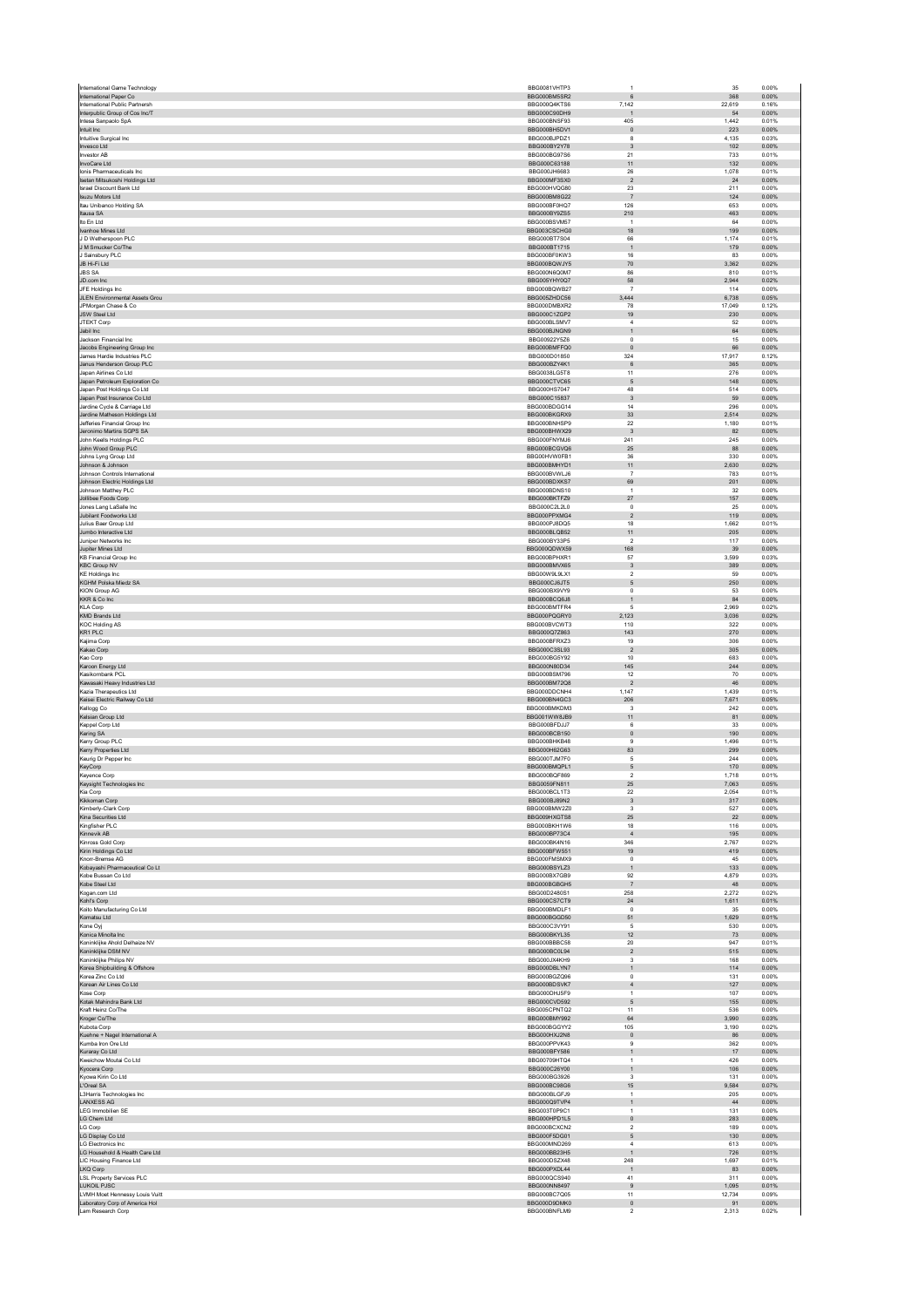| International Paper Co<br>International Public Partnersh    | BBG000BM5SR2<br>BBG000Q4KTS6 | 6                               | 368<br>22,619  | 0.00%<br>0.16% |
|-------------------------------------------------------------|------------------------------|---------------------------------|----------------|----------------|
| Interpublic Group of Cos Inc/T                              | BBG000C90DH9                 | 7,142<br>$\overline{1}$         | 54             | 0.00%          |
| Intesa Sanpaolo SpA                                         | BBG000BNSF93                 | 405                             | 1,442          | 0.01%          |
| Intuit Inc                                                  | BBG000BH5DV1                 | $\mathbf{0}$                    | 223            | 0.00%          |
| Intuitive Surgical Inc<br>Invesco Ltd                       | BBG000BJPDZ1<br>BBG000BY2Y78 | 8<br>3                          | 4,135<br>102   | 0.03%<br>0.00% |
| <b>Investor AB</b>                                          | BBG000BG97S6                 | 21                              | 733            | 0.01%          |
| InvoCare Ltd                                                | BBG000C63188                 | 11                              | 132            | 0.00%          |
| lonis Pharmaceuticals Inc.                                  | BBG000JH6683                 | 26                              | 1.078          | 0.01%          |
| Isetan Mitsukoshi Holdings Ltd<br>Israel Discount Bank Ltd  | BBG000MF3SX0<br>BBG000HVQG80 | $\overline{2}$<br>23            | 24<br>211      | 0.00%<br>0.00% |
| Isuzu Motors Ltd                                            | BBG000BM8G22                 | $\overline{7}$                  | 124            | 0.00%          |
| Itau Unibanco Holding SA                                    | BBG000BF0HQ7                 | 126                             | 653            | 0.00%          |
| Itausa SA                                                   | BBG000BY9ZS5                 | 210                             | 463            | 0.00%          |
| Ito En Ltd                                                  | BBG000BSVM57                 | $\mathbf{1}$                    | 64             | 0.00%          |
| Ivanhoe Mines Ltd<br>J D Wetherspoon PLC                    | BBG003CSCHG0                 | 18                              | 199            | 0.00%          |
| J M Smucker Co/The                                          | BBG000BT7S04<br>BBG000BT1715 | 66<br>$\,$ 1 $\,$               | 1,174<br>179   | 0.01%<br>0.00% |
| J Sainsbury PLC                                             | BBG000BF0KW3                 | 16                              | 83             | 0.00%          |
| JB Hi-Fi Ltd                                                | BBG000BQWJY5                 | $70$                            | 3,362          | 0.02%          |
| <b>JBS SA</b>                                               | BBG000N6Q0M7                 | 86                              | 810            | 0.01%          |
| JD.com Inc                                                  | BBG005YHY0Q7                 | 58                              | 2,944          | 0.02%          |
| JFE Holdings Inc.<br><b>JLEN Environmental Assets Grou</b>  | BBG000BQWB27<br>BBG005ZHDC56 | $\overline{7}$<br>3.444         | 114<br>6.738   | 0.00%<br>0.05% |
| JPMorgan Chase & Co                                         | BBG000DMBXR2                 | 78                              | 17,049         | 0.12%          |
| <b>JSW Steel Ltd</b>                                        | BBG000C1ZGP2                 | 19                              | 230            | 0.00%          |
| JTEKT Corp                                                  | BBG000BLSMV7                 | $\overline{4}$                  | 52             | 0.00%          |
| Jabil Inc                                                   | BBG000BJNGN9                 | $\mathbf{1}$                    | 64             | 0.00%          |
| Jackson Financial Inc.<br>Jacobs Engineering Group Inc      | BBG00922Y5Z6<br>BBG000BMFFQ0 | $^{\circ}$<br>$\mathbf 0$       | 15<br>66       | 0.00%<br>0.00% |
| James Hardie Industries PLC                                 | BBG000D01850                 | 324                             | 17,917         | 0.12%          |
| Janus Henderson Group PLC                                   | BBG000BZY4K1                 | $\,6\,$                         | 365            | 0.00%          |
| Japan Airlines Co Ltd                                       | BBG0038LG5T8                 | 11                              | 276            | 0.00%          |
| Japan Petroleum Exploration Co                              | BBG000CTVC65                 | 5                               | 148            | 0.00%          |
| Japan Post Holdings Co Ltd                                  | BBG000HS7047                 | 48                              | 514            | 0.00%          |
| Japan Post Insurance Co Ltd<br>Jardine Cycle & Carriage Ltd | BBG000C15837<br>BBG000BDGG14 | $\mathbf{3}$<br>14              | 59<br>296      | 0.00%<br>0.00% |
| Jardine Matheson Holdings Ltd                               | BBG000BKGRX9                 | $33\,$                          | 2,514          | 0.02%          |
| Jefferies Financial Group Inc.                              | BBG000BNHSP9                 | 22                              | 1.180          | 0.01%          |
| Jeronimo Martins SGPS SA                                    | BBG000BHWX29                 | $_{\rm 3}$                      | 82             | 0.00%          |
| John Keells Holdings PLC                                    | BBG000FNYMJ6                 | 241                             | 245            | 0.00%          |
| John Wood Group PLC<br>Johns Lyng Group Ltd                 | BBG000BCGVQ6<br>BBG00HVW0FB1 | 25<br>36                        | 88<br>330      | 0.00%<br>0.00% |
| Johnson & Johnson                                           | BBG000BMHYD1                 | 11                              | 2.630          | 0.02%          |
| Johnson Controls International                              | BBG000BVWLJ6                 | $\overline{7}$                  | 783            | 0.01%          |
| Johnson Electric Holdings Ltd                               | BBG000BDXKS7                 | 69                              | 201            | 0.00%          |
| Johnson Matthey PLC                                         | BBG000BDNS10                 | 1                               | 32             | 0.00%          |
| Jollibee Foods Corp<br>Jones Lang LaSalle Inc               | BBG000BKTFZ9<br>BBG000C2L2L0 | 27<br>$^{\circ}$                | 157<br>25      | 0.00%<br>0.00% |
| Jubilant Foodworks Ltd                                      | BBG000PPXMG4                 | $\sqrt{2}$                      | 119            | 0.00%          |
| Julius Baer Group Ltd                                       | BBG000PJ8DQ5                 | 18                              | 1,662          | 0.01%          |
| Jumbo Interactive Ltd                                       | BBG000BLQB52                 | 11                              | 205            | 0.00%          |
| Juniper Networks Inc                                        | BBG000BY33P5                 | $\sqrt{2}$                      | 117            | 0.00%          |
| Jupiter Mines Ltd                                           | BBG000QDWX59                 | 168                             | 39             | 0.00%          |
| <b>KB Financial Group Inc</b><br><b>KBC Group NV</b>        | BBG000BPHXR1<br>BBG000BMVX65 | 57<br>$\ensuremath{\mathsf{3}}$ | 3,599<br>389   | 0.03%<br>0.00% |
| <b>KE Holdings Inc.</b>                                     | BBG00W9L9LX1                 | $\overline{2}$                  | 59             | 0.00%          |
| KGHM Polska Miedz SA                                        | BBG000CJ6JT5                 | $\mathsf S$                     | 250            | 0.00%          |
| <b>KION Group AG</b>                                        | BBG000BX9VY9                 | $^{\circ}$                      | 53             | 0.00%          |
| KKR & Co Inc                                                | BBG000BCQ6J8                 | $\mathbf{1}$                    | $^{84}\,$      | 0.00%          |
| <b>KLA Corp</b><br><b>KMD Brands Ltd</b>                    | BBG000BMTFR4<br>BBG000PQGRY0 | 5<br>2,123                      | 2.969<br>3,036 | 0.02%<br>0.02% |
| <b>KOC Holding AS</b>                                       | BBG000BVCWT3                 | 110                             | 322            | 0.00%          |
| KR1 PLC                                                     | BBG000Q7Z863                 | 143                             | 270            | 0.00%          |
| Kajima Corp                                                 | BBG000BFRXZ3                 | 19                              | 306            | 0.00%          |
| Kakao Corp                                                  | BBG000C3SL93                 | $\overline{2}$                  | 305            | 0.00%          |
| Kao Corp<br>Karoon Energy Ltd                               | BBG000BG5Y92<br>BBG000N80D34 | 10<br>145                       | 683<br>244     | 0.00%<br>0.00% |
| Kasikornbank PCL                                            | BBG000BSM796                 | 12                              | 70             | 0.00%          |
|                                                             |                              |                                 |                | 0.00%          |
| Kawasaki Heavy Industries Ltd                               | BBG000BM72Q8                 | $\sqrt{2}$                      | $\bf 46$       |                |
| Kazia Therapeutics Ltd                                      | BBG000DDCNH4                 | 1,147                           | 1,439          | 0.01%          |
| Keisei Electric Railway Co Ltd                              | BBG000BN4GC3                 | 206                             | 7.671          | 0.05%          |
| Kellogg Co                                                  | BBG000BMKDM3                 | $\overline{3}$                  | 242            | 0.00%          |
| Kelsian Group Ltd                                           | BBG001WW8JB9                 | 11                              | 81             | 0.00%          |
| Keppel Corp Ltd                                             | BBG000BFDJJ7<br>BBG000BCB150 | 6                               | 33<br>190      | 0.00%<br>0.00% |
| Kering SA<br>Kerry Group PLC                                | BBG000BHKB48                 | $\mathbf 0$<br>9                | 1.496          | 0.01%          |
| Kerry Properties Ltd                                        | BBG000H62G63                 | 83                              | 299            | 0.00%          |
| Keurig Dr Pepper Inc.                                       | BBG000TJM7F0                 | 5                               | 244            | 0.00%          |
| KeyCorp                                                     | BBG000BMQPL1<br>BBG000BOF869 | $\mathsf S$                     | 170            | 0.00%          |
| Keyence Corp                                                | BBG0059FN811                 | $\overline{2}$<br>25            | 1,718<br>7.063 | 0.01%<br>0.05% |
| Keysight Technologies Inc<br>Kia Corp                       | BBG000BCL1T3                 | $22\,$                          | 2,054          | 0.01%          |
| Kikkoman Corp                                               | BBG000BJ89N2                 | 3                               | 317            | 0.00%          |
| Kimberly-Clark Corp                                         | BBG000BMW2Z0                 | $\mathbf 3$                     | 527            | 0.00%          |
| Kina Securities Ltd                                         | BBG009HXGTS8                 | 25<br>18                        | 22<br>116      | 0.00%<br>0.00% |
| Kingfisher PLC<br>Kinnevik AB                               | BBG000BKH1W6<br>BBG000BP73C4 | $\sqrt{4}$                      | 195            | 0.00%          |
| Kinross Gold Corp                                           | BBG000BK4N16                 | 346                             | 2,767          | 0.02%          |
| Kirin Holdings Co Ltd                                       | BBG000BFW551                 | 19                              | 419            | 0.00%          |
| Knorr-Bremse AG                                             | BBG000FMSMX9                 | $\mathbf 0$                     | 45             | 0.00%          |
| Kobayashi Pharmaceutical Co Lt<br>Kobe Bussan Co Ltd        | BBG000BSYLZ3<br>BBG000BX7GB9 | $\overline{1}$<br>92            | 133<br>4,879   | 0.00%<br>0.03% |
| Kobe Steel Ltd                                              | BBG000BGBGH5                 | $\overline{7}$                  | 48             | 0.00%          |
| Kogan.com Ltd                                               | BBG00D2480S1                 | 258                             | 2,272          | 0.02%          |
| Kohl's Corp                                                 | BBG000CS7CT9                 | 24                              | 1,611          | 0.01%          |
| Koito Manufacturing Co Ltd<br>Komatsu Ltd                   | BBG000BMDLF1<br>BBG000BGGD50 | $^{\circ}$<br>51                | 35<br>1,629    | 0.00%<br>0.01% |
| Kone Oyj                                                    | BBG000C3VY91                 | $\overline{5}$                  | 530            | 0.00%          |
| Konica Minolta Inc                                          | BBG000BKYL35                 | 12                              | 73             | 0.00%          |
| Koninklijke Ahold Delhaize NV                               | BBG000BBBC58                 | 20                              | 947            | 0.01%          |
| Koninklijke DSM NV                                          | BBG000BC0L94                 | $\overline{2}$                  | 515            | 0.00%          |
| Koninklijke Philips NV<br>Korea Shipbuilding & Offshore     | BBG000JX4KH9<br>BBG000DBLYN7 | $\mathsf 3$<br>$\mathbf{1}$     | 168            | 0.00%<br>0.00% |
| Korea Zinc Co Ltd                                           | BBG000BGZQ96                 | $\pmb{0}$                       | 114<br>131     | 0.00%          |
| Korean Air Lines Co Ltd                                     | BBG000BDSVK7                 | $\sqrt{4}$                      | 127            | 0.00%          |
| Kose Corp                                                   | BBG000DHJ5F9                 | 1                               | 107            | 0.00%          |
| Kotak Mahindra Bank Ltd                                     | BBG000CVD592                 | $\mathsf S$<br>11               | 155            | 0.00%          |
| Kraft Heinz Co/The<br>Kroger Co/The                         | BBG005CPNTQ2<br>BBG000BMY992 | 64                              | 536<br>3,990   | 0.00%<br>0.03% |
| Kubota Corp                                                 | BBG000BGGYY2                 | 105                             | 3,190          | 0.02%          |
| Kuehne + Nagel International A                              | BBG000HXJ2N8                 | $\circ$                         | 86             | 0.00%          |
| Kumba Iron Ore Ltd                                          | BBG000PPVK43                 | $\boldsymbol{9}$                | 362            | 0.00%          |
| Kuraray Co Ltd                                              | BBG000BFY586                 | $\mathbf{1}$<br>$\mathbf{1}$    | 17             | 0.00%          |
| Kweichow Moutai Co Ltd<br>Kyocera Corp                      | BBG00709HTQ4<br>BBG000C26Y00 | $\mathbf{1}$                    | 426<br>106     | 0.00%<br>0.00% |
| Kvowa Kirin Co Ltd                                          | BBG000BG3926                 | 3                               | 131            | 0.00%          |
| L'Oreal SA                                                  | BBG000BC98G6                 | 15                              | 9,584          | 0.07%          |
| L3Harris Technologies Inc                                   | BBG000BLGFJ9                 | $\mathbf{1}$                    | 205            | 0.00%          |
| LANXESS AG                                                  | BBG000Q9TVP4                 | $\mathbf{1}$                    | $\bf{44}$      | 0.00%          |
| <b>LEG Immobilien SE</b><br>LG Chem Ltd                     | BBG003T0P9C1<br>BBG000HPD1L5 | $\mathbf{1}$<br>$\circ$         | 131<br>283     | 0.00%<br>0.00% |
| LG Corp                                                     | BBG000BCXCN2                 | $\sqrt{2}$                      | 189            | 0.00%          |
| LG Display Co Ltd                                           | BBG000F5DG01                 | 5                               | 130            | 0.00%          |
| <b>LG Electronics Inc</b>                                   | BBG000MND269                 | $\overline{4}$                  | 613            | 0.00%          |
| LG Household & Health Care Ltd                              | BBG000BB23H5                 | $\mathbf{1}$                    | 726            | 0.01%          |
| LIC Housing Finance Ltd                                     | BBG000DSZX48                 | 248<br>$\overline{1}$           | 1.697          | 0.01%          |
| LKQ Corp<br><b>LSL Property Services PLC</b>                | BBG000PXDL44<br>BBG000QCS940 | 41                              | 83<br>311      | 0.00%<br>0.00% |
| LUKOIL PJSC                                                 | BBG000NN8497                 | $\boldsymbol{9}$                | 1,095          | 0.01%          |
| LVMH Moet Hennessy Louis Vuitt                              | BBG000BC7Q05                 | 11                              | 12,734         | 0.09%          |
| Laboratory Corp of America Hol<br>Lam Research Corp         | BBG000D9DMK0<br>BBG000BNFLM9 | $\circ$<br>$\boldsymbol{2}$     | 91<br>2,313    | 0.00%<br>0.02% |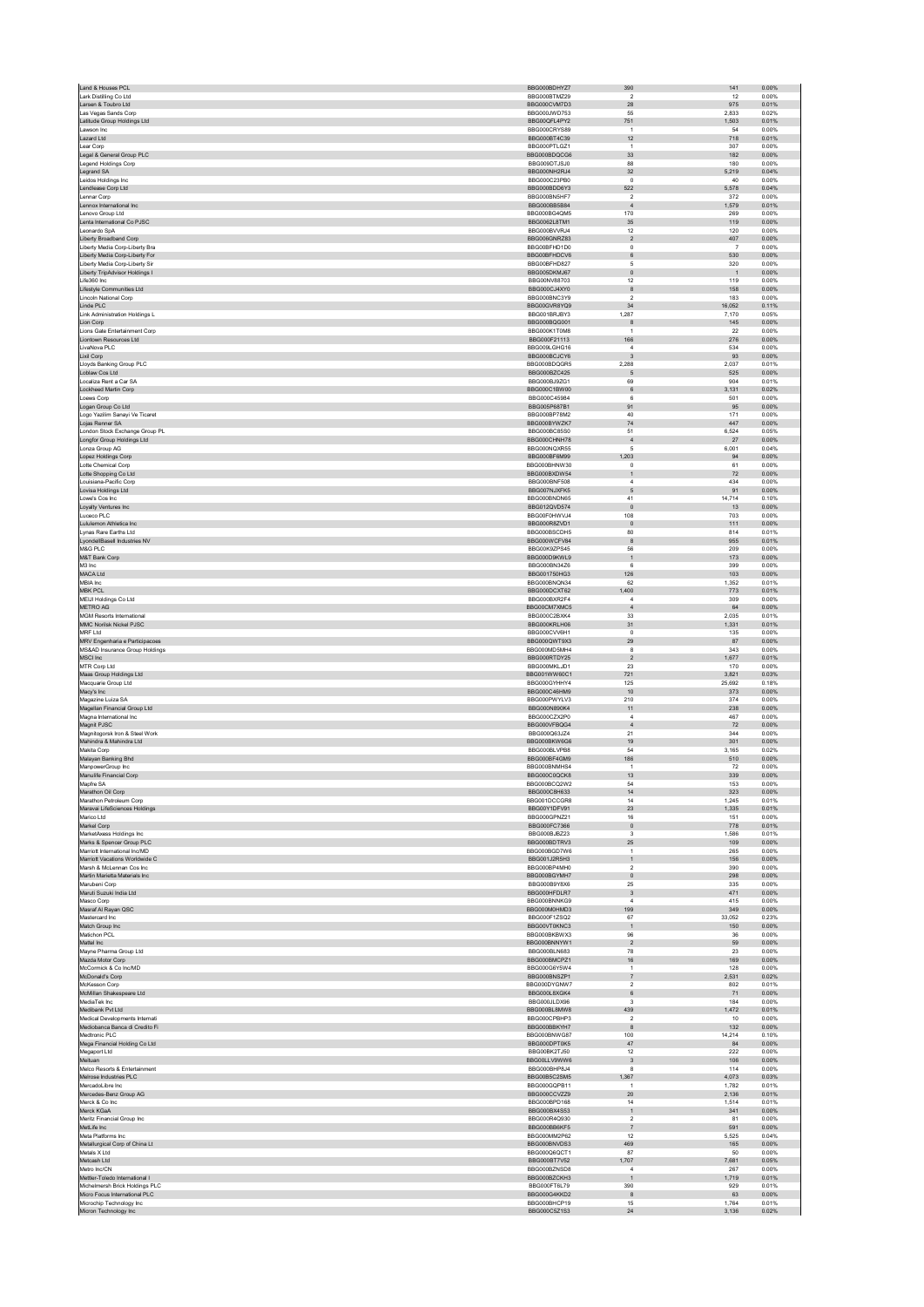|                                                                  | BBG000BDHYZ7                 | 390                                    | 141                   | 0.00%          |
|------------------------------------------------------------------|------------------------------|----------------------------------------|-----------------------|----------------|
| Lark Distilling Co Ltd                                           | BBG000BTMZ29                 | $\overline{2}$                         | $12\,$                | 0.00%          |
| Larsen & Toubro Ltd<br>Las Vegas Sands Corp                      | BBG000CVM7D3<br>BBG000JWD753 | 28<br>55                               | 975<br>2,833          | 0.01%<br>0.02% |
| Latitude Group Holdings Ltd                                      | BBG00QFL4PY2                 | 751                                    | 1,503                 | 0.01%          |
| Lawson Inc.                                                      | BBG000CRYS89                 | $\overline{1}$                         | 54                    | 0.00%          |
| Lazard Ltd                                                       | BBG000BT4C39                 | 12<br>$\mathbf{1}$                     | 718                   | 0.01%          |
| Lear Corp<br>Legal & General Group PLC                           | BBG000PTLGZ1<br>BBG000BDQCG6 | 33                                     | 307<br>182            | 0.00%<br>0.00% |
| Legend Holdings Corp                                             | BBG009DTJSJ0                 | 88                                     | 180                   | 0.00%          |
| Legrand SA                                                       | BBG000NH2RJ4                 | 32                                     | 5,219                 | 0.04%          |
| Leidos Holdings Inc<br>Lendlease Corp Ltd                        | BBG000C23PB0<br>BBG000BDD6Y3 | $\,0\,$<br>522                         | 40<br>5,578           | 0.00%<br>0.04% |
| Lennar Corp                                                      | BBG000BN5HF7                 | $\overline{2}$                         | 372                   | 0.00%          |
| Lennox International Inc                                         | BBG000BB5B84                 | $\sqrt{4}$                             | 1,579                 | 0.01%          |
| Lenovo Group Ltd                                                 | BBG000BG4QM5                 | 170                                    | 269                   | 0.00%          |
| Lenta International Co PJSC                                      | BBG0062L8TM1                 | $35\,$                                 | 119                   | 0.00%          |
| Leonardo SpA<br><b>Liberty Broadband Corp</b>                    | BBG000BVVRJ4<br>BBG006GNRZ83 | 12<br>$\overline{2}$                   | 120<br>407            | 0.00%<br>0.00% |
| Liberty Media Corp-Liberty Bra                                   | BBG00BFHD1D0                 | $\mathsf 0$                            | $\overline{7}$        | 0.00%          |
| Liberty Media Corp-Liberty For                                   | BBG00BFHDCV6                 | $\,6$                                  | 530                   | 0.00%          |
| Liberty Media Corp-Liberty Sir                                   | BBG00BFHD827                 | $\,$ 5 $\,$                            | 320                   | 0.00%          |
| Liberty TripAdvisor Holdings I<br>Life360 Inc                    | BBG005DKMJ67<br>BBG00NV88703 | $\mathbf 0$<br>12                      | $\overline{1}$<br>119 | 0.00%<br>0.00% |
| Lifestyle Communities Ltd                                        | BBG000CJ4XY0                 | $^{\rm 8}$                             | 158                   | 0.00%          |
| Lincoln National Corp                                            | BBG000BNC3Y9                 | $\mathcal{P}$                          | 183                   | 0.00%          |
| Linde PLC                                                        | BBG00GVR8YQ9                 | 34                                     | 16.052                | 0.11%          |
| Link Administration Holdings L                                   | BBG001BRJBY3                 | 1,287                                  | 7,170                 | 0.05%          |
| Lion Corp<br>Lions Gate Entertainment Corp                       | BBG000BQG001<br>BBG000K1T0M8 | 8<br>$\overline{1}$                    | 145<br>22             | 0.00%<br>0.00% |
| Liontown Resources Ltd                                           | BBG000F21113                 | 166                                    | 276                   | 0.00%          |
| LivaNova PLC                                                     | BBG009LGHG16                 | $\overline{4}$                         | 534                   | 0.00%          |
| Lixil Corp                                                       | BBG000BCJCY6                 | 3                                      | 93                    | 0.00%          |
| Lloyds Banking Group PLC                                         | BBG000BDQGR5                 | 2.288                                  | 2,037                 | 0.01%          |
| Loblaw Cos Ltd<br>Localiza Rent a Car SA                         | BBG000BZC425<br>BBG000BJ9ZG1 | $\sqrt{5}$<br>69                       | 525<br>904            | 0.00%<br>0.01% |
| Lockheed Martin Corp                                             | BBG000C1BW00                 | 6                                      | 3.131                 | 0.02%          |
| Loews Corp                                                       | BBG000C45984                 | 6                                      | 501                   | 0.00%          |
| Logan Group Co Ltd                                               | BBG005P687B1                 | 91                                     | 95                    | 0.00%          |
| Logo Yazilim Sanayi Ve Ticaret                                   | BBG000BP78M2<br>BBG000BYWZK7 | 40<br>74                               | 171<br>447            | 0.00%<br>0.00% |
| Lojas Renner SA<br>London Stock Exchange Group PL                | BBG000BC85S0                 | 51                                     | 6.524                 | 0.05%          |
| Longfor Group Holdings Ltd                                       | BBG000CHNH78                 | $\overline{4}$                         | 27                    | 0.00%          |
| Lonza Group AG                                                   | BBG000NQXR55                 | 5                                      | 6.001                 | 0.04%          |
| Lopez Holdings Corp                                              | BBG000BF6M99                 | 1,203                                  | 94                    | 0.00%          |
| Lotte Chemical Corp<br>Lotte Shopping Co Ltd                     | BBG000BHNW30<br>BBG000BXDW54 | $\Omega$<br>$\overline{1}$             | 61<br>72              | 0.00%<br>0.00% |
| Louisiana-Pacific Corp                                           | BBG000BNF508                 | $\overline{4}$                         | 434                   | 0.00%          |
| Lovisa Holdings Ltd                                              | BBG007NJXFK5                 | 5                                      | 91                    | 0.00%          |
| Lowe's Cos Inc                                                   | BBG000BNDN65                 | 41                                     | 14,714                | 0.10%          |
| Loyalty Ventures Inc                                             | BBG012QVD574                 | $\mathbf 0$                            | 13                    | 0.00%          |
| Luceco PLC                                                       | BBG00F0HWVJ4<br>BBG000R8ZVD1 | 108<br>$\mathbb O$                     | 703<br>111            | 0.00%<br>0.00% |
| Lululemon Athletica Inc<br>I ynas Rare Farths I td               | BBG000BSCDH5                 | 80                                     | 814                   | 0.01%          |
| LyondellBasell Industries NV                                     | BBG000WCFV84                 | $^{\rm 8}$                             | 955                   | 0.01%          |
| M&G PLC                                                          | BBG00K9ZPS45                 | 56                                     | 209                   | 0.00%          |
| M&T Bank Corp                                                    | BBG000D9KWL9                 | $\overline{1}$                         | 173                   | 0.00%          |
| M3 Inc<br>MACA Ltd                                               | BBG000BN34Z6                 | 6                                      | 399                   | 0.00%          |
| MBIA Inc                                                         | BBG001750HG3<br>BBG000BNQN34 | 126<br>62                              | 103<br>1,352          | 0.00%<br>0.01% |
| <b>MBK PCL</b>                                                   | BBG000DCXT62                 | ,400                                   | 773                   | 0.01%          |
| <b>MEIJI Holdings Co Ltd</b>                                     | BBG000BXR2F4                 | $\overline{4}$                         | 309                   | 0.00%          |
| METRO AG                                                         | BBG00CM7XMC5                 | $\overline{4}$                         | 64                    | 0.00%          |
| <b>MGM Resorts International</b><br>MMC Norilsk Nickel PJSC      | BBG000C2BXK4<br>BBG000KRLH06 | 33<br>31                               | 2.035<br>1,331        | 0.01%<br>0.01% |
| MRF I td                                                         | BBG000CVV6H1                 | $\Omega$                               | 135                   | 0.00%          |
| MRV Engenharia e Participacoes                                   | BBG000QWT9X3                 | 29                                     | 87                    | 0.00%          |
| MS&AD Insurance Group Holdings                                   | BBG000MD5MH4                 | 8                                      | 343                   | 0.00%          |
|                                                                  |                              |                                        |                       |                |
| <b>MSCI</b> Inc.                                                 | BBG000RTDY25                 | $\overline{2}$                         | 1,677                 | 0.01%          |
| MTR Corp Ltd                                                     | BBG000MKLJD1                 | 23                                     | 170                   | 0.00%          |
| Maas Group Holdings Ltd<br>Macquarie Group Ltd                   | BBG001WW60C1<br>BBG000GYHHY4 | 721<br>125                             | 3,821<br>25.692       | 0.03%<br>0.18% |
| Macy's Inc                                                       | BBG000C46HM9                 | $10$                                   | 373                   | 0.00%          |
| Magazine Luiza SA                                                | BBG000PWYLV3                 | 210                                    | 374                   | 0.00%          |
| Magellan Financial Group Ltd                                     | BBG000N890K4                 | 11                                     | 238                   | 0.00%          |
| Magna International Inc                                          | BBG000CZX2P0                 | $\boldsymbol{A}$                       | 467                   | 0.00%          |
| Magnit PJSC                                                      | BBG000VFBQG4                 | $\overline{4}$                         | 72                    | 0.00%<br>0.00% |
| Magnitogorsk Iron & Steel Work<br>Mahindra & Mahindra Ltd        | BBG000Q63JZ4<br>BBG000BKW6G6 | 21<br>19                               | 344<br>301            | 0.00%          |
| Makita Corp                                                      | BBG000BLVPB8                 | 54                                     | 3,165                 | 0.02%          |
| Malayan Banking Bhd                                              | BBG000BF4GM9                 | 186                                    | 510                   | 0.00%          |
| MannowerGroup Inc.                                               | BBG000BNMHS4                 | $\overline{1}$                         | 72                    | 0.00%          |
| Manulife Financial Corp<br>Mapfre SA                             | BBG000C0QCK8<br>BBG000BCQ2W2 | 13<br>54                               | 339<br>153            | 0.00%<br>0.00% |
| Marathon Oil Corp                                                | BBG000C8H633                 | $14\,$                                 | 323                   | 0.00%          |
| Marathon Petroleum Corp                                          | BBG001DCCGR8                 | 14                                     | 1.245                 | 0.01%          |
| Maravai LifeSciences Holdings                                    | BBG00Y1DFV91                 | 23                                     | 1.335                 | 0.01%          |
| Marico Ltd                                                       | BBG000GPNZ21                 | 16                                     | 151                   | 0.00%          |
| Markel Corp<br>MarketAxess Holdings Inc                          | BBG000FC7366<br>BBG000BJBZ23 | $\mathbf 0$<br>$\overline{\mathbf{3}}$ | 778<br>1,586          | 0.01%<br>0.01% |
| Marks & Spencer Group PLC                                        | BBG000BDTRV3                 | $25\,$                                 | 109                   | 0.00%          |
| Marriott International Inc/MD                                    | BBG000BGD7W6                 | $\overline{1}$                         | 265                   | 0.00%          |
| Marriott Vacations Worldwide C<br>Marsh & McLennan Cos Inc.      | BBG001J2R5H3                 | $\mathbf{1}$<br>$\overline{2}$         | 156<br>390            | 0.00%<br>0.00% |
| Martin Marietta Materials Inc                                    | BBG000BP4MH0<br>BBG000BGYMH7 | $\,$ 0                                 | 298                   | 0.00%          |
| Marubeni Corp                                                    | BBG000B9Y8X6                 | 25                                     | 335                   | 0.00%          |
| Maruti Suzuki India Ltd.                                         | BBG000HFDLR7                 | $\overline{3}$                         | 471                   | 0.00%          |
| Masco Corp                                                       | BBG000BNNKG9<br>BBG000M0HMD3 | $\sqrt{4}$<br>199                      | 415<br>349            | 0.00%<br>0.00% |
| Masraf Al Rayan QSC<br>Mastercard Inc                            | BBG000F1ZSQ2                 | 67                                     | 33,052                | 0.23%          |
| Match Group Inc                                                  | BBG00VT0KNC3                 | $\mathbf 1$                            | 150                   | 0.00%          |
| Matichon PCI                                                     | BBG000BKBWX3                 | 96                                     | 36                    | 0.00%          |
| Mattel Inc                                                       | BBG000BNNYW1                 | $\sqrt{2}$                             | 59                    | 0.00%          |
| Mayne Pharma Group Ltd<br>Mazda Motor Corp                       | BBG000BLN683<br>BBG000BMCPZ1 | 78<br>$16\,$                           | 23<br>169             | 0.00%<br>0.00% |
| McCormick & Co Inc/MD                                            | BBG000G6Y5W4                 | $\mathbf{1}$                           | 128                   | 0.00%          |
| McDonald's Corp                                                  | BBG000BNSZP1                 | $\overline{7}$                         | 2.531                 | 0.02%          |
| McKesson Corp                                                    | BBG000DYGNW7                 | $\sqrt{2}$                             | 802                   | 0.01%          |
| McMillan Shakespeare Ltd<br>MediaTek Inc                         | BBG000L8XGK4<br>BBG000JLDX96 | $\,6$<br>$\overline{\mathbf{3}}$       | 71<br>184             | 0.00%<br>0.00% |
| Medibank Pvt Ltd                                                 | BBG000BL8MW8                 | 439                                    | 1,472                 | 0.01%          |
| Medical Developments Internati                                   | BBG000CPBHP3                 | $\overline{2}$                         | 10                    | 0.00%          |
| Mediobanca Banca di Credito Fi                                   | BBG000BBKYH7                 | 8                                      | 132                   | 0.00%          |
| Medtronic PLC                                                    | BBG000BNWG87                 | 100                                    | 14,214                | 0.10%          |
| Mega Financial Holding Co Ltd<br>Megaport Ltd                    | BBG000DPT0K5<br>BBG00BK2TJ50 | $47\,$<br>12                           | 84<br>222             | 0.00%<br>0.00% |
| Meituan                                                          | BBG00LLV9WW6                 | $\overline{3}$                         | 106                   | 0.00%          |
| Melco Resorts & Entertainment                                    | BBG000BHP8J4                 | 8                                      | 114                   | 0.00%          |
| Melrose Industries PLC                                           | BBG00B5C2SM5                 | 1,367                                  | 4,073                 | 0.03%          |
| MercadoLibre Inc<br>Mercedes-Benz Group AG                       | BBG000GQPB11<br>BBG000CCVZZ9 | -1<br>$20\,$                           | 1,782<br>2,136        | 0.01%<br>0.01% |
| Merck & Co Inc.                                                  | BBG000BPD168                 | 14                                     | 1.514                 | 0.01%          |
| Merck KGaA                                                       | BBG000BX4S53                 | $\overline{1}$                         | 341                   | 0.00%          |
| Meritz Financial Group Inc                                       | BBG000R4Q930                 | $\overline{2}$                         | 81                    | 0.00%          |
| MetLife Inc                                                      | BBG000BB6KF5                 | $\overline{7}$                         | 591                   | 0.00%          |
| Meta Platforms Inc<br>Metallurgical Corp of China Lt             | BBG000MM2P62<br>BBG000BNVDS3 | 12<br>469                              | 5,525<br>165          | 0.04%<br>0.00% |
| Metals X Ltd                                                     | BBG000Q6QCT1                 | 87                                     | 50                    | 0.00%          |
| Metcash Ltd                                                      | BBG000BT7V52                 | 1,707                                  | 7,681                 | 0.05%          |
| Metro Inc/CN                                                     | BBG000BZNSD8                 | $\overline{4}$                         | 267                   | 0.00%          |
| Mettler-Toledo International I<br>Michelmersh Brick Holdings PLC | BBG000BZCKH3<br>BBG000FT6L79 | $\mathbf 1$<br>390                     | 1,719<br>929          | 0.01%<br>0.01% |
| Micro Focus International PLC                                    | BBG000G4KKD2                 | $^{\rm 8}$                             | 63                    | 0.00%          |
| Microchip Technology Inc<br>Micron Technology Inc                | BBG000BHCP19<br>BBG000C5Z1S3 | 15<br>$\bf 24$                         | 1,764<br>3,136        | 0.01%<br>0.02% |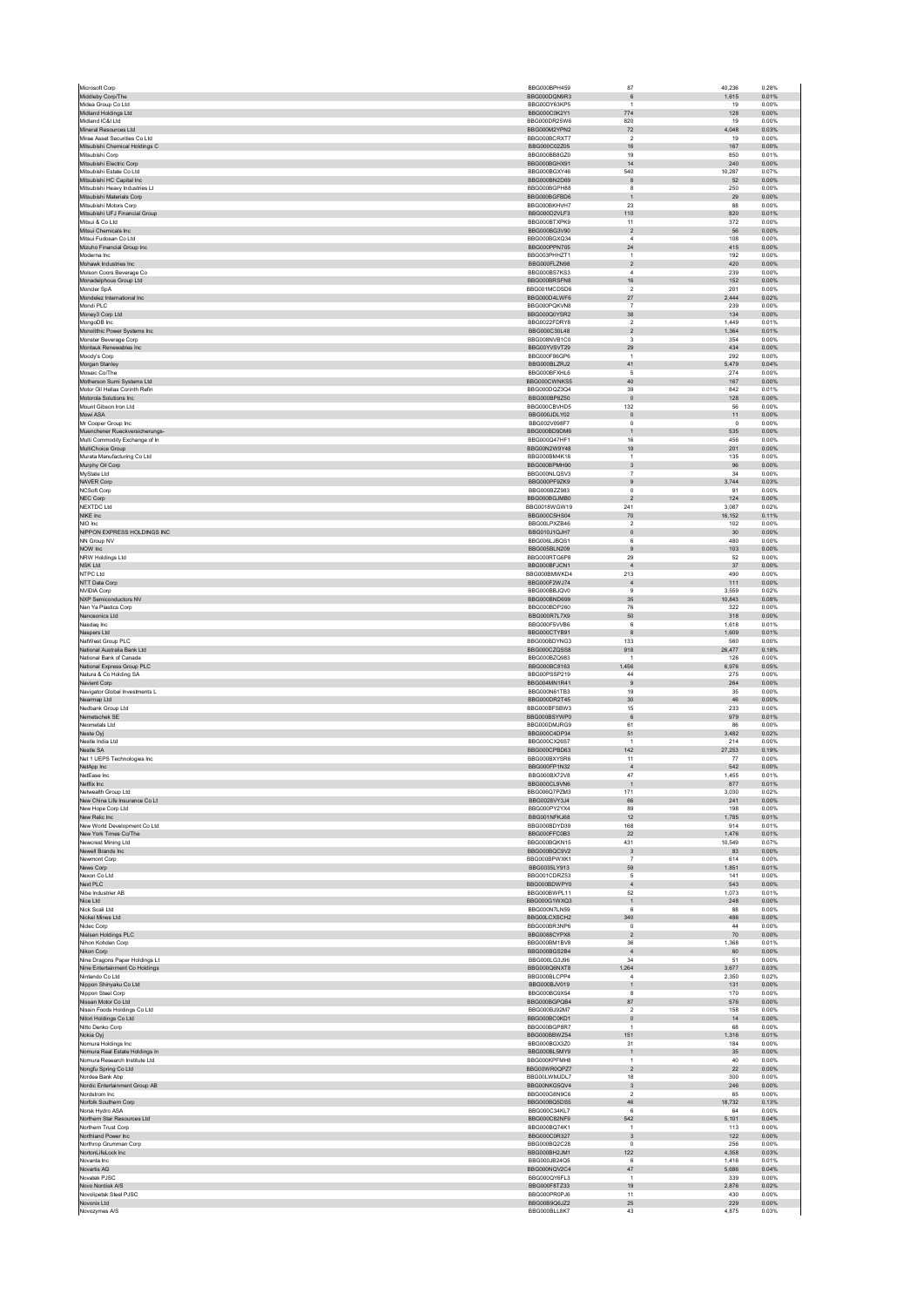| Middleby Corp/The                                     | BBG000BPH459                 | 87                                          | 40,236          | 0.28%          |
|-------------------------------------------------------|------------------------------|---------------------------------------------|-----------------|----------------|
|                                                       | BBG000DQN9R3                 | $\,6\,$                                     | 1,615           | 0.01%          |
| Midea Group Co Ltd<br>Midland Holdings Ltd            | BBG00DY63KP5<br>BBG000C0K2Y1 | $\mathbf{1}$<br>774                         | 19<br>128       | 0.00%<br>0.00% |
| Midland IC&I Ltd                                      | BBG000DR25W6                 | 820                                         | 19              | 0.00%          |
| Mineral Resources Ltd                                 | BBG000M2YPN2                 | $72\,$                                      | 4,048           | 0.03%          |
| Mirae Asset Securities Co Ltd                         | BBG000BCRXT7                 | $\overline{2}$                              | 19              | 0.00%          |
| Mitsubishi Chemical Holdings C<br>Mitsubishi Corp     | BBG000C02Z05<br>BBG000BB8GZ0 | 16<br>19                                    | 167<br>850      | 0.00%<br>0.01% |
| Mitsubishi Electric Corp                              | BBG000BGHX91                 | 14                                          | 240             | 0.00%          |
| Mitsubishi Estate Co Ltd                              | BBG000BGXY46                 | 540                                         | 10,287          | 0.07%          |
| Mitsubishi HC Capital Inc.                            | BBG000BN2D69                 | 8                                           | 52              | 0.00%          |
| Mitsubishi Heavy Industries Lt                        | BBG000BGPH88                 | 8                                           | 250             | 0.00%          |
| Mitsubishi Materials Corp<br>Mitsubishi Motors Corp   | BBG000BGFBD6<br>BBG000BKHVH7 | $\mathbf{1}$<br>23                          | 29<br>88        | 0.00%<br>0.00% |
| Mitsubishi UFJ Financial Group                        | BBG000D2VLF3                 | 110                                         | 820             | 0.01%          |
| Mitsui & Co Ltd                                       | BBG000BTXPK9                 | 11                                          | 372             | 0.00%          |
| Mitsui Chemicals Inc                                  | BBG000BG3V90                 | $\sqrt{2}$                                  | 56              | 0.00%          |
| Mitsui Fudosan Co Ltd                                 | BBG000BGXQ34<br>BBG000PPN705 | $\overline{a}$                              | 108             | 0.00%          |
| Mizuho Financial Group Inc<br>Moderna Inc             | BBG003PHHZT1                 | 24<br>$\mathbf{1}$                          | 415<br>192      | 0.00%<br>0.00% |
| Mohawk Industries Inc.                                | BBG000FLZN98                 | $\overline{2}$                              | 420             | 0.00%          |
| Molson Coors Beverage Co                              | BBG000BS7KS3                 | $\bf{4}$                                    | 239             | 0.00%          |
| Monadelphous Group Ltd                                | BBG000BRSFN8                 | 16                                          | 152             | 0.00%          |
| Moncler SpA                                           | BBG001MCDSD6                 | $\overline{2}$                              | 201             | 0.00%          |
| Mondelez International Inc<br>Mondi PLC               | BBG000D4LWF6<br>BBG000PQKVN8 | $27\,$<br>$\overline{7}$                    | 2,444<br>239    | 0.02%<br>0.00% |
| Money3 Corp Ltd                                       | BBG000Q0YSR2                 | $38\,$                                      | 134             | 0.00%          |
| MongoDB Inc                                           | BBG0022FDRY8                 | $\overline{2}$                              | 1,449           | 0.01%          |
| Monolithic Power Systems Inc                          | BBG000C30L48                 | $\overline{2}$                              | 1,364           | 0.01%          |
| Monster Beverage Corp                                 | BBG008NVB1C0                 | $\mathsf 3$                                 | 354             | 0.00%          |
| Montauk Renewables Inc<br>Moody's Corp                | BBG00YVSVT29<br>BBG000F86GP6 | 29<br>$\mathbf{1}$                          | 434<br>292      | 0.00%<br>0.00% |
| Morgan Stanley                                        | BBG000BLZRJ2                 | 41                                          | 5,479           | 0.04%          |
| Mosaic Co/The                                         | BBG000BFXHL6                 | 5                                           | 274             | 0.00%          |
| Motherson Sumi Systems Ltd                            | BBG000CWNKS5                 | 40                                          | 167             | 0.00%          |
| Motor Oil Hellas Corinth Refin                        | BBG000DQZ3Q4                 | 39                                          | 842             | 0.01%          |
| Motorola Solutions Inc<br>Mount Gibson Iron Ltd       | BBG000BP8Z50<br>BBG000CBVHD5 | $\,$ 0<br>132                               | 128<br>56       | 0.00%<br>0.00% |
| Mowi ASA                                              | BBG000JDLY02                 | $\mathbf{0}$                                | $11$            | 0.00%          |
| Mr Cooper Group Inc                                   | BBG002V098F7                 | $\mathsf 0$                                 | $\,0\,$         | 0.00%          |
| Muenchener Rueckversicherungs-                        | BBG000BD9DM6                 | $\mathbf{1}$                                | 535             | 0.00%          |
| Multi Commodity Exchange of In                        | BBG000Q47HF1                 | $16\,$                                      | 456             | 0.00%          |
| MultiChoice Group                                     | BBG00N2W9Y48<br>BBG000BM4K18 | 19                                          | 201<br>135      | 0.00%<br>0.00% |
| Murata Manufacturing Co Ltd<br>Murphy Oil Corp        | BBG000BPMH90                 | $\overline{1}$<br>$\ensuremath{\mathsf{3}}$ | 96              | 0.00%          |
| MyState Ltd                                           | BBG000NLQSV3                 | $\overline{7}$                              | 34              | 0.00%          |
| <b>NAVER Corp</b>                                     | BBG000PF9ZK9                 | $9\,$                                       | 3,744           | 0.03%          |
| NCSoft Corp                                           | BBG000BZZ983                 | $^{\circ}$                                  | 91              | 0.00%          |
| NEC Corp                                              | BBG000BGJMB0                 | $\overline{2}$                              | 124             | 0.00%          |
| NEXTDC Ltd<br>NIKE Inc.                               | BBG0018WGW19<br>BBG000C5HS04 | 241<br>70                                   | 3,087<br>16,152 | 0.02%<br>0.11% |
| NIO Inc                                               | BBG00LPXZB46                 | $\sqrt{2}$                                  | 102             | 0.00%          |
| NIPPON EXPRESS HOLDINGS INC                           | BBG010J1QJH7                 | $\mathbf 0$                                 | 30              | 0.00%          |
| NN Group NV                                           | BBG006LJBQS1                 | 6                                           | 480             | 0.00%          |
| NOW Inc                                               | BBG005BLN209                 | $\boldsymbol{9}$                            | 103             | 0.00%          |
| NRW Holdings Ltd<br>NSK Ltd                           | BBG000RTG6P8<br>BBG000BFJCN1 | 29<br>$\sqrt{4}$                            | 52<br>$37\,$    | 0.00%<br>0.00% |
| NTPC Ltd                                              | BBG000BMWKD4                 | 213                                         | 490             | 0.00%          |
| NTT Data Corp                                         | BBG000F2WJ74                 | $\overline{4}$                              | 111             | 0.00%          |
| <b>NVIDIA Corp</b>                                    | BBG000BBJQV0                 | $\boldsymbol{9}$                            | 3,559           | 0.02%          |
| <b>NXP Semiconductors NV</b>                          | BBG000BND699                 | 35                                          | 10,843          | 0.08%          |
| Nan Ya Plastics Corp                                  | BBG000BDP260                 | 76                                          | 322             | 0.00%          |
| Nanosonics Ltd<br>Nasdag Inc                          | BBG000R7L7X9<br>BBG000F5VVB6 | $50\,$<br>6                                 | 318<br>1.618    | 0.00%<br>0.01% |
| Naspers Ltd                                           | BBG000CTYB91                 | $^{\rm 8}$                                  | 1,609           | 0.01%          |
| NatWest Group PLC                                     | BBG000BDYNG3                 | 133                                         | 560             | 0.00%          |
| National Australia Bank Ltd                           | BBG000CZQSS8                 | 918                                         | 26,477          | 0.18%          |
| National Bank of Canada<br>National Express Group PLC | BBG000BZQ983<br>BBG000BC8163 | $\mathbf{1}$<br>1.456                       | 126<br>6.976    | 0.00%<br>0.05% |
| Natura & Co Holding SA                                | BBG00PSSP219                 | $44\,$                                      | 275             | 0.00%          |
| Navient Corp                                          | BBG004MN1R41                 | $9$                                         | 264             | 0.00%          |
| Navigator Global Investments L                        | BBG000N61TB3                 | 19                                          | 35              | 0.00%          |
| Nearmap Ltd                                           | BBG000DR2T45                 | $30\,$                                      | 46              | 0.00%          |
| Nedbank Group Ltd                                     | BBG000BFSBW3                 | 15                                          | 233             | 0.00%          |
|                                                       |                              |                                             |                 |                |
| Nemetschek SE                                         | BBG000BSYWP0                 | $\,6\,$                                     | 979             | 0.01%          |
| Neometals Ltd                                         | BBG000DMJRG9<br>BBG000C4DP34 | 61                                          | 86              | 0.00%          |
| Neste Oyj<br>Nestle India Ltd                         | BBG000CX26S7                 | 51<br>$\mathbf{1}$                          | 3,482<br>214    | 0.02%<br>0.00% |
| Nestle SA                                             | BBG000CPBD63                 | 142                                         | 27.253          | 0.19%          |
| Net 1 UEPS Technologies Inc                           | BBG000BXYSR6                 | 11                                          | 77              | 0.00%          |
| NetApp Inc                                            | BBG000FP1N32                 | $\sqrt{4}$                                  | 542             | 0.00%          |
| NetEase Inc                                           | BBG000BX72V8                 | 47                                          | 1,455           | 0.01%          |
| Netflix Inc<br>Netwealth Group Ltd                    | BBG000CL9VN6<br>BBG006Q7P7M3 | 171                                         | 877<br>3.030    | 0.01%<br>0.02% |
| New China Life Insurance Co Lt                        | BBG0028VY3J4                 | 66                                          | 241             | 0.00%          |
| New Hope Corp Ltd                                     | BBG000PY2YX4                 | 89                                          | 198             | 0.00%          |
| New Relic Inc                                         | BBG001NFKJ68                 | 12                                          | 1,785           | 0.01%          |
| New World Development Co Ltd<br>New York Times Co/The | BBG000BDYD39<br>BBG000FFC0B3 | 168<br>22                                   | 914<br>1.476    | 0.01%<br>0.01% |
| Newcrest Mining Ltd                                   | BBG000BQKN15                 | 431                                         | 10,549          | 0.07%          |
| Newell Brands Inc                                     | BBG000BQC9V2                 | $\overline{\mathbf{3}}$                     | 83              | 0.00%          |
| Newmont Corp                                          | BBG000BPWXK1                 | $\scriptstyle{7}$                           | 614             | 0.00%          |
| News Corp<br>Nexon Co Ltd                             | BBG0035LY913<br>BBG001CDRZ53 | 59<br>5                                     | 1,851<br>141    | 0.01%<br>0.00% |
| Next PLC                                              | BBG000BDWPY0                 | $\sqrt{4}$                                  | 543             | 0.00%          |
| Nibe Industrier AB                                    | BBG000BWPL11                 | 52                                          | 1,073           | 0.01%          |
| Nice Ltd                                              | BBG000G1WXQ3                 | $\mathbf{1}$                                | 248             | 0.00%          |
| Nick Scali Ltd<br>Nickel Mines Ltd                    | BBG000N7LN59<br>BBG00LCXSCH2 | 6<br>340                                    | 88<br>486       | 0.00%<br>0.00% |
| Nidec Corp                                            | BBG000BR3NP6                 | $\mathsf 0$                                 | $\bf{44}$       | 0.00%          |
| Nielsen Holdings PLC                                  | BBG0088CYPX8                 | $\overline{2}$                              | 70              | 0.00%          |
| Nihon Kohden Corp                                     | BBG000BM1BV8                 | 36                                          | 1,368           | 0.01%          |
| Nikon Corp                                            | BBG000BGS2B4                 | $\sqrt{4}$                                  | 60              | 0.00%          |
| Nine Dragons Paper Holdings Lt                        | BBG000LG3J96                 | 34                                          | 51              | 0.00%          |
| Nine Entertainment Co Holdings<br>Nintendo Co Ltd     | BBG000Q6NXT8<br>BBG000BLCPP4 | 1,264<br>$\overline{a}$                     | 3,677<br>2,350  | 0.03%<br>0.02% |
| Nippon Shinyaku Co Ltd                                | BBG000BJV019                 | $\mathbf{1}$                                | 131             | 0.00%          |
| Nippon Steel Corp                                     | BBG000BG9X54                 | 8                                           | 170             | 0.00%          |
| Nissan Motor Co Ltd                                   | BBG000BGPQB4                 | 87                                          | 576             | 0.00%          |
| Nissin Foods Holdings Co Ltd                          | BBG000BJ92M7                 | $\sqrt{2}$                                  | 158             | 0.00%          |
| Nitori Holdings Co Ltd<br>Nitto Denko Corp            | BBG000BC0KD1<br>BBG000BGP8R7 | $\mathbf 0$<br>$\mathbf{1}$                 | 14<br>68        | 0.00%<br>0.00% |
| Nokia Oyj                                             | BBG000BBWZ54                 | 151                                         | 1,316           | 0.01%          |
| Nomura Holdings Inc                                   | BBG000BGX3Z0                 | 31                                          | 184             | 0.00%          |
| Nomura Real Estate Holdings In                        | BBG000BL5MY9                 | $\mathbf 1$                                 | $35\,$          | 0.00%          |
| Nomura Research Institute Ltd                         | BBG000KPFMH8                 | $\mathbf{1}$                                | 40              | 0.00%          |
| Nongfu Spring Co Ltd<br>Nordea Bank Abp               | BBG00WR0QPZ7<br>BBG00LWMJDL7 | $\overline{2}$<br>18                        | 22<br>300       | 0.00%<br>0.00% |
| Nordic Entertainment Group AB                         | BBG00NKG5QV4                 | 3                                           | 246             | 0.00%          |
| Nordstrom Inc                                         | BBG000G8N9C6                 | $\overline{2}$                              | 65              | 0.00%          |
| Norfolk Southern Corp                                 | BBG000BQ5DS5                 | 46                                          | 18,732          | 0.13%          |
| Norsk Hydro ASA                                       | BBG000C34KL7                 | 6                                           | 64              | 0.00%          |
| Northern Star Resources Ltd<br>Northern Trust Corp    | BBG000C82NF9<br>BBG000BQ74K1 | 542<br>$\overline{1}$                       | 5,101<br>113    | 0.04%<br>0.00% |
| Northland Power Inc                                   | BBG000C0R327                 | $\ensuremath{\mathsf{3}}$                   | 122             | 0.00%          |
| Northrop Grumman Corp                                 | BBG000BQ2C28                 | $\Omega$                                    | 256             | 0.00%          |
| NortonLifeLock Inc                                    | BBG000BH2JM1                 | 122                                         | 4.358           | 0.03%          |
| Novanta Inc                                           | BBG000JB24Q5                 | 6                                           | 1,416           | 0.01%          |
| Novartis AG                                           | BBG000NQV2C4                 | 47<br>$\mathbf{1}$                          | 5,686           | 0.04%          |
| Novatek PJSC<br>Novo Nordisk A/S                      | BBG000QY6FL3<br>BBG000F8TZ33 | 19                                          | 339<br>2,876    | 0.00%<br>0.02% |
| Novolipetsk Steel PJSC                                | BBG000PR0PJ6                 | 11                                          | 430             | 0.00%          |
| Novonix Ltd<br>Novozymes A/S                          | BBG00B9Q6JZ2<br>BBG000BLL8K7 | $25\,$<br>43                                | 229<br>4.875    | 0.00%<br>0.03% |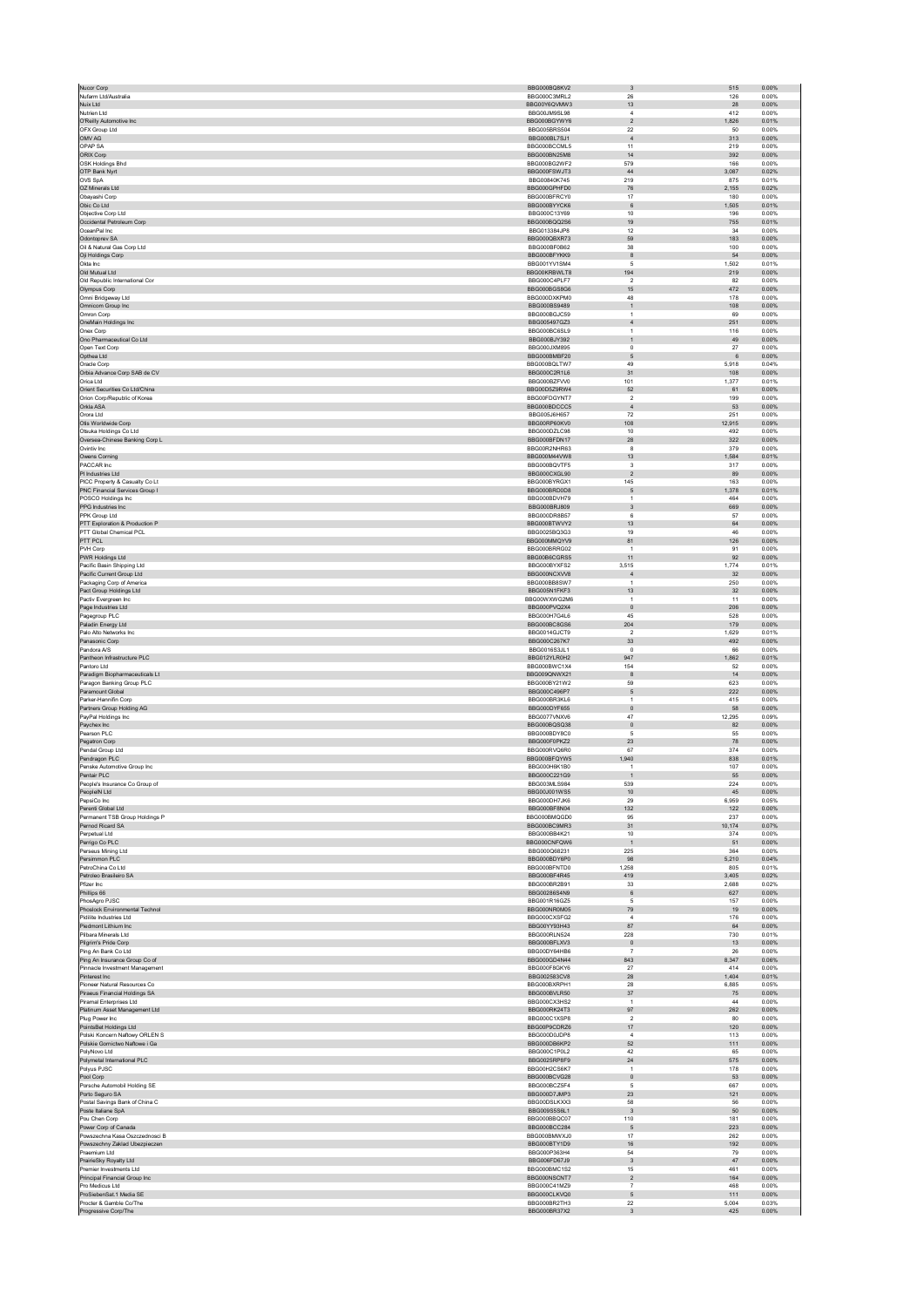| Nucor Corp                                                     | BBG000BQ8KV2                 | $_{\rm 3}$                       | 515<br>0.00%                    |
|----------------------------------------------------------------|------------------------------|----------------------------------|---------------------------------|
| Nufarm Ltd/Australia                                           | BBG000C3MRL2                 | 26                               | 126<br>0.00%                    |
| Nuix Ltd                                                       | BBG00Y6QVMW3                 | 13                               | 28<br>0.00%                     |
| Nutrien Ltd                                                    | BBG00JM9SL98                 | $\sqrt{4}$                       | 412<br>0.00%                    |
| O'Reilly Automotive Inc                                        | BBG000BGYWY6                 | $\overline{2}$                   | 1,826<br>0.01%                  |
| OFX Group Ltd                                                  | BBG005BRS504                 | $22\,$                           | 50<br>0.00%                     |
| OMV AG<br>OPAP SA                                              | BBG000BL7SJ1                 | $\overline{4}$<br>11             | 313<br>0.00%                    |
| ORIX Corp                                                      | BBG000BCCML5<br>BBG000BN25M8 | 14                               | 219<br>0.00%<br>392<br>0.00%    |
| OSK Holdings Bhd                                               | BBG000BG2WF2                 | 579                              | 166<br>0.00%                    |
| OTP Bank Nyrt                                                  | BBG000FSWJT3                 | $44\,$                           | 3,087<br>0.02%                  |
| OVS SpA                                                        | BBG00840K745                 | 219                              | 875<br>0.01%                    |
| OZ Minerals Ltd                                                | BBG000GPHFD0                 | 76                               | 2.155<br>0.02%                  |
| Obayashi Corp                                                  | BBG000BFRCY0                 | 17                               | 180<br>0.00%                    |
| Obic Co Ltd                                                    | BBG000BYYCK6                 | 6                                | 1,505<br>0.01%                  |
| Objective Corp Ltd                                             | BBG000C13Y69                 | 10                               | 196<br>0.00%                    |
| Occidental Petroleum Corp                                      | BBG000BQQ2S6                 | 19                               | 755<br>0.01%                    |
| OceanPal Inc.                                                  | BBG013384JP8                 | 12                               | 0.00%<br>34                     |
| Odontoprev SA                                                  | BBG000QBXR73<br>BBG000BF0B62 | 59<br>38                         | 183<br>0.00%<br>100<br>0.00%    |
| Oil & Natural Gas Corp Ltd<br>Oji Holdings Corp                | BBG000BFYKK9                 | $^{\rm 8}$                       | ${\small 54}$<br>0.00%          |
| Okta Inc.                                                      | BBG001YV1SM4                 | -5                               | 1.502<br>0.01%                  |
| Old Mutual Ltd                                                 | BBG00KRBWLT8                 | 194                              | 219<br>0.00%                    |
| Old Republic International Cor                                 | BBG000C4PLF7                 | $\overline{\mathbf{2}}$          | 82<br>0.00%                     |
| Olympus Corp                                                   | BBG000BGS8G6                 | 15                               | 472<br>0.00%                    |
| Omni Bridgeway Ltd                                             | BBG000DXKPM0                 | 48                               | 178<br>0.00%                    |
| Omnicom Group Inc                                              | BBG000BS9489                 | $\mathbf{1}$                     | 108<br>0.00%                    |
| Omron Corp<br>OneMain Holdings Inc                             | BBG000BGJC59<br>BBG005497GZ3 | $\overline{1}$<br>$\sqrt{4}$     | 69<br>0.00%<br>251<br>0.00%     |
| Onex Corp                                                      | BBG000BC6SL9                 | $\overline{1}$                   | 116<br>0.00%                    |
| Ono Pharmaceutical Co Ltd                                      | BBG000BJY392                 | $\mathbf{1}$                     | 49<br>0.00%                     |
| Open Text Corp                                                 | BBG000JXM895                 | $\mathsf 0$                      | 27<br>0.00%                     |
| Opthea Ltd                                                     | BBG000BMBF20                 | 5                                | 0.00%<br>6                      |
| Oracle Corp                                                    | BBG000BQLTW7                 | 49                               | 5,918<br>0.04%                  |
| Orbia Advance Corp SAB de CV                                   | BBG000C2R1L6                 | 31                               | 0.00%<br>108                    |
| Orica Ltd                                                      | BBG000BZFVV0                 | 101                              | 1,377<br>0.01%                  |
| Orient Securities Co Ltd/China<br>Orion Corp/Republic of Korea | BBG00D5Z9RW4<br>BBG00FDGYNT7 | $52\,$<br>$\overline{2}$         | 61<br>0.00%<br>199<br>0.00%     |
| Orkla ASA                                                      | BBG000BDCCC5                 | $\overline{4}$                   | 53<br>0.00%                     |
| Orora Ltd                                                      | BBG005J6H657                 | 72                               | 251<br>0.00%                    |
| Otis Worldwide Corp                                            | BBG00RP60KV0                 | 108                              | 12,915<br>0.09%                 |
| Otsuka Holdings Co Ltd                                         | BBG000DZLC98                 | $10$                             | 492<br>0.00%                    |
| Oversea-Chinese Banking Corp L                                 | BBG000BFDN17                 | 28                               | 322<br>0.00%                    |
| Ovintiv Inc                                                    | BBG00R2NHR63                 | 8                                | 379<br>0.00%                    |
| Owens Corning                                                  | BBG000M44VW8                 | 13                               | 1,584<br>0.01%                  |
| PACCAR Inc                                                     | BBG000BQVTF5                 | 3                                | 317<br>0.00%                    |
| PI Industries Ltd<br>PICC Property & Casualty Co Lt            | BBG000CXGL90<br>BBG000BYRGX1 | $\sqrt{2}$<br>145                | 89<br>0.00%<br>163<br>0.00%     |
| PNC Financial Services Group I                                 | BBG000BRD0D8                 | 5                                | 1,378<br>0.01%                  |
| POSCO Holdings Inc                                             | BBG000BDVH79                 | $\overline{1}$                   | 464<br>0.00%                    |
| PPG Industries Inc                                             | BBG000BRJ809                 | $\ensuremath{\mathsf{3}}$        | 669<br>0.00%                    |
| PPK Group Ltd                                                  | BBG000DR8B57                 | 6                                | 57<br>0.00%                     |
| PTT Exploration & Production P                                 | BBG000BTWVY2                 | 13                               | 64<br>0.00%                     |
| PTT Global Chemical PCL                                        | BBG0025BQ3G3                 | 19                               | 46<br>0.00%                     |
| PTT PCL                                                        | BBG000MMQYV9                 | 81                               | 126<br>0.00%                    |
| PVH Corp                                                       | BBG000BRRG02                 | -1                               | 91<br>0.00%                     |
| PWR Holdings Ltd                                               | BBG00B6CGRS5                 | 11                               | 92<br>0.00%                     |
| Pacific Basin Shipping Ltd                                     | BBG000BYXFS2                 | 3.515                            | 1.774<br>0.01%                  |
| Pacific Current Group Ltd<br>Packaging Corp of America         | BBG000NCXVV8<br>BBG000BB8SW7 | $\overline{4}$<br>$\overline{1}$ | 32<br>0.00%<br>250<br>0.00%     |
| Pact Group Holdings Ltd                                        | BBG005N1FKF3                 | 13                               | $32\,$<br>0.00%                 |
| Pactiv Evergreen Inc                                           | BBG00WXWG2M6                 | $\overline{1}$                   | 11<br>0.00%                     |
| Page Industries Ltd                                            | BBG000PVQ2X4                 | $\mathbf{0}$                     | 206<br>0.00%                    |
| Pagegroup PLC                                                  | BBG000H7G4L6                 | 45                               | 528<br>0.00%                    |
| Paladin Energy Ltd                                             | BBG000BC8GS6                 | 204                              | 179<br>0.00%                    |
|                                                                |                              | $\overline{\mathbf{2}}$          |                                 |
| Palo Alto Networks Inc                                         | BBG0014GJCT9                 |                                  | 1,629<br>0.01%                  |
| Panasonic Corp                                                 | BBG000C267K7                 | 33                               | 492<br>0.00%                    |
| Pandora A/S                                                    | <b>BBG0016S3JL1</b>          | $^{\circ}$                       | 66<br>0.00%                     |
| Pantheon Infrastructure PLC                                    | BBG012YLR0H2                 | 947                              | 1,862<br>0.01%                  |
| Pantoro Ltd                                                    | BBG000BWC1X4                 | 154                              | 52<br>0.00%                     |
| Paradigm Biopharmaceuticals Lt                                 | BBG009QNWX21                 | $\boldsymbol{8}$                 | $14\,$<br>0.00%                 |
| Paragon Banking Group PLC<br>Paramount Global                  | BBG000BY21W2<br>BBG000C496P7 | 59<br>5                          | 623<br>0.00%<br>222<br>0.00%    |
| Parker-Hannifin Corp                                           | BBG000BR3KL6                 | $\,$ 1 $\,$                      | 415<br>0.00%                    |
| Partners Group Holding AG                                      | BBG000DYF655                 | $\circ$                          | 58<br>0.00%                     |
| PayPal Holdings Inc                                            | BBG0077VNXV6                 | 47                               | 12,295<br>0.09%                 |
| Paychex Inc                                                    | BBG000BQSQ38                 | $\,$ 0                           | 82<br>0.00%                     |
| Pearson PLC                                                    | BBG000BDY8C0                 | 5                                | 55<br>0.00%                     |
| Pegatron Corp                                                  | BBG000F0PKZ2                 | $23\,$<br>67                     | ${\bf 78}$<br>0.00%<br>374      |
| Pendal Group Ltd                                               | BBG000RVQ6R0                 |                                  | 0.00%                           |
| Pendragon PLC<br>Penske Automotive Group Inc                   | BBG000BFQYW5<br>BBG000H6K1B0 | ,940<br>$\mathbf{1}$             | 838<br>0.01%<br>107<br>0.00%    |
| Pentair PLC                                                    | BBG000C221G9                 | $\mathbf{1}$                     | 0.00%<br>55                     |
| People's Insurance Co Group of                                 | BBG003MLS984                 | 539                              | 224<br>0.00%                    |
| PeopleIN Ltd                                                   | BBG00J001WS5                 | 10                               | 45<br>0.00%                     |
| PepsiCo Inc                                                    | BBG000DH7JK6                 | 29                               | 6,959<br>0.05%                  |
| Perenti Global Ltd                                             | BBG000BF8N04                 | 132                              | 122<br>0.00%                    |
| Permanent TSB Group Holdings P                                 | BBG000BMQGD0                 | 95                               | 237<br>0.00%                    |
| Pernod Ricard SA<br>Perpetual Ltd                              | BBG000BC9MR3<br>BBG000BB4K21 | 31<br>10                         | 10,174<br>0.07%<br>374<br>0.00% |
| Perrigo Co PLC                                                 | BBG000CNFQW6                 | $\overline{1}$                   | 0.00%                           |
| Perseus Mining Ltd                                             | BBG000Q68231                 | 225                              | 51<br>364<br>0.00%              |
| Persimmon PLC                                                  | BBG000BDY6P0                 | 98                               | 5.210<br>0.04%                  |
| PetroChina Co Ltd                                              | BBG000BFNTD0                 | 1,258                            | 805<br>0.01%                    |
| Petroleo Brasileiro SA                                         | BBG000BF4R45                 | 419                              | 3,405<br>0.02%                  |
| Pfizer Inc                                                     | BBG000BR2B91                 | 33                               | 2.688<br>0.02%                  |
| Phillips 66<br>PhosAgro PJSC                                   | BBG00286S4N9<br>BBG001R16GZ5 | $\,6\,$<br>5                     | 627<br>0.00%<br>157<br>0.00%    |
|                                                                |                              |                                  |                                 |
| Phoslock Environmental Technol<br>Pidilite Industries Ltd      | BBG000NR0M05<br>BBG000CXSFG2 | 79<br>$\boldsymbol{A}$           | 19<br>0.00%<br>176<br>0.00%     |
| Piedmont Lithium Inc.                                          | BBG00YY93H43                 | 87                               | 64<br>0.00%                     |
| Pilbara Minerals Ltd                                           | BBG000RLN524                 | 228                              | 730<br>0.01%                    |
| Pilgrim's Pride Corp                                           | BBG000BFLXV3                 | $\overline{0}$                   | 13<br>0.00%                     |
| Ping An Bank Co Ltd                                            | BBG00DY64HB6                 | $\overline{7}$                   | ${\bf 26}$<br>0.00%             |
| Ping An Insurance Group Co of                                  | BBG000GD4N44                 | 843                              | 8,347<br>0.06%                  |
| Pinnacle Investment Management                                 | BBG000F8GKY6                 | 27                               | 414<br>0.00%                    |
| Pinterest Inc                                                  | BBG002583CV8                 | ${\bf 28}$                       | 1,404<br>0.01%                  |
| Pioneer Natural Resources Co.<br>Piraeus Financial Holdings SA | BBG000BXRPH1<br>BBG000BVLR50 | 28<br>$37\,$                     | 6.885<br>0.05%<br>75<br>0.00%   |
| Piramal Enterprises Ltd                                        | BBG000CX3HS2                 | $\overline{1}$                   | 44<br>0.00%                     |
| Platinum Asset Management Ltd                                  | BBG000RK24T3                 | 97                               | 262<br>0.00%                    |
| Plug Power Inc                                                 | BBG000C1XSP8                 | $\overline{2}$                   | 80<br>0.00%                     |
| PointsBet Holdings Ltd                                         | BBG00P9CDRZ6                 | 17                               | 120<br>0.00%                    |
| Polski Koncern Naftowy ORLEN S                                 | BBG000D0JDP8                 | $\sqrt{4}$                       | 113<br>0.00%                    |
| Polskie Gornictwo Naftowe i Ga                                 | BBG000DB6KP2                 | 52                               | 111<br>0.00%                    |
| PolyNovo Ltd                                                   | BBG000C1P0L2                 | 42                               | 65<br>0.00%                     |
| Polymetal International PLC<br>Polvus PJSC                     | BBG0025RP8F9<br>BBG00H2CS6K7 | $\sqrt{24}$<br>$\overline{1}$    | 575<br>0.00%<br>178<br>0.00%    |
|                                                                |                              | $\mathbb O$                      |                                 |
| Pool Corp                                                      | BBG000BCVG28<br>BBG000BCZ5F4 | -5                               | 53<br>0.00%<br>667<br>0.00%     |
| Porsche Automobil Holding SE<br>Porto Seguro SA                | BBG000D7JMP3                 | 23                               | 121<br>0.00%                    |
| Postal Savings Bank of China C                                 | BBG00DSLKXX3                 | 58                               | 56<br>0.00%                     |
| Poste Italiane SpA                                             | BBG009S5S6L1                 | $\overline{\mathbf{3}}$          | 50<br>0.00%                     |
| Pou Chen Corp                                                  | BBG000BBQC07                 | 110                              | 181<br>0.00%                    |
| Power Corp of Canada                                           | BBG000BCC284                 | 5                                | 223<br>0.00%                    |
| Powszechna Kasa Oszczednosci B                                 | BBG000BMWXJ0                 | 17                               | 262<br>0.00%                    |
| Powszechny Zaklad Ubezpieczen                                  | BBG000BTY1D9                 | $16\,$<br>54                     | 192<br>0.00%                    |
| Praemium Ltd                                                   | BBG000P363H4                 |                                  | 79<br>0.00%                     |
| PrairieSky Royalty Ltd<br>Premier Investments Ltd              | BBG006FD67J9<br>BBG000BMC1S2 | $_{\rm 3}$<br>15                 | $47\,$<br>0.00%<br>461<br>0.00% |
| Principal Financial Group Inc                                  | BBG000NSCNT7                 | $\overline{2}$                   | 164<br>0.00%                    |
| Pro Medicus Ltd                                                | BBG000C41MZ9                 | $\overline{7}$                   | 468<br>0.00%                    |
| ProSiebenSat.1 Media SE                                        | BBG000CLKVQ0                 | 5                                | 111<br>0.00%                    |
| Procter & Gamble Co/The<br>Progressive Corp/The                | BBG000BR2TH3<br>BBG000BR37X2 | $22\,$<br>$\overline{3}$         | 5,004<br>0.03%<br>425<br>0.00%  |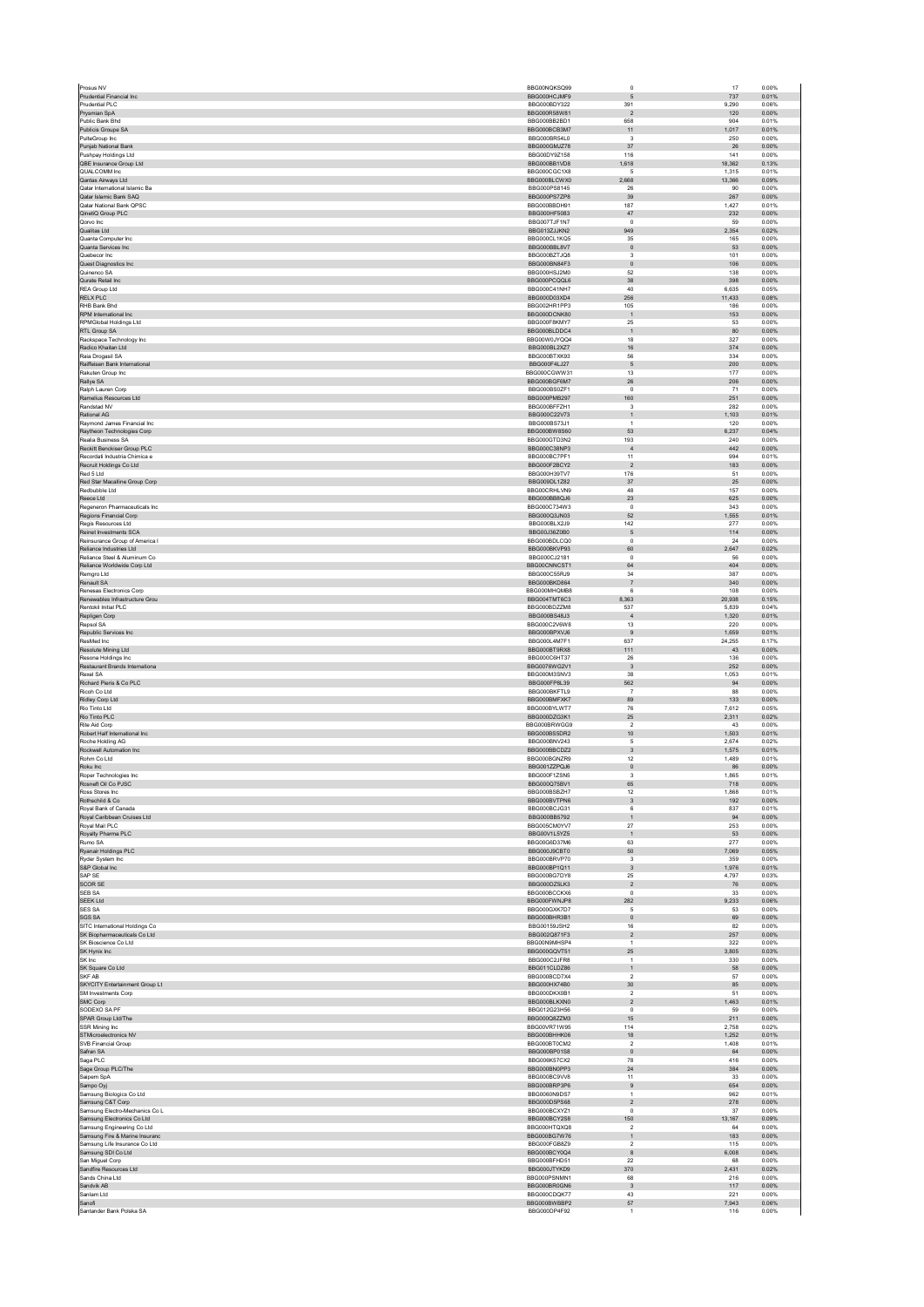| Prudential Financial Inc                                                              | BBG00NQKSQ99                 | $\circ$                       | 17                | 0.00%          |
|---------------------------------------------------------------------------------------|------------------------------|-------------------------------|-------------------|----------------|
|                                                                                       | BBG000HCJMF9<br>BBG000BDY322 | $\mathbf 5$<br>391            | 737               | 0.01%<br>0.06% |
| Prudential PI <sub>C</sub><br>Prysmian SpA                                            | BBG000R58W81                 | $\overline{2}$                | 9,290<br>120      | 0.00%          |
| Public Bank Bhd                                                                       | BBG000BB2BD1                 | 658                           | 904               | 0.01%          |
| Publicis Groupe SA<br>PulteGroup Inc                                                  | BBG000BCB3M7<br>BBG000BR54L0 | 11<br>$\mathsf 3$             | 1.017<br>250      | 0.01%<br>0.00% |
| Punjab National Bank                                                                  | BBG000GMJZ78                 | $37\,$                        | ${\bf 26}$        | 0.00%          |
| Pushpay Holdings Ltd                                                                  | BBG00DY9Z158                 | 116                           | 141               | 0.00%          |
| QBE Insurance Group Ltd<br>QUALCOMM Inc                                               | BBG000BB1VD8<br>BBG000CGC1X8 | 1,618                         | 18,362<br>1.315   | 0.13%<br>0.01% |
| Qantas Airways Ltd                                                                    | BBG000BLCWX0                 | -5<br>2,668                   | 13,366            | 0.09%          |
| Qatar International Islamic Ba                                                        | BBG000PS8145                 | 26                            | 90                | 0.00%          |
| Qatar Islamic Bank SAQ                                                                | BBG000PS7ZP8                 | $39\,$                        | 267               | 0.00%          |
| Qatar National Bank QPSC<br>QinetiQ Group PLC                                         | BBG000BBDH91<br>BBG000HF5083 | 187<br>47                     | 1,427<br>232      | 0.01%<br>0.00% |
| Qorvo Inc                                                                             | BBG007TJF1N7                 | $\mathsf 0$                   | 59                | 0.00%          |
| Qualitas Ltd                                                                          | BBG013ZJJKN2                 | 949                           | 2.354             | 0.02%          |
| Quanta Computer Inc<br>Quanta Services Inc                                            | BBG000CL1KQ5<br>BBG000BBL8V7 | 35<br>$\mathbf 0$             | 165<br>53         | 0.00%<br>0.00% |
| Quebecor Inc.                                                                         | BBG000BZTJQ8                 | 3                             | 101               | 0.00%          |
| Quest Diagnostics Inc                                                                 | BBG000BN84F3                 | $\mathbf 0$                   | 106               | 0.00%          |
| Quinenco SA                                                                           | BBG000HS.I2M0                | 52                            | 138               | 0.00%          |
| Qurate Retail Inc<br><b>REA Group Ltd</b>                                             | BBG000PCQQL6<br>BBG000C41NH7 | $38\,$<br>40                  | 398<br>6,635      | 0.00%<br>0.05% |
| RELX PLC                                                                              | BBG000D03XD4                 | 256                           | 11.433            | 0.08%          |
| RHB Bank Bhd                                                                          | BBG002HR1PP3                 | 105                           | 186               | 0.00%          |
| RPM International Inc.<br><b>RPMGlobal Holdings Ltd</b>                               | BBG000DCNK80<br>BBG000F8KMY7 | $\overline{1}$<br>$25\,$      | 153<br>53         | 0.00%<br>0.00% |
| RTL Group SA                                                                          | BBG000BLDDC4                 | $\mathbf{1}$                  | $80\,$            | 0.00%          |
| Rackspace Technology Inc.                                                             | BBG00W0JYQQ4                 | 18                            | 327               | 0.00%          |
| Radico Khaitan Ltd<br>Raia Drogasil SA                                                | BBG000BL2XZ7<br>BBG000BTXK93 | $16\,$<br>56                  | 374<br>334        | 0.00%<br>0.00% |
| Raiffeisen Bank International                                                         | BBG000F4LJ27                 | $\sqrt{5}$                    | 200               | 0.00%          |
| Rakuten Group Inc                                                                     | BBG000CGWW31                 | 13                            | 177               | 0.00%          |
| Rallye SA                                                                             | BBG000BGF6M7                 | 26                            | 206               | 0.00%          |
| Ralph Lauren Corp<br>Ramelius Resources Ltd.                                          | BBG000BS0ZF1<br>BBG000PMB297 | $\mathsf 0$<br>160            | 71<br>251         | 0.00%<br>0.00% |
| Randstad NV                                                                           | BBG000BFFZH1                 | 3                             | 282               | 0.00%          |
| Rational AG                                                                           | BBG000C22V73                 | $\mathbf{1}$                  | 1,103             | 0.01%          |
| Raymond James Financial Inc.<br>Raytheon Technologies Corp                            | BBG000BS73J1<br>BBG000BW8S60 | $\overline{1}$<br>53          | 120<br>6,237      | 0.00%<br>0.04% |
| Realia Business SA                                                                    | BBG000GTD3N2                 | 193                           | 240               | 0.00%          |
| Reckitt Benckiser Group PLC                                                           | BBG000C38NP3                 | $\overline{4}$                | 442               | 0.00%          |
| Recordati Industria Chimica e<br>Recruit Holdings Co Ltd.                             | BBG000BC7PF1                 | 11                            | 994               | 0.01%          |
| Red 5 Ltd                                                                             | BBG000F2BCY2<br>BBG000H39TV7 | $\overline{2}$<br>176         | 183<br>51         | 0.00%<br>0.00% |
| Red Star Macalline Group Corp                                                         | BBG009DL1Z82                 | 37                            | 25                | 0.00%          |
| Redbubble Ltd                                                                         | BBG00CRHLVN9                 | 48                            | 157               | 0.00%          |
| Reece Ltd<br>Regeneron Pharmaceuticals Inc.                                           | BBG000BB8QJ6<br>BBG000C734W3 | $23\,$                        | 625<br>343        | 0.00%<br>0.00% |
| Regions Financial Corp                                                                | BBG000Q3JN03                 | $^{\circ}$<br>$52\,$          | 1,555             | 0.01%          |
| Regis Resources Ltd                                                                   | BBG000BLX2J9                 | 142                           | 277               | 0.00%          |
| Reinet Investments SCA                                                                | BBG00J36Z0B0                 | 5                             | 114               | 0.00%          |
| Reinsurance Group of America I<br>Reliance Industries Ltd                             | BBG000BDLCQ0<br>BBG000BKVP93 | $\mathsf 0$<br>60             | $\bf 24$<br>2,647 | 0.00%<br>0.02% |
| Reliance Steel & Aluminum Co                                                          | BBG000CJ2181                 | $\mathsf 0$                   | ${\bf 56}$        | 0.00%          |
| Reliance Worldwide Corp Ltd                                                           | BBG00CNNCST1                 | 64                            | 404               | 0.00%          |
| Remaro Ltd                                                                            | BBG000C55RJ9                 | 34                            | 387               | 0.00%          |
| Renault SA<br>Renesas Electronics Corp.                                               | BBG000BKD864<br>BBG000MHQMB8 | $\overline{7}$<br>6           | 340<br>108        | 0.00%<br>0.00% |
| Renewables Infrastructure Grou                                                        | BBG004TMT6C3                 | 8,363                         | 20,938            | 0.15%          |
| Rentokil Initial PLC                                                                  | BBG000BDZZM8                 | 537                           | 5.839             | 0.04%          |
| Repligen Corp                                                                         | BBG000BS48J3                 | $\overline{4}$                | 1,320             | 0.01%          |
| Repsol SA<br>Republic Services Inc                                                    | BBG000C2V6W8<br>BBG000BPXVJ6 | 13<br>9                       | 220<br>1.659      | 0.00%<br>0.01% |
| ResMed Inc                                                                            | BBG000L4M7F1                 | 637                           | 24,255            | 0.17%          |
| Resolute Mining Ltd                                                                   | BBG000BT9RX8                 | 111                           | 43                | 0.00%          |
| Resona Holdings Inc.<br>Restaurant Brands Internationa                                | BBG000C6HT37<br>BBG0076WG2V1 | 26<br>$\overline{3}$          | 136<br>252        | 0.00%<br>0.00% |
| Rexel SA                                                                              |                              |                               |                   |                |
|                                                                                       | BBG000M3SNV3                 | 38                            | 1.053             | 0.01%          |
| Richard Pieris & Co PLC                                                               | BBG000FP8L39                 | 562                           | 94                | 0.00%          |
| Ricob Co Ltd.                                                                         | BBG000BKFTL9                 | $\overline{7}$                | 88                | 0.00%          |
| Ridley Corp Ltd                                                                       | BBG000BMFXK7                 | 89                            | 133               | 0.00%          |
| Rio Tinto Ltd<br>Rio Tinto PLC                                                        | BBG000BYLWT7<br>BBG000DZG3K1 | 76<br>25                      | 7,612<br>2,311    | 0.05%<br>0.02% |
| Rite Aid Corp                                                                         | BBG000BRWGG9                 | $\sqrt{2}$                    | 43                | 0.00%          |
| Robert Half International Inc.                                                        | BBG000BS5DR2                 | 10 <sub>1</sub>               | 1,503             | 0.01%          |
| Roche Holding AG<br>Rockwell Automation Inc                                           | BBG000BNV243<br>BBG000BBCDZ2 | 5<br>$\mathbf{3}$             | 2.674<br>1,575    | 0.02%<br>0.01% |
| Rohm Co Ltd                                                                           | BBG000BGNZR9                 | 12                            | 1.489             | 0.01%          |
| Roku Inc                                                                              | BBG001ZZPQJ6                 | $\mathbf 0$                   | 86                | 0.00%          |
| Roper Technologies Inc                                                                | BBG000F1ZSN5                 | $\mathbf{3}$<br>65            | 1.865             | 0.01%          |
| Rosneft Oil Co PJSC<br>Ross Stores Inc                                                | BBG000Q75BV1<br>BBG000BSBZH7 | 12                            | 718<br>1,868      | 0.00%<br>0.01% |
| Rothschild & Co                                                                       | BBG000BVTPN6                 | $\overline{\mathbf{3}}$       | 192               | 0.00%          |
| Royal Bank of Canada                                                                  | BBG000BCJG31<br>BBG000BB5792 | 6<br>$\mathbf{1}$             | 837<br>94         | 0.01%<br>0.00% |
| Royal Caribbean Cruises Ltd<br>Roval Mail PLC                                         | BBG005CM0YV7                 | 27                            | 253               | 0.00%          |
| Royalty Pharma PLC                                                                    | BBG00V1L5YZ5                 | $\mathbf{1}$                  | 53                | 0.00%          |
| Rumo SA                                                                               | BBG00G6D37M6                 | 63                            | 277               | 0.00%          |
| Ryanair Holdings PLC                                                                  | BBG000J9CBT0<br>BBG000BRVP70 | 50<br>$\mathbf{3}$            | 7,069<br>359      | 0.05%<br>0.00% |
| Ryder System Inc<br>S&P Global Inc                                                    | BBG000BP1Q11                 | 3                             | 1.976             | 0.01%          |
| SAP SE                                                                                | BBG000BG7DY8                 | 25                            | 4,797             | 0.03%          |
| <b>SCOR SE</b><br>SEB SA                                                              | BBG000DZ5LK3<br>BBG000BCCKX6 | $\overline{2}$<br>$\mathsf 0$ | 76<br>33          | 0.00%<br>0.00% |
| <b>SEEK Ltd</b>                                                                       | BBG000FWNJP8                 | 282                           | 9,233             | 0.06%          |
| <b>SES SA</b>                                                                         | BBG000GXK7D7                 | 5                             | 53                | 0.00%          |
| SGS SA<br>SITC International Holdings Co.                                             | BBG000BHR3B1<br>BBG00159JSH2 | $\mathbf 0$<br>16             | 69<br>82          | 0.00%<br>0.00% |
| SK Biopharmaceuticals Co Ltd                                                          | BBG002Q871F3                 | $\boldsymbol{2}$              | 257               | 0.00%          |
| SK Bioscience Co Ltd                                                                  | BBG00N9MHSP4                 | $\overline{1}$                | 322               | 0.00%          |
| SK Hynix Inc                                                                          | BBG000GQVT51                 | 25                            | 3.805             | 0.03%          |
| SK Inc<br>SK Square Co Ltd                                                            | BBG000C2JFR8<br>BBG011CLDZ86 | $\mathbf{1}$<br>$\mathbf{1}$  | 330<br>58         | 0.00%<br>0.00% |
| SKF AB                                                                                | BBG000BCD7X4                 | $\sqrt{2}$                    | 57                | 0.00%          |
| SKYCITY Entertainment Group Lt                                                        | BBG000HX74B0                 | 30                            | 85                | 0.00%          |
| SM Investments Corp.<br>SMC Corp                                                      | BBG000DKX0B1<br>BBG000BLKXN0 | $\overline{2}$<br>$\sqrt{2}$  | 51<br>1,463       | 0.00%<br>0.01% |
| SODEXO SA PF                                                                          | BBG012G23H56                 | $\Omega$                      | 59                | 0.00%          |
| SPAR Group Ltd/The                                                                    | BBG000Q8ZZM3                 | 15                            | 211               | 0.00%          |
| <b>SSR Mining Inc.</b><br>STMicroelectronics NV                                       | BBG00VR71W95<br>BBG000BHHK06 | 114<br>18                     | 2,758<br>1.252    | 0.02%<br>0.01% |
| SVB Financial Group                                                                   | BBG000BT0CM2                 | $\sqrt{2}$                    | 1,408             | 0.01%          |
| Safran SA                                                                             | BBG000BP01S8                 | $\mathbf{0}$                  | 64                | 0.00%          |
| Saga PLC                                                                              | BBG006K57CX2<br>BBG000BN0PP3 | 78<br>24                      | 416<br>384        | 0.00%<br>0.00% |
| Sage Group PLC/The<br>Saipem SpA                                                      | BBG000BC9VV8                 | 11                            | 33                | 0.00%          |
| Sampo Oyj                                                                             | BBG000BRP3P6                 | $\boldsymbol{9}$              | 654               | 0.00%          |
| Samsung Biologics Co Ltd                                                              | BBG0060N9DS7                 | $\mathbf{1}$                  | 962               | 0.01%          |
| Samsung C&T Corp<br>Samsung Electro-Mechanics Co L                                    | BBG000D5PS68<br>BBG000BCXYZ1 | $\boldsymbol{2}$<br>$\Omega$  | 278<br>37         | 0.00%<br>0.00% |
| Samsung Electronics Co Ltd                                                            | BBG000BCY2S8                 | 150                           | 13.167            | 0.09%          |
| Samsung Engineering Co Ltd                                                            | BBG000HTQXQ8                 | $\sqrt{2}$                    | 64                | 0.00%          |
|                                                                                       | BBG000BG7W76                 | $\mathbf{1}$                  | 183               | 0.00%          |
| Samsung Fire & Marine Insuranc<br>Samsung Life Insurance Co Ltd<br>Samsung SDI Co Ltd | BBG000FGB8Z9<br>BBG000BCY0Q4 | $\sqrt{2}$<br>$^{\rm 8}$      | 115<br>6,008      | 0.00%<br>0.04% |
| San Miguel Corp                                                                       | BBG000BFHD51                 | 22                            | 68                | 0.00%          |
| Sandfire Resources Ltd                                                                | BBG000JTYKD9                 | 370                           | 2,431             | 0.02%          |
| Sands China Ltd<br>Sandvik AB                                                         | BBG000PSNMN1<br>BBG000BR0GN6 | 68<br>$\overline{\mathbf{3}}$ | 216<br>117        | 0.00%<br>0.00% |
| Sanlam Ltd                                                                            | BBG000CDQK77                 | 43                            | 221               | 0.00%          |
| Sanofi<br>Santander Bank Polska SA                                                    | BBG000BWBBP2<br>BBG000DP4F92 | 57<br>$\mathbf{1}$            | 7.943<br>116      | 0.06%<br>0.00% |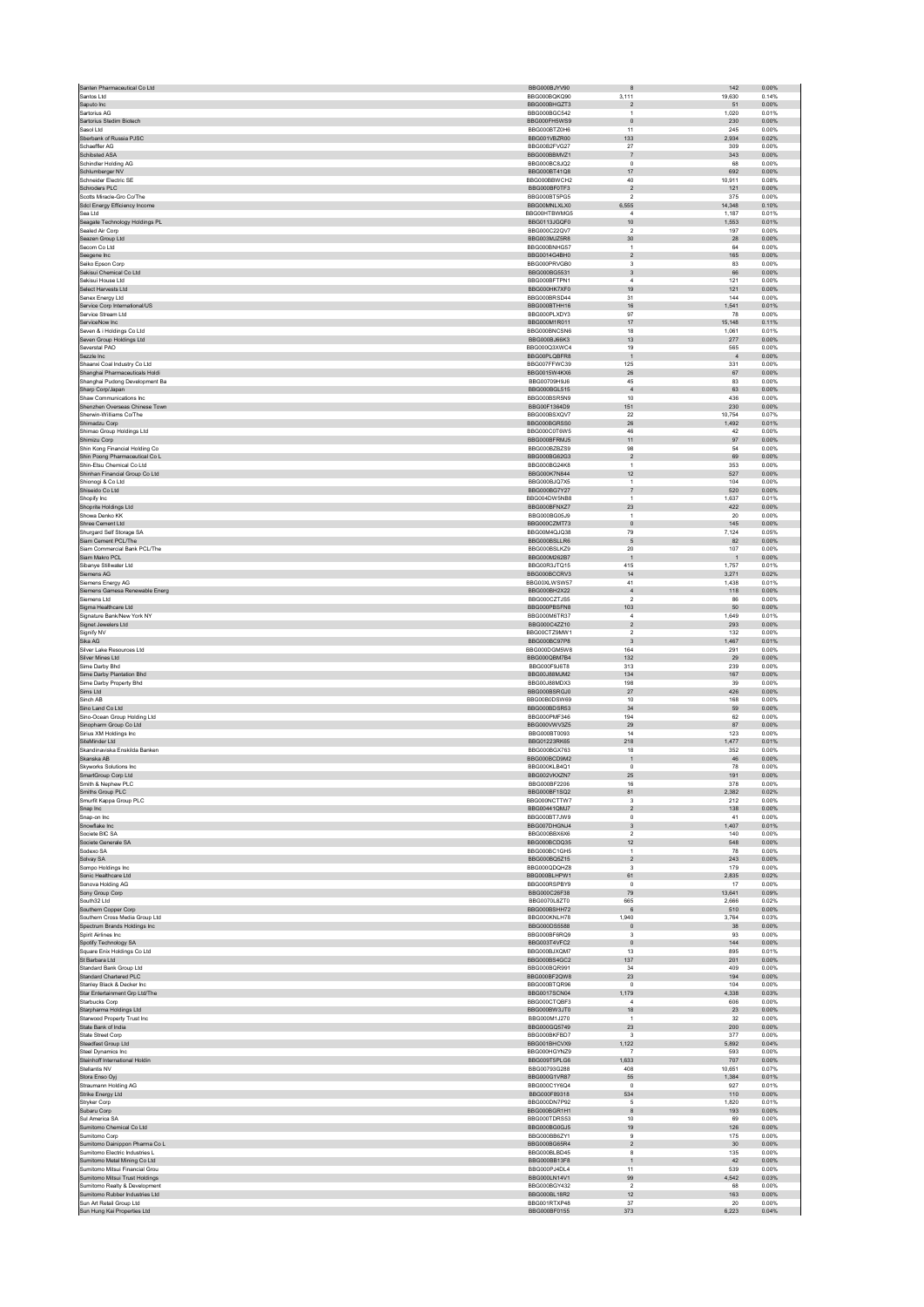| Santos Ltd<br>Saputo Inc<br>Sartorius AG                   | BBG000BJYV90                 |                           |                 |                |
|------------------------------------------------------------|------------------------------|---------------------------|-----------------|----------------|
|                                                            | BBG000BOKO90                 | 3.111                     | 19.630          | 0.14%          |
|                                                            | BBG000BHGZT3                 | $\boldsymbol{2}$          | 51              | 0.00%          |
|                                                            | BBG000BGC542                 | $\mathbf{1}$              | 1.020           | 0.01%          |
| Sartorius Stedim Biotech                                   | BBG000FH5WS9                 | $\circ$                   | 230             | 0.00%          |
| Sasol Ltd<br>Sberbank of Russia PJSC                       | BBG000BTZ0H6<br>BBG001VBZR00 | 11<br>133                 | 245<br>2.934    | 0.00%<br>0.02% |
| Schaeffler AG                                              | BBG00B2FVG27                 | 27                        | 309             | 0.00%          |
| Schibsted ASA                                              | BBG000BBMVZ1                 | $\overline{7}$            | 343             | 0.00%          |
| Schindler Holding AG                                       | BBG000BC8JQ2                 | $^{\circ}$                | 68              | 0.00%          |
| Schlumberger NV                                            | BBG000BT41Q8                 | 17                        | 692             | 0.00%          |
| Schneider Electric SE                                      | BBG000BBWCH2                 | 40                        | 10.911          | 0.08%          |
| Schroders PLC                                              | BBG000BF0TF3                 | $\sqrt{2}$                | 121             | 0.00%          |
| Scotts Miracle-Gro Co/The                                  | BBG000BT5PG5                 | $\overline{2}$            | 375             | 0.00%          |
| Sdcl Energy Efficiency Income                              | BBG00MNLXLX0                 | 6,555                     | 14,348          | 0.10%          |
| Sea Ltd                                                    | BBG00HTBWMG5                 | $\overline{4}$            | 1,187           | 0.01%          |
| Seagate Technology Holdings PL                             | BBG0113JGQF0                 | 10                        | 1.553           | 0.01%          |
| Sealed Air Corp                                            | BBG000C22QV7                 | $\overline{2}$            | 197             | 0.00%          |
| Seazen Group Ltd                                           | BBG003MJZ5R8                 | 30                        | 28              | 0.00%          |
| Secom Co Ltd.                                              | BBG000BNHG57                 | 1                         | 64              | 0.00%          |
| Seegene Inc<br>Seiko Epson Corp                            | BBG0014G4BH0<br>BBG000PRVGB0 | $\boldsymbol{2}$<br>3     | 165<br>83       | 0.00%<br>0.00% |
| Sekisui Chemical Co Ltd                                    | BBG000BG5531                 | $\ensuremath{\mathsf{3}}$ | 66              | 0.00%          |
| Sekisui House Ltd                                          | BBG000BFTPN1                 | $\overline{4}$            | 121             | 0.00%          |
| Select Harvests Ltd                                        | BBG000HK7XF0                 | 19                        | 121             | 0.00%          |
| Senex Energy Ltd                                           | BBG000BRSD44                 | 31                        | 144             | 0.00%          |
| Service Corp International/US                              | BBG000BTHH16                 | 16                        | 1,541           | 0.01%          |
| Service Stream Ltd                                         | BBG000PLXDY3                 | 97                        | 78              | 0.00%          |
| ServiceNow Inc                                             | BBG000M1R011                 | 17                        | 15,148          | 0.11%          |
| Seven & i Holdings Co Ltd                                  | BBG000BNCSN6                 | 18                        | 1.061           | 0.01%          |
| Seven Group Holdings Ltd                                   | BBG000BJ66K3                 | 13                        | 277             | 0.00%          |
| Severstal PAO                                              | BBG000Q3XWC4                 | 19                        | 565             | 0.00%          |
| Sezzle Inc                                                 | BBG00PLQBFR8                 | $\overline{1}$            | $\sqrt{4}$      | 0.00%          |
| Shaanxi Coal Industry Co Ltd                               | BBG007FFWC39                 | 125                       | 331             | 0.00%          |
| Shanghai Pharmaceuticals Holdi                             | BBG0015W4KX6                 | 26                        | 67              | 0.00%          |
| Shanghai Pudong Development Ba                             | BBG00709H9J6                 | 45                        | 83              | 0.00%          |
| Sharp Corp/Japan                                           | BBG000BGL515                 | $\overline{4}$            | 63              | 0.00%          |
| Shaw Communications Inc<br>Shenzhen Overseas Chinese Town  | BBG000BSR5N9<br>BBG00F1364D9 | 10<br>151                 | 436<br>230      | 0.00%<br>0.00% |
| Sherwin-Williams Co/The                                    | BBG000BSXQV7                 | 22                        | 10,754          | 0.07%          |
| Shimadzu Corp                                              | BBG000BGRSS0                 | ${\bf 26}$                | 1,492           | 0.01%          |
| Shimao Group Holdings Ltd                                  | BBG000C0T6W5                 | 46                        | 42              | 0.00%          |
| Shimizu Corp                                               | BBG000BFRMJ5                 | 11                        | 97              | 0.00%          |
| Shin Kong Financial Holding Co                             | BBG000BZBZS9                 | 98                        | 54              | 0.00%          |
| Shin Poong Pharmaceutical Co L                             | BBG000BG62G3                 | $\sqrt{2}$                | 69              | 0.00%          |
| Shin-Etsu Chemical Co Ltd                                  | BBG000BG24K8                 | 1                         | 353             | 0.00%          |
| Shinhan Financial Group Co Ltd                             | BBG000K7N844                 | 12                        | 527             | 0.00%          |
| Shionogi & Co Ltd                                          | BBG000BJQ7X5                 | $\mathbf{1}$              | 104             | 0.00%          |
| Shiseido Co Ltd                                            | BBG000BG7Y27                 | $\overline{7}$            | 520             | 0.00%          |
| Shopify Inc.                                               | BBG004DW5NB8                 | 1                         | 1,637           | 0.01%          |
| Shoprite Holdings Ltd                                      | BBG000BFNXZ7                 | 23                        | 422             | 0.00%          |
| Showa Denko KK                                             | BBG000BG05J9                 | $\overline{1}$            | 20              | 0.00%          |
| Shree Cement Ltd                                           | BBG000CZMT73                 | $\mathbf 0$               | 145             | 0.00%          |
| Shurgard Self Storage SA                                   | BBG00M4Q.IQ38                | 79                        | 7,124           | 0.05%          |
| Siam Cement PCL/The                                        | BBG000BSLLR6                 | 5                         | 82              | 0.00%          |
| Siam Commercial Bank PCL/The                               | BBG000BSLKZ9                 | $20\,$                    | 107             | 0.00%          |
| Siam Makro PCL                                             | BBG000M262B7                 | $\overline{1}$            | $\overline{1}$  | 0.00%          |
| Sibanye Stillwater Ltd                                     | BBG00R3JTQ15                 | 415                       | 1,757           | 0.01%          |
| Siemens AG<br>Siemens Energy AG                            | BBG000BCCRV3<br>BBG00XLWSW57 | $14$<br>41                | 3,271<br>1.438  | 0.02%<br>0.01% |
| Siemens Gamesa Renewable Energ                             | BBG000BH2X22                 | $\sqrt{4}$                | 118             | 0.00%          |
| Siemens I td                                               | BBG000CZTJS5                 | $\overline{2}$            | 86              | 0.00%          |
| Sigma Healthcare Ltd                                       | BBG000PBSFN8                 | 103                       | $50\,$          | 0.00%          |
| Signature Bank/New York NY                                 | BBG000M6TR37                 | $\bf{4}$                  | 1,649           | 0.01%          |
| Signet Jewelers Ltd                                        | BBG000C4ZZ10                 | $\overline{2}$            | 293             | 0.00%          |
| Signify NV                                                 | BBG00CTZ9MW1                 | $\overline{2}$            | 132             | 0.00%          |
| Sika AG                                                    | BBG000BC97P8                 | $\overline{\mathbf{3}}$   | 1,467           | 0.01%          |
| Silver Lake Resources Ltd                                  | BBG000DGM5W8                 | 164                       | 291             | 0.00%          |
| Silver Mines Ltd                                           | BBG000QBM7B4                 | 132                       | 29              | 0.00%          |
| Sime Darby Bhd                                             | BBG000F9J6T8                 | 313                       | 239             | 0.00%          |
| Sime Darby Plantation Bhd                                  | BBG00J88MJM2                 | 134                       | 167             | 0.00%          |
| Sime Darby Property Bhd                                    | BBG00J88MDX3                 | 198                       | 39              | 0.00%          |
| Sims Ltd                                                   | BBG000BSRGJ0                 |                           |                 |                |
|                                                            |                              | $27\,$                    | 426             | 0.00%          |
| Sinch AB                                                   | BBG00B0DSW69                 | $10$                      | 168             | 0.00%          |
| Sino Land Co Ltd                                           | BBG000BDSR53                 | 34                        | 59              | 0.00%          |
| Sino-Ocean Group Holding Ltd                               | BBG000PMF346                 | 194                       | 62              | 0.00%          |
| Sinopharm Group Co Ltd                                     | BBG000VWV3Z5                 | 29                        | 87              | 0.00%          |
| Sirius XM Holdings Inc                                     | BBG000BT0093                 | 14                        | 123             | 0.00%          |
| SiteMinder Ltd                                             | BBG01223RK65                 | 218                       | 1,477           | 0.01%          |
| Skandinaviska Enskilda Banken                              | BBG000BGX763                 | 18                        | 352             | 0.00%          |
| Skanska AB                                                 | BBG000BCD9M2                 | $\,$ 1 $\,$<br>$\Omega$   | 46              | 0.00%          |
| <b>Skyworks Solutions Inc.</b>                             | BBG000KLB4Q1<br>BBG002VKXZN7 |                           | 78              | 0.00%          |
| SmartGroup Corp Ltd<br>Smith & Nephew PLC                  | BBG000BF2206                 | $25\,$<br>16              | 191<br>378      | 0.00%<br>0.00% |
| Smiths Group PLC                                           | BBG000BF1SQ2                 | 81                        | 2,382           | 0.02%          |
| Smurfit Kappa Group PLC                                    | BBG000NCTTW7                 | 3                         | 212             | 0.00%          |
| Snap Inc                                                   | BBG00441QMJ7                 | $\overline{2}$            | 138             | 0.00%          |
| Snap-on Inc                                                | BBG000BT7JW9                 | $\pmb{0}$                 | 41              | 0.00%          |
| Snowflake Inc                                              | BBG007DHGNJ4                 | $\sqrt{3}$                | 1,407           | 0.01%          |
| Societe BIC SA                                             | BBG000BBX6X6                 | $\overline{2}$            | 140             | 0.00%          |
| Societe Generale SA                                        | BBG000BCDQ35                 | $12 \overline{ }$         | 548             | 0.00%          |
| Sodexo SA                                                  | BBG000BC1GH5                 | $\mathbf{1}$              | 78              | 0.00%          |
| Solvay SA                                                  | BBG000BQ5Z15                 | $\sqrt{2}$                | 243             | 0.00%          |
| Sompo Holdings Inc                                         | BBG000QDQHZ8                 | $\mathsf 3$               | 179             | 0.00%          |
| Sonic Healthcare Ltd                                       | BBG000BLHPW1                 | 61                        | 2.835           | 0.02%          |
| Sonova Holding AG                                          | BBG000RSPBY9                 | $\mathsf 0$               | 17              | 0.00%          |
| Sony Group Corp                                            | BBG000C26F38                 | 79                        | 13,641          | 0.09%          |
| South32 Ltd                                                | BBG0070L8ZT0<br>BBG000BSHH72 | 665<br>$\,6\,$            | 2,666<br>510    | 0.02%<br>0.00% |
| Southern Copper Corp<br>Southern Cross Media Group Ltd     | BBG000KNLH78                 | 1.940                     | 3.764           | 0.03%          |
| Spectrum Brands Holdings Inc                               | BBG000DS5588                 | $\mathbf 0$               | $38\,$          | 0.00%          |
| Spirit Airlines Inc.                                       | BBG000BF6RQ9                 | $\mathbf{3}$              | 93              | 0.00%          |
| Spotify Technology SA                                      | BBG003T4VFC2                 | $\mathbf 0$               | 144             | 0.00%          |
| Square Enix Holdings Co Ltd                                | BBG000BJXQM7                 | 13                        | 895             | 0.01%          |
| St Barbara Ltd                                             | BBG000BS4GC2                 | 137                       | 201             | 0.00%          |
| Standard Bank Group Ltd                                    | BBG000BQR991                 | 34                        | 409             | 0.00%          |
| Standard Chartered PLC                                     | BBG000BF2QW8                 | 23                        | 194             | 0.00%          |
| Stanley Black & Decker Inc                                 | BBG000BTQR96                 | $\mathsf 0$               | 104             | 0.00%          |
| Star Entertainment Grp Ltd/The                             | <b>BBG0017SCN04</b>          | 1,179                     | 4,338           | 0.03%          |
| Starbucks Corp                                             | BBG000CTQBF3                 | $\overline{4}$            | 606             | 0.00%          |
| Starpharma Holdings Ltd                                    | BBG000BW3JT0                 | 18                        | $23\,$          | 0.00%          |
| Starwood Property Trust Inc.                               | BBG000M1J270                 | $\overline{1}$            | 32              | 0.00%          |
| State Bank of India                                        | BBG000GQ5749                 | $23\,$                    | 200             | 0.00%          |
| State Street Corp                                          | BBG000BKFBD7                 | $\mathsf 3$               | 377             | 0.00%          |
| Steadfast Group Ltd                                        | BBG001BHCVX9                 | 1.122                     | 5.892           | 0.04%          |
| Steel Dynamics Inc<br>Steinhoff International Holdin       | BBG000HGYNZ9<br>BBG009T5PLG6 | $\overline{7}$<br>1,633   | 593<br>707      | 0.00%<br>0.00% |
|                                                            |                              |                           |                 |                |
| Stellantis NV                                              | BBG00793G288<br>BBG000G1VR87 | 408<br>55                 | 10,651<br>1,384 | 0.07%<br>0.01% |
| Stora Enso Oyj<br>Straumann Holding AG                     | BBG000C1Y6Q4                 | $^{\circ}$                | 927             | 0.01%          |
| Strike Energy Ltd                                          | BBG000F89318                 | 534                       | 110             | 0.00%          |
| Stryker Corp                                               | BBG000DN7P92                 | -5                        | 1,820           | 0.01%          |
| Subaru Corp                                                | BBG000BGR1H1                 | $^{\rm 8}$                | 193             | 0.00%          |
| Sul America SA                                             | BBG000TDRS53                 | 10                        | 69              | 0.00%          |
| Sumitomo Chemical Co Ltd                                   | BBG000BG0GJ5                 | 19                        | 126             | 0.00%          |
| Sumitomo Corp                                              | BBG000BB6ZY1                 | $\overline{9}$            | 175             | 0.00%          |
| Sumitomo Dainippon Pharma Co L                             | BBG000BG65R4                 | $\overline{2}$            | 30              | 0.00%          |
| Sumitomo Electric Industries L                             | BBG000BLBD45                 | 8                         | 135             | 0.00%          |
| Sumitomo Metal Mining Co Ltd                               | BBG000BB13F8                 | $\mathbf{1}$              | 42              | 0.00%          |
| Sumitomo Mitsui Financial Grou                             | BBG000PJ4DL4                 | 11                        | 539             | 0.00%          |
| Sumitomo Mitsui Trust Holdings                             | BBG000LN14V1                 | 99                        | 4,542           | 0.03%          |
| Sumitomo Realty & Development                              | BBG000BGY432                 | $\overline{2}$            | 68              | 0.00%          |
| Sumitomo Rubber Industries Ltd<br>Sun Art Retail Group Ltd | BBG000BL18R2<br>BBG001RTXP48 | 12<br>$37\,$              | 163<br>20       | 0.00%<br>0.00% |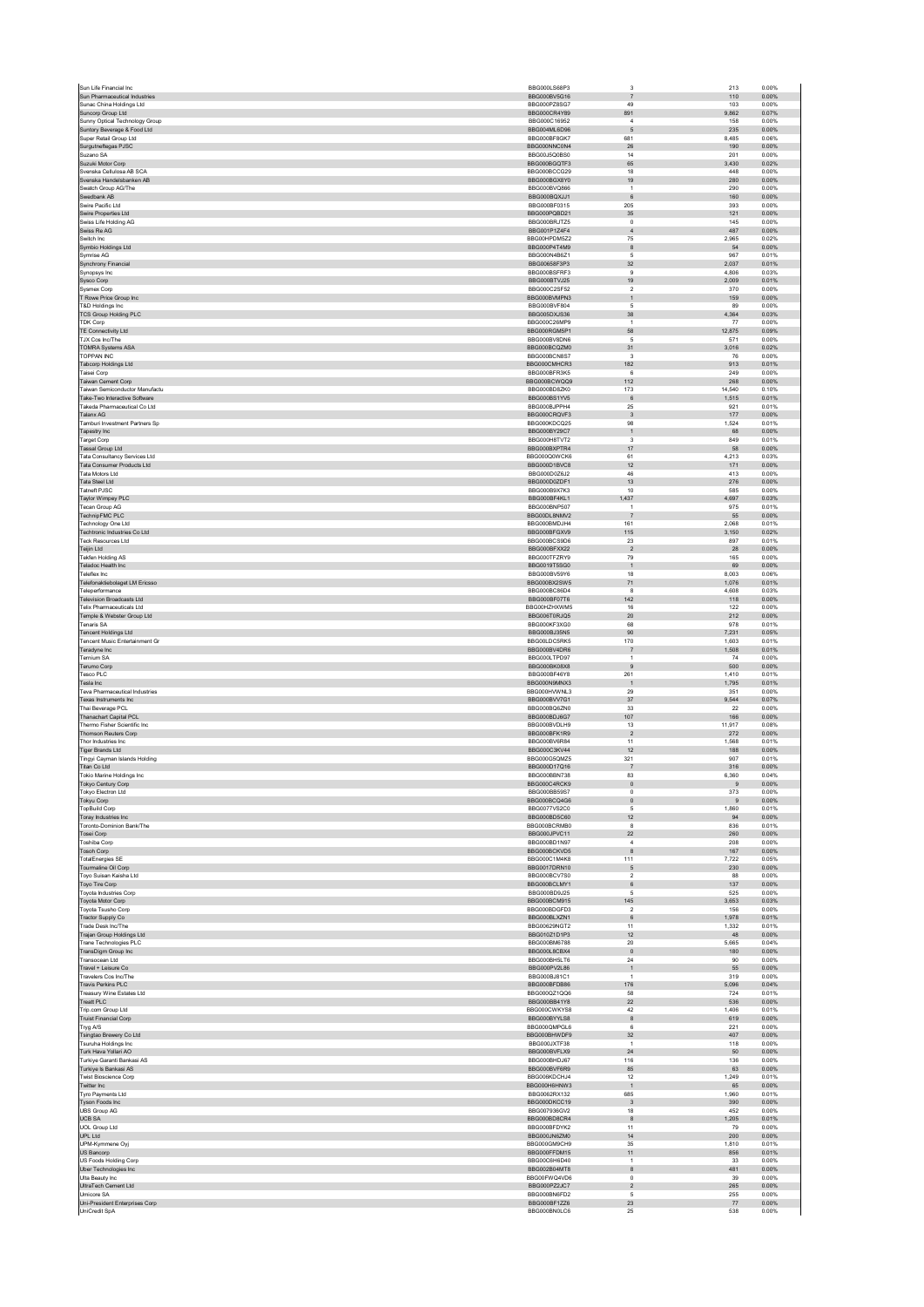| Sun Life Financial Inc.                                         | BBG000LS68P3                 | 3                             | 213                   | 0.00%          |
|-----------------------------------------------------------------|------------------------------|-------------------------------|-----------------------|----------------|
| Sun Pharmaceutical Industries                                   | BBG000BV5G16                 | $\overline{7}$                | 110                   | 0.00%          |
| Sunac China Holdings Ltd<br>Suncorp Group Ltd                   | BBG000PZ8SG7<br>BBG000CR4Y89 | 49<br>891                     | 103<br>9,862          | 0.00%<br>0.07% |
| Sunny Optical Technology Group                                  | BBG000C16952                 | $\sqrt{4}$                    | 158                   | 0.00%          |
| Suntory Beverage & Food Ltd                                     | BBG004ML6D96                 | 5                             | 235                   | 0.00%          |
| Super Retail Group Ltd                                          | BBG000BF8GK7                 | 681                           | 8,485                 | 0.06%          |
| Surgutneftegas PJSC<br>Suzano SA                                | BBG000NNC0N4<br>BBG00J5Q0BS0 | ${\bf 26}$<br>14              | 190<br>201            | 0.00%<br>0.00% |
| Suzuki Motor Corp                                               | BBG000BGQTF3                 | 65                            | 3,430                 | 0.02%          |
| Svenska Cellulosa AB SCA                                        | BBG000BCCG29                 | 18                            | 448                   | 0.00%          |
| Svenska Handelsbanken AB                                        | BBG000BGX8Y0                 | 19                            | 280                   | 0.00%          |
| Swatch Group AG/The<br>Swedbank AB                              | BBG000BVQ866<br>BBG000BQXJJ1 | $\mathbf{1}$<br>6             | 290<br>160            | 0.00%<br>0.00% |
| Swire Pacific Ltd                                               | BBG000BF0315                 | 205                           | 393                   | 0.00%          |
| Swire Properties Ltd                                            | BBG000PQBD21                 | 35                            | 121                   | 0.00%          |
| Swiss Life Holding AG                                           | BBG000BRJTZ5                 | $\circ$                       | 145                   | 0.00%          |
| Swiss Re AG                                                     | BBG001P1Z4F4                 | $\overline{4}$                | 487                   | 0.00%          |
| Switch Inc.                                                     | BBG00HPDM5Z2                 | 75                            | 2.965                 | 0.02%          |
| Symbio Holdings Ltd<br>Symrise AG                               | BBG000P4T4M9<br>BBG000N4B671 | $^{\rm 8}$<br>$\overline{5}$  | 54<br>967             | 0.00%<br>0.01% |
| Synchrony Financial                                             | BBG00658F3P3                 | $32\,$                        | 2,037                 | 0.01%          |
| Synopsys Inc                                                    | BBG000BSFRF3                 | $\,9$                         | 4,806                 | 0.03%          |
| Sysco Corp                                                      | BBG000BTVJ25                 | 19                            | 2.009                 | 0.01%          |
| Sysmex Corp                                                     | BBG000C2SF52                 | $\sqrt{2}$                    | 370                   | 0.00%<br>0.00% |
| T Rowe Price Group Inc<br>T&D Holdings Inc.                     | BBG000BVMPN3<br>BBG000BVF804 | $\mathbf{1}$<br>5             | 159<br>89             | 0.00%          |
| <b>TCS Group Holding PLC</b>                                    | BBG005DXJS36                 | $38\,$                        | 4,364                 | 0.03%          |
| <b>TDK Corp</b>                                                 | BBG000C26MP9                 | $\overline{1}$                | 77                    | 0.00%          |
| TE Connectivity Ltd                                             | BBG000RGM5P1                 | 58                            | 12,875                | 0.09%          |
| TJX Cos Inc/The<br><b>TOMRA Systems ASA</b>                     | BBG000BV8DN6<br>BBG000BCQZM0 | -5<br>31                      | 571<br>3,016          | 0.00%<br>0.02% |
| TOPPAN INC                                                      | BBG000BCN8S7                 | $\overline{\mathbf{3}}$       | 76                    | 0.00%          |
| Tabcorp Holdings Ltd                                            | BBG000CMHCR3                 | 182                           | 913                   | 0.01%          |
| Taisei Corp                                                     | BBG000BFR3K5                 | 6                             | 249                   | 0.00%          |
| Taiwan Cement Corp                                              | BBG000BCWQQ9                 | 112                           | 268                   | 0.00%          |
| Taiwan Semiconductor Manufactu<br>Take-Two Interactive Software | BBG000BD8ZK0                 | 173                           | 14.540                | 0.10%          |
| Takeda Pharmaceutical Co Ltd.                                   | BBG000BS1YV5<br>BBG000BJPPH4 | $\,6\,$<br>25                 | 1,515<br>921          | 0.01%<br>0.01% |
| Talanx AG                                                       | BBG000CRQVF3                 | $_{3}$                        | 177                   | 0.00%          |
| Tamburi Investment Partners Sp                                  | BBG000KDCQ25                 | 98                            | 1,524                 | 0.01%          |
| Tapestry Inc.                                                   | BBG000BY29C7                 | $\overline{1}$                | 68                    | 0.00%          |
| Target Corp                                                     | BBG000H8TVT2                 | $\overline{\mathbf{3}}$       | 849                   | 0.01%          |
| <b>Tassal Group Ltd</b><br>Tata Consultancy Services Ltd        | BBG000BXPTR4<br>BBG000Q0WCK6 | 17<br>61                      | 58<br>4,213           | 0.00%<br>0.03% |
| Tata Consumer Products Ltd                                      | BBG000D1BVC8                 | 12                            | 171                   | 0.00%          |
| Tata Motors Ltd                                                 | BBG000D0Z6J2                 | 46                            | 413                   | 0.00%          |
| Tata Steel Ltd                                                  | BBG000D0ZDF1                 | 13                            | 276                   | 0.00%          |
| <b>Tatneft PJSC</b>                                             | BBG000B9X7K3                 | 10                            | 585                   | 0.00%          |
| Taylor Wimpey PLC<br>Tecan Group AG                             | BBG000BF4KL1<br>BBG000BNP507 | 1,437<br>$\overline{1}$       | 4,697<br>975          | 0.03%<br>0.01% |
| <b>TechnipFMC PLC</b>                                           | BBG00DL8NMV2                 | $\overline{7}$                | 55                    | 0.00%          |
| Technology One Ltd                                              | BBG000BMDJH4                 | 161                           | 2,068                 | 0.01%          |
| Techtronic Industries Co Ltd                                    | BBG000BFGXV9                 | 115                           | 3.150                 | 0.02%          |
| <b>Teck Resources Ltd</b>                                       | BBG000BCS9D6                 | 23                            | 897                   | 0.01%          |
| Teijin Ltd<br>Tekfen Holding AS                                 | BBG000BFXX22<br>BBG000TFZRY9 | $\overline{2}$<br>79          | 28<br>165             | 0.00%<br>0.00% |
| Teladoc Health Inc                                              | BBG0019T5SG0                 | $\mathbf{1}$                  | 69                    | 0.00%          |
| Teleflex Inc.                                                   | BBG000BV59Y6                 | 18                            | 8.003                 | 0.06%          |
| Telefonaktiebolaget LM Ericsso                                  | BBG000BX2SW5                 | 71                            | 1,076                 | 0.01%          |
| Teleperformance                                                 | BBG000BC86D4                 | $\mathbf{a}$                  | 4,608                 | 0.03%          |
| <b>Television Broadcasts Ltd</b>                                | BBG000BF07T6                 | 142                           | 118                   | 0.00%          |
| <b>Telix Pharmaceuticals Ltd</b><br>Temple & Webster Group Ltd  | BBG00HZHXWM5<br>BBG006T0RJQ5 | $16\,$<br>20                  | 122<br>212            | 0.00%<br>0.00% |
| Tenaris SA                                                      | BBG000KF3XG0                 | 68                            | 978                   | 0.01%          |
|                                                                 | BBG000BJ35N5                 | 90                            | 7,231                 | 0.05%          |
| <b>Tencent Holdings Ltd</b>                                     |                              |                               |                       |                |
| <b>Tencent Music Entertainment Gr</b>                           | BBG00LDC5RK5                 | 170                           | 1.603                 | 0.01%          |
| Teradyne Inc                                                    | BBG000BV4DR6                 | $\overline{7}$                | 1,508                 | 0.01%          |
| <b>Ternium SA</b>                                               | BBG000LTPD97                 | $\overline{1}$                | 74                    | 0.00%          |
| Terumo Corp<br>Tesco PLC                                        | BBG000BK08X8<br>BBG000BF46Y8 | $\overline{9}$                | 500                   | 0.00%          |
| Tesla Inc                                                       | BBG000N9MNX3                 | 261<br>$\overline{1}$         | 1,410<br>1.795        | 0.01%<br>0.01% |
| <b>Teva Pharmaceutical Industries</b>                           | BBG000HVWNL3                 | 29                            | 351                   | 0.00%          |
| Texas Instruments Inc                                           | BBG000BVV7G1                 | 37                            | 9,544                 | 0.07%          |
| Thai Beverage PCL                                               | BBG000BQ6ZN0                 | 33                            | $22\,$                | 0.00%          |
| <b>Thanachart Capital PCL</b>                                   | BBG000BDJ6G7                 | 107                           | 166                   | 0.00%          |
| Thermo Fisher Scientific Inc.<br>Thomson Reuters Corp           | BBG000BVDLH9<br>BBG000BFK1R9 | 13<br>$\overline{2}$          | 11.917<br>272         | 0.08%<br>0.00% |
| Thor Industries Inc.                                            | BBG000BV6R84                 | 11                            | 1,568                 | 0.01%          |
| <b>Tiger Brands Ltd</b>                                         | BBG000C3KV44                 | $12\,$                        | 188                   | 0.00%          |
| Tingyi Cayman Islands Holding                                   | BBG000G5QMZ5                 | 321                           | 907                   | 0.01%          |
| Titan Co Ltd                                                    | BBG000D17Q16                 | $\overline{7}$                | 316                   | 0.00%          |
| Tokio Marine Holdings Inc                                       | BBG000BBN738<br>BBG000C4RCK9 | 83<br>$\mathbf{0}$            | 6,360<br>$\mathbf{Q}$ | 0.04%<br>0.00% |
| <b>Tokyo Century Corp</b><br>Tokyo Electron Ltd                 | BBG000BB59S7                 | $\mathsf 0$                   | 373                   | 0.00%          |
| Tokyu Corp                                                      | BBG000BCQ4G6                 | $\mathbf 0$                   | 9                     | 0.00%          |
| <b>TopBuild Corp</b>                                            | BBG0077VS2C0                 | 5                             | 1.860                 | 0.01%          |
| Toray Industries Inc                                            | BBG000BD5C60                 | 12                            | 94                    | 0.00%          |
| Toronto-Dominion Bank/The<br>Tosei Corp                         | BBG000BCRMB0<br>BBG000JPVC11 | 8<br>$22\,$                   | 836<br>260            | 0.01%<br>0.00% |
| <b>Toshiba Corp</b>                                             | BBG000BD1N97                 | $\overline{4}$                | 208                   | 0.00%          |
| Tosoh Corp                                                      | BBG000BCKVD5                 | 8                             | 167                   | 0.00%          |
| <b>TotalEnergies SE</b>                                         | BBG000C1M4K8                 | 111                           | 7,722                 | 0.05%          |
| Tourmaline Oil Corp<br>Toyo Suisan Kaisha Ltd                   | BBG0017DRN10<br>BBG000BCV7S0 | 5<br>$\sqrt{2}$               | 230<br>88             | 0.00%<br>0.00% |
| Toyo Tire Corp                                                  | BBG000BCLMY1                 | $\,6$                         | 137                   | 0.00%          |
| <b>Toyota Industries Corp</b>                                   | BBG000BD9J25                 | 5                             | 525                   | 0.00%          |
| Toyota Motor Corp                                               | BBG000BCM915                 | 145                           | 3,653                 | 0.03%          |
| Toyota Tsusho Corp<br>Tractor Supply Co                         | BBG000BDGED3                 | $\overline{2}$                | 156                   | 0.00%          |
| Trade Desk Inc/The                                              | BBG000BLXZN1<br>BBG00629NGT2 | $\,6\,$<br>11                 | 1,978<br>1,332        | 0.01%<br>0.01% |
| <b>Trajan Group Holdings Ltd</b>                                | BBG010Z1D1P3                 | 12                            | 48                    | 0.00%          |
| Trane Technologies PLC                                          | BBG000BM6788                 | $20\,$                        | 5,665                 | 0.04%          |
| TransDigm Group Inc                                             | BBG000L8CBX4                 | $\mathbf{0}$                  | 180                   | 0.00%          |
| Transocean Ltd                                                  | BBG000BH5LT6<br>BBG000PV2L86 | $\bf{24}$                     | 90                    | 0.00%          |
| Travel + Leisure Co<br>Travelers Cos Inc/The                    | BBG000BJ81C1                 | $\mathbf 1$<br>$\overline{1}$ | 55<br>319             | 0.00%<br>0.00% |
| Travis Perkins PLC                                              | BBG000BFDB86                 | 176                           | 5,096                 | 0.04%          |
| Treasury Wine Estates Ltd                                       | BBG000QZ1QQ6                 | 58                            | 724                   | 0.01%          |
| Treatt PLC                                                      | BBG000BB41Y8                 | $22\,$                        | 536                   | 0.00%          |
| Trip.com Group Ltd<br><b>Truist Financial Corp</b>              | BBG000CWKYS8<br>BBG000BYYLS8 | 42<br>8                       | 1,406<br>619          | 0.01%<br>0.00% |
| Tryg A/S                                                        | BBG000QMPGL6                 | 6                             | 221                   | 0.00%          |
| Tsingtao Brewery Co Ltd                                         | BBG000BHWDF9                 | 32                            | 407                   | 0.00%          |
| Tsuruha Holdings Inc                                            | BBG000JXTF38                 | $\mathbf{1}$                  | 118                   | 0.00%          |
| Turk Hava Yollari AO<br>Turkive Garanti Bankasi AS              | BBG000BVFLX9<br>BBG000BHDJ67 | $\bf 24$<br>116               | 50<br>136             | 0.00%<br>0.00% |
| Turkiye Is Bankasi AS                                           | BBG000BVF6R9                 | 85                            | 63                    | 0.00%          |
| <b>Twist Bioscience Corp</b>                                    | BBG006KDCHJ4                 | 12                            | 1.249                 | 0.01%          |
| Twitter Inc                                                     | BBG000H6HNW3                 | $\mathbf{1}$                  | 65                    | 0.00%          |
| Tyro Payments Ltd                                               | BBG0062RX132                 | 685                           | 1,960                 | 0.01%          |
| <b>Tyson Foods Inc.</b>                                         | BBG000DKCC19                 | $\overline{\mathbf{3}}$       | 390                   | 0.00%          |
| <b>UBS Group AG</b><br><b>UCB SA</b>                            | BBG007936GV2<br>BBG000BD8CR4 | 18<br>$\boldsymbol{8}$        | 452<br>1,205          | 0.00%<br>0.01% |
| <b>UOL Group Ltd</b>                                            | BBG000BFDYK2                 | 11                            | 79                    | 0.00%          |
| UPL Ltd                                                         | BBG000JN6ZM0                 | $14\,$                        | 200                   | 0.00%          |
| UPM-Kymmene Oyj                                                 | BBG000GM9CH9                 | 35                            | 1.810                 | 0.01%          |
| US Bancorp                                                      | BBG000FFDM15                 | 11                            | 856                   | 0.01%          |
| <b>US Foods Holding Corp</b>                                    | BBG00C6H6D40                 | $\overline{1}$                | 33                    | 0.00%          |
| Uber Technologies Inc<br>Ulta Beauty Inc                        | BBG002B04MT8<br>BBG00FWQ4VD6 | $^{\rm 8}$<br>$\circ$         | 481<br>39             | 0.00%<br>0.00% |
| UltraTech Cement Ltd                                            | BBG000PZ2JC7                 | $\overline{2}$                | 265                   | 0.00%          |
| Umicore SA                                                      | BBG000BN6FD2                 | $\sqrt{5}$                    | 255                   | 0.00%          |
| Uni-President Enterprises Corp<br>UniCredit SpA                 | BBG000BF1ZZ6<br>BBG000BN0LC6 | 23<br>25                      | 77<br>538             | 0.00%<br>0.00% |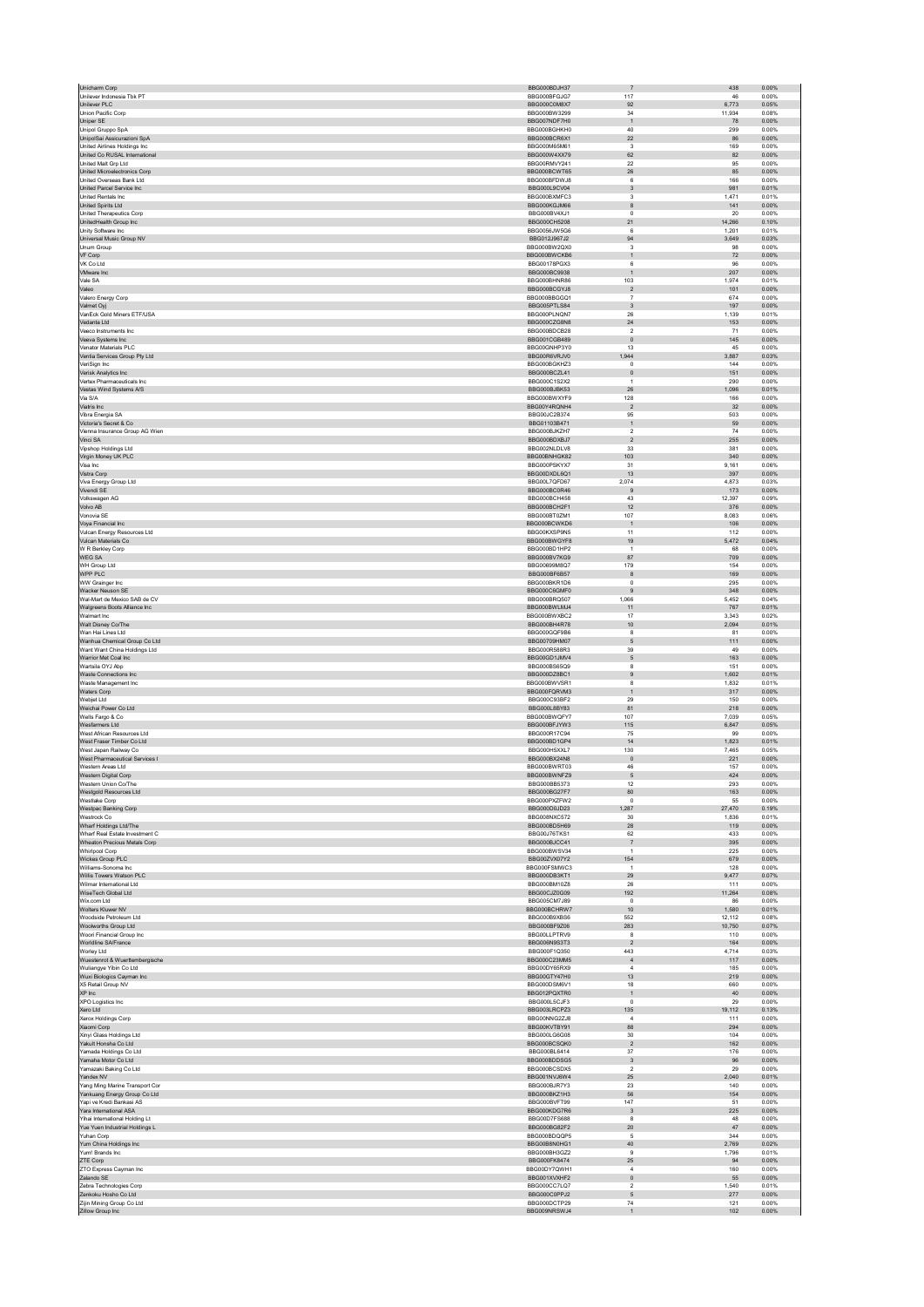| Unicharm Corp                                                | BBG000BDJH37                   | $\overline{7}$                 | 438<br>0.00%                       |  |
|--------------------------------------------------------------|--------------------------------|--------------------------------|------------------------------------|--|
| Unilever Indonesia Tbk PT<br>Unilever PLC                    | BBG000BFGJG7<br>BBG000C0M8X7   | 117<br>92                      | 46<br>0.00%<br>6,773<br>0.05%      |  |
| Union Pacific Corp                                           | BBG000BW3299                   | 34                             | 11,934<br>0.08%                    |  |
| Uniper SE                                                    | BBG007NDF7H0                   | $\mathbf 1$                    | 78<br>0.00%                        |  |
| Unipol Gruppo SpA                                            | BBG000BGHKH0                   | 40                             | 299<br>0.00%                       |  |
| UnipolSai Assicurazioni SpA<br>United Airlines Holdinas Inc. | BBG000BCR6X1<br>BBG000M65M61   | $22\,$<br>$\mathbf{3}$         | 86<br>0.00%<br>169<br>0.00%        |  |
| United Co RUSAL International                                | BBG000W4XX79                   | 62                             | 82<br>0.00%                        |  |
| United Malt Grp Ltd                                          | BBG00RMVY241                   | 22                             | 95<br>0.00%                        |  |
| <b>United Microelectronics Corp.</b>                         | BBG000BCWT65                   | 26                             | 85<br>0.00%                        |  |
| United Overseas Bank Ltd<br>United Parcel Service Inc.       | BBG000BFDWJ8<br>BBG000L9CV04   | 6<br>$\mathbf{3}$              | 166<br>0.00%<br>981<br>0.01%       |  |
| United Rentals Inc.                                          | BBG000BXMFC3                   | $\mathsf 3$                    | 1,471<br>0.01%                     |  |
| United Spirits Ltd                                           | BBG000KGJM66                   | $\bf8$                         | 141<br>0.00%                       |  |
| United Therapeutics Corp.                                    | BBG000BV4XJ1                   | $^{\circ}$                     | 20<br>0.00%                        |  |
| UnitedHealth Group Inc                                       | BBG000CH5208                   | 21                             | 14,266<br>0.10%                    |  |
| Unity Software Inc.<br>Universal Music Group NV              | BBG0056, IW5G6<br>BBG012J967J2 | 6<br>94                        | 1.201<br>0.01%<br>3,649<br>0.03%   |  |
| Unum Group                                                   | BBG000BW2QX0                   | 3                              | 98<br>0.00%                        |  |
| VF Corp                                                      | BBG000BWCKB6                   | $\mathbf{1}$                   | 0.00%<br>72                        |  |
| VK Co Ltd                                                    | BBG00178PGX3                   | 6                              | 96<br>0.00%                        |  |
| <b>VMware</b> Inc<br>Vale SA                                 | BBG000BC9938<br>BBG000BHNR86   | $\mathbf{1}$<br>103            | 207<br>0.00%<br>1,974<br>0.01%     |  |
| Valeo                                                        | BBG000BCGYJ8                   | $\sqrt{2}$                     | 101<br>0.00%                       |  |
| Valero Energy Corp                                           | BBG000BBGGQ1                   | $\overline{7}$                 | 674<br>0.00%                       |  |
| Valmet Oyj                                                   | BBG005PTLS84                   | $\overline{\mathbf{3}}$        | 197<br>0.00%                       |  |
| VanEck Gold Miners ETF/USA                                   | RRG000PLNQN7                   | 26                             | 1.139<br>0.01%                     |  |
| Vedanta Ltd<br>Veeco Instruments Inc                         | BBG000CZG8N8<br>BBG000BDCB28   | $\bf 24$<br>$\sqrt{2}$         | 153<br>0.00%<br>71<br>0.00%        |  |
| Veeva Systems Inc                                            | BBG001CGB489                   | $\circ$                        | 145<br>0.00%                       |  |
| Venator Materials PLC                                        | BBG00GNHP3Y0                   | 13                             | 45<br>0.00%                        |  |
| Ventia Services Group Pty Ltd                                | BBG00R6VRJV0                   | 1.944                          | 3.887<br>0.03%                     |  |
| VeriSign Inc                                                 | BBG000BGKHZ3                   | $\mathsf 0$                    | 144<br>0.00%                       |  |
| Verisk Analytics Inc<br>Vertex Pharmaceuticals Inc.          | BBG000BCZL41<br>BBG000C1S2X2   | $\mathbf 0$<br>$\overline{1}$  | 151<br>0.00%<br>290<br>0.00%       |  |
| Vestas Wind Systems A/S                                      | BBG000BJBK53                   | ${\bf 26}$                     | 1,096<br>0.01%                     |  |
| Via S/A                                                      | BBG000BWXYF9                   | 128                            | 166<br>0.00%                       |  |
| Viatris Inc                                                  | BBG00Y4RQNH4                   | $\overline{2}$                 | $32\,$<br>0.00%                    |  |
| Vibra Energia SA<br>Victoria's Secret & Co.                  | BBG00JC2B374<br>BBG01103B471   | 95<br>$\mathbf{1}$             | 503<br>0.00%<br>59<br>0.00%        |  |
| Vienna Insurance Group AG Wien                               | BBG000BJKZH7                   | $\sqrt{2}$                     | ${\bf 74}$<br>0.00%                |  |
| Vinci SA                                                     | BBG000BDXBJ7                   | $\overline{2}$                 | 255<br>0.00%                       |  |
| Vipshop Holdings Ltd                                         | BBG002NLDLV8                   | 33                             | 381<br>0.00%                       |  |
| Virgin Money UK PLC                                          | BBG00BNHGK82                   | 103                            | 340<br>0.00%                       |  |
| Visa Inc<br>Vistra Corp                                      | BBG000PSKYX7<br>BBG00DXDL6Q1   | 31<br>$13$                     | 9.161<br>0.06%<br>397<br>0.00%     |  |
| Viva Energy Group Ltd                                        | BBG00L7QFD67                   | 2.074                          | 4,873<br>0.03%                     |  |
| Vivendi SE                                                   | BBG000BC0R46                   | $\,9$                          | 173<br>0.00%                       |  |
| Volkswagen AG                                                | BBG000BCH458                   | 43                             | 12,397<br>0.09%                    |  |
| Volvo AB                                                     | BBG000BCH2F1                   | 12                             | 0.00%<br>376                       |  |
| Vonovia SE                                                   | BBG000BT0ZM1<br>BBG000BCWKD6   | 107<br>$\overline{1}$          | 8,083<br>0.06%<br>106<br>0.00%     |  |
| Voya Financial Inc<br>Vulcan Energy Resources Ltd            | BBG00KXSP9N5                   | 11                             | 112<br>0.00%                       |  |
| Vulcan Materials Co                                          | BBG000BWGYF8                   | 19                             | 5,472<br>0.04%                     |  |
| W R Berkley Corp                                             | BBG000BD1HP2                   | $\overline{1}$                 | 68<br>0.00%                        |  |
| WEG SA                                                       | BBG000BV7KG9                   | 87                             | 709<br>0.00%                       |  |
| WH Group Ltd<br>WPP PLC                                      | BBG00699M8Q7<br>BBG000BF6B57   | 179                            | 154<br>0.00%<br>169<br>0.00%       |  |
| WW Grainger Inc                                              | BBG000BKR1D6                   | $^{\rm 8}$<br>$\mathsf 0$      | 295<br>0.00%                       |  |
| Wacker Neuson SE                                             | BBG000C6GMF0                   | 9                              | 348<br>0.00%                       |  |
| Wal-Mart de Mexico SAB de CV                                 | BBG000BRQ507                   | 1,066                          | 5,452<br>0.04%                     |  |
| Walgreens Boots Alliance Inc                                 | BBG000BWLMJ4                   | 11                             | 767<br>0.01%                       |  |
| Walmart Inc                                                  | BBG000BWXBC2                   | 17                             | 3,343<br>0.02%                     |  |
| Walt Disney Co/The<br>Wan Hai Lines Ltd                      | BBG000BH4R78<br>BBG000GQF9B6   | 10<br>8                        | 2,094<br>0.01%<br>81<br>0.00%      |  |
| Wanhua Chemical Group Co Ltd                                 | BBG00709HM07                   | 5                              | 111<br>0.00%                       |  |
| Want Want China Holdings Ltd                                 | BBG000R588R3                   | 39                             | 49<br>0.00%                        |  |
| Warrior Met Coal Inc.                                        | BBG00GD1JMV4                   | 5                              | 163<br>0.00%                       |  |
| Wartsila OYJ Abp                                             | BBG000BS65Q9                   | 8                              | 151<br>0.00%                       |  |
| <b>Waste Connections Inc.</b><br>Waste Management Inc        | BBG000DZ8BC1<br>BBG000BWVSR1   | 9<br>8                         | 1.602<br>0.01%<br>1,832<br>0.01%   |  |
| Waters Corp                                                  | BBG000FQRVM3                   | $\mathbf{1}$                   | 317<br>0.00%                       |  |
| Webiet Ltd                                                   | BBG000C93BF2                   | 29                             | 150<br>0.00%                       |  |
| Weichai Power Co Ltd                                         | BBG000L8BY83                   | 81                             | 218<br>0.00%                       |  |
| Wells Fargo & Co                                             | BBG000BWQFY7                   | 107                            | 7.039<br>0.05%                     |  |
| Wesfarmers Ltd<br>West African Resources Ltd.                | BBG000BFJYW3<br>BBG000R17C94   | 115<br>75                      | 6,847<br>0.05%<br>99<br>0.00%      |  |
| West Fraser Timber Co Ltd                                    | BBG000BD1GP4                   | 14                             | 1.823<br>0.01%                     |  |
| West Japan Railway Co                                        | BBG000H5XXL7                   | 130                            | 7,465<br>0.05%                     |  |
| West Pharmaceutical Services I                               | BBG000BX24N8                   | $\mathbf 0$                    | 221<br>0.00%                       |  |
| Western Areas Ltd                                            | BBG000BWRT03                   | 46                             | 157<br>0.00%                       |  |
| Western Digital Corp<br>Western Union Co/The                 | BBG000BWNFZ9<br>BBG000BB5373   | 5<br>12                        | 424<br>0.00%<br>293<br>0.00%       |  |
| Westgold Resources Ltd                                       | BBG000BG27F7                   | 80                             | 163<br>0.00%                       |  |
| Westlake Corp                                                | BBG000PXZFW2                   | $^{\circ}$                     | 55<br>0.00%                        |  |
| Westpac Banking Corp                                         | BBG000D0JD23                   | 1,287                          | 27,470<br>0.19%                    |  |
| Westrock Co                                                  | BBG008NXC572                   | 30                             | 1,836<br>0.01%                     |  |
| Wharf Holdings Ltd/The<br>Wharf Real Estate Investment C     | BBG000BD5H69<br>BBG00J76TKS1   | 28<br>62                       | 119<br>0.00%<br>433<br>0.00%       |  |
| Wheaton Precious Metals Corp                                 | BBG000BJCC41                   | $\overline{7}$                 | 395<br>0.00%                       |  |
| <b>Whirlpool Corp</b>                                        | BBG000BWSV34                   | $\overline{1}$                 | 225<br>0.00%                       |  |
| Wickes Group PLC                                             | BBG00ZVX07Y2                   | 154                            | 679<br>0.00%                       |  |
| Williams-Sonoma Inc.<br>Willis Towers Watson PLC             | BBG000FSMWC3<br>BBG000DB3KT1   | $\overline{1}$<br>$29\,$       | 0.00%<br>128<br>9,477<br>0.07%     |  |
| Wilmar International Ltd                                     | BBG000BM10Z8                   | 26                             | 111<br>0.00%                       |  |
| WiseTech Global Ltd                                          | BBG00CJZ0G09                   | 192                            | 11,264<br>0.08%                    |  |
| Wix.com Ltd                                                  | BBG005CM7J89                   | $\circ$                        | 86<br>0.00%                        |  |
| Wolters Kluwer NV<br>Woodside Petroleum Ltd                  | BBG000BCHRW7                   | 10                             | 1.580<br>0.01%                     |  |
| Woolworths Group Ltd                                         | BBG000B9XBS6<br>BBG000BF9Z06   | 552<br>283                     | 12,112<br>0.08%<br>10,750<br>0.07% |  |
| Woori Financial Group Inc                                    | BBG00LLPTRV9                   | 8                              | 0.00%<br>110                       |  |
| Worldline SA/France                                          | BBG006N9S3T3                   | $\overline{2}$                 | 164<br>0.00%                       |  |
| Worley Ltd                                                   | BBG000F1Q350                   | 443                            | 4.714<br>0.03%                     |  |
| Wuestenrot & Wuerttembergische                               | BBG000C23MM5<br>BBG00DY65RX9   | $\sqrt{4}$<br>$\overline{a}$   | 117<br>0.00%<br>185<br>0.00%       |  |
| Wuliangye Yibin Co Ltd<br>Wuxi Biologics Cayman Inc          | BBG00GTY47H0                   | 13                             | 219<br>0.00%                       |  |
| X5 Retail Group NV                                           | BBG000DSM6V1                   | 18                             | 660<br>0.00%                       |  |
| XP Inc                                                       | BBG012PQXTR0                   | $\mathbf{1}$                   | 40<br>0.00%                        |  |
| XPO Logistics Inc                                            | BBG000L5CJF3                   | $\mathsf 0$                    | 29<br>0.00%                        |  |
| Xero Ltd<br><b>Xerox Holdings Corp</b>                       | BBG003LRCPZ3<br>BBG00NNG2ZJ8   | 135<br>$\bf{4}$                | 19,112<br>0.13%<br>0.00%<br>111    |  |
| Xiaomi Corp                                                  | BBG00KVTBY91                   | 88                             | 294<br>0.00%                       |  |
| Xinyi Glass Holdings Ltd                                     | BBG000LG6G08                   | 30                             | 104<br>0.00%                       |  |
| Yakult Honsha Co Ltd                                         | BBG000BCSQK0                   | $\sqrt{2}$                     | 162<br>0.00%                       |  |
| Yamada Holdings Co Ltd                                       | BBG000BL6414                   | 37                             | 176<br>0.00%                       |  |
| Yamaha Motor Co Ltd<br>Yamazaki Baking Co Ltd                | BBG000BDDSG5<br>BBG000BCSDX5   | $_{\rm 3}$<br>$\overline{2}$   | 96<br>0.00%<br>29<br>0.00%         |  |
| Yandex NV                                                    | BBG001NVJ6W4                   | 25                             | 2.040<br>0.01%                     |  |
| Yang Ming Marine Transport Cor                               | BBG000BJR7Y3                   | $23\,$                         | 140<br>0.00%                       |  |
| Yankuang Energy Group Co Ltd                                 | BBG000BKZ1H3                   | 56                             | 154<br>0.00%                       |  |
| Yapi ve Kredi Bankasi AS<br>Yara International ASA           | BBG000BVFT99                   | 147<br>$\overline{\mathbf{3}}$ | 51<br>0.00%<br>225<br>0.00%        |  |
| Yihai International Holding Lt                               |                                |                                | 48<br>0.00%                        |  |
|                                                              | BBG000KDG7R6<br>BBG00D7FS688   | 8                              |                                    |  |
| Yue Yuen Industrial Holdings L                               | BBG000BG82F2                   | $20\,$                         | $47\,$<br>0.00%                    |  |
| Yuhan Corp                                                   | BBG000BDQQP5                   | $\overline{5}$                 | 344<br>0.00%                       |  |
| Yum China Holdings Inc                                       | BBG00B8N0HG1                   | 40                             | 2,769<br>0.02%                     |  |
| Yum! Brands Inc                                              | BBG000BH3GZ2                   | $\boldsymbol{9}$               | 1,796<br>0.01%                     |  |
| ZTE Corp                                                     | BBG000FK8474<br>BBG00DY7QWH1   | 25<br>$\bf{4}$                 | 94<br>0.00%<br>160<br>0.00%        |  |
| ZTO Express Cayman Inc<br>Zalando SE                         | BBG001XVXHF2                   | $\mathbf 0$                    | 55<br>0.00%                        |  |
| Zebra Technologies Corp                                      | BBG000CC7LQ7                   | $\overline{2}$                 | 1,540<br>0.01%                     |  |
| Zenkoku Hosho Co Ltd                                         | BBG000C0PPJ2                   | $\mathbf 5$                    | 277<br>0.00%                       |  |
| Zijin Mining Group Co Ltd<br>Zillow Group Inc                | BBG000DCTP29<br>BBG009NRSWJ4   | 74<br>$\mathbf 1$              | 121<br>0.00%<br>102<br>0.00%       |  |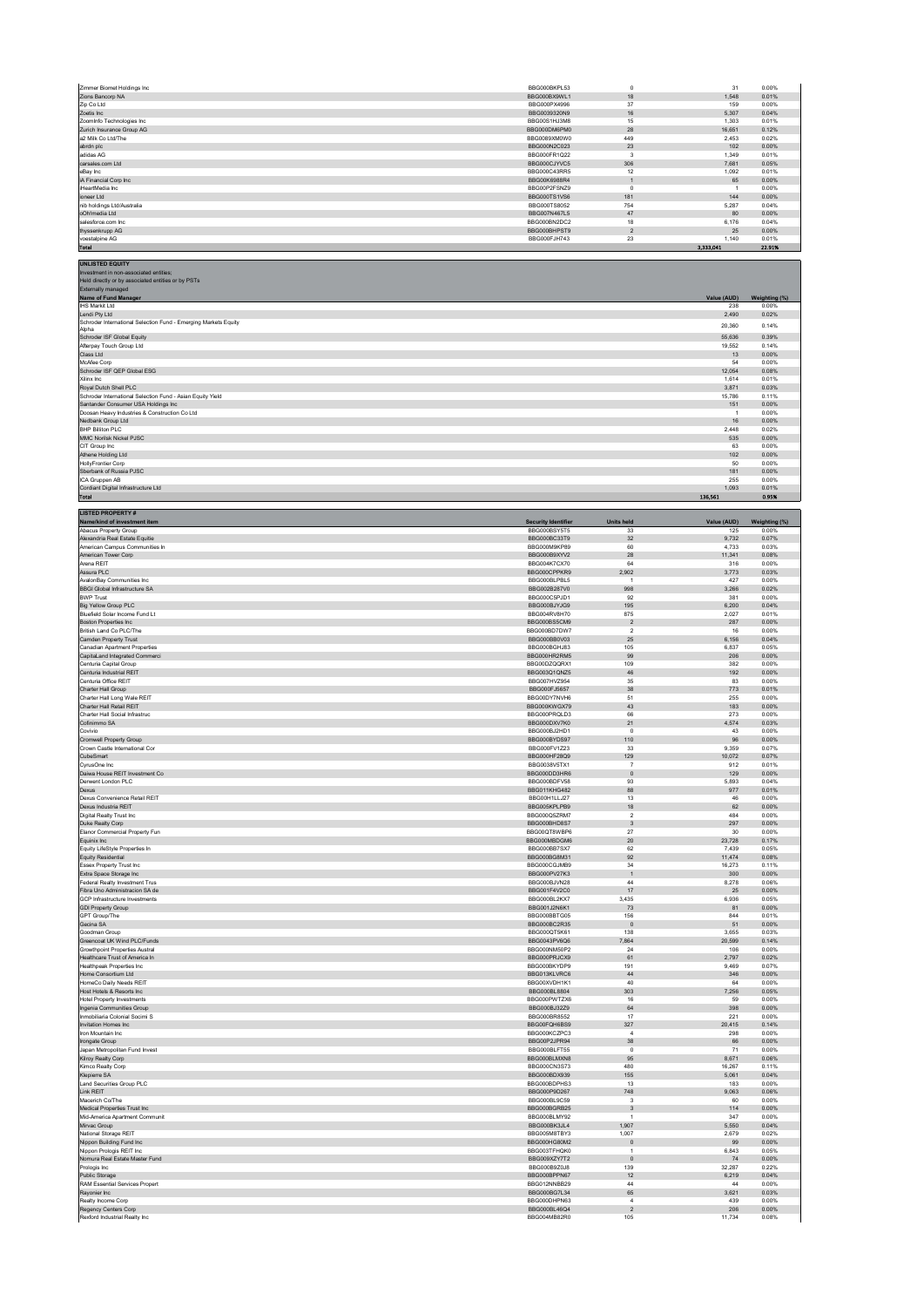| Zimmer Biomet Holdings Inc                                                           | BBG000BKPL53                 | $\circ$                      | 31                  | 0.00%                  |
|--------------------------------------------------------------------------------------|------------------------------|------------------------------|---------------------|------------------------|
| Zions Bancorp NA                                                                     | BBG000BX9WL1                 | 18                           | 1.548               | 0.01%                  |
| Zip Co Ltd                                                                           | BBG000PX4996                 | 37                           | 159                 | 0.00%                  |
| Zoetis Inc.                                                                          | BBG0039320N9                 | 16                           | 5,307               | 0.04%                  |
| Zoominfo Technologies Inc.                                                           | BBG00S1HJ3M8                 | 15                           | 1.303               | 0.01%                  |
| Zurich Insurance Group AG                                                            | BBG000DM6PM0                 | ${\bf 28}$                   | 16,651              | 0.12%                  |
| a2 Milk Co Ltd/The                                                                   | BBG0089XM0W0                 | 449                          | 2.453               | 0.02%                  |
| abrdn plc                                                                            | BBG000N2C023                 | $23\,$                       | 102                 | 0.00%                  |
| adidas AG                                                                            | BBG000FR1Q22                 | $\overline{\mathbf{3}}$      | 1,349               | 0.01%                  |
| carsales.com Ltd                                                                     | BBG000CJYVC5                 | 306                          | 7.681               | 0.05%                  |
| eBay Inc                                                                             | BBG000C43RR5                 | 12                           | 1,092               | 0.01%                  |
| iA Financial Corp Inc                                                                | BBG00K6988R4                 | $\overline{1}$               | 65                  | 0.00%                  |
| iHeartMedia Inc                                                                      | BBG00P2FSNZ9                 | $\,0\,$                      | $\overline{1}$      | 0.00%                  |
| ioneer Ltd                                                                           | BBG000TS1VS6                 | 181                          | 144                 | 0.00%                  |
| nib holdings Ltd/Australia                                                           | BBG000TS8052                 | 754                          | 5.287               | 0.04%                  |
| oOh!media Ltd                                                                        | BBG007N467L5                 | $47\,$                       | 80                  | 0.00%                  |
| salesforce.com Inc.                                                                  | BBG000BN2DC2                 | 18                           | 6.176               | 0.04%                  |
| thyssenkrupp AG                                                                      | BBG000BHPST9                 | $\overline{2}$               | 25                  | 0.00%                  |
| voestalpine AG<br><b>Total</b>                                                       | BBG000FJH743                 | 23                           | 1,140<br>3.333.041  | 0.01%<br>22.91%        |
| <b>UNLISTED EQUITY</b>                                                               |                              |                              |                     |                        |
| Investment in non-associated entities;                                               |                              |                              |                     |                        |
| Held directly or by associated entities or by PSTs<br>Externally managed             |                              |                              |                     |                        |
| Name of Fund Manager<br><b>IHS Markit Ltd</b>                                        |                              |                              | Value (AUD)<br>238  | Weighting (%)<br>0.00% |
| Lendi Pty Ltd<br>Schroder International Selection Fund - Emerging Markets Equity     |                              |                              | 2,490               | 0.02%                  |
| Alpha<br>Schroder ISF Global Equity                                                  |                              |                              | 20,360<br>55,636    | 0.14%<br>0.39%         |
| Afterpay Touch Group Ltd<br>Class Ltd                                                |                              |                              | 19,552<br>13        | 0.14%<br>0.00%         |
| McAfee Corp<br>Schroder ISF QEP Global ESG                                           |                              |                              | 54<br>12.054        | 0.00%<br>0.08%         |
| Xilinx Inc                                                                           |                              |                              | 1,614               | 0.01%                  |
| Royal Dutch Shell PLC<br>Schroder International Selection Fund - Asian Equity Yield  |                              |                              | 3.871<br>15,786     | 0.03%<br>0.11%         |
| Santander Consumer USA Holdings Inc<br>Doosan Heavy Industries & Construction Co Ltd |                              |                              | 151<br>$\mathbf{1}$ | 0.00%<br>0.00%         |
| Nedbank Group Ltd<br><b>BHP Billiton PLC</b>                                         |                              |                              | $16\,$<br>2.448     | 0.00%<br>0.02%         |
| MMC Norilsk Nickel PJSC<br>CIT Group Inc                                             |                              |                              | 535<br>63           | 0.00%<br>0.00%         |
| Athene Holding Ltd<br><b>HollyFrontier Corp</b>                                      |                              |                              | 102<br>50           | 0.00%<br>0.00%         |
| Sberbank of Russia PJSC<br>ICA Gruppen AB                                            |                              |                              | 181<br>255          | 0.00%<br>0.00%         |
| Cordiant Digital Infrastructure Ltd                                                  |                              |                              | 1,093               | 0.01%                  |
| <b>Total</b>                                                                         |                              |                              | 136,561             | 0.95%                  |
| <b>LISTED PROPERTY#</b><br>Name/kind of investment item                              | <b>Security Identifier</b>   | <b>Units held</b>            | Value (AUD)         | Weighting (%)          |
| Abacus Property Group                                                                | BBG000BSY5T5                 | 33                           | 125                 | 0.00%                  |
| Alexandria Real Estate Equitie                                                       | BBG000BC33T9                 | 32                           | 9.732               | 0.07%                  |
| American Campus Communities In                                                       | BBG000M9KP89                 | 60                           | 4,733               | 0.03%                  |
| American Tower Corp                                                                  | BBG000B9XYV2                 | 28                           | 11,341              | 0.08%                  |
| Arena REIT                                                                           | BBG004K7CX70                 | 64                           | 316                 | 0.00%                  |
| Assura PLC                                                                           | BBG000CPPKR9                 | 2,902                        | 3,773               | 0.03%                  |
| AvalonBay Communities Inc.                                                           | BBG000BLPBL5                 | $\overline{1}$               | 427                 | 0.00%                  |
| <b>BBGI Global Infrastructure SA</b>                                                 | BBG002B287V0                 | 998                          | 3,266               | 0.02%                  |
| <b>BWP Trust</b>                                                                     | BBG000C5PJD1                 | 92                           | 381                 | 0.00%                  |
| <b>Big Yellow Group PLC</b>                                                          | BBG000BJYJG9                 | 195                          | 6.200               | 0.04%                  |
| Bluefield Solar Income Fund Lt                                                       | BBG004RV8H70                 | 875                          | 2,027               | 0.01%                  |
| <b>Boston Properties Inc.</b>                                                        | BBG000BS5CM9                 | $\overline{2}$               | 287                 | 0.00%                  |
| British Land Co PLC/The                                                              | BBG000BD7DW7                 | $\overline{2}$               | $16\,$              | 0.00%                  |
| Camden Property Trust                                                                | BBG000BB0V03                 | 25                           | 6,156               | 0.04%                  |
| Canadian Apartment Properties                                                        | BBG000BGHJ83                 | 105                          | 6.837               | 0.05%                  |
| CapitaLand Integrated Commerci                                                       | BBG000HR2RM5                 | 99                           | 206                 | 0.00%                  |
| Centuria Capital Group                                                               | BBG00DZQQRX1                 | 109                          | 382                 | 0.00%                  |
| Centuria Industrial REIT                                                             | BBG003Q1QNZ5                 | $46\,$                       | 192                 | 0.00%                  |
| Centuria Office REIT                                                                 | BBG007HV7954                 | 35                           | 83                  | 0.00%                  |
| Charter Hall Group                                                                   | BBG000FJ5657                 | 38                           | 773                 | 0.01%                  |
| Charter Hall Long Wale REIT                                                          | BBG00DY7NVH6                 | 51                           | 255                 | 0.00%                  |
| Charter Hall Retail REIT                                                             | BBG000KWGX79                 | 43                           | 183                 | 0.00%                  |
| Charter Hall Social Infrastruc                                                       | BBG000PRQLD3                 | 66                           | 273                 | 0.00%                  |
| Cofinimmo SA                                                                         | BBG000DXV7K0                 | 21                           | 4,574               | 0.03%                  |
| Covivio                                                                              | BBG000BJ2HD1                 | $\overline{0}$               | 43                  | 0.00%                  |
| Cromwell Property Group                                                              | BBG000BYDS97                 | 110                          | 96                  | 0.00%                  |
| Crown Castle International Cor                                                       | BBG000FV1Z23                 | 33                           | 9.359               | 0.07%                  |
| CubeSmart                                                                            | BBG000HF28Q9                 | 129                          | 10,072              | 0.07%                  |
| CyrusOne Inc                                                                         | BBG0038V5TX1                 | $\overline{7}$               | 912                 | 0.01%                  |
| Daiwa House REIT Investment Co.                                                      | BBG000DD3HR6                 | $\circ$                      | 129                 | 0.00%                  |
| Derwent London PLC                                                                   | BBG000BDFV58                 | 93                           | 5,893               | 0.04%                  |
| Dexus                                                                                | <b>BBG011KHG482</b>          | 88                           | 977                 | 0.01%                  |
| Dexus Convenience Retail REIT                                                        | BBG00H1LLJ27                 | 13                           | 46                  | 0.00%                  |
| Dexus Industria REIT                                                                 | BBG005KPLPB9                 | 18                           | 62                  | 0.00%                  |
| <b>Digital Realty Trust Inc.</b>                                                     | BBG000Q5ZRM7                 | $\overline{2}$               | 484                 | 0.00%                  |
| Duke Realty Corp                                                                     | BBG000BHD8S7                 | $\mathbf{3}$                 | 297                 | 0.00%                  |
| Elanor Commercial Property Fun                                                       | BBG00QT8WBP6                 | 27                           | 30                  | 0.00%                  |
| Equinix Inc                                                                          | BBG000MBDGM6                 | $20\,$                       | 23,728              | 0.17%                  |
| Equity LifeStyle Properties In                                                       | BBG000BB7SX7                 | 62                           | 7,439               | 0.05%                  |
| <b>Equity Residential</b>                                                            | BBG000BG8M31                 | 92                           | 11.474              | 0.08%                  |
| Essex Property Trust Inc                                                             | BBG000CGJMB9                 | 34                           | 16,273              | 0.11%                  |
| Extra Space Storage Inc                                                              | BBG000PV27K3                 | $\overline{1}$               | 300                 | 0.00%                  |
| Federal Realty Investment Trus                                                       | BBG000BJVN28                 | $44\,$                       | 8,278               | 0.06%                  |
| Fibra Uno Administracion SA de                                                       | BBG001F4V2C0                 | 17                           | 25                  | 0.00%                  |
| GCP Infrastructure Investments                                                       | BBG000BL2KX7                 | 3.435                        | 6.936               | 0.05%                  |
| <b>GDI Property Group</b>                                                            | BBG001J2N6K1                 | 73                           | 81                  | 0.00%                  |
| <b>GPT Group/The</b>                                                                 | BBG000BBTG05                 | 156                          | 844                 | 0.01%                  |
| Gecina SA                                                                            | BBG000BC2R35                 | $\,$ 0                       | 51                  | 0.00%                  |
| Goodman Group                                                                        | BBG000QT5K61                 | 138                          | 3.655               | 0.03%                  |
| Greencoat UK Wind PLC/Funds                                                          | BBG0043PV6Q6                 | 7,864                        | 20.599              | 0.14%                  |
| Growthpoint Properties Austral                                                       | BBG000NM50P2                 | $\sqrt{24}$                  | 106                 | 0.00%                  |
| Healthcare Trust of America In                                                       | BBG000PRJCX9                 | 61                           | 2,797               | 0.02%                  |
| <b>Healthpeak Properties Inc.</b>                                                    | BBG000BKYDP9                 | 191                          | 9,469               | 0.07%                  |
| Home Consortium Ltd                                                                  | BBG013KLVRC6                 | 44                           | 346                 | 0.00%                  |
| HomeCo Daily Needs REIT                                                              | BBG00XVDH1K1                 | 40                           | 64                  | 0.00%                  |
| Host Hotels & Resorts Inc                                                            | BBG000BL8804                 | 303                          | 7,256               | 0.05%                  |
| <b>Hotel Property Investments</b>                                                    | BBG000PWTZX6                 | 16                           | 59                  | 0.00%                  |
| Ingenia Communities Group                                                            | BBG000BJ32Z9                 | 64                           | 398                 | 0.00%                  |
| Inmobiliaria Colonial Socimi S                                                       | BBG000BR8552                 | 17                           | 221                 | 0.00%                  |
| Invitation Homes Inc.                                                                | BBG00FQH6BS9                 | 327                          | 20.415              | 0.14%                  |
| Iron Mountain Inc                                                                    | BBG000KCZPC3                 | $\overline{4}$               | 298                 | 0.00%                  |
| Irongate Group                                                                       | BBG00P2JPR94                 | 38                           | 66                  | 0.00%                  |
| Japan Metropolitan Fund Invest                                                       | BBG000BLFT55                 | $\,0\,$                      | 71                  | 0.00%                  |
| Kilroy Realty Corp                                                                   | BBG000BLMXN8                 | 95                           | 8,671               | 0.06%                  |
| Kimco Realty Corp                                                                    | BBG000CN3S73                 | 480                          | 16.267              | 0.11%                  |
| Klepierre SA                                                                         | BBG000BDX939                 | 155                          | 5,061               | 0.04%                  |
| Land Securities Group PLC                                                            | BBG000BDPHS3                 | 13                           | 183                 | 0.00%                  |
| Link REIT                                                                            | BBG000P9D267                 | 748                          | 9,063               | 0.06%                  |
| Macerich Co/The                                                                      | BBG000BL9C59                 | $\overline{\mathbf{3}}$      | 60                  | 0.00%                  |
| Medical Properties Trust Inc                                                         | BBG000BGRB25                 | $\overline{3}$               | 114                 | 0.00%                  |
| Mid-America Apartment Communit                                                       | BBG000BLMY92                 | $\mathbf{1}$                 | 347                 | 0.00%                  |
| Mirvac Group                                                                         | BBG000BK3JL4                 | 1,907                        | 5,550               | 0.04%                  |
| National Storage REIT                                                                | BBG005M8TBY3                 | 1,007                        | 2,679               | 0.02%                  |
| Nippon Building Fund Inc                                                             |                              | $\mathbb O$                  | 99                  | 0.00%                  |
| Nippon Prologis REIT Inc.<br>Nomura Real Estate Master Fund                          | BBG000HG80M2                 |                              |                     |                        |
|                                                                                      | BBG003TFHQK0                 | $\overline{1}$               | 6.843               | 0.05%                  |
|                                                                                      | BBG009XZY7T2                 | $\mathbf 0$                  | 74                  | 0.00%                  |
| Prologis Inc.                                                                        | BBG000B9Z0J8                 | 139                          | 32.287              | 0.22%                  |
| Public Storage                                                                       | BBG000BPPN67                 | $12\,$                       | 6,219               | 0.04%                  |
| RAM Essential Services Propert                                                       | BBG012NNBB29                 | 44                           | $44\,$              | 0.00%                  |
|                                                                                      | BBG000BG7L34                 | 65                           | 3.621               | 0.03%                  |
| Rayonier Inc<br>Realty Income Corp<br>Regency Centers Corp                           | BBG000DHPN63<br>BBG000BL46Q4 | $\sqrt{4}$<br>$\overline{2}$ | 439<br>206          | 0.00%<br>0.00%         |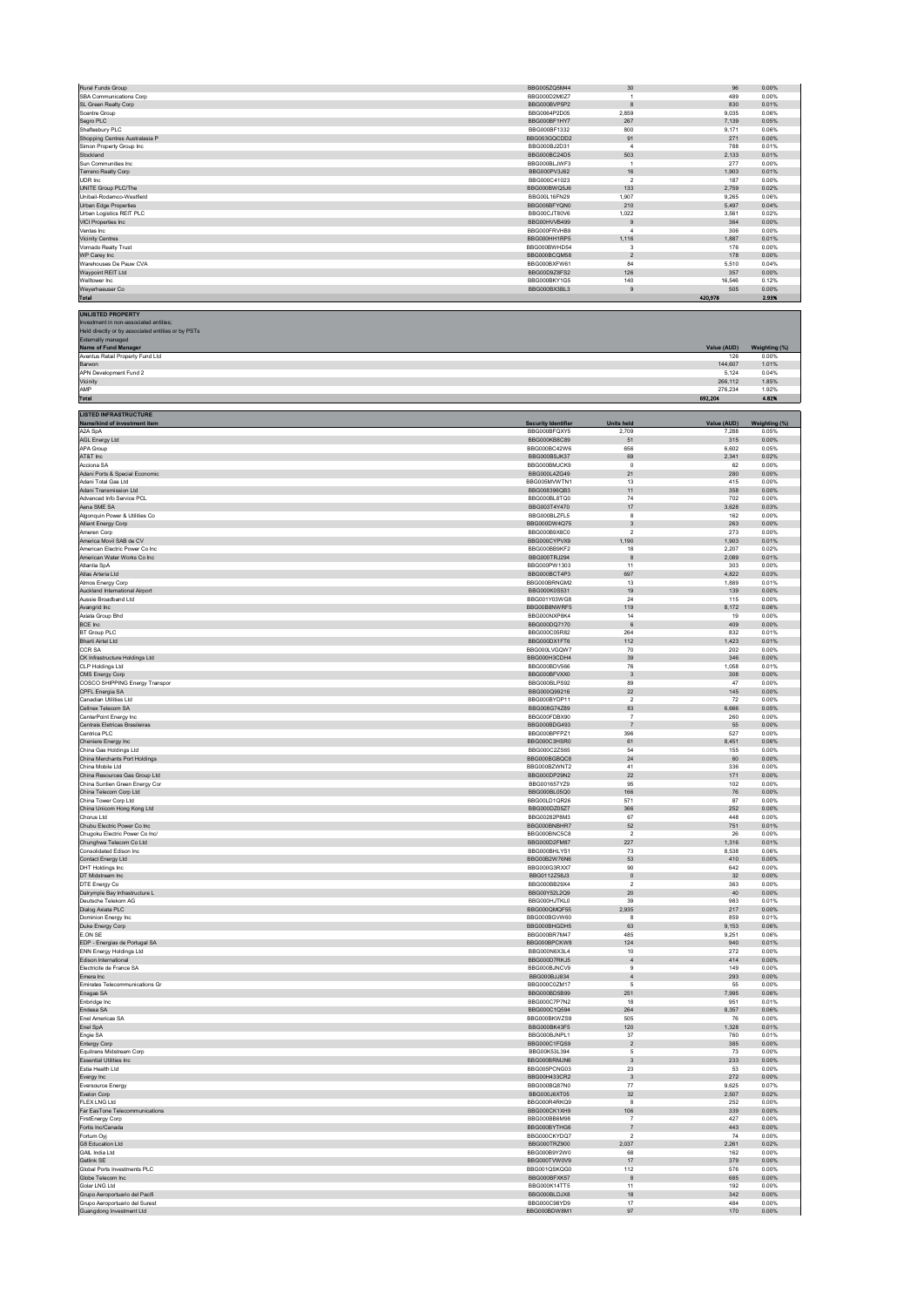| Rural Funds Group                                                                                                                              | BBG005ZQ5M44               | 30                      | 96                 | 0.00%                  |
|------------------------------------------------------------------------------------------------------------------------------------------------|----------------------------|-------------------------|--------------------|------------------------|
| SBA Communications Corp                                                                                                                        | BBG000D2M0Z7               | $\mathbf{1}$            | 489                | 0.00%                  |
| SL Green Realty Corp                                                                                                                           | BBG000BVP5P2               | 8                       | 830                | 0.01%                  |
| Scentre Group                                                                                                                                  | BBG0064P2D05               | 2,859                   | 9,035              | 0.06%                  |
| Segro PLC                                                                                                                                      | BBG000BF1HY7               | 267                     | 7,139              | 0.05%                  |
| Shaftesbury PLC                                                                                                                                | BBG000BF1332               | 800                     | 9.171              | 0.06%                  |
| Shopping Centres Australasia P                                                                                                                 | BBG003GQCDD2               | 91                      | 271                | 0.00%                  |
| Simon Property Group Inc.                                                                                                                      | BBG000BJ2D31               | $\overline{a}$          | 788                | 0.01%                  |
| Stockland                                                                                                                                      | BBG000BC24D5               | 503                     | 2,133              | 0.01%                  |
| Sun Communities Inc                                                                                                                            | BBG000BLJWF3               | $\overline{1}$          | 277                | 0.00%                  |
| Terreno Realty Corp                                                                                                                            | BBG000PV3J62               | 16                      | 1.903              | 0.01%                  |
| UDR Inc                                                                                                                                        | BBG000C41023               | $\sqrt{2}$              | 187                | 0.00%                  |
| UNITE Group PLC/The                                                                                                                            | BBG000BWQ5J6               | 133                     | 2,759              | 0.02%                  |
| Unibail-Rodamco-Westfield                                                                                                                      | BBG00L16FN29               | 1,907                   | 9,265              | 0.06%                  |
| Urban Edge Properties                                                                                                                          | BBG006BFYQN0               | 210                     | 5,497              | 0.04%                  |
| Urban Logistics REIT PLC                                                                                                                       | BBG00CJT80V6               | 1.022                   | 3.561              | 0.02%                  |
| VICI Properties Inc                                                                                                                            | BBG00HVVB499               | $\boldsymbol{9}$        | 364                | 0.00%                  |
| Ventas Inc.                                                                                                                                    | BBG000FRVHB9               | $\overline{4}$          | 306                | 0.00%                  |
| <b>Vicinity Centres</b>                                                                                                                        | BBG000HH1RP5               | 1,116                   | 1,887              | 0.01%                  |
| Vornado Realty Trust                                                                                                                           | BBG000BWHD54               | $\mathbf 3$             | 176                | 0.00%                  |
| WP Carey Inc                                                                                                                                   | BBG000BCQM58               | $\overline{2}$          | 178                | 0.00%                  |
| Warehouses De Pauw CVA                                                                                                                         | BBG000BXFW61               | 84                      | 5,510              | 0.04%                  |
| Waypoint REIT Ltd                                                                                                                              | BBG00D9Z8FS2               | 126                     | 357                | 0.00%                  |
| Welltower Inc                                                                                                                                  | BBG000BKY1G5               | 140                     | 16,546             | 0.12%                  |
| Weyerhaeuser Co                                                                                                                                | BBG000BX3BL3               | $\boldsymbol{9}$        | 505                | 0.00%<br>2.93%         |
| <b>Total</b>                                                                                                                                   |                            |                         | 420,978            |                        |
| <b>UNLISTED PROPERTY</b><br>Investment in non-associated entities;<br>Held directly or by associated entities or by PSTs<br>Externally managed |                            |                         |                    |                        |
| Name of Fund Manager<br>Aventus Retail Property Fund Ltd                                                                                       |                            |                         | Value (AUD)<br>126 | Weighting (%)<br>0.00% |
| Barwon                                                                                                                                         |                            |                         | 144,607            | 1.01%                  |
| APN Development Fund 2<br>Vicinity                                                                                                             |                            |                         | 5,124<br>266,112   | 0.04%<br>1.85%         |
| AMP<br><b>Total</b>                                                                                                                            |                            |                         | 276,234<br>692,204 | 1.92%<br>4.82%         |
|                                                                                                                                                |                            |                         |                    |                        |
| <b>LISTED INFRASTRUCTURE</b><br>Name/kind of investment item                                                                                   | <b>Security Identifier</b> | <b>Units held</b>       | Value (AUD)        | Weighting (%)          |
| A2A SpA                                                                                                                                        | BBG000BFQXY5               | 2,709                   | 7,288              | 0.05%                  |
| AGL Energy Ltd                                                                                                                                 | BBG000KB8C89               | 51                      | 315                | 0.00%                  |
| APA Group                                                                                                                                      | BBG000BC42W6               | 656                     | 6,602              | 0.05%                  |
| AT&T Inc                                                                                                                                       | BBG000BSJK37               | 69                      | 2,341              | 0.02%                  |
| Acciona SA                                                                                                                                     | BBG000BMJCK9               | $^{\circ}$              | 62                 | 0.00%                  |
| Adani Ports & Special Economic                                                                                                                 | BBG000L4ZG49               | 21                      | 280                | 0.00%                  |
| Adani Total Gas Ltd                                                                                                                            | BBG005MVWTN1               | 13                      | 415                | 0.00%                  |
| Adani Transmission Ltd                                                                                                                         | BBG008396QB3               | 11                      | 358                | 0.00%                  |
| Advanced Info Service PCL                                                                                                                      | BBG000BL8TQ0               | $74\,$                  | 702                | 0.00%                  |
| Aena SME SA                                                                                                                                    | BBG003T4Y470               | $17\,$                  | 3.628              | 0.03%                  |
| Algonquin Power & Utilities Co                                                                                                                 | BBG000BLZFL5               | 8                       | 162                | 0.00%                  |
| Alliant Energy Corp                                                                                                                            | BBG000DW4Q75               | 3                       | 263                | 0.00%                  |
| Ameren Corp                                                                                                                                    | BBG000B9X8C0               | $\sqrt{2}$              | 273                | 0.00%                  |
| America Movil SAB de CV                                                                                                                        | BBG000CYPVX9               | 1,190                   | 1,903              | 0.01%                  |
| American Electric Power Co Inc.                                                                                                                | BBG000BB9KF2               | 18                      | 2.207              | 0.02%                  |
| American Water Works Co Inc                                                                                                                    | BBG000TRJ294               | $\bf8$                  | 2,089              | 0.01%                  |
| Atlantia SpA                                                                                                                                   | BBG000PW1303               | 11                      | 303                | 0.00%                  |
| Atlas Arteria Ltd                                                                                                                              | BBG000BCT4P3               | 697                     | 4,822              | 0.03%                  |
| Atmos Energy Corp                                                                                                                              | BBG000BRNGM2               | 13                      | 1,889              | 0.01%                  |
| Auckland International Airport                                                                                                                 | BBG000K0S531               | 19                      | 139                | 0.00%                  |
| Aussie Broadband Ltd                                                                                                                           | BBG001Y03WG8               | $\sqrt{24}$             | 115                | 0.00%                  |
| Avangrid Inc                                                                                                                                   | BBG00B8NWRF5               | 119                     | 8,172              | 0.06%                  |
| Axiata Group Bhd                                                                                                                               | BBG000NXP8K4               | 14                      | 19                 | 0.00%                  |
| BCE Inc                                                                                                                                        | BBG000DQ7170               | $\,6\,$                 | 409                | 0.00%                  |
| BT Group PLC                                                                                                                                   | BBG000C05R82               | 264                     | 832                | 0.01%                  |
| Bharti Airtel Ltd                                                                                                                              | BBG000DX1FT6               | 112                     | 1,423              | 0.01%                  |
| CCR SA                                                                                                                                         | BBG000LVGQW7               | 70                      | 202                | 0.00%                  |
| CK Infrastructure Holdings Ltd                                                                                                                 | BBG000H3CDH4               | 39                      | 346                | 0.00%                  |
| <b>CLP Holdings Ltd</b>                                                                                                                        | BBG000BDV566               | 76                      | 1,058              | 0.01%                  |
| CMS Energy Corp                                                                                                                                | BBG000BFVXX0               | $\overline{\mathbf{3}}$ | 308                | 0.00%                  |
| COSCO SHIPPING Energy Transpor                                                                                                                 | BBG000BLPS92               | 89                      | 47                 | 0.00%                  |
| CPFL Energia SA                                                                                                                                | BBG000Q99216               | 22                      | 145                | 0.00%                  |
| Canadian Utilities Ltd                                                                                                                         | BBG000BYDP11               | $\overline{2}$          | 72                 | 0.00%                  |
| Cellnex Telecom SA                                                                                                                             | BBG008G74Z89               | 83                      | 6,666              | 0.05%                  |
| CenterPoint Energy Inc                                                                                                                         | BBG000FDBX90               | $\overline{7}$          | 260                | 0.00%                  |
| Centrais Eletricas Brasileiras                                                                                                                 | BBG000BDG493               | $\overline{7}$          | 55                 | 0.00%                  |
| Centrica PLC                                                                                                                                   | BBG000BPFPZ1               | 396                     | 527                | 0.00%                  |
| Cheniere Energy Inc                                                                                                                            | BBG000C3HSR0               | 61                      | 8,451              | 0.06%                  |
| China Gas Holdings Ltd                                                                                                                         | BBG000C2ZS65               | 54                      | 155                | 0.00%                  |
| China Merchants Port Holdings                                                                                                                  | BBG000BGBQC8               | 24                      | 60                 | 0.00%                  |
| China Mobile Ltd                                                                                                                               | BBG000BZWNT2               | 41                      | 336                | 0.00%                  |
| China Resources Gas Group Ltd                                                                                                                  | BBG000DP29N2               | 22                      | 171                | 0.00%                  |
| China Suntien Green Energy Cor                                                                                                                 | BBG001657YZ9               | 95                      | 102                | 0.00%                  |
| China Telecom Corp Ltd                                                                                                                         | BBG000BL05Q0               | 166                     | 76                 | 0.00%                  |
| China Tower Corp Ltd                                                                                                                           | BBG00LD1QR26               | 571                     | 87                 | 0.00%                  |
| China Unicom Hong Kong Ltd                                                                                                                     | BBG000DZ05Z7               | 366                     | 252                | 0.00%                  |
| Chorus Ltd                                                                                                                                     | BBG00282P8M3               | 67                      | 448                | 0.00%                  |
| Chubu Electric Power Co Inc                                                                                                                    | BBG000BNBHR7               | 52                      | 751                | 0.01%                  |
| Chugoku Electric Power Co Inc/                                                                                                                 | BBG000BNC5C8               | $\sqrt{2}$              | 26                 | 0.00%                  |
| Chunghwa Telecom Co Ltd                                                                                                                        | BBG000D2FM87               | 227                     | 1,316              | 0.01%                  |
| Consolidated Edison Inc                                                                                                                        | BBG000BHLYS1               | 73                      | 8,538              | 0.06%                  |
| Contact Energy Ltd                                                                                                                             | BBG00B2W76N6               | 53                      | 410                | 0.00%                  |
| DHT Holdings Inc.                                                                                                                              | BBG000G3RXX7               | 90                      | 642                | 0.00%                  |
| DT Midstream Inc                                                                                                                               | BBG0112Z58J3               | $\mathbf 0$             | 32                 | 0.00%                  |
| DTE Energy Co                                                                                                                                  | BBG000BB29X4               | $\mathcal{P}$           | 363                | 0.00%                  |
| Dalrymple Bay Infrastructure L                                                                                                                 | BBG00Y52L2Q9               | $20\,$                  | 40                 | 0.00%                  |
| Deutsche Telekom AG                                                                                                                            | BBG000HJTKL0               | 39                      | 983                | 0.01%                  |
| Dialog Axiata PLC                                                                                                                              | BBG000QMQF55               | 2,935                   | 217                | 0.00%                  |
| Dominion Energy Inc                                                                                                                            | BBG000BGVW60               | 8                       | 859                | 0.01%                  |
| Duke Energy Corp                                                                                                                               | BBG000BHGDH5               | 63                      | 9,153              | 0.06%                  |
| E.ON SE                                                                                                                                        | BBG000BR7M47               | 485                     | 9,251              | 0.06%                  |
| EDP - Energias de Portugal SA                                                                                                                  | BBG000BPCKW8               | 124                     | 940                | 0.01%                  |
| ENN Energy Holdings Ltd                                                                                                                        | BBG000N6X3L4               | 10                      | 272                | 0.00%                  |
| Edison International                                                                                                                           | BBG000D7RKJ5               | $\overline{4}$          | 414                | 0.00%                  |
| Electricite de France SA                                                                                                                       | BBG000BJNCV9               | $\mathbf{Q}$            | 149                | 0.00%                  |
| Emera Inc                                                                                                                                      | BBG000BJJ834               | $\overline{4}$          | 293                | 0.00%                  |
| Emirates Telecommunications Gr                                                                                                                 | BBG000C0ZM17               | 5                       | 55                 | 0.00%                  |
| Enagas SA                                                                                                                                      | BBG000BD5B99               | 251                     | 7,995              | 0.06%                  |
| Enbridge Inc                                                                                                                                   | BBG000C7P7N2               | 18                      | 951                | 0.01%                  |
| Endesa SA                                                                                                                                      | BBG000C1Q594               | 264                     | 8,357              | 0.06%                  |
| Enel Americas SA                                                                                                                               | BBG000BKWZS9               | 505                     | 76                 | 0.00%                  |
| Enel SpA                                                                                                                                       | BBG000BK43F5               | 120                     | 1,328              | 0.01%                  |
| Engie SA                                                                                                                                       | BBG000BJNPL1               | 37                      | 760                | 0.01%                  |
| Entergy Corp                                                                                                                                   | BBG000C1FQS9               | $\boldsymbol{2}$        | 385                | 0.00%                  |
| Equitrans Midstream Corp                                                                                                                       | BBG00K53L394               | 5                       | 73                 | 0.00%                  |
| Essential Utilities Inc                                                                                                                        | BBG000BRMJN6               | 3                       | 233                | 0.00%                  |
| Estia Health Ltd                                                                                                                               | BBG005PCNG03               | 23                      | 53                 | 0.00%                  |
| Evergy Inc                                                                                                                                     | BBG00H433CR2               | $\overline{\mathbf{3}}$ | 272                | 0.00%                  |
| Eversource Energy                                                                                                                              | BBG000BQ87N0               | $77 \,$                 | 9,625              | 0.07%                  |
| Exelon Corp                                                                                                                                    | BBG000J6XT05               | 32                      | 2,507              | 0.02%                  |
| <b>FLEX LNG Ltd</b>                                                                                                                            | BBG000R4RKQ9               | 8                       | 252                | 0.00%                  |
| Far EasTone Telecommunications                                                                                                                 | BBG000CK1XH9               | 106                     | 339                | 0.00%                  |
| FirstEnergy Corp                                                                                                                               | BBG000BB6M98               | $\overline{7}$          | 427                | 0.00%                  |
|                                                                                                                                                | BBG000BYTHG6               | $\overline{7}$          | 443                | 0.00%                  |
| Fortis Inc/Canada<br>Fortum Oyj                                                                                                                | BBG000CKYDQ7               | $\overline{2}$          | 74                 | 0.00%                  |
| G8 Education Ltd                                                                                                                               | BBG000TRZ900               | 2,037                   | 2,261              | 0.02%                  |
| GAIL India Ltd                                                                                                                                 | BBG000B9Y2W0               | 68                      | 162                | 0.00%                  |
| Getlink SE                                                                                                                                     | BBG000TVW0V9               | 17                      | 379                | 0.00%                  |
| Global Ports Investments PLC                                                                                                                   | BBG001QSKQG0               | 112                     | 576                | 0.00%                  |
| Globe Telecom Inc                                                                                                                              | BBG000BFXK57               | 8                       | 685                | 0.00%                  |
| Golar LNG Ltd                                                                                                                                  | BBG000K14TT5               | 11                      | 192                | 0.00%                  |
| Grupo Aeroportuario del Pacifi                                                                                                                 | BBG000BLDJX8               | 18                      | 342                | 0.00%                  |
| Grupo Aeroportuario del Surest                                                                                                                 | BBG000C98YD9               | 17                      | 484                | 0.00%                  |
| Guangdong Investment Ltd                                                                                                                       | BBG000BDW8M1               | 97                      | 170                | 0.00%                  |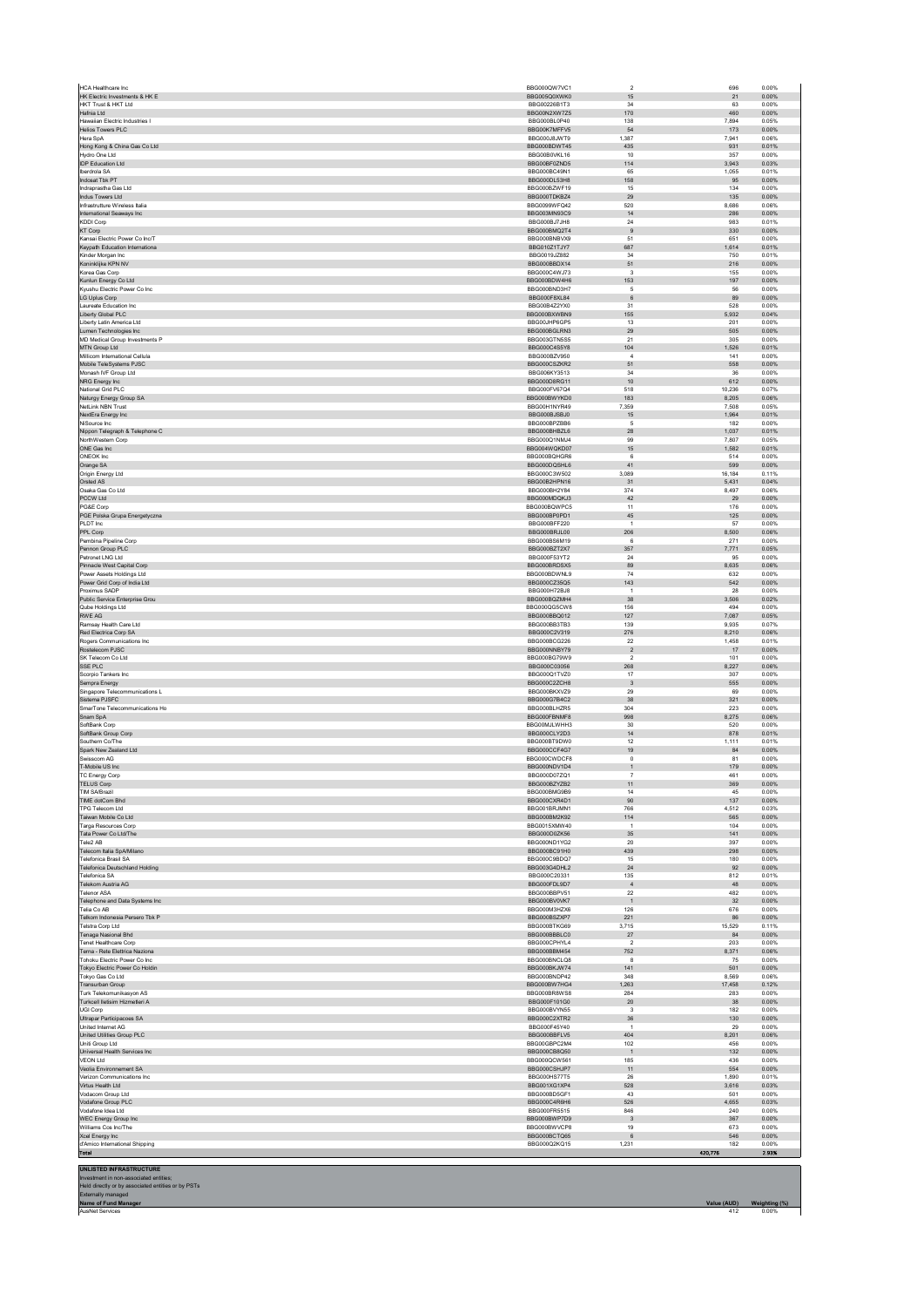| HCA Healthcare Inc                                        | BBG000QW7VC1                 | $\sqrt{2}$                       | 696            | 0.00%          |
|-----------------------------------------------------------|------------------------------|----------------------------------|----------------|----------------|
| HK Electric Investments & HK E<br>HKT Trust & HKT Ltd     | BBG005Q0XWK0<br>BBG00226B1T3 | 15<br>$34\,$                     | 21<br>63       | 0.00%<br>0.00% |
| Hafnia Ltd                                                | BBG00N2XW7Z5                 | 170                              | 460            | 0.00%          |
| Hawaiian Electric Industries I                            | BBG000BL0P40                 | 138                              | 7,894          | 0.05%          |
| Helios Towers PLC                                         | BBG00K7MFFV5<br>BBG000J8JWT9 | 54<br>1.387                      | 173<br>7.941   | 0.00%<br>0.06% |
| Hera SpA<br>Hong Kong & China Gas Co Ltd                  | BBG000BDWT45                 | 435                              | 931            | 0.01%          |
| Hydro One Ltd                                             | BBG00B0VKL16                 | 10                               | 357            | 0.00%          |
| <b>IDP Education Ltd</b>                                  | BBG00BE0ZND5                 | 114                              | 3,943          | 0.03%          |
| Iberdrola SA<br>Indosat Tbk PT                            | BBG000BC49N1<br>BBG000DL53H8 | 65<br>158                        | 1,055<br>95    | 0.01%<br>0.00% |
| Indraprastha Gas Ltd                                      | BBG000BZWF19                 | 15                               | 134            | 0.00%          |
| Indus Towers Ltd                                          | BBG000TDKBZ4                 | 29                               | 135            | 0.00%          |
| Infrastrutture Wireless Italia                            | BBG0099WFQ42                 | 520                              | 8,686          | 0.06%          |
| International Seaways Inc<br><b>KDDI Corp</b>             | BBG003MN93C9<br>BBG000BJ7JH8 | $14\,$<br>24                     | 286<br>983     | 0.00%<br>0.01% |
| KT Corp                                                   | BBG000BMQ2T4                 | $\,9$                            | 330            | 0.00%          |
| Kansai Electric Power Co Inc/T                            | BBG000BNBVX9                 | 51                               | 651            | 0.00%          |
| Keypath Education International                           | BBG010Z1TJY7                 | 687                              | 1,614          | 0.01%          |
| Kinder Morgan Inc<br>Koninklijke KPN NV                   | BBG0019JZ882<br>BBG000BBDX14 | $34\,$<br>51                     | 750<br>216     | 0.01%<br>0.00% |
| Korea Gas Corp                                            | BBG000C4WJ73                 | $^{\rm 3}$                       | 155            | 0.00%          |
| Kunlun Energy Co Ltd                                      | BBG000BDW4H6                 | 153                              | 197            | 0.00%          |
| Kyushu Electric Power Co Inc.<br>LG Uplus Corp            | BBG000BND3H7<br>BBG000F8XL84 | 5<br>$\,6\,$                     | 56<br>89       | 0.00%<br>0.00% |
| Laureate Education Inc.                                   | BBG00B4Z2YX0                 | 31                               | 528            | 0.00%          |
| Liberty Global PLC                                        | BBG000BXWBN9                 | 155                              | 5,932          | 0.04%          |
| Liberty Latin America Ltd                                 | BBG00JHP6GP5                 | 13                               | 201            | 0.00%          |
| Lumen Technologies Inc.<br>MD Medical Group Investments P | BBG000BGLRN3<br>BBG003GTN5S5 | 29<br>21                         | 505<br>305     | 0.00%<br>0.00% |
| MTN Group Ltd                                             | BBG000C4S5Y8                 | 104                              | 1,526          | 0.01%          |
| Millicom International Cellula                            | BBG000BZV950                 | $\sqrt{4}$                       | 141            | 0.00%          |
| Mobile TeleSystems PJSC<br>Monash IVF Group Ltd           | BBG000CSZKR2<br>BBG006KY3513 | 51<br>34                         | 558<br>36      | 0.00%<br>0.00% |
| NRG Energy Inc                                            | BBG000D8RG11                 | $10$                             | 612            | 0.00%          |
| National Grid PLC                                         | BBG000EV67O4                 | 518                              | 10.236         | 0.07%          |
| Naturgy Energy Group SA                                   | BBG000BWYKD0                 | 183                              | 8,205          | 0.06%          |
| NetLink NBN Trust<br>NextEra Energy Inc                   | BBG00H1NYR49<br>BBG000BJSBJ0 | 7,359<br>15                      | 7,508<br>1,964 | 0.05%<br>0.01% |
| NiSource Inc                                              | BBG000BPZBB6                 | $\,$ 5 $\,$                      | 182            | 0.00%          |
| Nippon Telegraph & Telephone C                            | BBG000BHBZL6                 | 28                               | 1,037          | 0.01%          |
| NorthWestern Corp                                         | BBG000Q1NMJ4                 | 99                               | 7,807          | 0.05%          |
| ONE Gas Inc<br>ONEOK Inc                                  | BBG004WQKD07<br>BBG000BQHGR6 | 15<br>6                          | 1,582<br>514   | 0.01%<br>0.00% |
| Orange SA                                                 | BBG000DQSHL6                 | 41                               | 599            | 0.00%          |
| Origin Energy Ltd                                         | BBG000C3W502                 | 3,089                            | 16.184         | 0.11%          |
| Orsted AS<br>Osaka Gas Co Ltd                             | BBG00B2HPN16<br>BBG000BH2Y84 | 31<br>374                        | 5,431<br>8,497 | 0.04%<br>0.06% |
| PCCW Ltd                                                  | BBG000MDQKJ3                 | 42                               | 29             | 0.00%          |
| PG&E Corp                                                 | BBG000BQWPC5                 | 11                               | 176            | 0.00%          |
| PGE Polska Grupa Energetyczna                             | BBG000BP0PD1                 | 45                               | 125            | 0.00%          |
| PLDT Inc<br>PPL Corp                                      | BBG000BFF220<br>BBG000BRJL00 | $\overline{1}$<br>206            | 57<br>8,500    | 0.00%<br>0.06% |
| Pembina Pipeline Corp                                     | BBG000BS6M19                 | 6                                | 271            | 0.00%          |
| Pennon Group PLC                                          | BBG000BZT2X7                 | 357                              | 7,771          | 0.05%          |
| Petronet LNG Ltd                                          | BBG000F53YT2                 | 24                               | 95             | 0.00%          |
| Pinnacle West Capital Corp<br>Power Assets Holdings Ltd   | BBG000BRDSX5<br>BBG000BDWNL9 | 89<br>$74\,$                     | 8,635<br>632   | 0.06%<br>0.00% |
| Power Grid Corp of India Ltd                              | BBG000CZ35Q5                 | 143                              | 542            | 0.00%          |
| Proximus SADP                                             | BBG000H72BJ8                 | $\overline{1}$                   | 28             | 0.00%          |
| Public Service Enterprise Grou                            | BBG000BQZMH4                 | 38                               | 3,506          | 0.02%          |
| Qube Holdings Ltd<br>RWE AG                               | BBG000QG5CW8<br>BBG000BBQ012 | 156<br>127                       | 494<br>7,087   | 0.00%<br>0.05% |
| Ramsay Health Care Ltd                                    | BBG000BB3TB3                 | 139                              | 9.935          | 0.07%          |
| Red Electrica Corp SA                                     | BBG000C2V319                 | 276                              | 8,210          | 0.06%          |
| Rogers Communications Inc.<br>Rostelecom PJSC             | BBG000BCG226<br>BBG000NNBY79 | 22<br>$\sqrt{2}$                 | 1,458<br>17    | 0.01%<br>0.00% |
| SK Telecom Co Ltd                                         | BBG000BG79W9                 | $\sqrt{2}$                       | 101            | 0.00%          |
| SSE PLC                                                   | BBG000C03056                 | 268                              | 8.227          | 0.06%          |
| Scorpio Tankers Inc                                       | BBG000Q1TVZ0                 | $17\,$                           | 307            | 0.00%          |
| Sempra Energy<br>Singapore Telecommunications L           | BBG000C2ZCH8<br>BBG000BKXVZ9 | $\overline{\mathbf{3}}$<br>29    | 555<br>69      | 0.00%<br>0.00% |
| Sistema PJSFC                                             | BBG000G7B4C2                 | $38\,$                           | 321            | 0.00%          |
| SmarTone Telecommunications Ho                            | BBG000BLHZR5                 | 304                              | 223            | 0.00%          |
| Snam SpA<br>SoftBank Corp                                 | BBG000FBNMF8<br>BBG00MJLWHH3 | 998<br>30 <sub>0</sub>           | 8,275<br>520   | 0.06%<br>0.00% |
| SoftBank Group Corp                                       | BBG000CLY2D3                 | 14                               | 878            | 0.01%          |
| Southern Co/The                                           | BBG000BT9DW0                 | 12                               | 1,111          | 0.01%          |
| Snark New Zealand Ltd<br>Swisscom AG                      | BBG000CCF4G7<br>BBG000CWDCF8 | 19<br>$\mathsf 0$                | 84<br>81       | 0.00%<br>0.00% |
| T-Mobile US Inc                                           | BBG000NDV1D4                 | $\mathbf{1}$                     | 179            | 0.00%          |
| <b>TC Energy Corp</b>                                     | BBG000D07ZQ1                 | $\overline{7}$                   | 461            | 0.00%          |
| <b>TELUS Corp</b>                                         | BBG000BZYZB2                 | 11                               | 369            | 0.00%          |
| <b>TIM SA/Brazil</b><br>TIME dotCom Bhd                   | BBG000BMG9B9<br>BBG000CXR4D1 | 14<br>$90\,$                     | 45<br>137      | 0.00%<br>0.00% |
| <b>TPG Telecom Ltd</b>                                    | BBG001BRJMN1                 | 766                              | 4,512          | 0.03%          |
| Taiwan Mobile Co Ltd                                      | BBG000BM2K92                 | 114                              | 565            | 0.00%          |
| Targa Resources Corp<br>Tata Power Co Ltd/The             | BBG0015XMW40<br>BBG000D0ZK56 | $\mathbf{1}$<br>35               | 104<br>141     | 0.00%<br>0.00% |
| Tele2 AB                                                  | BBG000ND1YG2                 | $20\,$                           | 397            | 0.00%          |
| Telecom Italia SpA/Milano                                 | BBG000BC91H0                 | 439                              | 298            | 0.00%          |
| <b>Telefonica Brasil SA</b>                               | BBG000C9BDQ7                 | 15                               | 180            | 0.00%          |
| <b>Telefonica Deutschland Holding</b><br>Telefonica SA    | BBG003G4DHL2<br>BBG000C20331 | $\bf 24$<br>135                  | 92<br>812      | 0.00%<br>0.01% |
| Telekom Austria AG                                        | BBG000FDL9D7                 | $\sqrt{4}$                       | 48             | 0.00%          |
| <b>Telenor ASA</b>                                        | BBG000BBPV51                 | 22                               | 482            | 0.00%          |
| Telephone and Data Systems Inc<br>Telia Co AB             | BBG000BV0VK7<br>BBG000M3HZX6 | $\mathbf{1}$<br>126              | 32<br>676      | 0.00%<br>0.00% |
| Telkom Indonesia Persero Tbk P                            | BBG000BSZXP7                 | 221                              | 86             | 0.00%          |
| Telstra Corp Ltd                                          | BBG000BTKG69                 | 3,715                            | 15,529         | 0.11%          |
| Tenaga Nasional Bhd                                       | BBG000BBBLC0                 | 27                               | 84             | 0.00%          |
| Tenet Healthcare Corp<br>Terna - Rete Elettrica Naziona   | BBG000CPHYL4<br>BBG000BBM454 | $\sqrt{2}$<br>752                | 203<br>8,371   | 0.00%<br>0.06% |
| Toboku Flectric Power Co Inc.                             | BBG000BNCLQ8                 | 8                                | 75             | 0.00%          |
| Tokyo Electric Power Co Holdin                            | BBG000BKJW74                 | 141                              | 501            | 0.00%          |
| Tokyo Gas Co Ltd                                          | BBG000BNDP42                 | 348                              | 8.569          | 0.06%          |
| Transurban Group<br>Turk Telekomunikasyon AS              | BBG000BW7HG4<br>BBG000BR8WS8 | 1,263<br>284                     | 17,458<br>283  | 0.12%<br>0.00% |
| Turkcell lletisim Hizmetleri A                            | BBG000F101G0                 | 20                               | 38             | 0.00%          |
| UGI Corp                                                  | BBG000BVYN55                 | $\mathsf 3$                      | 182            | 0.00%          |
| Ultrapar Participacoes SA<br>United Internet AG           | BBG000C2XTR2<br>BBG000F45Y40 | 36<br>$\mathbf{1}$               | 130<br>29      | 0.00%<br>0.00% |
| United Utilities Group PLC                                |                              | 404                              | 8,201          | 0.06%          |
|                                                           | BBG000BBFLV5                 |                                  | 456            | 0.00%          |
| Uniti Group Ltd                                           | BBG00GBPC2M4                 | 102                              | 132            | 0.00%          |
| Universal Health Services Inc                             | BBG000CB8Q50                 | $\mathbf{1}$                     |                |                |
| <b>VEON Ltd</b>                                           | BBG000QCW561                 | 185                              | 436            | 0.00%          |
| Veolia Environnement SA<br>Verizon Communications Inc     | BBG000CSHJP7<br>BBG000HS77T5 | 11<br>${\bf 26}$                 | 554<br>1,890   | 0.00%<br>0.01% |
| Virtus Health Ltd                                         | BBG001XG1XP4                 | 528                              | 3,616          | 0.03%          |
| Vodacom Group Ltd                                         | BBG000BD5GF1                 | 43                               | 501            | 0.00%          |
| Vodafone Group PLC                                        | BBG000C4R6H6                 | 526                              | 4,655          | 0.03%          |
| Vodafone Idea Ltd<br>WEC Energy Group Inc                 | BBG000FR5515<br>BBG000BWP7D9 | 846<br>$\ensuremath{\mathsf{3}}$ | 240<br>367     | 0.00%<br>0.00% |
| Williams Cos Inc/The                                      | BBG000BWVCP8                 | 19                               | 673            | 0.00%          |
| Xcel Energy Inc                                           | BBG000BCTQ65                 | $\,6\,$                          | 546            | 0.00%          |
| d'Amico International Shipping                            | BBG000Q2KQ15                 | 1,231                            | 182<br>420,776 | 0.00%<br>2.93% |
| Total<br><b>UNLISTED INFRASTRUCTURE</b>                   |                              |                                  |                |                |

AusNet Services 412 0.00%

Investment in non-associated entities or by PSTs<br>Externally managed<br>Name of Fund Manager Value (AUD) Weighting (%)